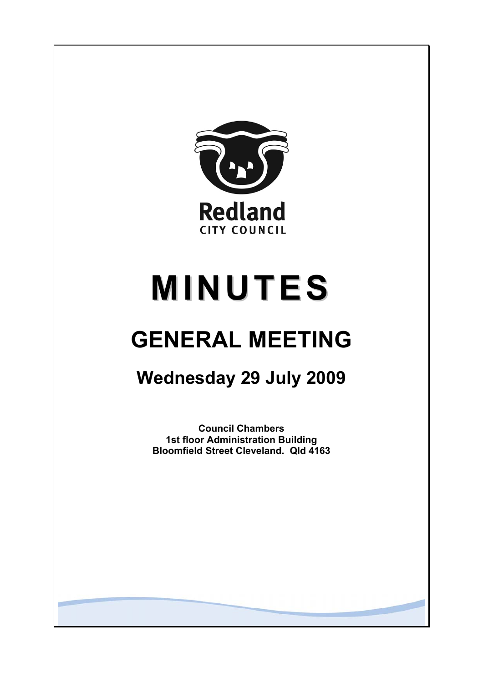

# **MINUTES**

# **GENERAL MEETING**

# **Wednesday 29 July 2009**

**Council Chambers 1st floor Administration Building Bloomfield Street Cleveland. Qld 4163**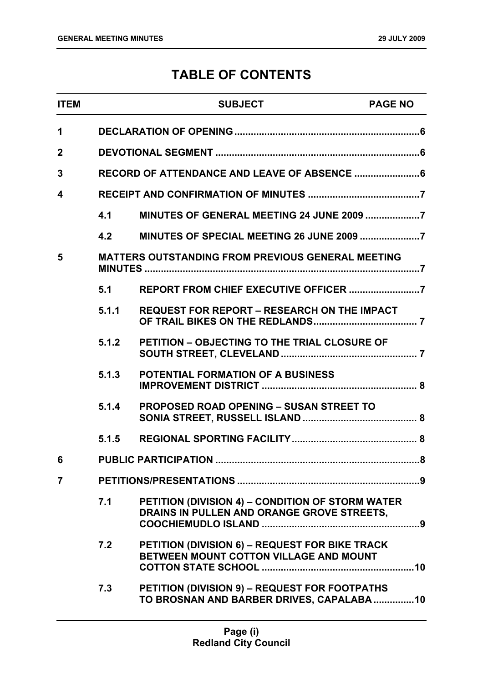# **TABLE OF CONTENTS**

| <b>ITEM</b>    |       | <b>SUBJECT</b>                                                                                  | <b>PAGE NO</b> |
|----------------|-------|-------------------------------------------------------------------------------------------------|----------------|
| $\mathbf 1$    |       |                                                                                                 |                |
| $\mathbf{2}$   |       |                                                                                                 |                |
| 3              |       | RECORD OF ATTENDANCE AND LEAVE OF ABSENCE  6                                                    |                |
| 4              |       |                                                                                                 |                |
|                | 4.1   |                                                                                                 |                |
|                | 4.2   |                                                                                                 |                |
| 5              |       | <b>MATTERS OUTSTANDING FROM PREVIOUS GENERAL MEETING</b>                                        |                |
|                | 5.1   |                                                                                                 |                |
|                | 5.1.1 | <b>REQUEST FOR REPORT - RESEARCH ON THE IMPACT</b>                                              |                |
|                | 5.1.2 | <b>PETITION - OBJECTING TO THE TRIAL CLOSURE OF</b>                                             |                |
|                | 5.1.3 | <b>POTENTIAL FORMATION OF A BUSINESS</b>                                                        |                |
|                | 5.1.4 | PROPOSED ROAD OPENING - SUSAN STREET TO                                                         |                |
|                | 5.1.5 |                                                                                                 |                |
|                |       |                                                                                                 |                |
| $\overline{7}$ |       |                                                                                                 |                |
|                | 7.1   | PETITION (DIVISION 4) - CONDITION OF STORM WATER<br>DRAINS IN PULLEN AND ORANGE GROVE STREETS,  |                |
|                | 7.2   | <b>PETITION (DIVISION 6) - REQUEST FOR BIKE TRACK</b><br>BETWEEN MOUNT COTTON VILLAGE AND MOUNT |                |
|                | 7.3   | PETITION (DIVISION 9) - REQUEST FOR FOOTPATHS<br>TO BROSNAN AND BARBER DRIVES, CAPALABA 10      |                |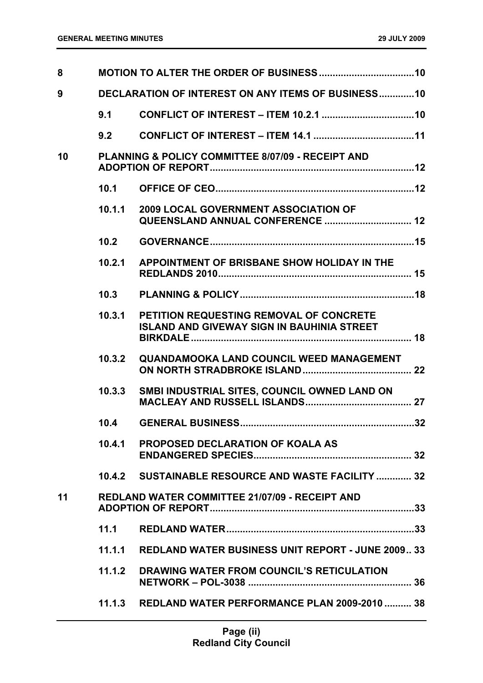| 8  |        |                                                                                              |
|----|--------|----------------------------------------------------------------------------------------------|
| 9  |        | <b>DECLARATION OF INTEREST ON ANY ITEMS OF BUSINESS10</b>                                    |
|    | 9.1    |                                                                                              |
|    | 9.2    |                                                                                              |
| 10 |        | <b>PLANNING &amp; POLICY COMMITTEE 8/07/09 - RECEIPT AND</b>                                 |
|    | 10.1   |                                                                                              |
|    | 10.1.1 | <b>2009 LOCAL GOVERNMENT ASSOCIATION OF</b><br>QUEENSLAND ANNUAL CONFERENCE  12              |
|    | 10.2   |                                                                                              |
|    | 10.2.1 | APPOINTMENT OF BRISBANE SHOW HOLIDAY IN THE                                                  |
|    | 10.3   |                                                                                              |
|    | 10.3.1 | PETITION REQUESTING REMOVAL OF CONCRETE<br><b>ISLAND AND GIVEWAY SIGN IN BAUHINIA STREET</b> |
|    | 10.3.2 | QUANDAMOOKA LAND COUNCIL WEED MANAGEMENT                                                     |
|    | 10.3.3 | SMBI INDUSTRIAL SITES, COUNCIL OWNED LAND ON                                                 |
|    | 10.4   |                                                                                              |
|    |        | 10.4.1 PROPOSED DECLARATION OF KOALA AS                                                      |
|    |        | 10.4.2 SUSTAINABLE RESOURCE AND WASTE FACILITY  32                                           |
| 11 |        | <b>REDLAND WATER COMMITTEE 21/07/09 - RECEIPT AND</b>                                        |
|    | 11.1   |                                                                                              |
|    | 11.1.1 | <b>REDLAND WATER BUSINESS UNIT REPORT - JUNE 2009 33</b>                                     |
|    | 11.1.2 | DRAWING WATER FROM COUNCIL'S RETICULATION                                                    |
|    |        | 11.1.3 REDLAND WATER PERFORMANCE PLAN 2009-2010  38                                          |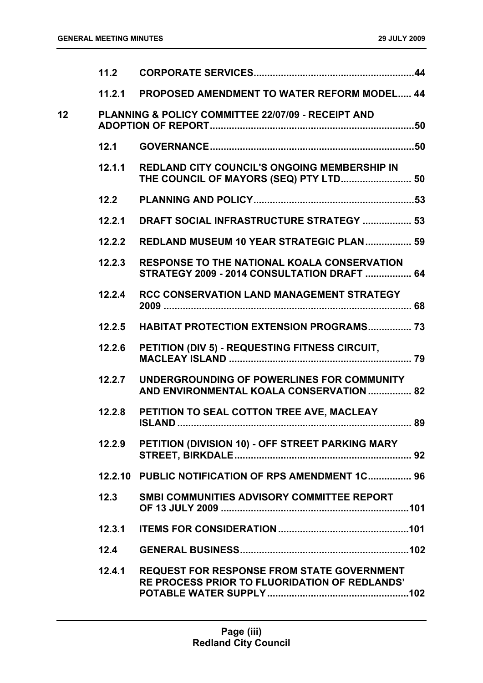|    | 11.2   |                                                                                                          |
|----|--------|----------------------------------------------------------------------------------------------------------|
|    | 11.2.1 | <b>PROPOSED AMENDMENT TO WATER REFORM MODEL 44</b>                                                       |
| 12 |        | <b>PLANNING &amp; POLICY COMMITTEE 22/07/09 - RECEIPT AND</b>                                            |
|    | 12.1   |                                                                                                          |
|    | 12.1.1 | REDLAND CITY COUNCIL'S ONGOING MEMBERSHIP IN<br>THE COUNCIL OF MAYORS (SEQ) PTY LTD 50                   |
|    | 12.2   |                                                                                                          |
|    | 12.2.1 | DRAFT SOCIAL INFRASTRUCTURE STRATEGY  53                                                                 |
|    | 12.2.2 | REDLAND MUSEUM 10 YEAR STRATEGIC PLAN 59                                                                 |
|    | 12.2.3 | <b>RESPONSE TO THE NATIONAL KOALA CONSERVATION</b><br><b>STRATEGY 2009 - 2014 CONSULTATION DRAFT  64</b> |
|    | 12.2.4 | <b>RCC CONSERVATION LAND MANAGEMENT STRATEGY</b>                                                         |
|    | 12.2.5 | <b>HABITAT PROTECTION EXTENSION PROGRAMS 73</b>                                                          |
|    | 12.2.6 | PETITION (DIV 5) - REQUESTING FITNESS CIRCUIT,                                                           |
|    | 12.2.7 | UNDERGROUNDING OF POWERLINES FOR COMMUNITY<br>AND ENVIRONMENTAL KOALA CONSERVATION  82                   |
|    | 12.2.8 | PETITION TO SEAL COTTON TREE AVE, MACLEAY                                                                |
|    | 12.2.9 | PETITION (DIVISION 10) - OFF STREET PARKING MARY                                                         |
|    |        | 12.2.10 PUBLIC NOTIFICATION OF RPS AMENDMENT 1C 96                                                       |
|    | 12.3   | SMBI COMMUNITIES ADVISORY COMMITTEE REPORT                                                               |
|    | 12.3.1 |                                                                                                          |
|    | 12.4   |                                                                                                          |
|    | 12.4.1 | <b>REQUEST FOR RESPONSE FROM STATE GOVERNMENT</b><br>RE PROCESS PRIOR TO FLUORIDATION OF REDLANDS'       |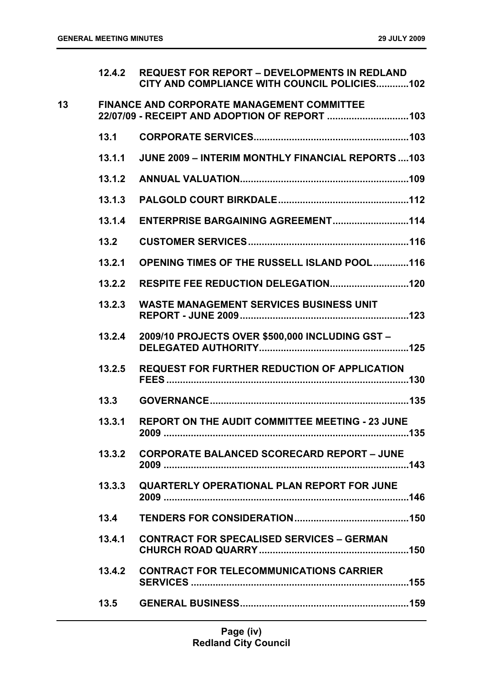|    | 12.4.2 | <b>REQUEST FOR REPORT - DEVELOPMENTS IN REDLAND</b><br>CITY AND COMPLIANCE WITH COUNCIL POLICIES102 |
|----|--------|-----------------------------------------------------------------------------------------------------|
| 13 |        | <b>FINANCE AND CORPORATE MANAGEMENT COMMITTEE</b>                                                   |
|    | 13.1   |                                                                                                     |
|    | 13.1.1 | <b>JUNE 2009 - INTERIM MONTHLY FINANCIAL REPORTS 103</b>                                            |
|    | 13.1.2 |                                                                                                     |
|    | 13.1.3 |                                                                                                     |
|    | 13.1.4 | ENTERPRISE BARGAINING AGREEMENT114                                                                  |
|    | 13.2   |                                                                                                     |
|    | 13.2.1 | <b>OPENING TIMES OF THE RUSSELL ISLAND POOL116</b>                                                  |
|    | 13.2.2 |                                                                                                     |
|    | 13.2.3 | <b>WASTE MANAGEMENT SERVICES BUSINESS UNIT</b>                                                      |
|    | 13.2.4 | 2009/10 PROJECTS OVER \$500,000 INCLUDING GST-                                                      |
|    | 13.2.5 | <b>REQUEST FOR FURTHER REDUCTION OF APPLICATION</b>                                                 |
|    | 13.3   |                                                                                                     |
|    | 13.3.1 | REPORT ON THE AUDIT COMMITTEE MEETING - 23 JUNE<br>. 135                                            |
|    | 13.3.2 | <b>CORPORATE BALANCED SCORECARD REPORT - JUNE</b>                                                   |
|    | 13.3.3 | <b>QUARTERLY OPERATIONAL PLAN REPORT FOR JUNE</b>                                                   |
|    | 13.4   |                                                                                                     |
|    | 13.4.1 | <b>CONTRACT FOR SPECALISED SERVICES - GERMAN</b>                                                    |
|    |        | 13.4.2 CONTRACT FOR TELECOMMUNICATIONS CARRIER                                                      |
|    |        |                                                                                                     |
|    |        |                                                                                                     |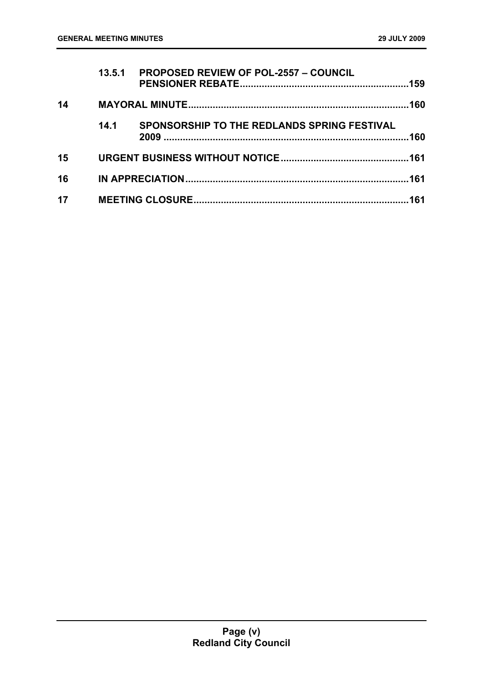|    | 13.5.1 | <b>PROPOSED REVIEW OF POL-2557 - COUNCIL</b> |      |
|----|--------|----------------------------------------------|------|
| 14 |        |                                              | .160 |
|    | 14.1   | SPONSORSHIP TO THE REDLANDS SPRING FESTIVAL  | .160 |
| 15 |        |                                              |      |
| 16 |        |                                              |      |
| 17 |        |                                              |      |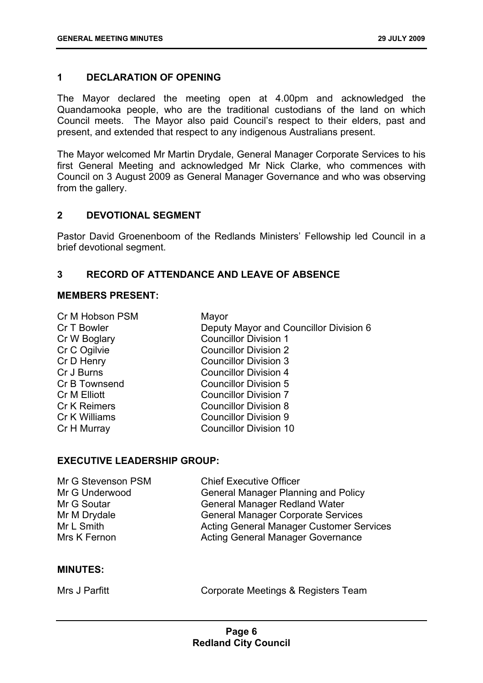# <span id="page-6-0"></span>**1 DECLARATION OF OPENING**

The Mayor declared the meeting open at 4.00pm and acknowledged the Quandamooka people, who are the traditional custodians of the land on which Council meets. The Mayor also paid Council's respect to their elders, past and present, and extended that respect to any indigenous Australians present.

The Mayor welcomed Mr Martin Drydale, General Manager Corporate Services to his first General Meeting and acknowledged Mr Nick Clarke, who commences with Council on 3 August 2009 as General Manager Governance and who was observing from the gallery.

#### <span id="page-6-1"></span>**2 DEVOTIONAL SEGMENT**

Pastor David Groenenboom of the Redlands Ministers' Fellowship led Council in a brief devotional segment.

# <span id="page-6-2"></span>**3 RECORD OF ATTENDANCE AND LEAVE OF ABSENCE**

# **MEMBERS PRESENT:**

Cr M Hobson PSM Mayor

Cr T Bowler **Deputy Mayor and Councillor Division 6** Cr W Boglary Councillor Division 1 Cr C Ogilvie Councillor Division 2 Cr D Henry Councillor Division 3 Cr J Burns Councillor Division 4 Cr B Townsend Councillor Division 5 Cr M Elliott Councillor Division 7 Cr K Reimers Councillor Division 8 Cr K Williams Councillor Division 9 Cr H Murray Councillor Division 10

# **EXECUTIVE LEADERSHIP GROUP:**

| Mr G Stevenson PSM | <b>Chief Executive Officer</b>                  |
|--------------------|-------------------------------------------------|
| Mr G Underwood     | <b>General Manager Planning and Policy</b>      |
| Mr G Soutar        | <b>General Manager Redland Water</b>            |
| Mr M Drydale       | <b>General Manager Corporate Services</b>       |
| Mr L Smith         | <b>Acting General Manager Customer Services</b> |
| Mrs K Fernon       | <b>Acting General Manager Governance</b>        |

#### **MINUTES:**

| Mrs J Parfitt |  |
|---------------|--|
|---------------|--|

Corporate Meetings & Registers Team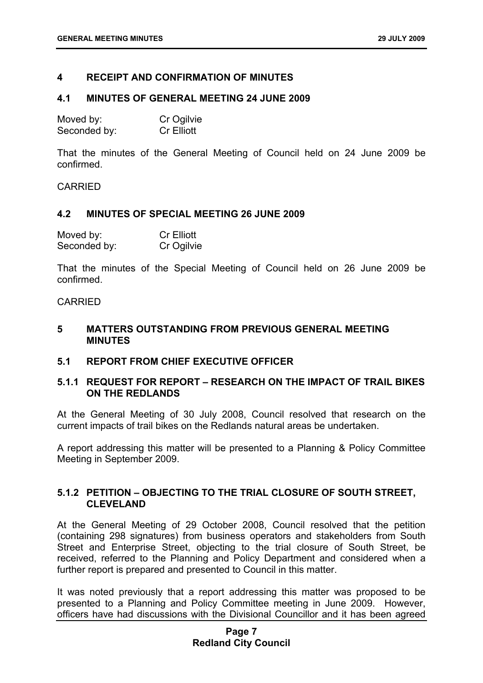# <span id="page-7-0"></span>**4 RECEIPT AND CONFIRMATION OF MINUTES**

#### <span id="page-7-1"></span>**4.1 MINUTES OF GENERAL MEETING 24 JUNE 2009**

| Moved by:    | Cr Ogilvie        |
|--------------|-------------------|
| Seconded by: | <b>Cr Elliott</b> |

That the minutes of the General Meeting of Council held on 24 June 2009 be confirmed.

CARRIED

#### <span id="page-7-2"></span>**4.2 MINUTES OF SPECIAL MEETING 26 JUNE 2009**

| Moved by:    | <b>Cr Elliott</b> |
|--------------|-------------------|
| Seconded by: | Cr Ogilvie        |

That the minutes of the Special Meeting of Council held on 26 June 2009 be confirmed.

#### CARRIED

# <span id="page-7-3"></span>**5 MATTERS OUTSTANDING FROM PREVIOUS GENERAL MEETING MINUTES**

# <span id="page-7-4"></span>**5.1 REPORT FROM CHIEF EXECUTIVE OFFICER**

# <span id="page-7-5"></span>**5.1.1 REQUEST FOR REPORT – RESEARCH ON THE IMPACT OF TRAIL BIKES ON THE REDLANDS**

At the General Meeting of 30 July 2008, Council resolved that research on the current impacts of trail bikes on the Redlands natural areas be undertaken.

A report addressing this matter will be presented to a Planning & Policy Committee Meeting in September 2009.

# <span id="page-7-6"></span>**5.1.2 PETITION – OBJECTING TO THE TRIAL CLOSURE OF SOUTH STREET, CLEVELAND**

At the General Meeting of 29 October 2008, Council resolved that the petition (containing 298 signatures) from business operators and stakeholders from South Street and Enterprise Street, objecting to the trial closure of South Street, be received, referred to the Planning and Policy Department and considered when a further report is prepared and presented to Council in this matter.

It was noted previously that a report addressing this matter was proposed to be presented to a Planning and Policy Committee meeting in June 2009. However, officers have had discussions with the Divisional Councillor and it has been agreed

# **Page 7 Redland City Council**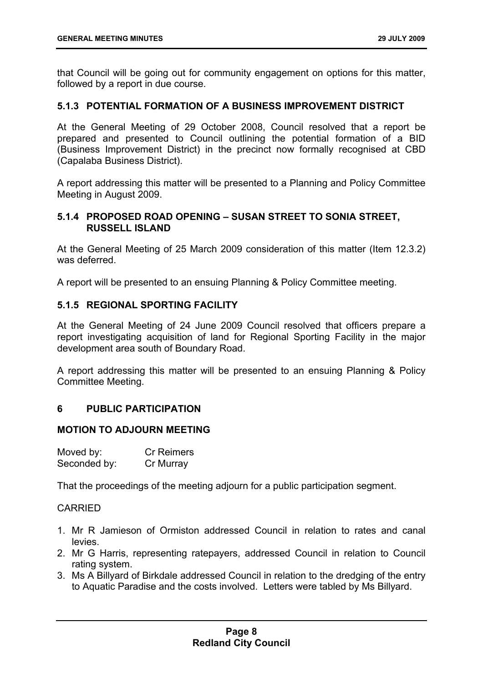that Council will be going out for community engagement on options for this matter, followed by a report in due course.

# <span id="page-8-0"></span>**5.1.3 POTENTIAL FORMATION OF A BUSINESS IMPROVEMENT DISTRICT**

At the General Meeting of 29 October 2008, Council resolved that a report be prepared and presented to Council outlining the potential formation of a BID (Business Improvement District) in the precinct now formally recognised at CBD (Capalaba Business District).

A report addressing this matter will be presented to a Planning and Policy Committee Meeting in August 2009.

# <span id="page-8-1"></span>**5.1.4 PROPOSED ROAD OPENING – SUSAN STREET TO SONIA STREET, RUSSELL ISLAND**

At the General Meeting of 25 March 2009 consideration of this matter (Item 12.3.2) was deferred.

A report will be presented to an ensuing Planning & Policy Committee meeting.

# <span id="page-8-2"></span>**5.1.5 REGIONAL SPORTING FACILITY**

At the General Meeting of 24 June 2009 Council resolved that officers prepare a report investigating acquisition of land for Regional Sporting Facility in the major development area south of Boundary Road.

A report addressing this matter will be presented to an ensuing Planning & Policy Committee Meeting.

# <span id="page-8-3"></span>**6 PUBLIC PARTICIPATION**

# **MOTION TO ADJOURN MEETING**

| Moved by:    | <b>Cr Reimers</b> |
|--------------|-------------------|
| Seconded by: | Cr Murray         |

That the proceedings of the meeting adjourn for a public participation segment.

- 1. Mr R Jamieson of Ormiston addressed Council in relation to rates and canal levies.
- 2. Mr G Harris, representing ratepayers, addressed Council in relation to Council rating system.
- 3. Ms A Billyard of Birkdale addressed Council in relation to the dredging of the entry to Aquatic Paradise and the costs involved. Letters were tabled by Ms Billyard.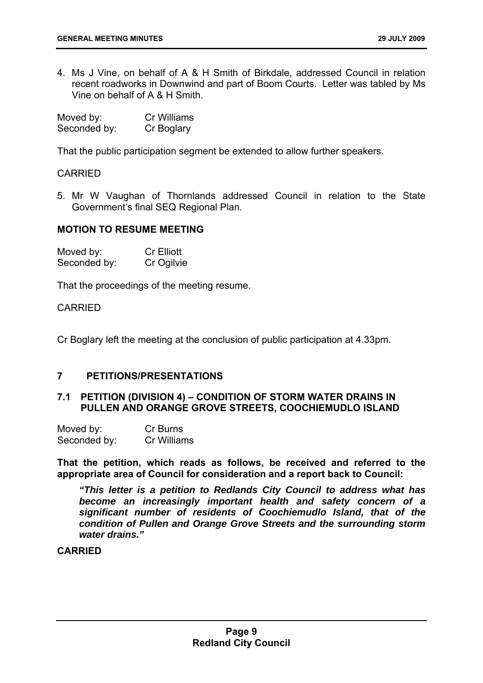4. Ms J Vine, on behalf of A & H Smith of Birkdale, addressed Council in relation recent roadworks in Downwind and part of Boom Courts. Letter was tabled by Ms Vine on behalf of A & H Smith.

| Moved by:    | Cr Williams |
|--------------|-------------|
| Seconded by: | Cr Boglary  |

That the public participation segment be extended to allow further speakers.

# CARRIED

5. Mr W Vaughan of Thornlands addressed Council in relation to the State Government's final SEQ Regional Plan.

# **MOTION TO RESUME MEETING**

| Moved by:    | <b>Cr Elliott</b> |
|--------------|-------------------|
| Seconded by: | Cr Ogilvie        |

That the proceedings of the meeting resume.

# CARRIED

Cr Boglary left the meeting at the conclusion of public participation at 4.33pm.

# <span id="page-9-0"></span>**7 PETITIONS/PRESENTATIONS**

# <span id="page-9-1"></span>**7.1 PETITION (DIVISION 4) – CONDITION OF STORM WATER DRAINS IN PULLEN AND ORANGE GROVE STREETS, COOCHIEMUDLO ISLAND**

| Moved by:    | Cr Burns    |
|--------------|-------------|
| Seconded by: | Cr Williams |

**That the petition, which reads as follows, be received and referred to the appropriate area of Council for consideration and a report back to Council:** 

 *"This letter is a petition to Redlands City Council to address what has become an increasingly important health and safety concern of a significant number of residents of Coochiemudlo Island, that of the condition of Pullen and Orange Grove Streets and the surrounding storm water drains."*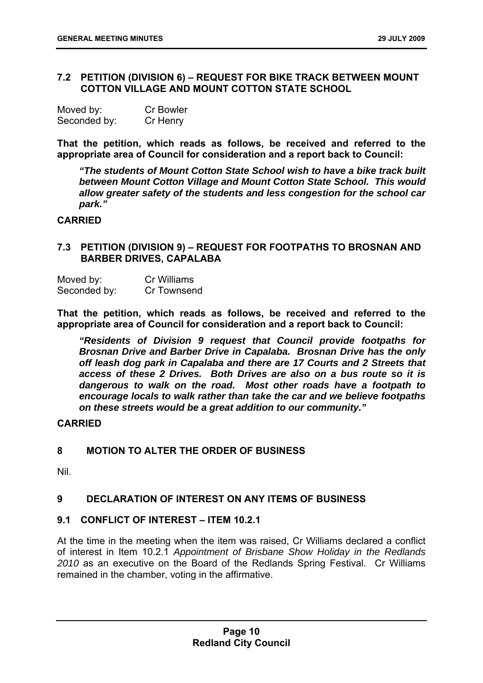# <span id="page-10-0"></span>**7.2 PETITION (DIVISION 6) – REQUEST FOR BIKE TRACK BETWEEN MOUNT COTTON VILLAGE AND MOUNT COTTON STATE SCHOOL**

| Moved by:    | <b>Cr Bowler</b> |
|--------------|------------------|
| Seconded by: | Cr Henry         |

**That the petition, which reads as follows, be received and referred to the appropriate area of Council for consideration and a report back to Council:** 

 *"The students of Mount Cotton State School wish to have a bike track built between Mount Cotton Village and Mount Cotton State School. This would allow greater safety of the students and less congestion for the school car park."* 

# **CARRIED**

# <span id="page-10-1"></span>**7.3 PETITION (DIVISION 9) – REQUEST FOR FOOTPATHS TO BROSNAN AND BARBER DRIVES, CAPALABA**

| Moved by:    | <b>Cr Williams</b> |
|--------------|--------------------|
| Seconded by: | Cr Townsend        |

**That the petition, which reads as follows, be received and referred to the appropriate area of Council for consideration and a report back to Council:** 

 *"Residents of Division 9 request that Council provide footpaths for Brosnan Drive and Barber Drive in Capalaba. Brosnan Drive has the only off leash dog park in Capalaba and there are 17 Courts and 2 Streets that access of these 2 Drives. Both Drives are also on a bus route so it is dangerous to walk on the road. Most other roads have a footpath to encourage locals to walk rather than take the car and we believe footpaths on these streets would be a great addition to our community."* 

# **CARRIED**

# <span id="page-10-2"></span>**8 MOTION TO ALTER THE ORDER OF BUSINESS**

Nil.

# <span id="page-10-3"></span>**9 DECLARATION OF INTEREST ON ANY ITEMS OF BUSINESS**

# <span id="page-10-4"></span>**9.1 CONFLICT OF INTEREST – ITEM 10.2.1**

At the time in the meeting when the item was raised, Cr Williams declared a conflict of interest in Item 10.2.1 *Appointment of Brisbane Show Holiday in the Redlands 2010* as an executive on the Board of the Redlands Spring Festival. Cr Williams remained in the chamber, voting in the affirmative.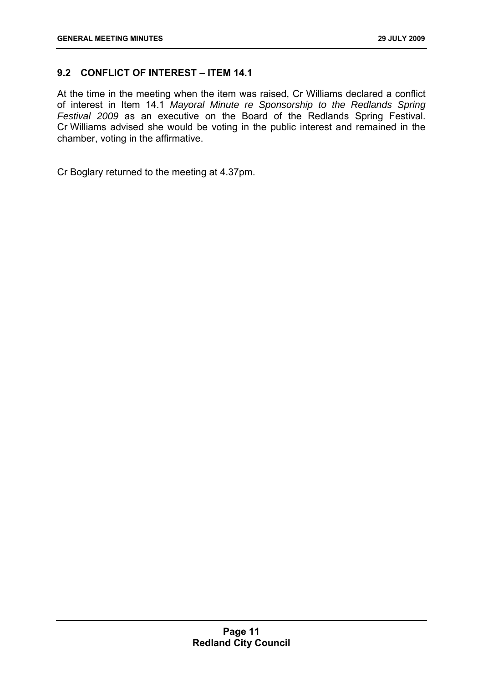# <span id="page-11-0"></span>**9.2 CONFLICT OF INTEREST – ITEM 14.1**

At the time in the meeting when the item was raised, Cr Williams declared a conflict of interest in Item 14.1 *Mayoral Minute re Sponsorship to the Redlands Spring Festival 2009* as an executive on the Board of the Redlands Spring Festival. Cr Williams advised she would be voting in the public interest and remained in the chamber, voting in the affirmative.

Cr Boglary returned to the meeting at 4.37pm.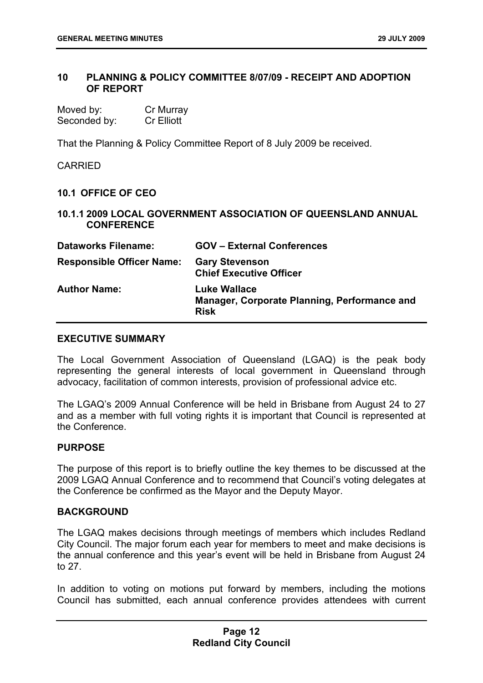# <span id="page-12-0"></span>**10 PLANNING & POLICY COMMITTEE 8/07/09 - RECEIPT AND ADOPTION OF REPORT**

| Moved by:    | Cr Murray         |
|--------------|-------------------|
| Seconded by: | <b>Cr Elliott</b> |

That the Planning & Policy Committee Report of 8 July 2009 be received.

#### CARRIED

# <span id="page-12-1"></span>**10.1 OFFICE OF CEO**

# <span id="page-12-2"></span>**10.1.1 2009 LOCAL GOVERNMENT ASSOCIATION OF QUEENSLAND ANNUAL CONFERENCE**

| <b>Dataworks Filename:</b>       | <b>GOV - External Conferences</b>                                           |
|----------------------------------|-----------------------------------------------------------------------------|
| <b>Responsible Officer Name:</b> | <b>Gary Stevenson</b><br><b>Chief Executive Officer</b>                     |
| <b>Author Name:</b>              | Luke Wallace<br>Manager, Corporate Planning, Performance and<br><b>Risk</b> |

#### **EXECUTIVE SUMMARY**

The Local Government Association of Queensland (LGAQ) is the peak body representing the general interests of local government in Queensland through advocacy, facilitation of common interests, provision of professional advice etc.

The LGAQ's 2009 Annual Conference will be held in Brisbane from August 24 to 27 and as a member with full voting rights it is important that Council is represented at the Conference.

# **PURPOSE**

The purpose of this report is to briefly outline the key themes to be discussed at the 2009 LGAQ Annual Conference and to recommend that Council's voting delegates at the Conference be confirmed as the Mayor and the Deputy Mayor.

# **BACKGROUND**

The LGAQ makes decisions through meetings of members which includes Redland City Council. The major forum each year for members to meet and make decisions is the annual conference and this year's event will be held in Brisbane from August 24 to 27.

In addition to voting on motions put forward by members, including the motions Council has submitted, each annual conference provides attendees with current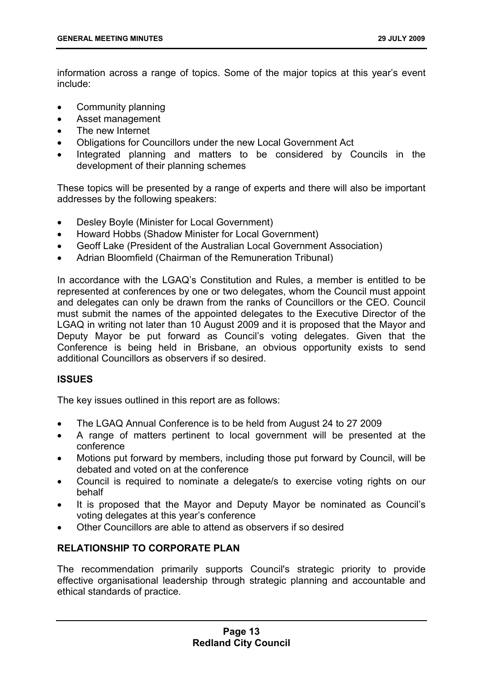information across a range of topics. Some of the major topics at this year's event include:

- Community planning
- Asset management
- The new Internet
- Obligations for Councillors under the new Local Government Act
- Integrated planning and matters to be considered by Councils in the development of their planning schemes

These topics will be presented by a range of experts and there will also be important addresses by the following speakers:

- Desley Boyle (Minister for Local Government)
- Howard Hobbs (Shadow Minister for Local Government)
- Geoff Lake (President of the Australian Local Government Association)
- Adrian Bloomfield (Chairman of the Remuneration Tribunal)

In accordance with the LGAQ's Constitution and Rules, a member is entitled to be represented at conferences by one or two delegates, whom the Council must appoint and delegates can only be drawn from the ranks of Councillors or the CEO. Council must submit the names of the appointed delegates to the Executive Director of the LGAQ in writing not later than 10 August 2009 and it is proposed that the Mayor and Deputy Mayor be put forward as Council's voting delegates. Given that the Conference is being held in Brisbane, an obvious opportunity exists to send additional Councillors as observers if so desired.

# **ISSUES**

The key issues outlined in this report are as follows:

- The LGAQ Annual Conference is to be held from August 24 to 27 2009
- A range of matters pertinent to local government will be presented at the conference
- Motions put forward by members, including those put forward by Council, will be debated and voted on at the conference
- Council is required to nominate a delegate/s to exercise voting rights on our behalf
- It is proposed that the Mayor and Deputy Mayor be nominated as Council's voting delegates at this year's conference
- Other Councillors are able to attend as observers if so desired

# **RELATIONSHIP TO CORPORATE PLAN**

The recommendation primarily supports Council's strategic priority to provide effective organisational leadership through strategic planning and accountable and ethical standards of practice.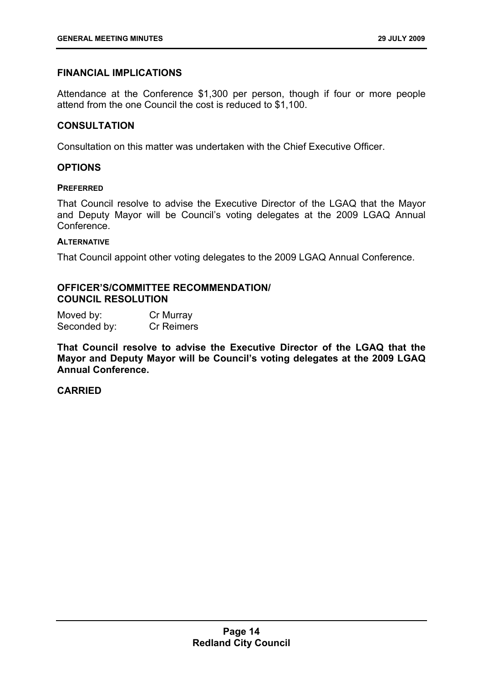# **FINANCIAL IMPLICATIONS**

Attendance at the Conference \$1,300 per person, though if four or more people attend from the one Council the cost is reduced to \$1,100.

# **CONSULTATION**

Consultation on this matter was undertaken with the Chief Executive Officer.

# **OPTIONS**

#### **PREFERRED**

That Council resolve to advise the Executive Director of the LGAQ that the Mayor and Deputy Mayor will be Council's voting delegates at the 2009 LGAQ Annual Conference.

#### **ALTERNATIVE**

That Council appoint other voting delegates to the 2009 LGAQ Annual Conference.

# **OFFICER'S/COMMITTEE RECOMMENDATION/ COUNCIL RESOLUTION**

| Moved by:    | Cr Murray         |
|--------------|-------------------|
| Seconded by: | <b>Cr Reimers</b> |

**That Council resolve to advise the Executive Director of the LGAQ that the Mayor and Deputy Mayor will be Council's voting delegates at the 2009 LGAQ Annual Conference.**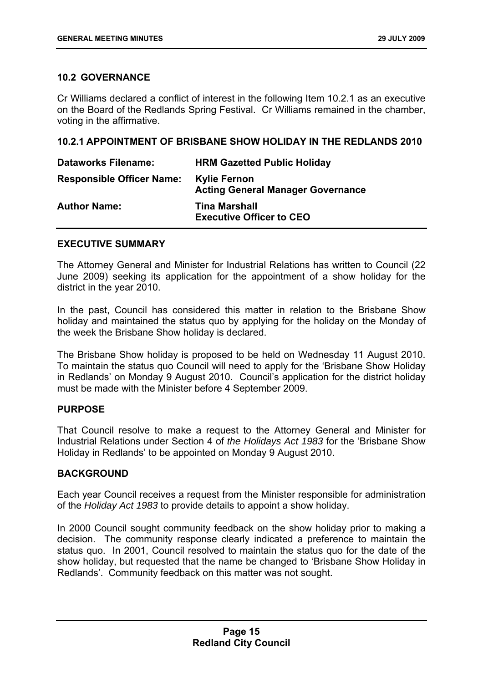# <span id="page-15-0"></span>**10.2 GOVERNANCE**

Cr Williams declared a conflict of interest in the following Item 10.2.1 as an executive on the Board of the Redlands Spring Festival. Cr Williams remained in the chamber, voting in the affirmative.

# <span id="page-15-1"></span>**10.2.1 APPOINTMENT OF BRISBANE SHOW HOLIDAY IN THE REDLANDS 2010**

| <b>Dataworks Filename:</b>       | <b>HRM Gazetted Public Holiday</b>                              |
|----------------------------------|-----------------------------------------------------------------|
| <b>Responsible Officer Name:</b> | <b>Kylie Fernon</b><br><b>Acting General Manager Governance</b> |
| <b>Author Name:</b>              | <b>Tina Marshall</b><br><b>Executive Officer to CEO</b>         |

# **EXECUTIVE SUMMARY**

The Attorney General and Minister for Industrial Relations has written to Council (22 June 2009) seeking its application for the appointment of a show holiday for the district in the year 2010.

In the past, Council has considered this matter in relation to the Brisbane Show holiday and maintained the status quo by applying for the holiday on the Monday of the week the Brisbane Show holiday is declared.

The Brisbane Show holiday is proposed to be held on Wednesday 11 August 2010. To maintain the status quo Council will need to apply for the 'Brisbane Show Holiday in Redlands' on Monday 9 August 2010. Council's application for the district holiday must be made with the Minister before 4 September 2009.

# **PURPOSE**

That Council resolve to make a request to the Attorney General and Minister for Industrial Relations under Section 4 of *the Holidays Act 1983* for the 'Brisbane Show Holiday in Redlands' to be appointed on Monday 9 August 2010.

# **BACKGROUND**

Each year Council receives a request from the Minister responsible for administration of the *Holiday Act 1983* to provide details to appoint a show holiday.

In 2000 Council sought community feedback on the show holiday prior to making a decision. The community response clearly indicated a preference to maintain the status quo. In 2001, Council resolved to maintain the status quo for the date of the show holiday, but requested that the name be changed to 'Brisbane Show Holiday in Redlands'. Community feedback on this matter was not sought.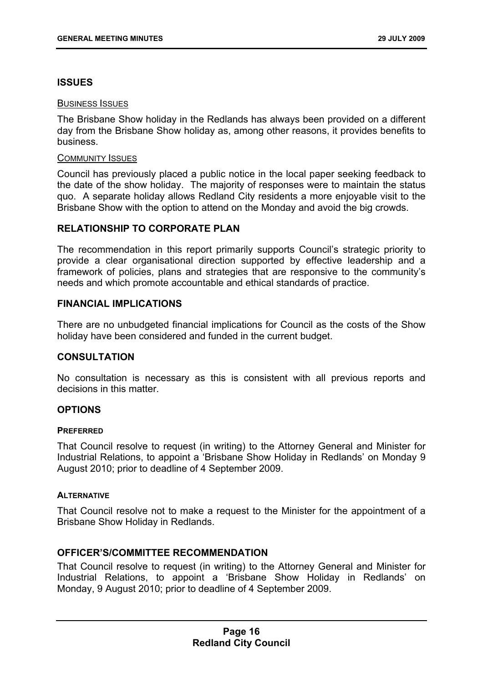# **ISSUES**

# BUSINESS ISSUES

The Brisbane Show holiday in the Redlands has always been provided on a different day from the Brisbane Show holiday as, among other reasons, it provides benefits to business.

#### COMMUNITY ISSUES

Council has previously placed a public notice in the local paper seeking feedback to the date of the show holiday. The majority of responses were to maintain the status quo. A separate holiday allows Redland City residents a more enjoyable visit to the Brisbane Show with the option to attend on the Monday and avoid the big crowds.

# **RELATIONSHIP TO CORPORATE PLAN**

The recommendation in this report primarily supports Council's strategic priority to provide a clear organisational direction supported by effective leadership and a framework of policies, plans and strategies that are responsive to the community's needs and which promote accountable and ethical standards of practice.

# **FINANCIAL IMPLICATIONS**

There are no unbudgeted financial implications for Council as the costs of the Show holiday have been considered and funded in the current budget.

# **CONSULTATION**

No consultation is necessary as this is consistent with all previous reports and decisions in this matter.

# **OPTIONS**

#### **PREFERRED**

That Council resolve to request (in writing) to the Attorney General and Minister for Industrial Relations, to appoint a 'Brisbane Show Holiday in Redlands' on Monday 9 August 2010; prior to deadline of 4 September 2009.

#### **ALTERNATIVE**

That Council resolve not to make a request to the Minister for the appointment of a Brisbane Show Holiday in Redlands.

# **OFFICER'S/COMMITTEE RECOMMENDATION**

That Council resolve to request (in writing) to the Attorney General and Minister for Industrial Relations, to appoint a 'Brisbane Show Holiday in Redlands' on Monday, 9 August 2010; prior to deadline of 4 September 2009.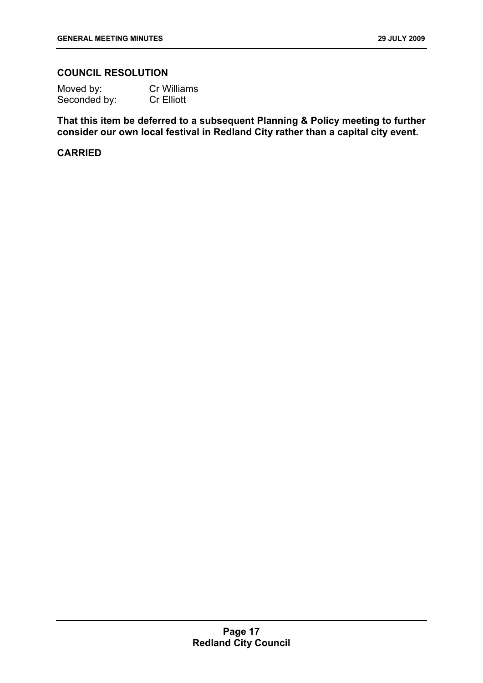# **COUNCIL RESOLUTION**

| Moved by:    | <b>Cr Williams</b> |
|--------------|--------------------|
| Seconded by: | <b>Cr Elliott</b>  |

**That this item be deferred to a subsequent Planning & Policy meeting to further consider our own local festival in Redland City rather than a capital city event.**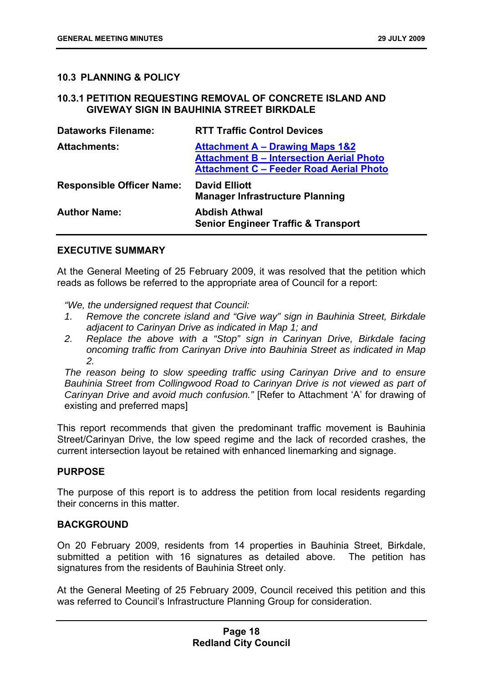# <span id="page-18-0"></span>**10.3 PLANNING & POLICY**

# <span id="page-18-1"></span>**10.3.1 PETITION REQUESTING REMOVAL OF CONCRETE ISLAND AND GIVEWAY SIGN IN BAUHINIA STREET BIRKDALE**

| <b>Dataworks Filename:</b>       | <b>RTT Traffic Control Devices</b>                                                                                                              |
|----------------------------------|-------------------------------------------------------------------------------------------------------------------------------------------------|
| <b>Attachments:</b>              | <b>Attachment A - Drawing Maps 1&amp;2</b><br><b>Attachment B - Intersection Aerial Photo</b><br><b>Attachment C - Feeder Road Aerial Photo</b> |
| <b>Responsible Officer Name:</b> | <b>David Elliott</b>                                                                                                                            |
|                                  | <b>Manager Infrastructure Planning</b>                                                                                                          |

# **EXECUTIVE SUMMARY**

At the General Meeting of 25 February 2009, it was resolved that the petition which reads as follows be referred to the appropriate area of Council for a report:

*"We, the undersigned request that Council:* 

- *1. Remove the concrete island and "Give way" sign in Bauhinia Street, Birkdale adjacent to Carinyan Drive as indicated in Map 1; and*
- 2. Replace the above with a "Stop" sign in Carinyan Drive, Birkdale facing *oncoming traffic from Carinyan Drive into Bauhinia Street as indicated in Map 2.*

*The reason being to slow speeding traffic using Carinyan Drive and to ensure*  **Bauhinia Street from Collingwood Road to Carinyan Drive is not viewed as part of** *Carinyan Drive and avoid much confusion."* [Refer to Attachment 'A' for drawing of existing and preferred maps]

This report recommends that given the predominant traffic movement is Bauhinia Street/Carinyan Drive, the low speed regime and the lack of recorded crashes, the current intersection layout be retained with enhanced linemarking and signage.

# **PURPOSE**

The purpose of this report is to address the petition from local residents regarding their concerns in this matter.

# **BACKGROUND**

On 20 February 2009, residents from 14 properties in Bauhinia Street, Birkdale, submitted a petition with 16 signatures as detailed above. The petition has signatures from the residents of Bauhinia Street only.

At the General Meeting of 25 February 2009, Council received this petition and this was referred to Council's Infrastructure Planning Group for consideration.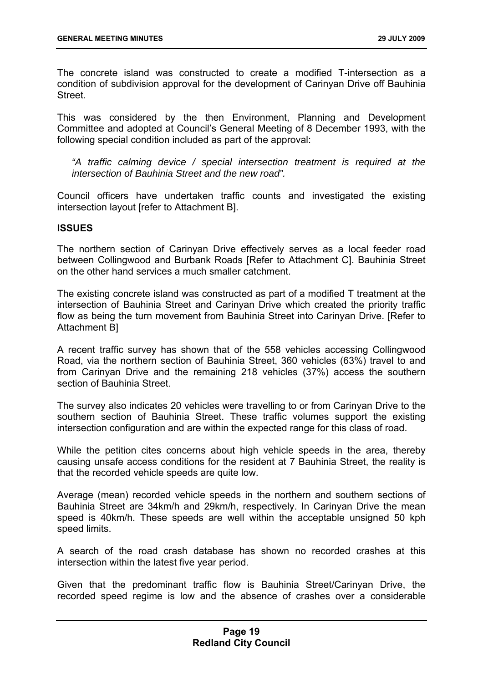The concrete island was constructed to create a modified T-intersection as a condition of subdivision approval for the development of Carinyan Drive off Bauhinia **Street** 

This was considered by the then Environment, Planning and Development Committee and adopted at Council's General Meeting of 8 December 1993, with the following special condition included as part of the approval:

*"A traffic calming device / special intersection treatment is required at the intersection of Bauhinia Street and the new road".* 

Council officers have undertaken traffic counts and investigated the existing intersection layout [refer to Attachment B].

# **ISSUES**

The northern section of Carinyan Drive effectively serves as a local feeder road between Collingwood and Burbank Roads [Refer to Attachment C]. Bauhinia Street on the other hand services a much smaller catchment.

The existing concrete island was constructed as part of a modified T treatment at the intersection of Bauhinia Street and Carinyan Drive which created the priority traffic flow as being the turn movement from Bauhinia Street into Carinyan Drive. [Refer to Attachment B]

A recent traffic survey has shown that of the 558 vehicles accessing Collingwood Road, via the northern section of Bauhinia Street, 360 vehicles (63%) travel to and from Carinyan Drive and the remaining 218 vehicles (37%) access the southern section of Bauhinia Street.

The survey also indicates 20 vehicles were travelling to or from Carinyan Drive to the southern section of Bauhinia Street. These traffic volumes support the existing intersection configuration and are within the expected range for this class of road.

While the petition cites concerns about high vehicle speeds in the area, thereby causing unsafe access conditions for the resident at 7 Bauhinia Street, the reality is that the recorded vehicle speeds are quite low.

Average (mean) recorded vehicle speeds in the northern and southern sections of Bauhinia Street are 34km/h and 29km/h, respectively. In Carinyan Drive the mean speed is 40km/h. These speeds are well within the acceptable unsigned 50 kph speed limits.

A search of the road crash database has shown no recorded crashes at this intersection within the latest five year period.

Given that the predominant traffic flow is Bauhinia Street/Carinyan Drive, the recorded speed regime is low and the absence of crashes over a considerable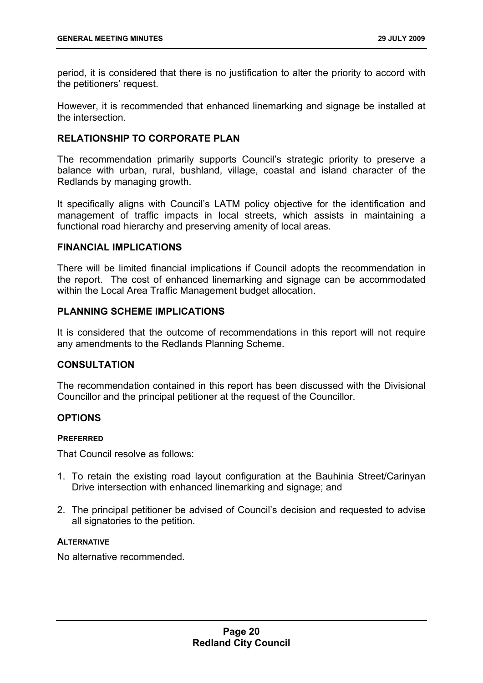period, it is considered that there is no justification to alter the priority to accord with the petitioners' request.

However, it is recommended that enhanced linemarking and signage be installed at the intersection.

# **RELATIONSHIP TO CORPORATE PLAN**

The recommendation primarily supports Council's strategic priority to preserve a balance with urban, rural, bushland, village, coastal and island character of the Redlands by managing growth.

It specifically aligns with Council's LATM policy objective for the identification and management of traffic impacts in local streets, which assists in maintaining a functional road hierarchy and preserving amenity of local areas.

# **FINANCIAL IMPLICATIONS**

There will be limited financial implications if Council adopts the recommendation in the report. The cost of enhanced linemarking and signage can be accommodated within the Local Area Traffic Management budget allocation.

# **PLANNING SCHEME IMPLICATIONS**

It is considered that the outcome of recommendations in this report will not require any amendments to the Redlands Planning Scheme.

# **CONSULTATION**

The recommendation contained in this report has been discussed with the Divisional Councillor and the principal petitioner at the request of the Councillor.

# **OPTIONS**

# **PREFERRED**

That Council resolve as follows:

- 1. To retain the existing road layout configuration at the Bauhinia Street/Carinyan Drive intersection with enhanced linemarking and signage; and
- 2. The principal petitioner be advised of Council's decision and requested to advise all signatories to the petition.

#### **ALTERNATIVE**

No alternative recommended.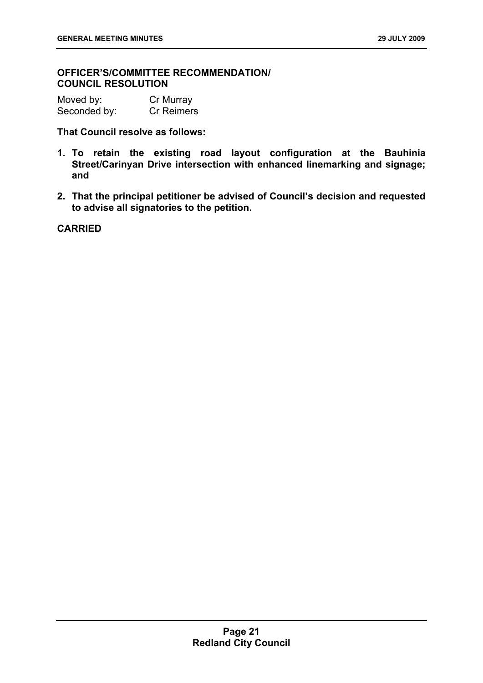# **OFFICER'S/COMMITTEE RECOMMENDATION/ COUNCIL RESOLUTION**

Moved by: Cr Murray Seconded by: Cr Reimers

**That Council resolve as follows:** 

- **1. To retain the existing road layout configuration at the Bauhinia Street/Carinyan Drive intersection with enhanced linemarking and signage; and**
- **2. That the principal petitioner be advised of Council's decision and requested to advise all signatories to the petition.**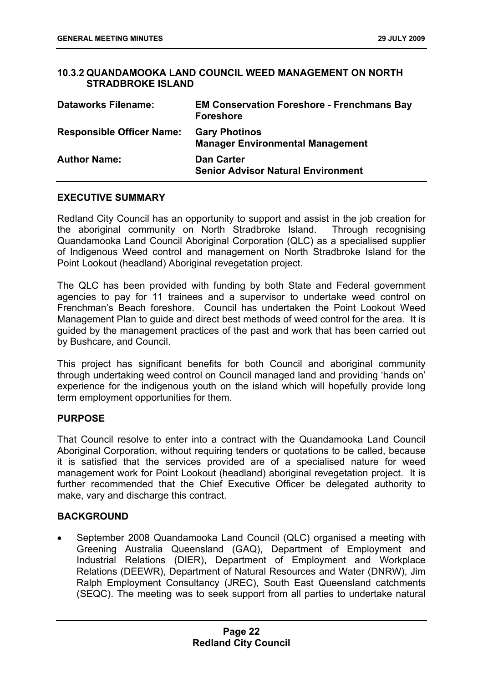# <span id="page-22-0"></span>**10.3.2 QUANDAMOOKA LAND COUNCIL WEED MANAGEMENT ON NORTH STRADBROKE ISLAND**

| <b>Dataworks Filename:</b>       | <b>EM Conservation Foreshore - Frenchmans Bay</b><br><b>Foreshore</b> |
|----------------------------------|-----------------------------------------------------------------------|
| <b>Responsible Officer Name:</b> | <b>Gary Photinos</b><br><b>Manager Environmental Management</b>       |
| <b>Author Name:</b>              | <b>Dan Carter</b><br><b>Senior Advisor Natural Environment</b>        |

# **EXECUTIVE SUMMARY**

Redland City Council has an opportunity to support and assist in the job creation for the aboriginal community on North Stradbroke Island. Through recognising Quandamooka Land Council Aboriginal Corporation (QLC) as a specialised supplier of Indigenous Weed control and management on North Stradbroke Island for the Point Lookout (headland) Aboriginal revegetation project.

The QLC has been provided with funding by both State and Federal government agencies to pay for 11 trainees and a supervisor to undertake weed control on Frenchman's Beach foreshore. Council has undertaken the Point Lookout Weed Management Plan to guide and direct best methods of weed control for the area. It is guided by the management practices of the past and work that has been carried out by Bushcare, and Council.

This project has significant benefits for both Council and aboriginal community through undertaking weed control on Council managed land and providing 'hands on' experience for the indigenous youth on the island which will hopefully provide long term employment opportunities for them.

# **PURPOSE**

That Council resolve to enter into a contract with the Quandamooka Land Council Aboriginal Corporation, without requiring tenders or quotations to be called, because it is satisfied that the services provided are of a specialised nature for weed management work for Point Lookout (headland) aboriginal revegetation project. It is further recommended that the Chief Executive Officer be delegated authority to make, vary and discharge this contract.

# **BACKGROUND**

• September 2008 Quandamooka Land Council (QLC) organised a meeting with Greening Australia Queensland (GAQ), Department of Employment and Industrial Relations (DIER), Department of Employment and Workplace Relations (DEEWR), Department of Natural Resources and Water (DNRW), Jim Ralph Employment Consultancy (JREC), South East Queensland catchments (SEQC). The meeting was to seek support from all parties to undertake natural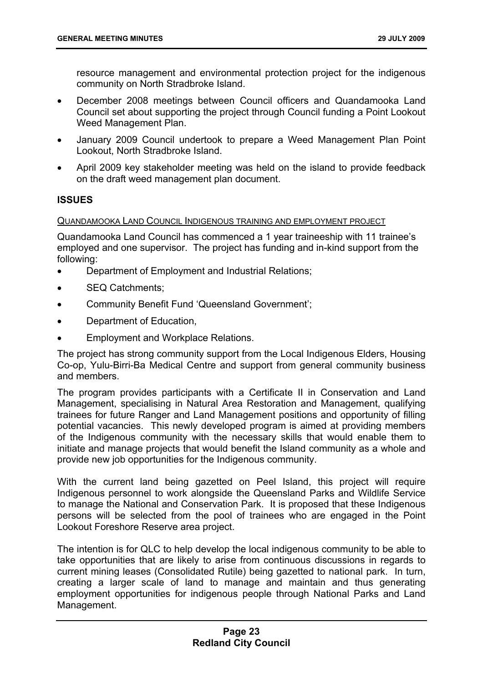resource management and environmental protection project for the indigenous community on North Stradbroke Island.

- December 2008 meetings between Council officers and Quandamooka Land Council set about supporting the project through Council funding a Point Lookout Weed Management Plan.
- January 2009 Council undertook to prepare a Weed Management Plan Point Lookout, North Stradbroke Island.
- April 2009 key stakeholder meeting was held on the island to provide feedback on the draft weed management plan document.

# **ISSUES**

# QUANDAMOOKA LAND COUNCIL INDIGENOUS TRAINING AND EMPLOYMENT PROJECT

Quandamooka Land Council has commenced a 1 year traineeship with 11 trainee's employed and one supervisor. The project has funding and in-kind support from the following:

- Department of Employment and Industrial Relations;
- SEQ Catchments;
- Community Benefit Fund 'Queensland Government';
- Department of Education,
- Employment and Workplace Relations.

The project has strong community support from the Local Indigenous Elders, Housing Co-op, Yulu-Birri-Ba Medical Centre and support from general community business and members.

The program provides participants with a Certificate II in Conservation and Land Management, specialising in Natural Area Restoration and Management, qualifying trainees for future Ranger and Land Management positions and opportunity of filling potential vacancies. This newly developed program is aimed at providing members of the Indigenous community with the necessary skills that would enable them to initiate and manage projects that would benefit the Island community as a whole and provide new job opportunities for the Indigenous community.

With the current land being gazetted on Peel Island, this project will require Indigenous personnel to work alongside the Queensland Parks and Wildlife Service to manage the National and Conservation Park. It is proposed that these Indigenous persons will be selected from the pool of trainees who are engaged in the Point Lookout Foreshore Reserve area project.

The intention is for QLC to help develop the local indigenous community to be able to take opportunities that are likely to arise from continuous discussions in regards to current mining leases (Consolidated Rutile) being gazetted to national park. In turn, creating a larger scale of land to manage and maintain and thus generating employment opportunities for indigenous people through National Parks and Land Management.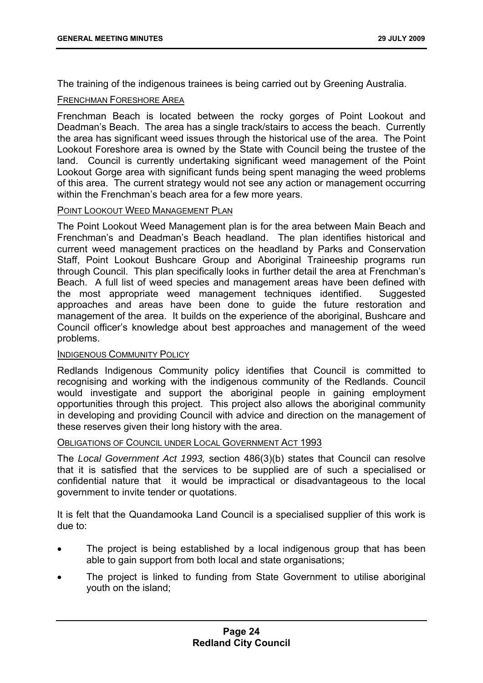The training of the indigenous trainees is being carried out by Greening Australia.

#### FRENCHMAN FORESHORE AREA

Frenchman Beach is located between the rocky gorges of Point Lookout and Deadman's Beach. The area has a single track/stairs to access the beach. Currently the area has significant weed issues through the historical use of the area. The Point Lookout Foreshore area is owned by the State with Council being the trustee of the land. Council is currently undertaking significant weed management of the Point Lookout Gorge area with significant funds being spent managing the weed problems of this area. The current strategy would not see any action or management occurring within the Frenchman's beach area for a few more years.

# POINT LOOKOUT WEED MANAGEMENT PLAN

The Point Lookout Weed Management plan is for the area between Main Beach and Frenchman's and Deadman's Beach headland. The plan identifies historical and current weed management practices on the headland by Parks and Conservation Staff, Point Lookout Bushcare Group and Aboriginal Traineeship programs run through Council. This plan specifically looks in further detail the area at Frenchman's Beach. A full list of weed species and management areas have been defined with the most appropriate weed management techniques identified. Suggested approaches and areas have been done to guide the future restoration and management of the area. It builds on the experience of the aboriginal, Bushcare and Council officer's knowledge about best approaches and management of the weed problems.

# INDIGENOUS COMMUNITY POLICY

Redlands Indigenous Community policy identifies that Council is committed to recognising and working with the indigenous community of the Redlands. Council would investigate and support the aboriginal people in gaining employment opportunities through this project. This project also allows the aboriginal community in developing and providing Council with advice and direction on the management of these reserves given their long history with the area.

#### OBLIGATIONS OF COUNCIL UNDER LOCAL GOVERNMENT ACT 1993

The *Local Government Act 1993,* section 486(3)(b) states that Council can resolve that it is satisfied that the services to be supplied are of such a specialised or confidential nature that it would be impractical or disadvantageous to the local government to invite tender or quotations.

It is felt that the Quandamooka Land Council is a specialised supplier of this work is due to:

- The project is being established by a local indigenous group that has been able to gain support from both local and state organisations;
- The project is linked to funding from State Government to utilise aboriginal youth on the island;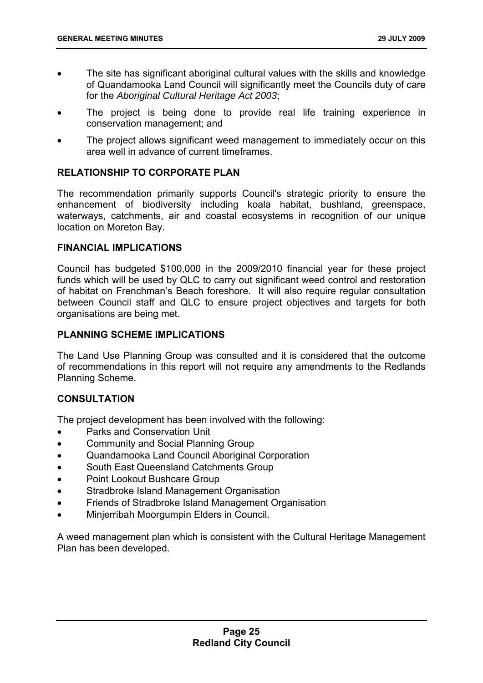- The site has significant aboriginal cultural values with the skills and knowledge of Quandamooka Land Council will significantly meet the Councils duty of care for the *Aboriginal Cultural Heritage Act 2003*;
- The project is being done to provide real life training experience in conservation management; and
- The project allows significant weed management to immediately occur on this area well in advance of current timeframes.

# **RELATIONSHIP TO CORPORATE PLAN**

The recommendation primarily supports Council's strategic priority to ensure the enhancement of biodiversity including koala habitat, bushland, greenspace, waterways, catchments, air and coastal ecosystems in recognition of our unique location on Moreton Bay.

# **FINANCIAL IMPLICATIONS**

Council has budgeted \$100,000 in the 2009/2010 financial year for these project funds which will be used by QLC to carry out significant weed control and restoration of habitat on Frenchman's Beach foreshore. It will also require regular consultation between Council staff and QLC to ensure project objectives and targets for both organisations are being met.

# **PLANNING SCHEME IMPLICATIONS**

The Land Use Planning Group was consulted and it is considered that the outcome of recommendations in this report will not require any amendments to the Redlands Planning Scheme.

# **CONSULTATION**

The project development has been involved with the following:

- Parks and Conservation Unit
- Community and Social Planning Group
- Quandamooka Land Council Aboriginal Corporation
- South East Queensland Catchments Group
- Point Lookout Bushcare Group
- Stradbroke Island Management Organisation
- Friends of Stradbroke Island Management Organisation
- Minjerribah Moorgumpin Elders in Council.

A weed management plan which is consistent with the Cultural Heritage Management Plan has been developed.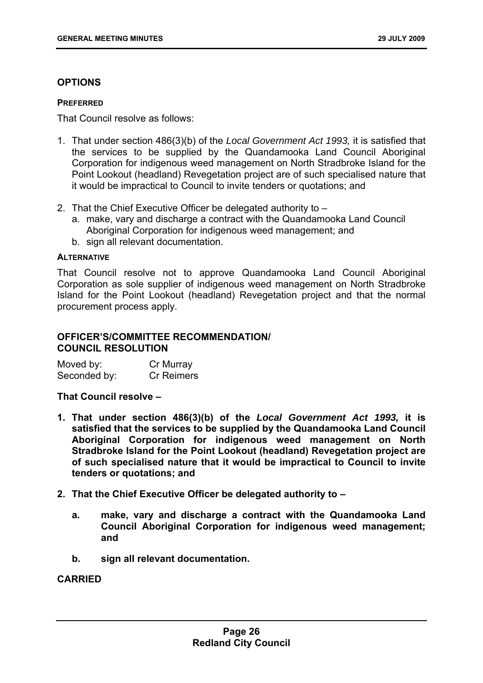# **OPTIONS**

#### **PREFERRED**

That Council resolve as follows:

- 1. That under section 486(3)(b) of the *Local Government Act 1993,* it is satisfied that the services to be supplied by the Quandamooka Land Council Aboriginal Corporation for indigenous weed management on North Stradbroke Island for the Point Lookout (headland) Revegetation project are of such specialised nature that it would be impractical to Council to invite tenders or quotations; and
- 2. That the Chief Executive Officer be delegated authority to
	- a. make, vary and discharge a contract with the Quandamooka Land Council Aboriginal Corporation for indigenous weed management; and
	- b. sign all relevant documentation.

#### **ALTERNATIVE**

That Council resolve not to approve Quandamooka Land Council Aboriginal Corporation as sole supplier of indigenous weed management on North Stradbroke Island for the Point Lookout (headland) Revegetation project and that the normal procurement process apply.

# **OFFICER'S/COMMITTEE RECOMMENDATION/ COUNCIL RESOLUTION**

| Moved by:    | Cr Murray         |
|--------------|-------------------|
| Seconded by: | <b>Cr Reimers</b> |

# **That Council resolve –**

- **1. That under section 486(3)(b) of the** *Local Government Act 1993,* **it is satisfied that the services to be supplied by the Quandamooka Land Council Aboriginal Corporation for indigenous weed management on North Stradbroke Island for the Point Lookout (headland) Revegetation project are of such specialised nature that it would be impractical to Council to invite tenders or quotations; and**
- **2. That the Chief Executive Officer be delegated authority to** 
	- **a. make, vary and discharge a contract with the Quandamooka Land Council Aboriginal Corporation for indigenous weed management; and**
	- **b. sign all relevant documentation.**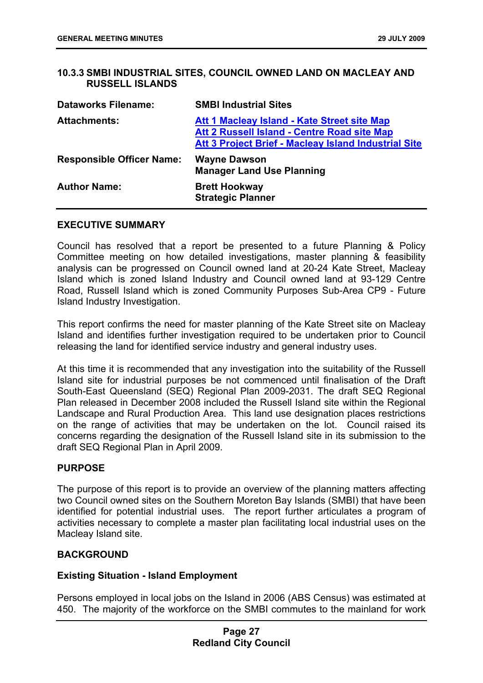# <span id="page-27-0"></span>**10.3.3 SMBI INDUSTRIAL SITES, COUNCIL OWNED LAND ON MACLEAY AND RUSSELL ISLANDS**

| <b>Dataworks Filename:</b>       | <b>SMBI Industrial Sites</b>                                                                                                                              |
|----------------------------------|-----------------------------------------------------------------------------------------------------------------------------------------------------------|
| <b>Attachments:</b>              | Att 1 Macleay Island - Kate Street site Map<br>Att 2 Russell Island - Centre Road site Map<br><b>Att 3 Project Brief - Macleay Island Industrial Site</b> |
| <b>Responsible Officer Name:</b> | <b>Wayne Dawson</b><br><b>Manager Land Use Planning</b>                                                                                                   |
| <b>Author Name:</b>              | <b>Brett Hookway</b><br><b>Strategic Planner</b>                                                                                                          |

#### **EXECUTIVE SUMMARY**

Council has resolved that a report be presented to a future Planning & Policy Committee meeting on how detailed investigations, master planning & feasibility analysis can be progressed on Council owned land at 20-24 Kate Street, Macleay Island which is zoned Island Industry and Council owned land at 93-129 Centre Road, Russell Island which is zoned Community Purposes Sub-Area CP9 - Future Island Industry Investigation.

This report confirms the need for master planning of the Kate Street site on Macleay Island and identifies further investigation required to be undertaken prior to Council releasing the land for identified service industry and general industry uses.

At this time it is recommended that any investigation into the suitability of the Russell Island site for industrial purposes be not commenced until finalisation of the Draft South-East Queensland (SEQ) Regional Plan 2009-2031. The draft SEQ Regional Plan released in December 2008 included the Russell Island site within the Regional Landscape and Rural Production Area. This land use designation places restrictions on the range of activities that may be undertaken on the lot. Council raised its concerns regarding the designation of the Russell Island site in its submission to the draft SEQ Regional Plan in April 2009.

# **PURPOSE**

The purpose of this report is to provide an overview of the planning matters affecting two Council owned sites on the Southern Moreton Bay Islands (SMBI) that have been identified for potential industrial uses. The report further articulates a program of activities necessary to complete a master plan facilitating local industrial uses on the Macleay Island site.

# **BACKGROUND**

# **Existing Situation - Island Employment**

Persons employed in local jobs on the Island in 2006 (ABS Census) was estimated at 450. The majority of the workforce on the SMBI commutes to the mainland for work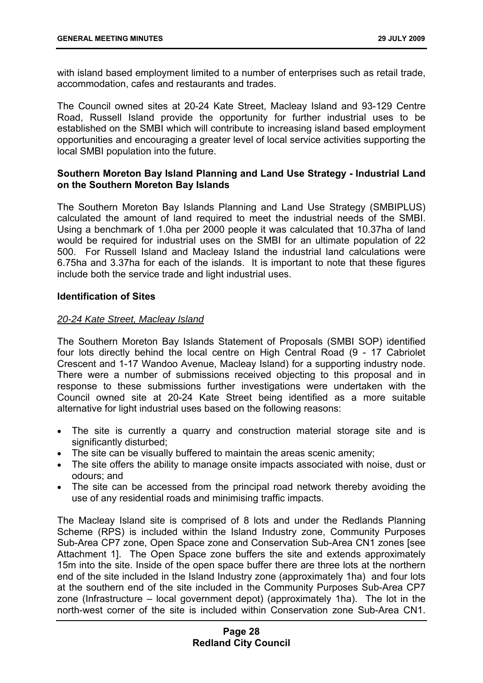with island based employment limited to a number of enterprises such as retail trade, accommodation, cafes and restaurants and trades.

The Council owned sites at 20-24 Kate Street, Macleay Island and 93-129 Centre Road, Russell Island provide the opportunity for further industrial uses to be established on the SMBI which will contribute to increasing island based employment opportunities and encouraging a greater level of local service activities supporting the local SMBI population into the future.

# **Southern Moreton Bay Island Planning and Land Use Strategy - Industrial Land on the Southern Moreton Bay Islands**

The Southern Moreton Bay Islands Planning and Land Use Strategy (SMBIPLUS) calculated the amount of land required to meet the industrial needs of the SMBI. Using a benchmark of 1.0ha per 2000 people it was calculated that 10.37ha of land would be required for industrial uses on the SMBI for an ultimate population of 22 500. For Russell Island and Macleay Island the industrial land calculations were 6.75ha and 3.37ha for each of the islands. It is important to note that these figures include both the service trade and light industrial uses.

# **Identification of Sites**

# *20-24 Kate Street, Macleay Island*

The Southern Moreton Bay Islands Statement of Proposals (SMBI SOP) identified four lots directly behind the local centre on High Central Road (9 - 17 Cabriolet Crescent and 1-17 Wandoo Avenue, Macleay Island) for a supporting industry node. There were a number of submissions received objecting to this proposal and in response to these submissions further investigations were undertaken with the Council owned site at 20-24 Kate Street being identified as a more suitable alternative for light industrial uses based on the following reasons:

- The site is currently a quarry and construction material storage site and is significantly disturbed:
- The site can be visually buffered to maintain the areas scenic amenity;
- The site offers the ability to manage onsite impacts associated with noise, dust or odours; and
- The site can be accessed from the principal road network thereby avoiding the use of any residential roads and minimising traffic impacts.

The Macleay Island site is comprised of 8 lots and under the Redlands Planning Scheme (RPS) is included within the Island Industry zone, Community Purposes Sub-Area CP7 zone, Open Space zone and Conservation Sub-Area CN1 zones [see Attachment 1]. The Open Space zone buffers the site and extends approximately 15m into the site. Inside of the open space buffer there are three lots at the northern end of the site included in the Island Industry zone (approximately 1ha) and four lots at the southern end of the site included in the Community Purposes Sub-Area CP7 zone (Infrastructure – local government depot) (approximately 1ha). The lot in the north-west corner of the site is included within Conservation zone Sub-Area CN1.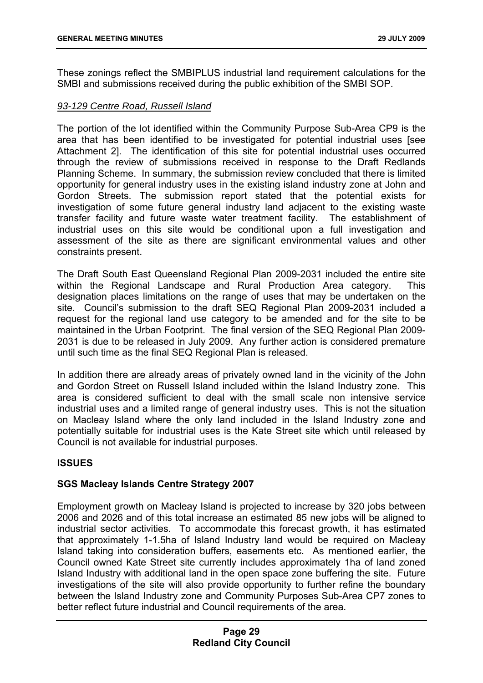These zonings reflect the SMBIPLUS industrial land requirement calculations for the SMBI and submissions received during the public exhibition of the SMBI SOP.

# *93-129 Centre Road, Russell Island*

The portion of the lot identified within the Community Purpose Sub-Area CP9 is the area that has been identified to be investigated for potential industrial uses [see Attachment 2]. The identification of this site for potential industrial uses occurred through the review of submissions received in response to the Draft Redlands Planning Scheme. In summary, the submission review concluded that there is limited opportunity for general industry uses in the existing island industry zone at John and Gordon Streets. The submission report stated that the potential exists for investigation of some future general industry land adjacent to the existing waste transfer facility and future waste water treatment facility. The establishment of industrial uses on this site would be conditional upon a full investigation and assessment of the site as there are significant environmental values and other constraints present.

The Draft South East Queensland Regional Plan 2009-2031 included the entire site within the Regional Landscape and Rural Production Area category. This designation places limitations on the range of uses that may be undertaken on the site. Council's submission to the draft SEQ Regional Plan 2009-2031 included a request for the regional land use category to be amended and for the site to be maintained in the Urban Footprint. The final version of the SEQ Regional Plan 2009- 2031 is due to be released in July 2009. Any further action is considered premature until such time as the final SEQ Regional Plan is released.

In addition there are already areas of privately owned land in the vicinity of the John and Gordon Street on Russell Island included within the Island Industry zone. This area is considered sufficient to deal with the small scale non intensive service industrial uses and a limited range of general industry uses. This is not the situation on Macleay Island where the only land included in the Island Industry zone and potentially suitable for industrial uses is the Kate Street site which until released by Council is not available for industrial purposes.

# **ISSUES**

# **SGS Macleay Islands Centre Strategy 2007**

Employment growth on Macleay Island is projected to increase by 320 jobs between 2006 and 2026 and of this total increase an estimated 85 new jobs will be aligned to industrial sector activities. To accommodate this forecast growth, it has estimated that approximately 1-1.5ha of Island Industry land would be required on Macleay Island taking into consideration buffers, easements etc. As mentioned earlier, the Council owned Kate Street site currently includes approximately 1ha of land zoned Island Industry with additional land in the open space zone buffering the site. Future investigations of the site will also provide opportunity to further refine the boundary between the Island Industry zone and Community Purposes Sub-Area CP7 zones to better reflect future industrial and Council requirements of the area.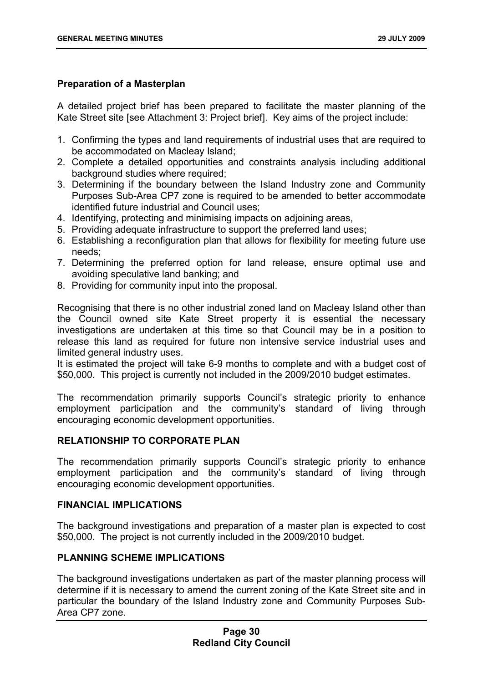# **Preparation of a Masterplan**

A detailed project brief has been prepared to facilitate the master planning of the Kate Street site [see Attachment 3: Project brief]. Key aims of the project include:

- 1. Confirming the types and land requirements of industrial uses that are required to be accommodated on Macleay Island;
- 2. Complete a detailed opportunities and constraints analysis including additional background studies where required;
- 3. Determining if the boundary between the Island Industry zone and Community Purposes Sub-Area CP7 zone is required to be amended to better accommodate identified future industrial and Council uses;
- 4. Identifying, protecting and minimising impacts on adjoining areas,
- 5. Providing adequate infrastructure to support the preferred land uses;
- 6. Establishing a reconfiguration plan that allows for flexibility for meeting future use needs;
- 7. Determining the preferred option for land release, ensure optimal use and avoiding speculative land banking; and
- 8. Providing for community input into the proposal.

Recognising that there is no other industrial zoned land on Macleay Island other than the Council owned site Kate Street property it is essential the necessary investigations are undertaken at this time so that Council may be in a position to release this land as required for future non intensive service industrial uses and limited general industry uses.

It is estimated the project will take 6-9 months to complete and with a budget cost of \$50,000. This project is currently not included in the 2009/2010 budget estimates.

The recommendation primarily supports Council's strategic priority to enhance employment participation and the community's standard of living through encouraging economic development opportunities.

# **RELATIONSHIP TO CORPORATE PLAN**

The recommendation primarily supports Council's strategic priority to enhance employment participation and the community's standard of living through encouraging economic development opportunities.

# **FINANCIAL IMPLICATIONS**

The background investigations and preparation of a master plan is expected to cost \$50,000. The project is not currently included in the 2009/2010 budget.

# **PLANNING SCHEME IMPLICATIONS**

The background investigations undertaken as part of the master planning process will determine if it is necessary to amend the current zoning of the Kate Street site and in particular the boundary of the Island Industry zone and Community Purposes Sub-Area CP7 zone.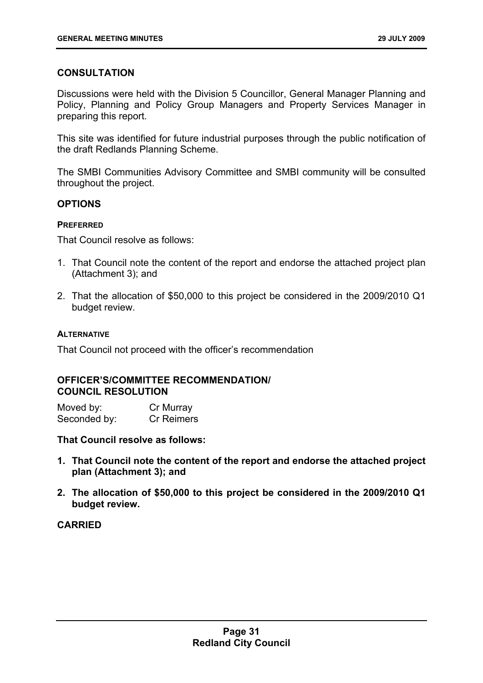# **CONSULTATION**

Discussions were held with the Division 5 Councillor, General Manager Planning and Policy, Planning and Policy Group Managers and Property Services Manager in preparing this report.

This site was identified for future industrial purposes through the public notification of the draft Redlands Planning Scheme.

The SMBI Communities Advisory Committee and SMBI community will be consulted throughout the project.

# **OPTIONS**

# **PREFERRED**

That Council resolve as follows:

- 1. That Council note the content of the report and endorse the attached project plan (Attachment 3); and
- 2. That the allocation of \$50,000 to this project be considered in the 2009/2010 Q1 budget review.

# **ALTERNATIVE**

That Council not proceed with the officer's recommendation

# **OFFICER'S/COMMITTEE RECOMMENDATION/ COUNCIL RESOLUTION**

| Moved by:    | Cr Murray         |
|--------------|-------------------|
| Seconded by: | <b>Cr Reimers</b> |

**That Council resolve as follows:** 

- **1. That Council note the content of the report and endorse the attached project plan (Attachment 3); and**
- **2. The allocation of \$50,000 to this project be considered in the 2009/2010 Q1 budget review.**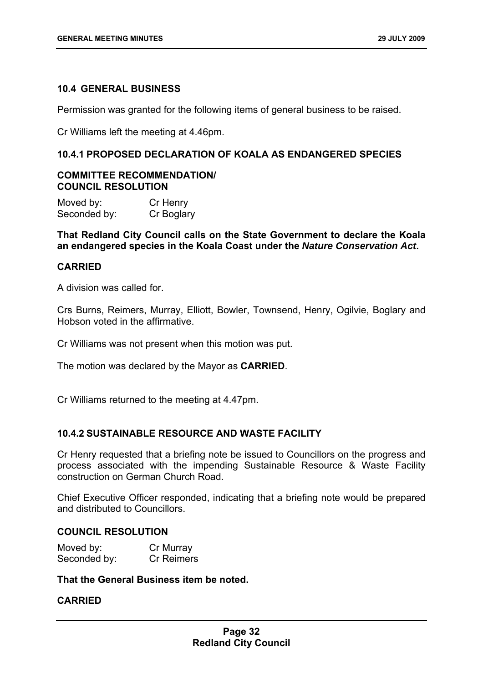#### <span id="page-32-0"></span>**10.4 GENERAL BUSINESS**

Permission was granted for the following items of general business to be raised.

Cr Williams left the meeting at 4.46pm.

# <span id="page-32-1"></span>**10.4.1 PROPOSED DECLARATION OF KOALA AS ENDANGERED SPECIES**

# **COMMITTEE RECOMMENDATION/ COUNCIL RESOLUTION**

| Moved by:    | Cr Henry   |
|--------------|------------|
| Seconded by: | Cr Boglary |

**That Redland City Council calls on the State Government to declare the Koala an endangered species in the Koala Coast under the** *Nature Conservation Act***.** 

#### **CARRIED**

A division was called for.

Crs Burns, Reimers, Murray, Elliott, Bowler, Townsend, Henry, Ogilvie, Boglary and Hobson voted in the affirmative.

Cr Williams was not present when this motion was put.

The motion was declared by the Mayor as **CARRIED**.

Cr Williams returned to the meeting at 4.47pm.

# <span id="page-32-2"></span>**10.4.2 SUSTAINABLE RESOURCE AND WASTE FACILITY**

Cr Henry requested that a briefing note be issued to Councillors on the progress and process associated with the impending Sustainable Resource & Waste Facility construction on German Church Road.

Chief Executive Officer responded, indicating that a briefing note would be prepared and distributed to Councillors.

# **COUNCIL RESOLUTION**

| Moved by:    | Cr Murray         |
|--------------|-------------------|
| Seconded by: | <b>Cr Reimers</b> |

**That the General Business item be noted.**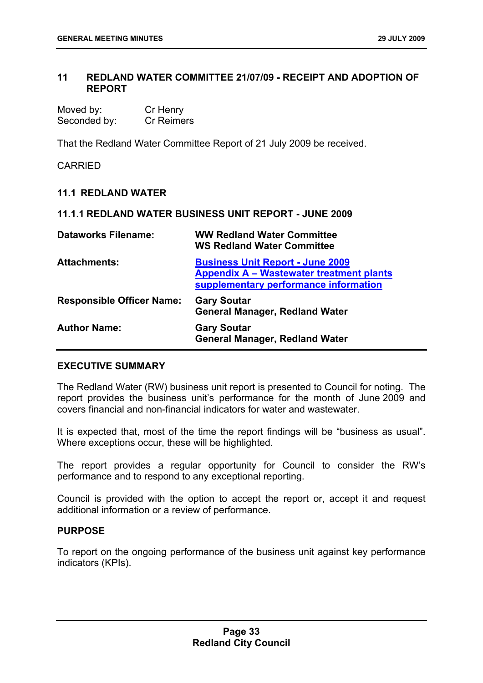# <span id="page-33-0"></span>**11 REDLAND WATER COMMITTEE 21/07/09 - RECEIPT AND ADOPTION OF REPORT**

| Moved by:    | Cr Henry          |
|--------------|-------------------|
| Seconded by: | <b>Cr Reimers</b> |

That the Redland Water Committee Report of 21 July 2009 be received.

CARRIED

# <span id="page-33-1"></span>**11.1 REDLAND WATER**

#### <span id="page-33-2"></span>**11.1.1 REDLAND WATER BUSINESS UNIT REPORT - JUNE 2009**

| <b>Dataworks Filename:</b>       | <b>WW Redland Water Committee</b><br><b>WS Redland Water Committee</b>                                                              |
|----------------------------------|-------------------------------------------------------------------------------------------------------------------------------------|
| <b>Attachments:</b>              | <b>Business Unit Report - June 2009</b><br><b>Appendix A – Wastewater treatment plants</b><br>supplementary performance information |
| <b>Responsible Officer Name:</b> | <b>Gary Soutar</b><br><b>General Manager, Redland Water</b>                                                                         |
| <b>Author Name:</b>              | <b>Gary Soutar</b><br><b>General Manager, Redland Water</b>                                                                         |

# **EXECUTIVE SUMMARY**

The Redland Water (RW) business unit report is presented to Council for noting. The report provides the business unit's performance for the month of June 2009 and covers financial and non-financial indicators for water and wastewater.

It is expected that, most of the time the report findings will be "business as usual". Where exceptions occur, these will be highlighted.

The report provides a regular opportunity for Council to consider the RW's performance and to respond to any exceptional reporting.

Council is provided with the option to accept the report or, accept it and request additional information or a review of performance.

# **PURPOSE**

To report on the ongoing performance of the business unit against key performance indicators (KPIs).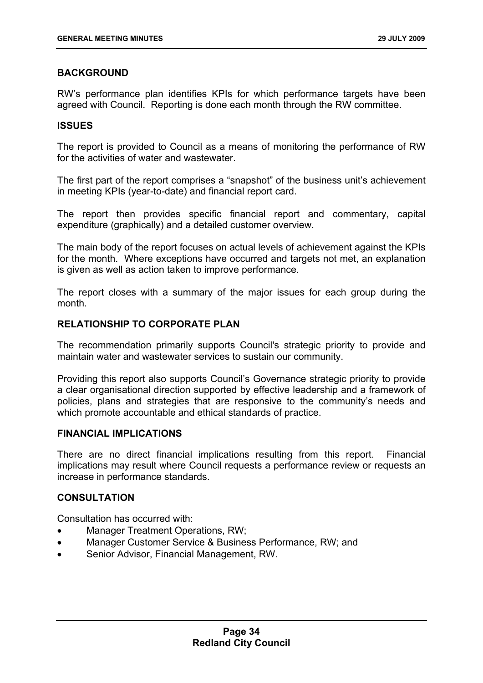# **BACKGROUND**

RW's performance plan identifies KPIs for which performance targets have been agreed with Council. Reporting is done each month through the RW committee.

# **ISSUES**

The report is provided to Council as a means of monitoring the performance of RW for the activities of water and wastewater.

The first part of the report comprises a "snapshot" of the business unit's achievement in meeting KPIs (year-to-date) and financial report card.

The report then provides specific financial report and commentary, capital expenditure (graphically) and a detailed customer overview.

The main body of the report focuses on actual levels of achievement against the KPIs for the month. Where exceptions have occurred and targets not met, an explanation is given as well as action taken to improve performance.

The report closes with a summary of the major issues for each group during the month.

# **RELATIONSHIP TO CORPORATE PLAN**

The recommendation primarily supports Council's strategic priority to provide and maintain water and wastewater services to sustain our community.

Providing this report also supports Council's Governance strategic priority to provide a clear organisational direction supported by effective leadership and a framework of policies, plans and strategies that are responsive to the community's needs and which promote accountable and ethical standards of practice.

# **FINANCIAL IMPLICATIONS**

There are no direct financial implications resulting from this report. Financial implications may result where Council requests a performance review or requests an increase in performance standards.

# **CONSULTATION**

Consultation has occurred with:

- Manager Treatment Operations, RW;
- Manager Customer Service & Business Performance, RW; and
- Senior Advisor, Financial Management, RW.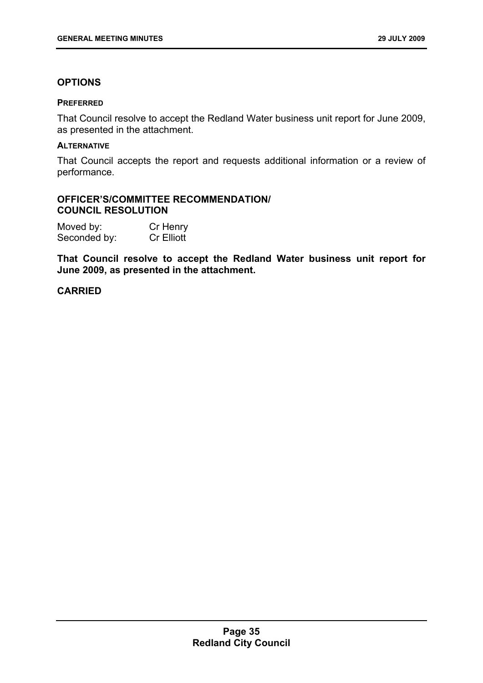# **OPTIONS**

#### **PREFERRED**

That Council resolve to accept the Redland Water business unit report for June 2009, as presented in the attachment.

#### **ALTERNATIVE**

That Council accepts the report and requests additional information or a review of performance.

# **OFFICER'S/COMMITTEE RECOMMENDATION/ COUNCIL RESOLUTION**

| Moved by:    | Cr Henry          |
|--------------|-------------------|
| Seconded by: | <b>Cr Elliott</b> |

**That Council resolve to accept the Redland Water business unit report for June 2009, as presented in the attachment.**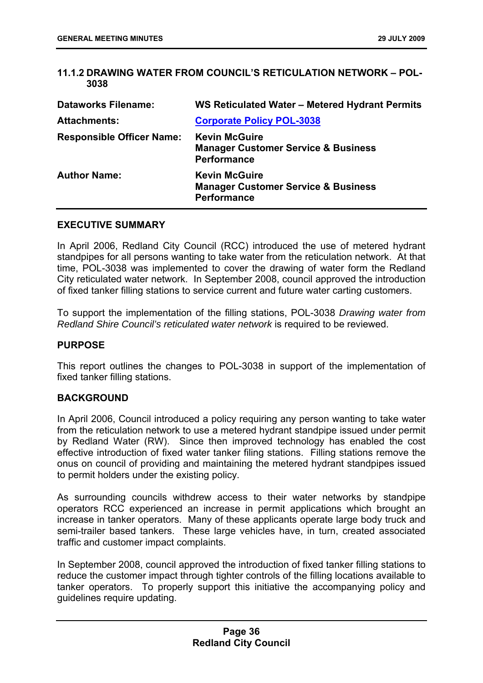# **11.1.2 DRAWING WATER FROM COUNCIL'S RETICULATION NETWORK – POL-3038**

| <b>Dataworks Filename:</b>       | WS Reticulated Water - Metered Hydrant Permits                                               |
|----------------------------------|----------------------------------------------------------------------------------------------|
| <b>Attachments:</b>              | <b>Corporate Policy POL-3038</b>                                                             |
| <b>Responsible Officer Name:</b> | <b>Kevin McGuire</b><br><b>Manager Customer Service &amp; Business</b><br><b>Performance</b> |
| <b>Author Name:</b>              | <b>Kevin McGuire</b><br><b>Manager Customer Service &amp; Business</b><br><b>Performance</b> |

### **EXECUTIVE SUMMARY**

In April 2006, Redland City Council (RCC) introduced the use of metered hydrant standpipes for all persons wanting to take water from the reticulation network. At that time, POL-3038 was implemented to cover the drawing of water form the Redland City reticulated water network. In September 2008, council approved the introduction of fixed tanker filling stations to service current and future water carting customers.

To support the implementation of the filling stations, POL-3038 *Drawing water from Redland Shire Council's reticulated water network* is required to be reviewed.

#### **PURPOSE**

This report outlines the changes to POL-3038 in support of the implementation of fixed tanker filling stations.

### **BACKGROUND**

In April 2006, Council introduced a policy requiring any person wanting to take water from the reticulation network to use a metered hydrant standpipe issued under permit by Redland Water (RW). Since then improved technology has enabled the cost effective introduction of fixed water tanker filing stations. Filling stations remove the onus on council of providing and maintaining the metered hydrant standpipes issued to permit holders under the existing policy.

As surrounding councils withdrew access to their water networks by standpipe operators RCC experienced an increase in permit applications which brought an increase in tanker operators. Many of these applicants operate large body truck and semi-trailer based tankers. These large vehicles have, in turn, created associated traffic and customer impact complaints.

In September 2008, council approved the introduction of fixed tanker filling stations to reduce the customer impact through tighter controls of the filling locations available to tanker operators. To properly support this initiative the accompanying policy and guidelines require updating.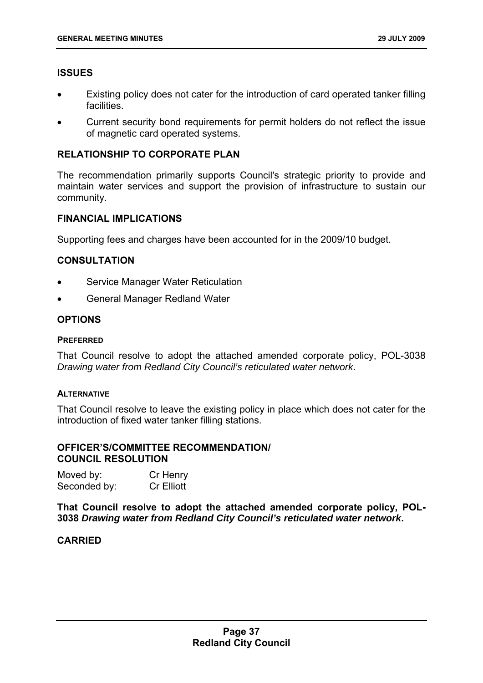# **ISSUES**

- Existing policy does not cater for the introduction of card operated tanker filling facilities.
- Current security bond requirements for permit holders do not reflect the issue of magnetic card operated systems.

### **RELATIONSHIP TO CORPORATE PLAN**

The recommendation primarily supports Council's strategic priority to provide and maintain water services and support the provision of infrastructure to sustain our community.

### **FINANCIAL IMPLICATIONS**

Supporting fees and charges have been accounted for in the 2009/10 budget.

### **CONSULTATION**

- Service Manager Water Reticulation
- General Manager Redland Water

#### **OPTIONS**

#### **PREFERRED**

That Council resolve to adopt the attached amended corporate policy, POL-3038 *Drawing water from Redland City Council's reticulated water network*.

#### **ALTERNATIVE**

That Council resolve to leave the existing policy in place which does not cater for the introduction of fixed water tanker filling stations.

#### **OFFICER'S/COMMITTEE RECOMMENDATION/ COUNCIL RESOLUTION**

| Moved by:    | Cr Henry          |
|--------------|-------------------|
| Seconded by: | <b>Cr Elliott</b> |

**That Council resolve to adopt the attached amended corporate policy, POL-3038** *Drawing water from Redland City Council's reticulated water network***.** 

### **CARRIED**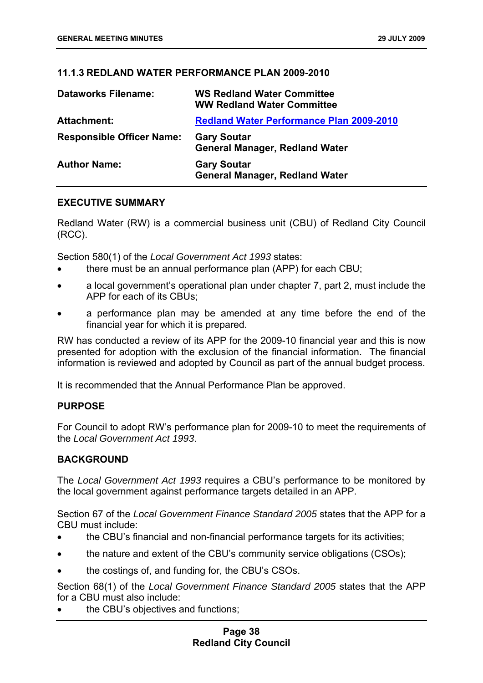# **11.1.3 REDLAND WATER PERFORMANCE PLAN 2009-2010**

| <b>Dataworks Filename:</b>       | <b>WS Redland Water Committee</b><br><b>WW Redland Water Committee</b> |
|----------------------------------|------------------------------------------------------------------------|
| <b>Attachment:</b>               | <b>Redland Water Performance Plan 2009-2010</b>                        |
| <b>Responsible Officer Name:</b> | <b>Gary Soutar</b><br><b>General Manager, Redland Water</b>            |
| <b>Author Name:</b>              | <b>Gary Soutar</b><br><b>General Manager, Redland Water</b>            |

## **EXECUTIVE SUMMARY**

Redland Water (RW) is a commercial business unit (CBU) of Redland City Council (RCC).

Section 580(1) of the *Local Government Act 1993* states:

- there must be an annual performance plan (APP) for each CBU;
- a local government's operational plan under chapter 7, part 2, must include the APP for each of its CBUs;
- a performance plan may be amended at any time before the end of the financial year for which it is prepared.

RW has conducted a review of its APP for the 2009-10 financial year and this is now presented for adoption with the exclusion of the financial information. The financial information is reviewed and adopted by Council as part of the annual budget process.

It is recommended that the Annual Performance Plan be approved.

### **PURPOSE**

For Council to adopt RW's performance plan for 2009-10 to meet the requirements of the *Local Government Act 1993*.

### **BACKGROUND**

The *Local Government Act 1993* requires a CBU's performance to be monitored by the local government against performance targets detailed in an APP.

Section 67 of the *Local Government Finance Standard 2005* states that the APP for a CBU must include:

- the CBU's financial and non-financial performance targets for its activities;
- the nature and extent of the CBU's community service obligations (CSOs);
- the costings of, and funding for, the CBU's CSOs.

Section 68(1) of the *Local Government Finance Standard 2005* states that the APP for a CBU must also include:

the CBU's objectives and functions: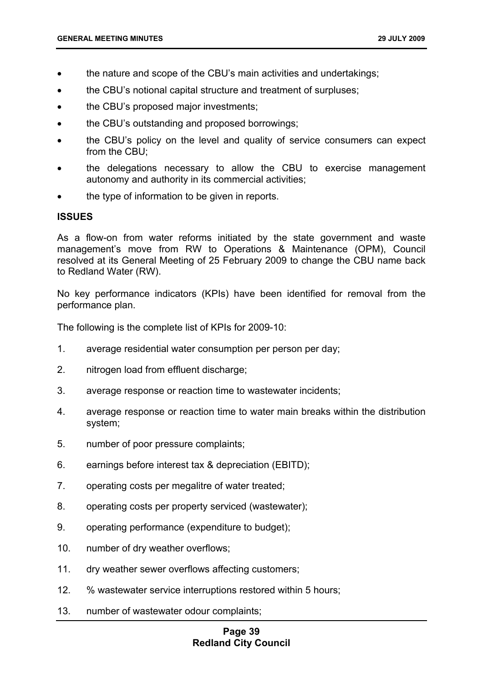- the nature and scope of the CBU's main activities and undertakings;
- the CBU's notional capital structure and treatment of surpluses;
- the CBU's proposed major investments;
- the CBU's outstanding and proposed borrowings;
- the CBU's policy on the level and quality of service consumers can expect from the CBU;
- the delegations necessary to allow the CBU to exercise management autonomy and authority in its commercial activities;
- the type of information to be given in reports.

# **ISSUES**

As a flow-on from water reforms initiated by the state government and waste management's move from RW to Operations & Maintenance (OPM), Council resolved at its General Meeting of 25 February 2009 to change the CBU name back to Redland Water (RW).

No key performance indicators (KPIs) have been identified for removal from the performance plan.

The following is the complete list of KPIs for 2009-10:

- 1. average residential water consumption per person per day;
- 2. nitrogen load from effluent discharge;
- 3. average response or reaction time to wastewater incidents;
- 4. average response or reaction time to water main breaks within the distribution system;
- 5. number of poor pressure complaints;
- 6. earnings before interest tax & depreciation (EBITD);
- 7. operating costs per megalitre of water treated;
- 8. operating costs per property serviced (wastewater);
- 9. operating performance (expenditure to budget);
- 10. number of dry weather overflows;
- 11. dry weather sewer overflows affecting customers;
- 12. % wastewater service interruptions restored within 5 hours;
- 13. number of wastewater odour complaints;

# **Page 39 Redland City Council**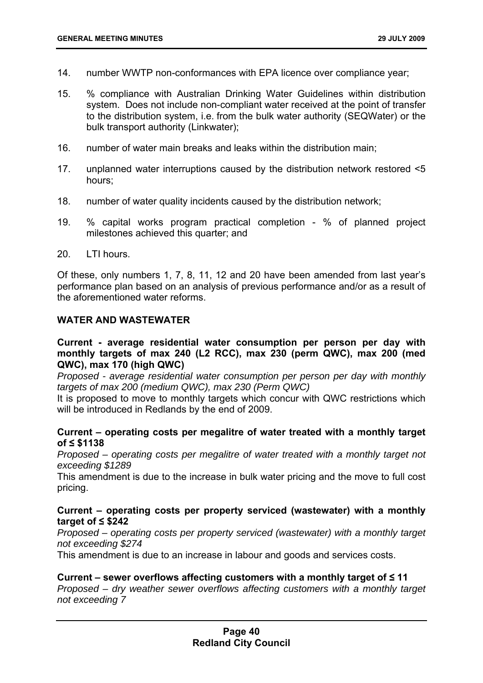- 14. number WWTP non-conformances with EPA licence over compliance year;
- 15. % compliance with Australian Drinking Water Guidelines within distribution system. Does not include non-compliant water received at the point of transfer to the distribution system, i.e. from the bulk water authority (SEQWater) or the bulk transport authority (Linkwater);
- 16. number of water main breaks and leaks within the distribution main;
- 17. unplanned water interruptions caused by the distribution network restored <5 hours;
- 18. number of water quality incidents caused by the distribution network;
- 19. % capital works program practical completion % of planned project milestones achieved this quarter; and
- 20. LTI hours.

Of these, only numbers 1, 7, 8, 11, 12 and 20 have been amended from last year's performance plan based on an analysis of previous performance and/or as a result of the aforementioned water reforms.

# **WATER AND WASTEWATER**

# **Current - average residential water consumption per person per day with monthly targets of max 240 (L2 RCC), max 230 (perm QWC), max 200 (med QWC), max 170 (high QWC)**

*Proposed - average residential water consumption per person per day with monthly targets of max 200 (medium QWC), max 230 (Perm QWC)* 

It is proposed to move to monthly targets which concur with QWC restrictions which will be introduced in Redlands by the end of 2009.

# **Current – operating costs per megalitre of water treated with a monthly target of ≤ \$1138**

*Proposed – operating costs per megalitre of water treated with a monthly target not exceeding \$1289* 

This amendment is due to the increase in bulk water pricing and the move to full cost pricing.

# **Current – operating costs per property serviced (wastewater) with a monthly target of ≤ \$242**

*Proposed – operating costs per property serviced (wastewater) with a monthly target not exceeding \$274* 

This amendment is due to an increase in labour and goods and services costs.

### **Current – sewer overflows affecting customers with a monthly target of ≤ 11**

*Proposed – dry weather sewer overflows affecting customers with a monthly target not exceeding 7*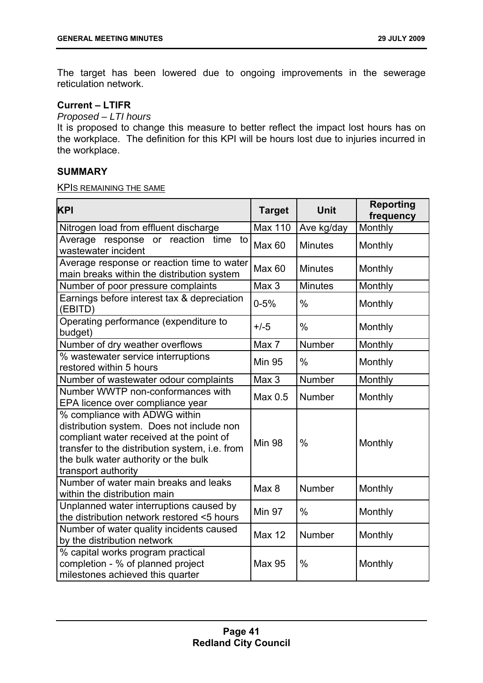The target has been lowered due to ongoing improvements in the sewerage reticulation network.

# **Current – LTIFR**

*Proposed – LTI hours* 

It is proposed to change this measure to better reflect the impact lost hours has on the workplace. The definition for this KPI will be hours lost due to injuries incurred in the workplace.

### **SUMMARY**

#### KPIS REMAINING THE SAME

| <b>KPI</b>                                                                                                                                                                                                                              | <b>Target</b>  | <b>Unit</b>    | <b>Reporting</b><br>frequency |
|-----------------------------------------------------------------------------------------------------------------------------------------------------------------------------------------------------------------------------------------|----------------|----------------|-------------------------------|
| Nitrogen load from effluent discharge                                                                                                                                                                                                   | <b>Max 110</b> | Ave kg/day     | Monthly                       |
| Average response or reaction<br>time<br>to<br>wastewater incident                                                                                                                                                                       | <b>Max 60</b>  | <b>Minutes</b> | Monthly                       |
| Average response or reaction time to water<br>main breaks within the distribution system                                                                                                                                                | <b>Max 60</b>  | <b>Minutes</b> | Monthly                       |
| Number of poor pressure complaints                                                                                                                                                                                                      | Max 3          | <b>Minutes</b> | Monthly                       |
| Earnings before interest tax & depreciation<br>(EBITD)                                                                                                                                                                                  | $0 - 5%$       | $\frac{0}{0}$  | Monthly                       |
| Operating performance (expenditure to<br>budget)                                                                                                                                                                                        | $+/-5$         | $\frac{0}{0}$  | Monthly                       |
| Number of dry weather overflows                                                                                                                                                                                                         | Max 7          | Number         | Monthly                       |
| % wastewater service interruptions<br>restored within 5 hours                                                                                                                                                                           | <b>Min 95</b>  | $\frac{0}{0}$  | Monthly                       |
| Number of wastewater odour complaints                                                                                                                                                                                                   | Max 3          | Number         | Monthly                       |
| Number WWTP non-conformances with<br>EPA licence over compliance year                                                                                                                                                                   | Max 0.5        | Number         | Monthly                       |
| % compliance with ADWG within<br>distribution system. Does not include non<br>compliant water received at the point of<br>transfer to the distribution system, i.e. from<br>the bulk water authority or the bulk<br>transport authority | <b>Min 98</b>  | $\%$           | Monthly                       |
| Number of water main breaks and leaks<br>within the distribution main                                                                                                                                                                   | Max 8          | Number         | Monthly                       |
| Unplanned water interruptions caused by<br>the distribution network restored <5 hours                                                                                                                                                   | <b>Min 97</b>  | $\%$           | Monthly                       |
| Number of water quality incidents caused<br>by the distribution network                                                                                                                                                                 | <b>Max 12</b>  | Number         | Monthly                       |
| % capital works program practical<br>completion - % of planned project<br>milestones achieved this quarter                                                                                                                              | <b>Max 95</b>  | $\%$           | Monthly                       |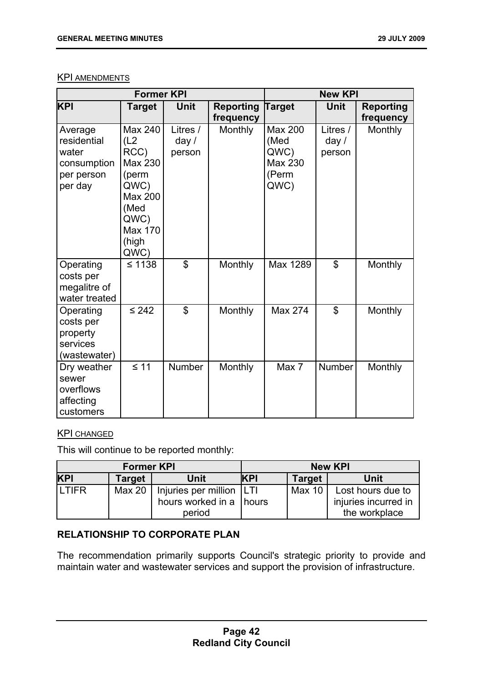# KPI AMENDMENTS

| <b>Former KPI</b>                                                       |                                                                                                                   | <b>New KPI</b>                |                               |                                                            |                               |                               |
|-------------------------------------------------------------------------|-------------------------------------------------------------------------------------------------------------------|-------------------------------|-------------------------------|------------------------------------------------------------|-------------------------------|-------------------------------|
| <b>KPI</b>                                                              | <b>Target</b>                                                                                                     | Unit                          | <b>Reporting</b><br>frequency | <b>Target</b>                                              | <b>Unit</b>                   | <b>Reporting</b><br>frequency |
| Average<br>residential<br>water<br>consumption<br>per person<br>per day | Max 240<br>(L2)<br>RCC)<br>Max 230<br>(perm<br>QWC)<br>Max 200<br>(Med<br>QWC)<br><b>Max 170</b><br>(high<br>QWC) | Litres /<br>day $/$<br>person | <b>Monthly</b>                | <b>Max 200</b><br>(Med<br>QWC)<br>Max 230<br>(Perm<br>QWC) | Litres /<br>day $/$<br>person | Monthly                       |
| Operating<br>costs per<br>megalitre of<br>water treated                 | $\leq 1138$                                                                                                       | $\mathfrak{L}$                | Monthly                       | Max 1289                                                   | $\mathbb{S}$                  | Monthly                       |
| Operating<br>costs per<br>property<br>services<br>(wastewater)          | $\leq 242$                                                                                                        | $\mathfrak{L}$                | Monthly                       | Max 274                                                    | \$                            | Monthly                       |
| Dry weather<br>sewer<br>overflows<br>affecting<br>customers             | $\leq 11$                                                                                                         | <b>Number</b>                 | Monthly                       | Max 7                                                      | Number                        | <b>Monthly</b>                |

# **KPI CHANGED**

This will continue to be reported monthly:

| <b>Former KPI</b> |                    | <b>New KPI</b>                                          |            |               |                                           |
|-------------------|--------------------|---------------------------------------------------------|------------|---------------|-------------------------------------------|
| <b>KPI</b>        | <b>Target</b>      | Unit                                                    | <b>KPI</b> | <b>Target</b> | Unit                                      |
| <b>LTIFR</b>      | Max 20 $\parallel$ | Injuries per million   LTI<br>hours worked in a   hours |            | Max 10        | Lost hours due to<br>injuries incurred in |
|                   |                    | period                                                  |            |               | the workplace                             |

# **RELATIONSHIP TO CORPORATE PLAN**

The recommendation primarily supports Council's strategic priority to provide and maintain water and wastewater services and support the provision of infrastructure.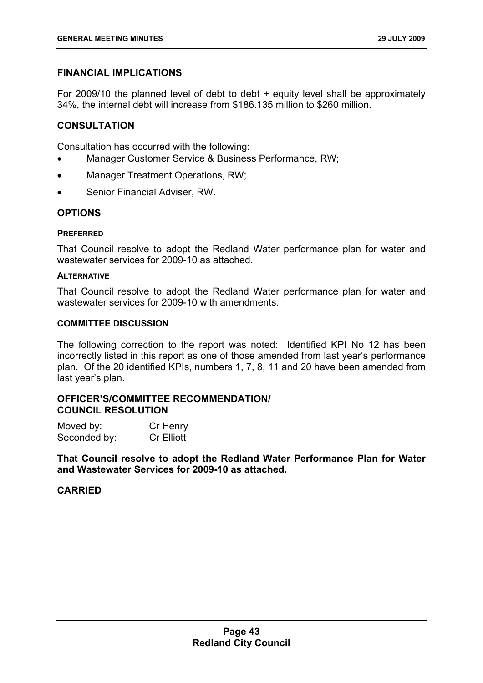# **FINANCIAL IMPLICATIONS**

For 2009/10 the planned level of debt to debt + equity level shall be approximately 34%, the internal debt will increase from \$186.135 million to \$260 million.

# **CONSULTATION**

Consultation has occurred with the following:

- Manager Customer Service & Business Performance, RW;
- Manager Treatment Operations, RW;
- Senior Financial Adviser, RW.

# **OPTIONS**

### **PREFERRED**

That Council resolve to adopt the Redland Water performance plan for water and wastewater services for 2009-10 as attached.

### **ALTERNATIVE**

That Council resolve to adopt the Redland Water performance plan for water and wastewater services for 2009-10 with amendments.

#### **COMMITTEE DISCUSSION**

The following correction to the report was noted: Identified KPI No 12 has been incorrectly listed in this report as one of those amended from last year's performance plan. Of the 20 identified KPIs, numbers 1, 7, 8, 11 and 20 have been amended from last year's plan.

# **OFFICER'S/COMMITTEE RECOMMENDATION/ COUNCIL RESOLUTION**

| Moved by:    | Cr Henry          |
|--------------|-------------------|
| Seconded by: | <b>Cr</b> Elliott |

**That Council resolve to adopt the Redland Water Performance Plan for Water and Wastewater Services for 2009-10 as attached.** 

# **CARRIED**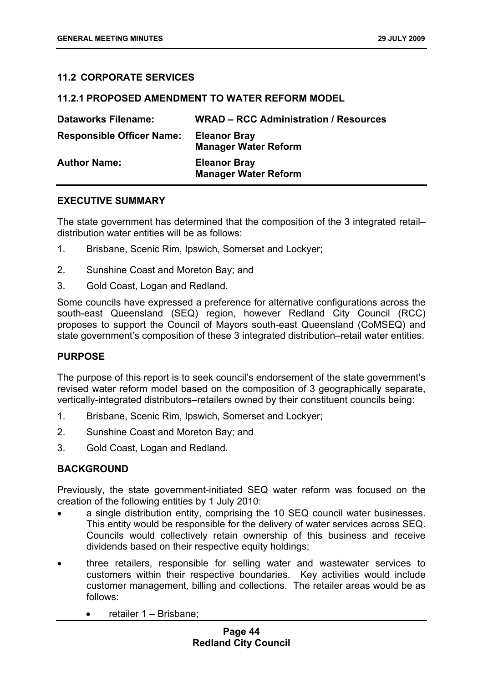# **11.2 CORPORATE SERVICES**

# **11.2.1 PROPOSED AMENDMENT TO WATER REFORM MODEL**

| <b>Dataworks Filename:</b>       | <b>WRAD – RCC Administration / Resources</b>       |
|----------------------------------|----------------------------------------------------|
| <b>Responsible Officer Name:</b> | <b>Eleanor Bray</b><br><b>Manager Water Reform</b> |
| <b>Author Name:</b>              | <b>Eleanor Bray</b><br><b>Manager Water Reform</b> |

# **EXECUTIVE SUMMARY**

The state government has determined that the composition of the 3 integrated retail– distribution water entities will be as follows:

- 1. Brisbane, Scenic Rim, Ipswich, Somerset and Lockyer;
- 2. Sunshine Coast and Moreton Bay; and
- 3. Gold Coast, Logan and Redland.

Some councils have expressed a preference for alternative configurations across the south-east Queensland (SEQ) region, however Redland City Council (RCC) proposes to support the Council of Mayors south-east Queensland (CoMSEQ) and state government's composition of these 3 integrated distribution–retail water entities.

### **PURPOSE**

The purpose of this report is to seek council's endorsement of the state government's revised water reform model based on the composition of 3 geographically separate, vertically-integrated distributors–retailers owned by their constituent councils being:

- 1. Brisbane, Scenic Rim, Ipswich, Somerset and Lockyer;
- 2. Sunshine Coast and Moreton Bay; and
- 3. Gold Coast, Logan and Redland.

# **BACKGROUND**

Previously, the state government-initiated SEQ water reform was focused on the creation of the following entities by 1 July 2010:

- a single distribution entity, comprising the 10 SEQ council water businesses. This entity would be responsible for the delivery of water services across SEQ. Councils would collectively retain ownership of this business and receive dividends based on their respective equity holdings;
- three retailers, responsible for selling water and wastewater services to customers within their respective boundaries. Key activities would include customer management, billing and collections. The retailer areas would be as follows:
	- retailer 1 Brisbane;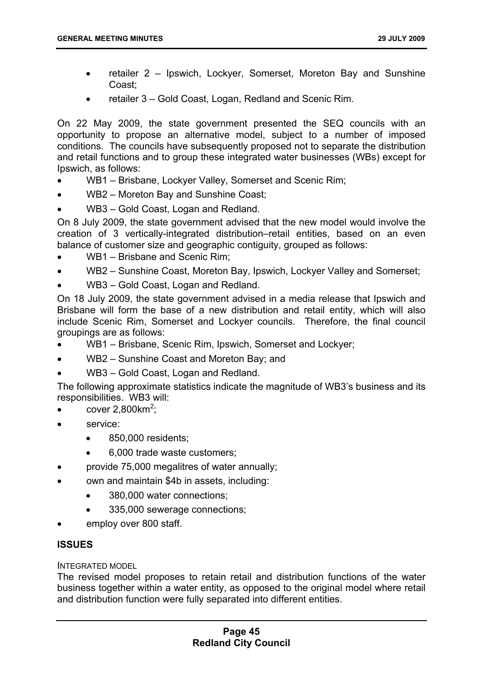- retailer 2 Ipswich, Lockyer, Somerset, Moreton Bay and Sunshine Coast;
- retailer 3 Gold Coast, Logan, Redland and Scenic Rim.

On 22 May 2009, the state government presented the SEQ councils with an opportunity to propose an alternative model, subject to a number of imposed conditions. The councils have subsequently proposed not to separate the distribution and retail functions and to group these integrated water businesses (WBs) except for Ipswich, as follows:

- WB1 Brisbane, Lockyer Valley, Somerset and Scenic Rim;
- WB2 Moreton Bay and Sunshine Coast;
- WB3 Gold Coast, Logan and Redland.

On 8 July 2009, the state government advised that the new model would involve the creation of 3 vertically-integrated distribution–retail entities, based on an even balance of customer size and geographic contiguity, grouped as follows:

- WB1 Brisbane and Scenic Rim;
- WB2 Sunshine Coast, Moreton Bay, Ipswich, Lockyer Valley and Somerset;
- WB3 Gold Coast, Logan and Redland.

On 18 July 2009, the state government advised in a media release that Ipswich and Brisbane will form the base of a new distribution and retail entity, which will also include Scenic Rim, Somerset and Lockyer councils. Therefore, the final council groupings are as follows:

- WB1 Brisbane, Scenic Rim, Ipswich, Somerset and Lockyer;
- WB2 Sunshine Coast and Moreton Bay; and
- WB3 Gold Coast, Logan and Redland.

The following approximate statistics indicate the magnitude of WB3's business and its responsibilities. WB3 will:

- cover  $2,800 \text{km}^2$ ;
- service:
	- 850,000 residents;
	- 6,000 trade waste customers;
- provide 75,000 megalitres of water annually;
- own and maintain \$4b in assets, including:
	- 380,000 water connections;
	- 335,000 sewerage connections;
- employ over 800 staff.

# **ISSUES**

### INTEGRATED MODEL

The revised model proposes to retain retail and distribution functions of the water business together within a water entity, as opposed to the original model where retail and distribution function were fully separated into different entities.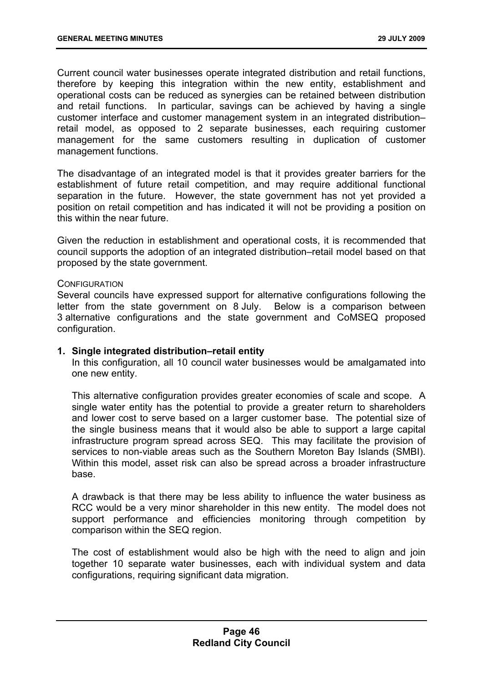Current council water businesses operate integrated distribution and retail functions, therefore by keeping this integration within the new entity, establishment and operational costs can be reduced as synergies can be retained between distribution and retail functions. In particular, savings can be achieved by having a single customer interface and customer management system in an integrated distribution– retail model, as opposed to 2 separate businesses, each requiring customer management for the same customers resulting in duplication of customer management functions.

The disadvantage of an integrated model is that it provides greater barriers for the establishment of future retail competition, and may require additional functional separation in the future. However, the state government has not yet provided a position on retail competition and has indicated it will not be providing a position on this within the near future.

Given the reduction in establishment and operational costs, it is recommended that council supports the adoption of an integrated distribution–retail model based on that proposed by the state government.

#### **CONFIGURATION**

Several councils have expressed support for alternative configurations following the letter from the state government on 8 July. Below is a comparison between 3 alternative configurations and the state government and CoMSEQ proposed configuration.

### **1. Single integrated distribution–retail entity**

In this configuration, all 10 council water businesses would be amalgamated into one new entity.

This alternative configuration provides greater economies of scale and scope. A single water entity has the potential to provide a greater return to shareholders and lower cost to serve based on a larger customer base. The potential size of the single business means that it would also be able to support a large capital infrastructure program spread across SEQ. This may facilitate the provision of services to non-viable areas such as the Southern Moreton Bay Islands (SMBI). Within this model, asset risk can also be spread across a broader infrastructure base.

A drawback is that there may be less ability to influence the water business as RCC would be a very minor shareholder in this new entity. The model does not support performance and efficiencies monitoring through competition by comparison within the SEQ region.

The cost of establishment would also be high with the need to align and join together 10 separate water businesses, each with individual system and data configurations, requiring significant data migration.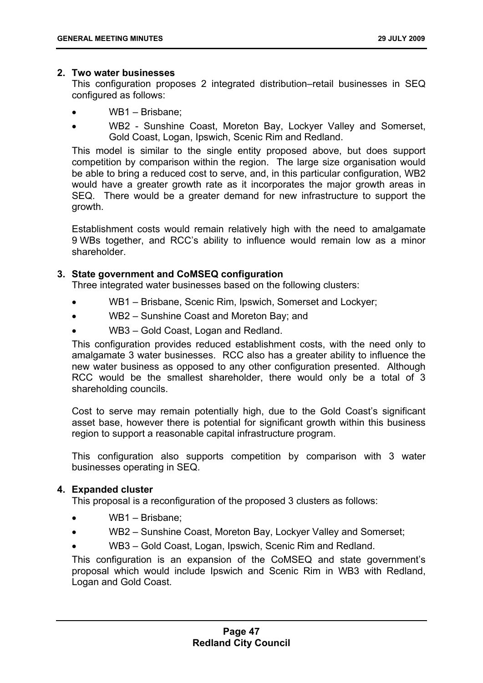### **2. Two water businesses**

This configuration proposes 2 integrated distribution–retail businesses in SEQ configured as follows:

- WB1 Brisbane;
- WB2 Sunshine Coast, Moreton Bay, Lockyer Valley and Somerset, Gold Coast, Logan, Ipswich, Scenic Rim and Redland.

This model is similar to the single entity proposed above, but does support competition by comparison within the region. The large size organisation would be able to bring a reduced cost to serve, and, in this particular configuration, WB2 would have a greater growth rate as it incorporates the major growth areas in SEQ. There would be a greater demand for new infrastructure to support the growth.

Establishment costs would remain relatively high with the need to amalgamate 9 WBs together, and RCC's ability to influence would remain low as a minor shareholder.

# **3. State government and CoMSEQ configuration**

Three integrated water businesses based on the following clusters:

- WB1 Brisbane, Scenic Rim, Ipswich, Somerset and Lockyer;
- WB2 Sunshine Coast and Moreton Bay; and
- WB3 Gold Coast, Logan and Redland.

This configuration provides reduced establishment costs, with the need only to amalgamate 3 water businesses. RCC also has a greater ability to influence the new water business as opposed to any other configuration presented. Although RCC would be the smallest shareholder, there would only be a total of 3 shareholding councils.

Cost to serve may remain potentially high, due to the Gold Coast's significant asset base, however there is potential for significant growth within this business region to support a reasonable capital infrastructure program.

This configuration also supports competition by comparison with 3 water businesses operating in SEQ.

# **4. Expanded cluster**

This proposal is a reconfiguration of the proposed 3 clusters as follows:

- WB1 Brisbane;
- WB2 Sunshine Coast, Moreton Bay, Lockyer Valley and Somerset;
- WB3 Gold Coast, Logan, Ipswich, Scenic Rim and Redland.

This configuration is an expansion of the CoMSEQ and state government's proposal which would include Ipswich and Scenic Rim in WB3 with Redland, Logan and Gold Coast.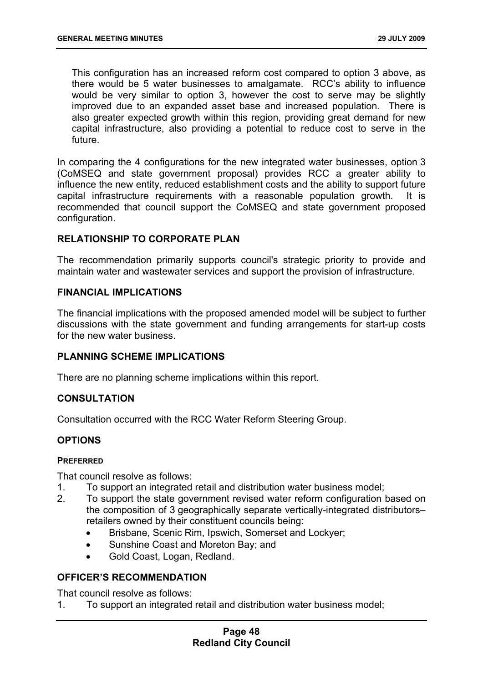This configuration has an increased reform cost compared to option 3 above, as there would be 5 water businesses to amalgamate. RCC's ability to influence would be very similar to option 3, however the cost to serve may be slightly improved due to an expanded asset base and increased population. There is also greater expected growth within this region, providing great demand for new capital infrastructure, also providing a potential to reduce cost to serve in the future.

In comparing the 4 configurations for the new integrated water businesses, option 3 (CoMSEQ and state government proposal) provides RCC a greater ability to influence the new entity, reduced establishment costs and the ability to support future capital infrastructure requirements with a reasonable population growth. It is recommended that council support the CoMSEQ and state government proposed configuration.

# **RELATIONSHIP TO CORPORATE PLAN**

The recommendation primarily supports council's strategic priority to provide and maintain water and wastewater services and support the provision of infrastructure.

#### **FINANCIAL IMPLICATIONS**

The financial implications with the proposed amended model will be subject to further discussions with the state government and funding arrangements for start-up costs for the new water business.

### **PLANNING SCHEME IMPLICATIONS**

There are no planning scheme implications within this report.

#### **CONSULTATION**

Consultation occurred with the RCC Water Reform Steering Group.

### **OPTIONS**

#### **PREFERRED**

That council resolve as follows:

- 1. To support an integrated retail and distribution water business model;
- 2. To support the state government revised water reform configuration based on the composition of 3 geographically separate vertically-integrated distributors– retailers owned by their constituent councils being:
	- Brisbane, Scenic Rim, Ipswich, Somerset and Lockyer;
	- Sunshine Coast and Moreton Bay; and
	- Gold Coast, Logan, Redland.

#### **OFFICER'S RECOMMENDATION**

That council resolve as follows:

1. To support an integrated retail and distribution water business model;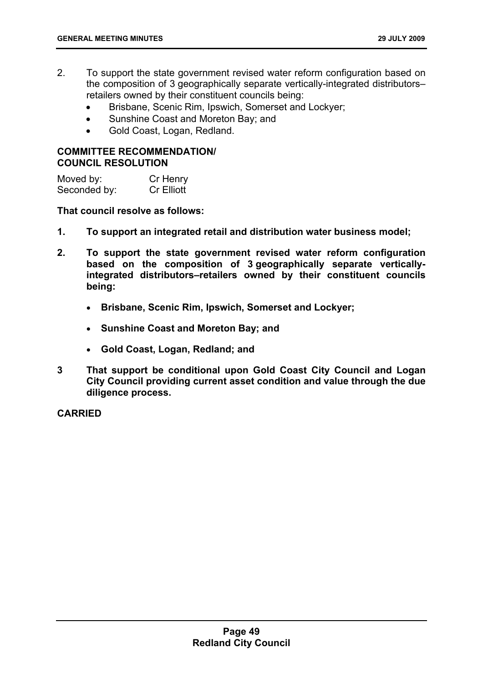- 2. To support the state government revised water reform configuration based on the composition of 3 geographically separate vertically-integrated distributors– retailers owned by their constituent councils being:
	- Brisbane, Scenic Rim, Ipswich, Somerset and Lockyer;
	- Sunshine Coast and Moreton Bay; and
	- Gold Coast, Logan, Redland.

# **COMMITTEE RECOMMENDATION/ COUNCIL RESOLUTION**

Moved by: Cr Henry Seconded by: Cr Elliott

**That council resolve as follows:** 

- **1. To support an integrated retail and distribution water business model;**
- **2. To support the state government revised water reform configuration based on the composition of 3 geographically separate verticallyintegrated distributors–retailers owned by their constituent councils being:** 
	- **Brisbane, Scenic Rim, Ipswich, Somerset and Lockyer;**
	- **Sunshine Coast and Moreton Bay; and**
	- **Gold Coast, Logan, Redland; and**
- **3 That support be conditional upon Gold Coast City Council and Logan City Council providing current asset condition and value through the due diligence process.**

# **CARRIED**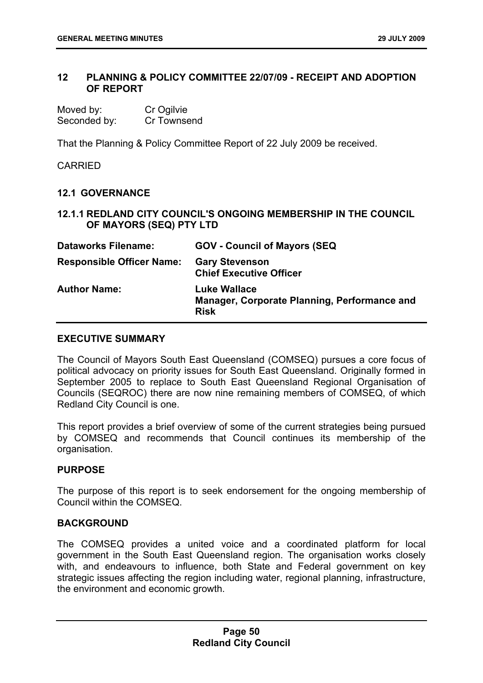# **12 PLANNING & POLICY COMMITTEE 22/07/09 - RECEIPT AND ADOPTION OF REPORT**

| Moved by:    | Cr Ogilvie  |
|--------------|-------------|
| Seconded by: | Cr Townsend |

That the Planning & Policy Committee Report of 22 July 2009 be received.

CARRIED

# **12.1 GOVERNANCE**

**12.1.1 REDLAND CITY COUNCIL'S ONGOING MEMBERSHIP IN THE COUNCIL OF MAYORS (SEQ) PTY LTD** 

| <b>Dataworks Filename:</b>       | <b>GOV - Council of Mayors (SEQ)</b>                                        |
|----------------------------------|-----------------------------------------------------------------------------|
| <b>Responsible Officer Name:</b> | <b>Gary Stevenson</b><br><b>Chief Executive Officer</b>                     |
| <b>Author Name:</b>              | Luke Wallace<br>Manager, Corporate Planning, Performance and<br><b>Risk</b> |

#### **EXECUTIVE SUMMARY**

The Council of Mayors South East Queensland (COMSEQ) pursues a core focus of political advocacy on priority issues for South East Queensland. Originally formed in September 2005 to replace to South East Queensland Regional Organisation of Councils (SEQROC) there are now nine remaining members of COMSEQ, of which Redland City Council is one.

This report provides a brief overview of some of the current strategies being pursued by COMSEQ and recommends that Council continues its membership of the organisation.

### **PURPOSE**

The purpose of this report is to seek endorsement for the ongoing membership of Council within the COMSEQ.

### **BACKGROUND**

The COMSEQ provides a united voice and a coordinated platform for local government in the South East Queensland region. The organisation works closely with, and endeavours to influence, both State and Federal government on key strategic issues affecting the region including water, regional planning, infrastructure, the environment and economic growth.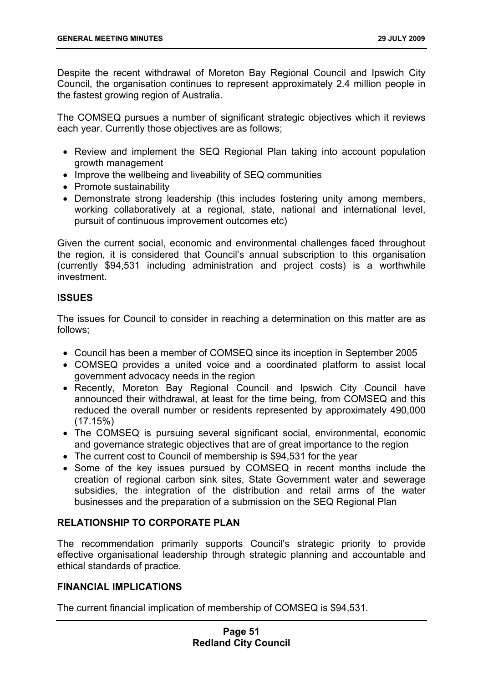Despite the recent withdrawal of Moreton Bay Regional Council and Ipswich City Council, the organisation continues to represent approximately 2.4 million people in the fastest growing region of Australia.

The COMSEQ pursues a number of significant strategic objectives which it reviews each year. Currently those objectives are as follows;

- Review and implement the SEQ Regional Plan taking into account population growth management
- Improve the wellbeing and liveability of SEQ communities
- Promote sustainability
- Demonstrate strong leadership (this includes fostering unity among members, working collaboratively at a regional, state, national and international level, pursuit of continuous improvement outcomes etc)

Given the current social, economic and environmental challenges faced throughout the region, it is considered that Council's annual subscription to this organisation (currently \$94,531 including administration and project costs) is a worthwhile investment.

# **ISSUES**

The issues for Council to consider in reaching a determination on this matter are as follows;

- Council has been a member of COMSEQ since its inception in September 2005
- COMSEQ provides a united voice and a coordinated platform to assist local government advocacy needs in the region
- Recently, Moreton Bay Regional Council and Ipswich City Council have announced their withdrawal, at least for the time being, from COMSEQ and this reduced the overall number or residents represented by approximately 490,000  $(17.15%)$
- The COMSEQ is pursuing several significant social, environmental, economic and governance strategic objectives that are of great importance to the region
- The current cost to Council of membership is \$94,531 for the year
- Some of the key issues pursued by COMSEQ in recent months include the creation of regional carbon sink sites, State Government water and sewerage subsidies, the integration of the distribution and retail arms of the water businesses and the preparation of a submission on the SEQ Regional Plan

# **RELATIONSHIP TO CORPORATE PLAN**

The recommendation primarily supports Council's strategic priority to provide effective organisational leadership through strategic planning and accountable and ethical standards of practice.

# **FINANCIAL IMPLICATIONS**

The current financial implication of membership of COMSEQ is \$94,531.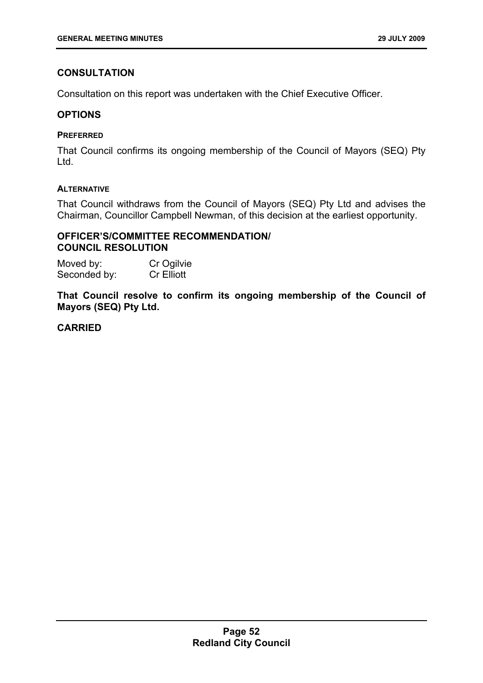# **CONSULTATION**

Consultation on this report was undertaken with the Chief Executive Officer.

# **OPTIONS**

## **PREFERRED**

That Council confirms its ongoing membership of the Council of Mayors (SEQ) Pty Ltd.

# **ALTERNATIVE**

That Council withdraws from the Council of Mayors (SEQ) Pty Ltd and advises the Chairman, Councillor Campbell Newman, of this decision at the earliest opportunity.

# **OFFICER'S/COMMITTEE RECOMMENDATION/ COUNCIL RESOLUTION**

Moved by: Cr Ogilvie Seconded by: Cr Elliott

**That Council resolve to confirm its ongoing membership of the Council of Mayors (SEQ) Pty Ltd.** 

# **CARRIED**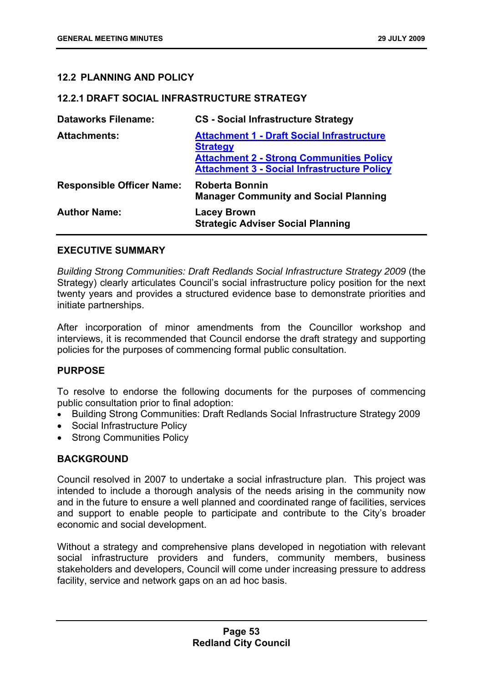# **12.2 PLANNING AND POLICY**

### **12.2.1 DRAFT SOCIAL INFRASTRUCTURE STRATEGY**

| <b>Dataworks Filename:</b>       | <b>CS</b> - Social Infrastructure Strategy                                                                                                                                    |
|----------------------------------|-------------------------------------------------------------------------------------------------------------------------------------------------------------------------------|
| <b>Attachments:</b>              | <b>Attachment 1 - Draft Social Infrastructure</b><br><b>Strategy</b><br><b>Attachment 2 - Strong Communities Policy</b><br><b>Attachment 3 - Social Infrastructure Policy</b> |
| <b>Responsible Officer Name:</b> | <b>Roberta Bonnin</b><br><b>Manager Community and Social Planning</b>                                                                                                         |
| <b>Author Name:</b>              | <b>Lacey Brown</b><br><b>Strategic Adviser Social Planning</b>                                                                                                                |

# **EXECUTIVE SUMMARY**

*Building Strong Communities: Draft Redlands Social Infrastructure Strategy 2009* (the Strategy) clearly articulates Council's social infrastructure policy position for the next twenty years and provides a structured evidence base to demonstrate priorities and initiate partnerships.

After incorporation of minor amendments from the Councillor workshop and interviews, it is recommended that Council endorse the draft strategy and supporting policies for the purposes of commencing formal public consultation.

# **PURPOSE**

To resolve to endorse the following documents for the purposes of commencing public consultation prior to final adoption:

- Building Strong Communities: Draft Redlands Social Infrastructure Strategy 2009
- Social Infrastructure Policy
- Strong Communities Policy

# **BACKGROUND**

Council resolved in 2007 to undertake a social infrastructure plan. This project was intended to include a thorough analysis of the needs arising in the community now and in the future to ensure a well planned and coordinated range of facilities, services and support to enable people to participate and contribute to the City's broader economic and social development.

Without a strategy and comprehensive plans developed in negotiation with relevant social infrastructure providers and funders, community members, business stakeholders and developers, Council will come under increasing pressure to address facility, service and network gaps on an ad hoc basis.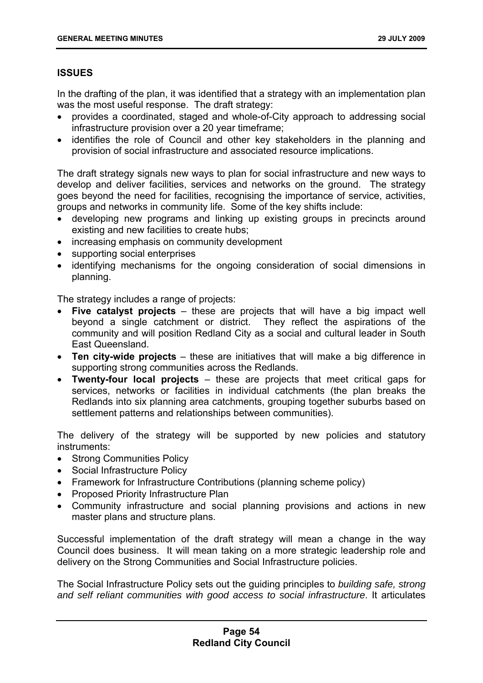# **ISSUES**

In the drafting of the plan, it was identified that a strategy with an implementation plan was the most useful response. The draft strategy:

- provides a coordinated, staged and whole-of-City approach to addressing social infrastructure provision over a 20 year timeframe;
- identifies the role of Council and other key stakeholders in the planning and provision of social infrastructure and associated resource implications.

The draft strategy signals new ways to plan for social infrastructure and new ways to develop and deliver facilities, services and networks on the ground. The strategy goes beyond the need for facilities, recognising the importance of service, activities, groups and networks in community life. Some of the key shifts include:

- developing new programs and linking up existing groups in precincts around existing and new facilities to create hubs;
- increasing emphasis on community development
- supporting social enterprises
- identifying mechanisms for the ongoing consideration of social dimensions in planning.

The strategy includes a range of projects:

- **Five catalyst projects** these are projects that will have a big impact well beyond a single catchment or district. They reflect the aspirations of the community and will position Redland City as a social and cultural leader in South East Queensland.
- **Ten city-wide projects** these are initiatives that will make a big difference in supporting strong communities across the Redlands.
- **Twenty-four local projects** these are projects that meet critical gaps for services, networks or facilities in individual catchments (the plan breaks the Redlands into six planning area catchments, grouping together suburbs based on settlement patterns and relationships between communities).

The delivery of the strategy will be supported by new policies and statutory instruments:

- Strong Communities Policy
- Social Infrastructure Policy
- Framework for Infrastructure Contributions (planning scheme policy)
- Proposed Priority Infrastructure Plan
- Community infrastructure and social planning provisions and actions in new master plans and structure plans.

Successful implementation of the draft strategy will mean a change in the way Council does business. It will mean taking on a more strategic leadership role and delivery on the Strong Communities and Social Infrastructure policies.

The Social Infrastructure Policy sets out the guiding principles to *building safe, strong and self reliant communities with good access to social infrastructure*. It articulates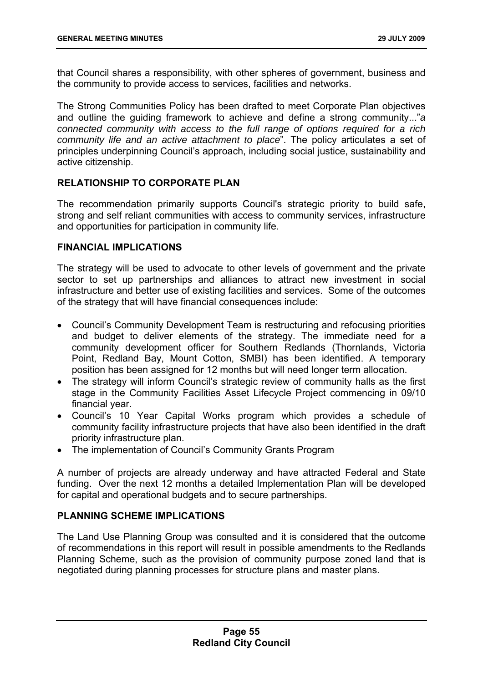that Council shares a responsibility, with other spheres of government, business and the community to provide access to services, facilities and networks.

The Strong Communities Policy has been drafted to meet Corporate Plan objectives and outline the guiding framework to achieve and define a strong community..."*a connected community with access to the full range of options required for a rich community life and an active attachment to place*". The policy articulates a set of principles underpinning Council's approach, including social justice, sustainability and active citizenship.

# **RELATIONSHIP TO CORPORATE PLAN**

The recommendation primarily supports Council's strategic priority to build safe, strong and self reliant communities with access to community services, infrastructure and opportunities for participation in community life.

# **FINANCIAL IMPLICATIONS**

The strategy will be used to advocate to other levels of government and the private sector to set up partnerships and alliances to attract new investment in social infrastructure and better use of existing facilities and services. Some of the outcomes of the strategy that will have financial consequences include:

- Council's Community Development Team is restructuring and refocusing priorities and budget to deliver elements of the strategy. The immediate need for a community development officer for Southern Redlands (Thornlands, Victoria Point, Redland Bay, Mount Cotton, SMBI) has been identified. A temporary position has been assigned for 12 months but will need longer term allocation.
- The strategy will inform Council's strategic review of community halls as the first stage in the Community Facilities Asset Lifecycle Project commencing in 09/10 financial year.
- Council's 10 Year Capital Works program which provides a schedule of community facility infrastructure projects that have also been identified in the draft priority infrastructure plan.
- The implementation of Council's Community Grants Program

A number of projects are already underway and have attracted Federal and State funding. Over the next 12 months a detailed Implementation Plan will be developed for capital and operational budgets and to secure partnerships.

### **PLANNING SCHEME IMPLICATIONS**

The Land Use Planning Group was consulted and it is considered that the outcome of recommendations in this report will result in possible amendments to the Redlands Planning Scheme, such as the provision of community purpose zoned land that is negotiated during planning processes for structure plans and master plans.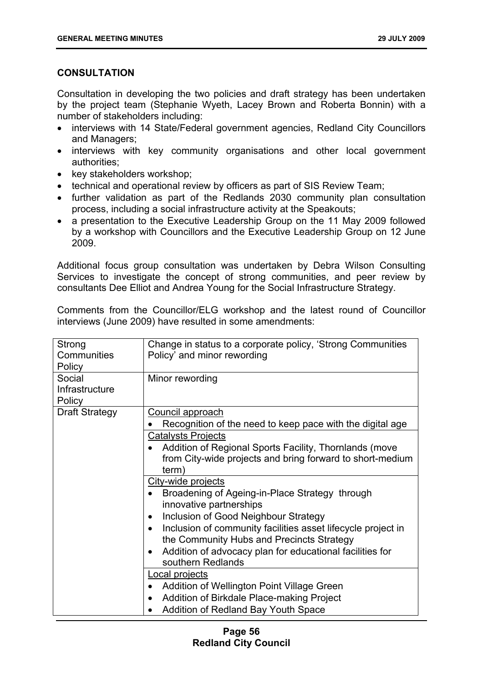# **CONSULTATION**

Consultation in developing the two policies and draft strategy has been undertaken by the project team (Stephanie Wyeth, Lacey Brown and Roberta Bonnin) with a number of stakeholders including:

- interviews with 14 State/Federal government agencies, Redland City Councillors and Managers;
- interviews with key community organisations and other local government authorities;
- key stakeholders workshop;
- technical and operational review by officers as part of SIS Review Team;
- further validation as part of the Redlands 2030 community plan consultation process, including a social infrastructure activity at the Speakouts;
- a presentation to the Executive Leadership Group on the 11 May 2009 followed by a workshop with Councillors and the Executive Leadership Group on 12 June 2009.

Additional focus group consultation was undertaken by Debra Wilson Consulting Services to investigate the concept of strong communities, and peer review by consultants Dee Elliot and Andrea Young for the Social Infrastructure Strategy.

Comments from the Councillor/ELG workshop and the latest round of Councillor interviews (June 2009) have resulted in some amendments:

| Strong<br>Communities<br>Policy    | Change in status to a corporate policy, 'Strong Communities<br>Policy' and minor rewording                                                                                                                                                                |
|------------------------------------|-----------------------------------------------------------------------------------------------------------------------------------------------------------------------------------------------------------------------------------------------------------|
| Social<br>Infrastructure<br>Policy | Minor rewording                                                                                                                                                                                                                                           |
| <b>Draft Strategy</b>              | Council approach<br>Recognition of the need to keep pace with the digital age                                                                                                                                                                             |
|                                    | <b>Catalysts Projects</b><br>Addition of Regional Sports Facility, Thornlands (move<br>from City-wide projects and bring forward to short-medium<br>term)                                                                                                 |
|                                    | City-wide projects<br>Broadening of Ageing-in-Place Strategy through<br>innovative partnerships<br>Inclusion of Good Neighbour Strategy<br>٠<br>Inclusion of community facilities asset lifecycle project in<br>the Community Hubs and Precincts Strategy |
|                                    | Addition of advocacy plan for educational facilities for<br>southern Redlands                                                                                                                                                                             |
|                                    | Local projects<br>Addition of Wellington Point Village Green<br>Addition of Birkdale Place-making Project<br>Addition of Redland Bay Youth Space                                                                                                          |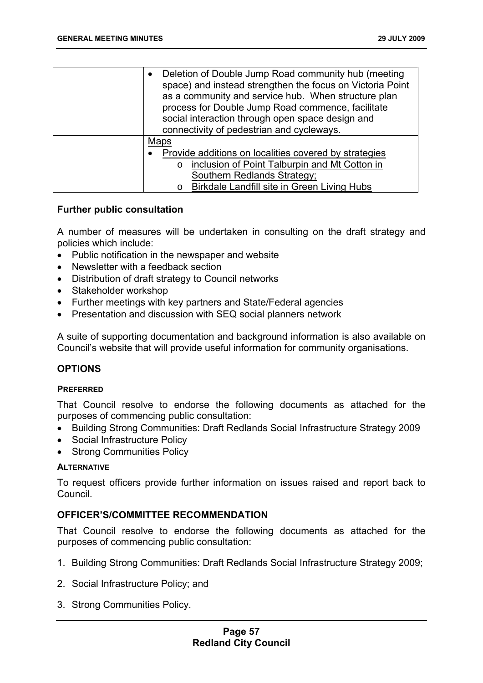| Deletion of Double Jump Road community hub (meeting<br>$\bullet$<br>space) and instead strengthen the focus on Victoria Point<br>as a community and service hub. When structure plan<br>process for Double Jump Road commence, facilitate<br>social interaction through open space design and<br>connectivity of pedestrian and cycleways. |
|--------------------------------------------------------------------------------------------------------------------------------------------------------------------------------------------------------------------------------------------------------------------------------------------------------------------------------------------|
| <b>Maps</b>                                                                                                                                                                                                                                                                                                                                |
| Provide additions on localities covered by strategies                                                                                                                                                                                                                                                                                      |
| inclusion of Point Talburpin and Mt Cotton in<br>$\Omega$                                                                                                                                                                                                                                                                                  |
| Southern Redlands Strategy;                                                                                                                                                                                                                                                                                                                |
| <b>Birkdale Landfill site in Green Living Hubs</b>                                                                                                                                                                                                                                                                                         |

### **Further public consultation**

A number of measures will be undertaken in consulting on the draft strategy and policies which include:

- Public notification in the newspaper and website
- Newsletter with a feedback section
- Distribution of draft strategy to Council networks
- Stakeholder workshop
- Further meetings with key partners and State/Federal agencies
- Presentation and discussion with SEQ social planners network

A suite of supporting documentation and background information is also available on Council's website that will provide useful information for community organisations.

### **OPTIONS**

#### **PREFERRED**

That Council resolve to endorse the following documents as attached for the purposes of commencing public consultation:

- Building Strong Communities: Draft Redlands Social Infrastructure Strategy 2009
- Social Infrastructure Policy
- Strong Communities Policy

### **ALTERNATIVE**

To request officers provide further information on issues raised and report back to Council.

### **OFFICER'S/COMMITTEE RECOMMENDATION**

That Council resolve to endorse the following documents as attached for the purposes of commencing public consultation:

- 1. Building Strong Communities: Draft Redlands Social Infrastructure Strategy 2009;
- 2. Social Infrastructure Policy; and
- 3. Strong Communities Policy.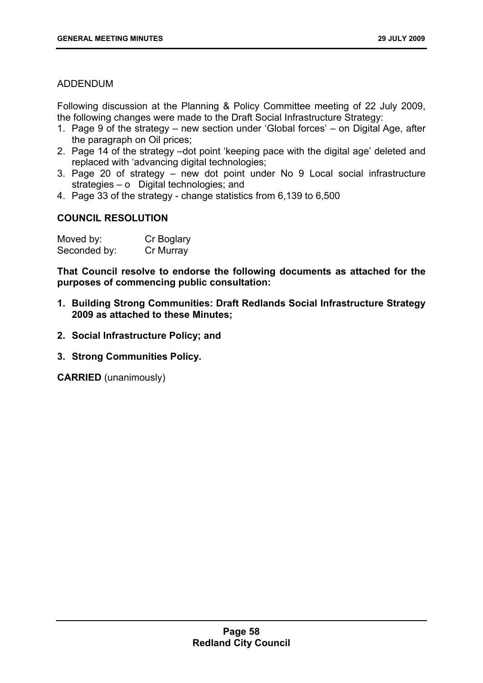# ADDENDUM

Following discussion at the Planning & Policy Committee meeting of 22 July 2009, the following changes were made to the Draft Social Infrastructure Strategy:

- 1. Page 9 of the strategy new section under 'Global forces' on Digital Age, after the paragraph on Oil prices;
- 2. Page 14 of the strategy –dot point 'keeping pace with the digital age' deleted and replaced with 'advancing digital technologies;
- 3. Page 20 of strategy new dot point under No 9 Local social infrastructure strategies – o Digital technologies; and
- 4. Page 33 of the strategy change statistics from 6,139 to 6,500

# **COUNCIL RESOLUTION**

| Moved by:    | Cr Boglary |
|--------------|------------|
| Seconded by: | Cr Murray  |

**That Council resolve to endorse the following documents as attached for the purposes of commencing public consultation:** 

- **1. Building Strong Communities: Draft Redlands Social Infrastructure Strategy 2009 as attached to these Minutes;**
- **2. Social Infrastructure Policy; and**
- **3. Strong Communities Policy.**

**CARRIED** (unanimously)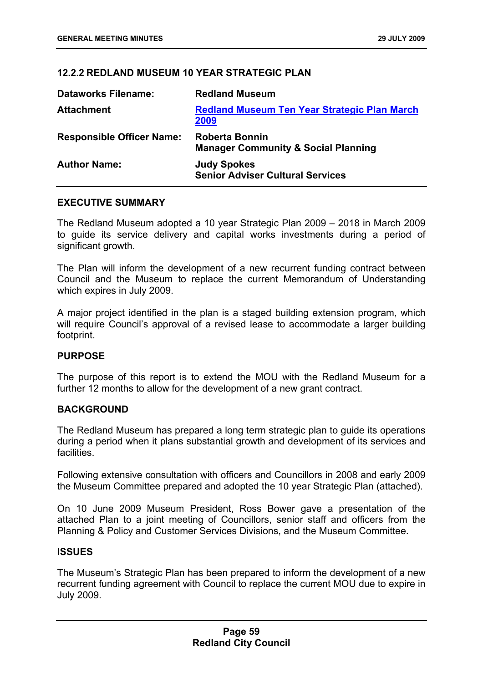# **12.2.2 REDLAND MUSEUM 10 YEAR STRATEGIC PLAN**

| <b>Dataworks Filename:</b>       | <b>Redland Museum</b>                                                   |
|----------------------------------|-------------------------------------------------------------------------|
| <b>Attachment</b>                | <b>Redland Museum Ten Year Strategic Plan March</b><br>2009             |
| <b>Responsible Officer Name:</b> | <b>Roberta Bonnin</b><br><b>Manager Community &amp; Social Planning</b> |
| <b>Author Name:</b>              | <b>Judy Spokes</b><br><b>Senior Adviser Cultural Services</b>           |

### **EXECUTIVE SUMMARY**

The Redland Museum adopted a 10 year Strategic Plan 2009 – 2018 in March 2009 to guide its service delivery and capital works investments during a period of significant growth.

The Plan will inform the development of a new recurrent funding contract between Council and the Museum to replace the current Memorandum of Understanding which expires in July 2009.

A major project identified in the plan is a staged building extension program, which will require Council's approval of a revised lease to accommodate a larger building footprint.

### **PURPOSE**

The purpose of this report is to extend the MOU with the Redland Museum for a further 12 months to allow for the development of a new grant contract.

### **BACKGROUND**

The Redland Museum has prepared a long term strategic plan to guide its operations during a period when it plans substantial growth and development of its services and facilities.

Following extensive consultation with officers and Councillors in 2008 and early 2009 the Museum Committee prepared and adopted the 10 year Strategic Plan (attached).

On 10 June 2009 Museum President, Ross Bower gave a presentation of the attached Plan to a joint meeting of Councillors, senior staff and officers from the Planning & Policy and Customer Services Divisions, and the Museum Committee.

### **ISSUES**

The Museum's Strategic Plan has been prepared to inform the development of a new recurrent funding agreement with Council to replace the current MOU due to expire in July 2009.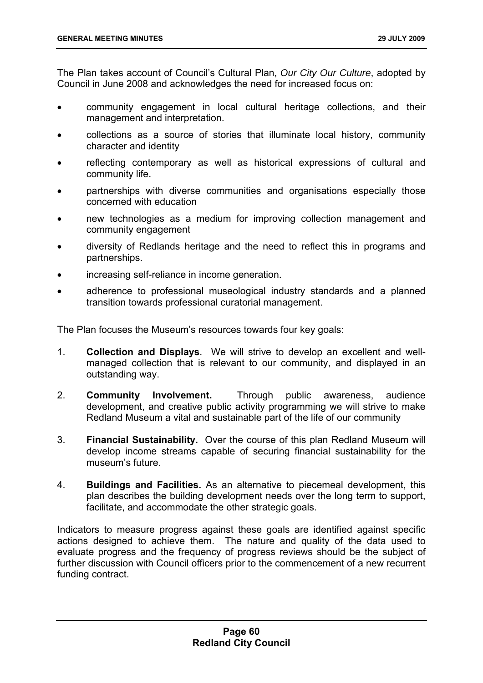The Plan takes account of Council's Cultural Plan, *Our City Our Culture*, adopted by Council in June 2008 and acknowledges the need for increased focus on:

- community engagement in local cultural heritage collections, and their management and interpretation.
- collections as a source of stories that illuminate local history, community character and identity
- reflecting contemporary as well as historical expressions of cultural and community life.
- partnerships with diverse communities and organisations especially those concerned with education
- new technologies as a medium for improving collection management and community engagement
- diversity of Redlands heritage and the need to reflect this in programs and partnerships.
- increasing self-reliance in income generation.
- adherence to professional museological industry standards and a planned transition towards professional curatorial management.

The Plan focuses the Museum's resources towards four key goals:

- 1. **Collection and Displays**. We will strive to develop an excellent and wellmanaged collection that is relevant to our community, and displayed in an outstanding way.
- 2. **Community Involvement.** Through public awareness, audience development, and creative public activity programming we will strive to make Redland Museum a vital and sustainable part of the life of our community
- 3. **Financial Sustainability.** Over the course of this plan Redland Museum will develop income streams capable of securing financial sustainability for the museum's future.
- 4. **Buildings and Facilities.** As an alternative to piecemeal development, this plan describes the building development needs over the long term to support, facilitate, and accommodate the other strategic goals.

Indicators to measure progress against these goals are identified against specific actions designed to achieve them. The nature and quality of the data used to evaluate progress and the frequency of progress reviews should be the subject of further discussion with Council officers prior to the commencement of a new recurrent funding contract.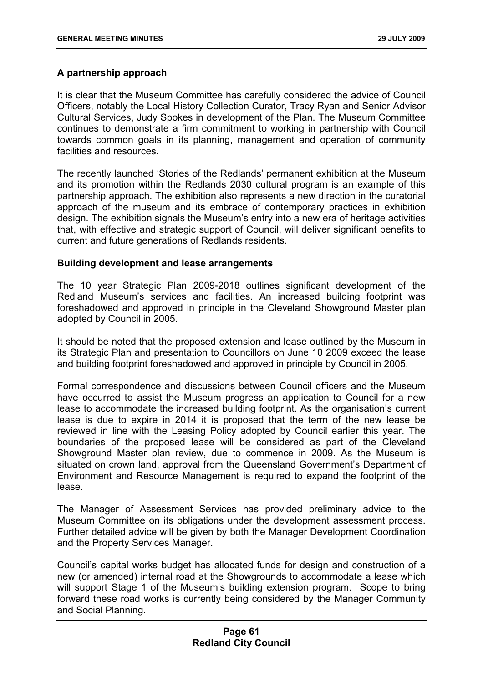# **A partnership approach**

It is clear that the Museum Committee has carefully considered the advice of Council Officers, notably the Local History Collection Curator, Tracy Ryan and Senior Advisor Cultural Services, Judy Spokes in development of the Plan. The Museum Committee continues to demonstrate a firm commitment to working in partnership with Council towards common goals in its planning, management and operation of community facilities and resources.

The recently launched 'Stories of the Redlands' permanent exhibition at the Museum and its promotion within the Redlands 2030 cultural program is an example of this partnership approach. The exhibition also represents a new direction in the curatorial approach of the museum and its embrace of contemporary practices in exhibition design. The exhibition signals the Museum's entry into a new era of heritage activities that, with effective and strategic support of Council, will deliver significant benefits to current and future generations of Redlands residents.

# **Building development and lease arrangements**

The 10 year Strategic Plan 2009-2018 outlines significant development of the Redland Museum's services and facilities. An increased building footprint was foreshadowed and approved in principle in the Cleveland Showground Master plan adopted by Council in 2005.

It should be noted that the proposed extension and lease outlined by the Museum in its Strategic Plan and presentation to Councillors on June 10 2009 exceed the lease and building footprint foreshadowed and approved in principle by Council in 2005.

Formal correspondence and discussions between Council officers and the Museum have occurred to assist the Museum progress an application to Council for a new lease to accommodate the increased building footprint. As the organisation's current lease is due to expire in 2014 it is proposed that the term of the new lease be reviewed in line with the Leasing Policy adopted by Council earlier this year. The boundaries of the proposed lease will be considered as part of the Cleveland Showground Master plan review, due to commence in 2009. As the Museum is situated on crown land, approval from the Queensland Government's Department of Environment and Resource Management is required to expand the footprint of the lease.

The Manager of Assessment Services has provided preliminary advice to the Museum Committee on its obligations under the development assessment process. Further detailed advice will be given by both the Manager Development Coordination and the Property Services Manager.

Council's capital works budget has allocated funds for design and construction of a new (or amended) internal road at the Showgrounds to accommodate a lease which will support Stage 1 of the Museum's building extension program. Scope to bring forward these road works is currently being considered by the Manager Community and Social Planning.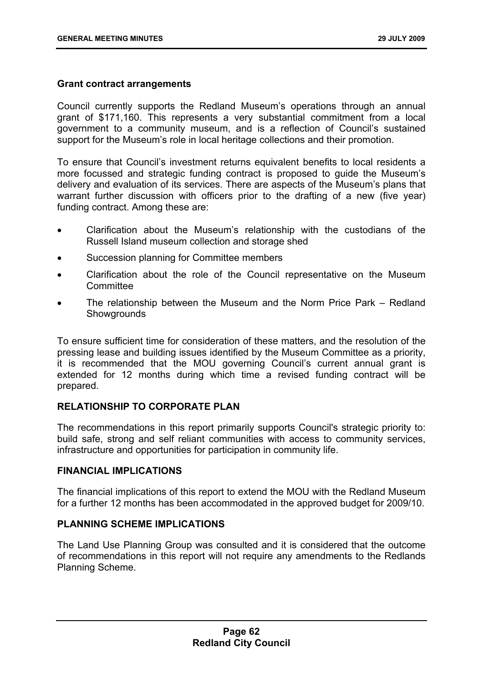# **Grant contract arrangements**

Council currently supports the Redland Museum's operations through an annual grant of \$171,160. This represents a very substantial commitment from a local government to a community museum, and is a reflection of Council's sustained support for the Museum's role in local heritage collections and their promotion.

To ensure that Council's investment returns equivalent benefits to local residents a more focussed and strategic funding contract is proposed to guide the Museum's delivery and evaluation of its services. There are aspects of the Museum's plans that warrant further discussion with officers prior to the drafting of a new (five year) funding contract. Among these are:

- Clarification about the Museum's relationship with the custodians of the Russell Island museum collection and storage shed
- Succession planning for Committee members
- Clarification about the role of the Council representative on the Museum **Committee**
- The relationship between the Museum and the Norm Price Park Redland **Showgrounds**

To ensure sufficient time for consideration of these matters, and the resolution of the pressing lease and building issues identified by the Museum Committee as a priority, it is recommended that the MOU governing Council's current annual grant is extended for 12 months during which time a revised funding contract will be prepared.

# **RELATIONSHIP TO CORPORATE PLAN**

The recommendations in this report primarily supports Council's strategic priority to: build safe, strong and self reliant communities with access to community services, infrastructure and opportunities for participation in community life.

### **FINANCIAL IMPLICATIONS**

The financial implications of this report to extend the MOU with the Redland Museum for a further 12 months has been accommodated in the approved budget for 2009/10.

# **PLANNING SCHEME IMPLICATIONS**

The Land Use Planning Group was consulted and it is considered that the outcome of recommendations in this report will not require any amendments to the Redlands Planning Scheme.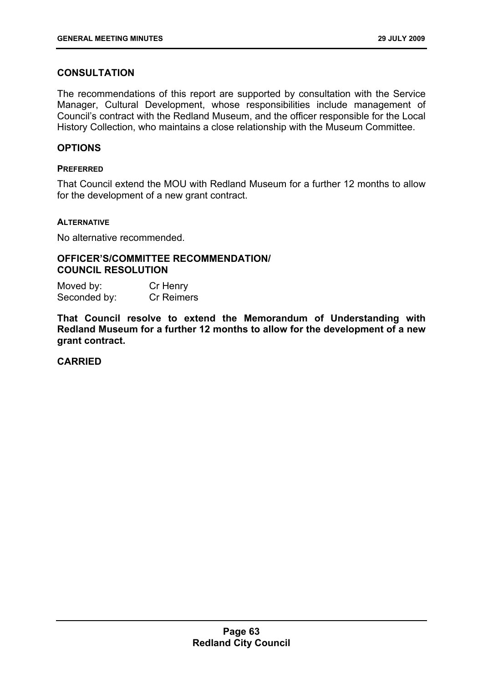# **CONSULTATION**

The recommendations of this report are supported by consultation with the Service Manager, Cultural Development, whose responsibilities include management of Council's contract with the Redland Museum, and the officer responsible for the Local History Collection, who maintains a close relationship with the Museum Committee.

# **OPTIONS**

### **PREFERRED**

That Council extend the MOU with Redland Museum for a further 12 months to allow for the development of a new grant contract.

### **ALTERNATIVE**

No alternative recommended.

#### **OFFICER'S/COMMITTEE RECOMMENDATION/ COUNCIL RESOLUTION**

| Moved by:    | Cr Henry   |
|--------------|------------|
| Seconded by: | Cr Reimers |

**That Council resolve to extend the Memorandum of Understanding with Redland Museum for a further 12 months to allow for the development of a new grant contract.** 

# **CARRIED**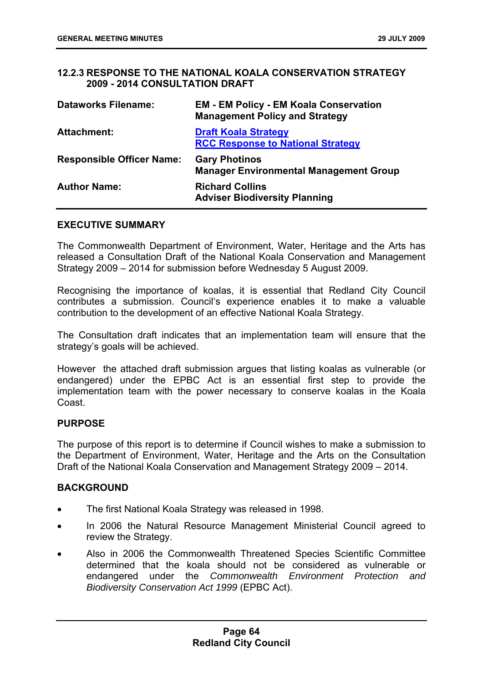# **12.2.3 RESPONSE TO THE NATIONAL KOALA CONSERVATION STRATEGY 2009 - 2014 CONSULTATION DRAFT**

| <b>Dataworks Filename:</b>       | <b>EM - EM Policy - EM Koala Conservation</b><br><b>Management Policy and Strategy</b> |
|----------------------------------|----------------------------------------------------------------------------------------|
| <b>Attachment:</b>               | <b>Draft Koala Strategy</b><br><b>RCC Response to National Strategy</b>                |
| <b>Responsible Officer Name:</b> | <b>Gary Photinos</b><br><b>Manager Environmental Management Group</b>                  |
| <b>Author Name:</b>              | <b>Richard Collins</b><br><b>Adviser Biodiversity Planning</b>                         |

#### **EXECUTIVE SUMMARY**

The Commonwealth Department of Environment, Water, Heritage and the Arts has released a Consultation Draft of the National Koala Conservation and Management Strategy 2009 – 2014 for submission before Wednesday 5 August 2009.

Recognising the importance of koalas, it is essential that Redland City Council contributes a submission. Council's experience enables it to make a valuable contribution to the development of an effective National Koala Strategy.

The Consultation draft indicates that an implementation team will ensure that the strategy's goals will be achieved.

However the attached draft submission argues that listing koalas as vulnerable (or endangered) under the EPBC Act is an essential first step to provide the implementation team with the power necessary to conserve koalas in the Koala Coast.

# **PURPOSE**

The purpose of this report is to determine if Council wishes to make a submission to the Department of Environment, Water, Heritage and the Arts on the Consultation Draft of the National Koala Conservation and Management Strategy 2009 – 2014.

### **BACKGROUND**

- The first National Koala Strategy was released in 1998.
- In 2006 the Natural Resource Management Ministerial Council agreed to review the Strategy.
- Also in 2006 the Commonwealth Threatened Species Scientific Committee determined that the koala should not be considered as vulnerable or endangered under the *Commonwealth Environment Protection and Biodiversity Conservation Act 1999* (EPBC Act).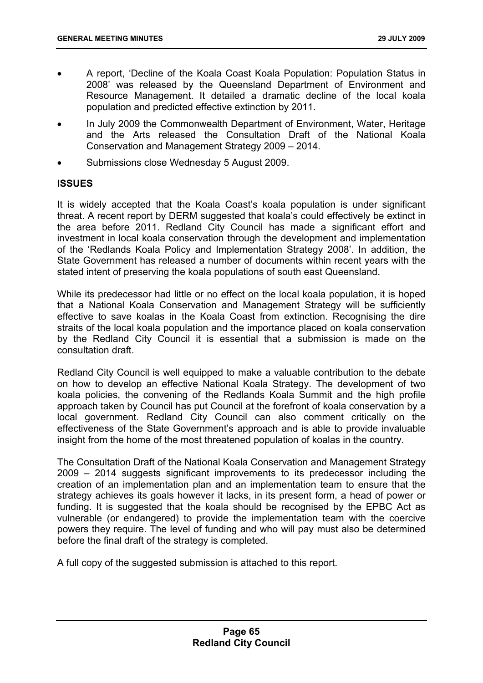- A report, 'Decline of the Koala Coast Koala Population: Population Status in 2008' was released by the Queensland Department of Environment and Resource Management. It detailed a dramatic decline of the local koala population and predicted effective extinction by 2011.
- In July 2009 the Commonwealth Department of Environment, Water, Heritage and the Arts released the Consultation Draft of the National Koala Conservation and Management Strategy 2009 – 2014.
- Submissions close Wednesday 5 August 2009.

# **ISSUES**

It is widely accepted that the Koala Coast's koala population is under significant threat. A recent report by DERM suggested that koala's could effectively be extinct in the area before 2011. Redland City Council has made a significant effort and investment in local koala conservation through the development and implementation of the 'Redlands Koala Policy and Implementation Strategy 2008'. In addition, the State Government has released a number of documents within recent years with the stated intent of preserving the koala populations of south east Queensland.

While its predecessor had little or no effect on the local koala population, it is hoped that a National Koala Conservation and Management Strategy will be sufficiently effective to save koalas in the Koala Coast from extinction. Recognising the dire straits of the local koala population and the importance placed on koala conservation by the Redland City Council it is essential that a submission is made on the consultation draft.

Redland City Council is well equipped to make a valuable contribution to the debate on how to develop an effective National Koala Strategy. The development of two koala policies, the convening of the Redlands Koala Summit and the high profile approach taken by Council has put Council at the forefront of koala conservation by a local government. Redland City Council can also comment critically on the effectiveness of the State Government's approach and is able to provide invaluable insight from the home of the most threatened population of koalas in the country.

The Consultation Draft of the National Koala Conservation and Management Strategy 2009 – 2014 suggests significant improvements to its predecessor including the creation of an implementation plan and an implementation team to ensure that the strategy achieves its goals however it lacks, in its present form, a head of power or funding. It is suggested that the koala should be recognised by the EPBC Act as vulnerable (or endangered) to provide the implementation team with the coercive powers they require. The level of funding and who will pay must also be determined before the final draft of the strategy is completed.

A full copy of the suggested submission is attached to this report.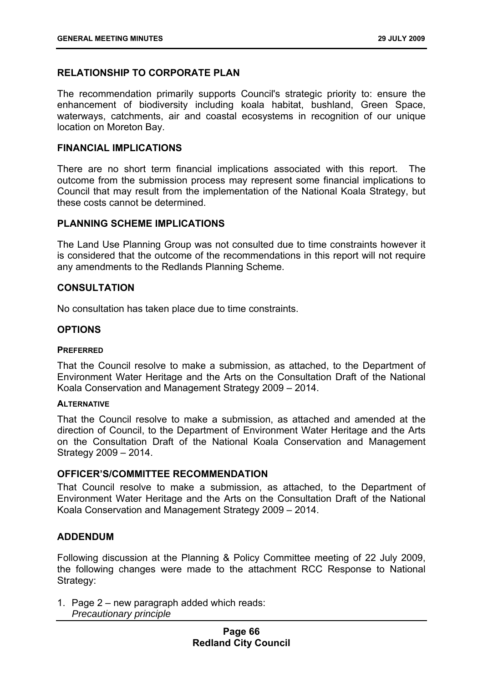# **RELATIONSHIP TO CORPORATE PLAN**

The recommendation primarily supports Council's strategic priority to: ensure the enhancement of biodiversity including koala habitat, bushland, Green Space, waterways, catchments, air and coastal ecosystems in recognition of our unique location on Moreton Bay.

# **FINANCIAL IMPLICATIONS**

There are no short term financial implications associated with this report. The outcome from the submission process may represent some financial implications to Council that may result from the implementation of the National Koala Strategy, but these costs cannot be determined.

### **PLANNING SCHEME IMPLICATIONS**

The Land Use Planning Group was not consulted due to time constraints however it is considered that the outcome of the recommendations in this report will not require any amendments to the Redlands Planning Scheme.

### **CONSULTATION**

No consultation has taken place due to time constraints.

### **OPTIONS**

#### **PREFERRED**

That the Council resolve to make a submission, as attached, to the Department of Environment Water Heritage and the Arts on the Consultation Draft of the National Koala Conservation and Management Strategy 2009 – 2014.

#### **ALTERNATIVE**

That the Council resolve to make a submission, as attached and amended at the direction of Council, to the Department of Environment Water Heritage and the Arts on the Consultation Draft of the National Koala Conservation and Management Strategy 2009 – 2014.

#### **OFFICER'S/COMMITTEE RECOMMENDATION**

That Council resolve to make a submission, as attached, to the Department of Environment Water Heritage and the Arts on the Consultation Draft of the National Koala Conservation and Management Strategy 2009 – 2014.

### **ADDENDUM**

Following discussion at the Planning & Policy Committee meeting of 22 July 2009, the following changes were made to the attachment RCC Response to National Strategy:

1. Page 2 – new paragraph added which reads: *Precautionary principle*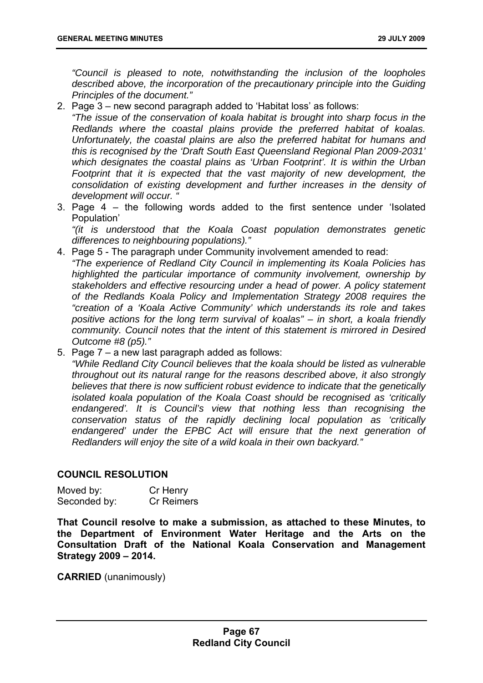*"Council is pleased to note, notwithstanding the inclusion of the loopholes described above, the incorporation of the precautionary principle into the Guiding Principles of the document."* 

2. Page 3 – new second paragraph added to 'Habitat loss' as follows:

*"The issue of the conservation of koala habitat is brought into sharp focus in the Redlands where the coastal plains provide the preferred habitat of koalas. Unfortunately, the coastal plains are also the preferred habitat for humans and this is recognised by the 'Draft South East Queensland Regional Plan 2009-2031' which designates the coastal plains as 'Urban Footprint'. It is within the Urban*  Footprint that it is expected that the vast majority of new development, the *consolidation of existing development and further increases in the density of development will occur. "* 

3. Page 4 – the following words added to the first sentence under 'Isolated Population'

*"(it is understood that the Koala Coast population demonstrates genetic differences to neighbouring populations)."* 

- 4. Page 5 The paragraph under Community involvement amended to read: *"The experience of Redland City Council in implementing its Koala Policies has highlighted the particular importance of community involvement, ownership by stakeholders and effective resourcing under a head of power. A policy statement of the Redlands Koala Policy and Implementation Strategy 2008 requires the "creation of a 'Koala Active Community' which understands its role and takes positive actions for the long term survival of koalas" – in short, a koala friendly community. Council notes that the intent of this statement is mirrored in Desired Outcome #8 (p5)."*
- 5. Page 7 a new last paragraph added as follows: *"While Redland City Council believes that the koala should be listed as vulnerable throughout out its natural range for the reasons described above, it also strongly believes that there is now sufficient robust evidence to indicate that the genetically isolated koala population of the Koala Coast should be recognised as 'critically endangered'. It is Council's view that nothing less than recognising the conservation status of the rapidly declining local population as 'critically endangered' under the EPBC Act will ensure that the next generation of Redlanders will enjoy the site of a wild koala in their own backyard."*

# **COUNCIL RESOLUTION**

Moved by: Cr Henry Seconded by: Cr Reimers

**That Council resolve to make a submission, as attached to these Minutes, to the Department of Environment Water Heritage and the Arts on the Consultation Draft of the National Koala Conservation and Management Strategy 2009 – 2014.** 

**CARRIED** (unanimously)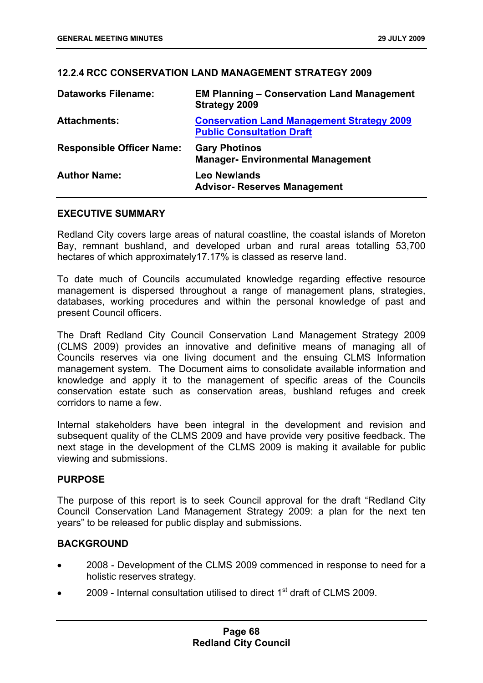# **12.2.4 RCC CONSERVATION LAND MANAGEMENT STRATEGY 2009**

| <b>Dataworks Filename:</b>       | <b>EM Planning - Conservation Land Management</b><br><b>Strategy 2009</b>             |
|----------------------------------|---------------------------------------------------------------------------------------|
| <b>Attachments:</b>              | <b>Conservation Land Management Strategy 2009</b><br><b>Public Consultation Draft</b> |
| <b>Responsible Officer Name:</b> | <b>Gary Photinos</b><br><b>Manager-Environmental Management</b>                       |
| <b>Author Name:</b>              | <b>Leo Newlands</b><br><b>Advisor- Reserves Management</b>                            |

### **EXECUTIVE SUMMARY**

Redland City covers large areas of natural coastline, the coastal islands of Moreton Bay, remnant bushland, and developed urban and rural areas totalling 53,700 hectares of which approximately17.17% is classed as reserve land.

To date much of Councils accumulated knowledge regarding effective resource management is dispersed throughout a range of management plans, strategies, databases, working procedures and within the personal knowledge of past and present Council officers.

The Draft Redland City Council Conservation Land Management Strategy 2009 (CLMS 2009) provides an innovative and definitive means of managing all of Councils reserves via one living document and the ensuing CLMS Information management system. The Document aims to consolidate available information and knowledge and apply it to the management of specific areas of the Councils conservation estate such as conservation areas, bushland refuges and creek corridors to name a few.

Internal stakeholders have been integral in the development and revision and subsequent quality of the CLMS 2009 and have provide very positive feedback. The next stage in the development of the CLMS 2009 is making it available for public viewing and submissions.

### **PURPOSE**

The purpose of this report is to seek Council approval for the draft "Redland City Council Conservation Land Management Strategy 2009: a plan for the next ten years" to be released for public display and submissions.

### **BACKGROUND**

- 2008 Development of the CLMS 2009 commenced in response to need for a holistic reserves strategy.
- 2009 Internal consultation utilised to direct 1st draft of CLMS 2009.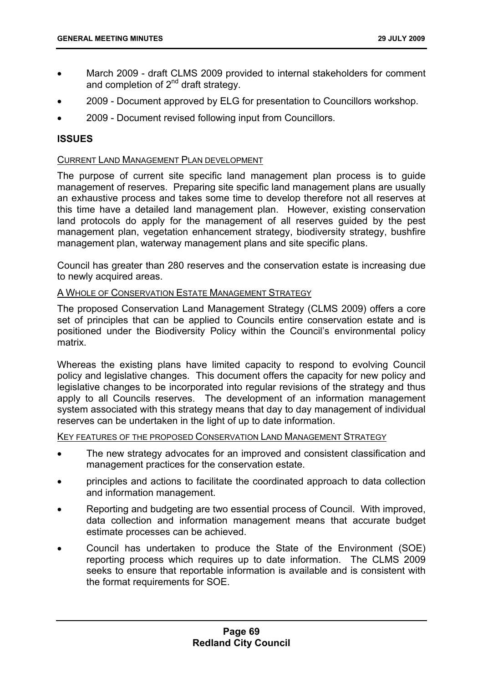- March 2009 draft CLMS 2009 provided to internal stakeholders for comment and completion of  $2^{nd}$  draft strategy.
- 2009 Document approved by ELG for presentation to Councillors workshop.
- 2009 Document revised following input from Councillors.

# **ISSUES**

# CURRENT LAND MANAGEMENT PLAN DEVELOPMENT

The purpose of current site specific land management plan process is to guide management of reserves. Preparing site specific land management plans are usually an exhaustive process and takes some time to develop therefore not all reserves at this time have a detailed land management plan. However, existing conservation land protocols do apply for the management of all reserves guided by the pest management plan, vegetation enhancement strategy, biodiversity strategy, bushfire management plan, waterway management plans and site specific plans.

Council has greater than 280 reserves and the conservation estate is increasing due to newly acquired areas.

### A WHOLE OF CONSERVATION ESTATE MANAGEMENT STRATEGY

The proposed Conservation Land Management Strategy (CLMS 2009) offers a core set of principles that can be applied to Councils entire conservation estate and is positioned under the Biodiversity Policy within the Council's environmental policy matrix.

Whereas the existing plans have limited capacity to respond to evolving Council policy and legislative changes. This document offers the capacity for new policy and legislative changes to be incorporated into regular revisions of the strategy and thus apply to all Councils reserves. The development of an information management system associated with this strategy means that day to day management of individual reserves can be undertaken in the light of up to date information.

KEY FEATURES OF THE PROPOSED CONSERVATION LAND MANAGEMENT STRATEGY

- The new strategy advocates for an improved and consistent classification and management practices for the conservation estate.
- principles and actions to facilitate the coordinated approach to data collection and information management.
- Reporting and budgeting are two essential process of Council. With improved, data collection and information management means that accurate budget estimate processes can be achieved.
- Council has undertaken to produce the State of the Environment (SOE) reporting process which requires up to date information. The CLMS 2009 seeks to ensure that reportable information is available and is consistent with the format requirements for SOE.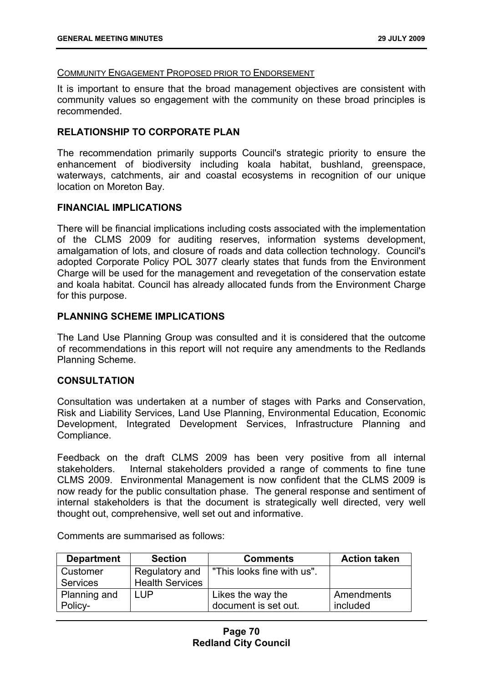#### COMMUNITY ENGAGEMENT PROPOSED PRIOR TO ENDORSEMENT

It is important to ensure that the broad management objectives are consistent with community values so engagement with the community on these broad principles is recommended.

# **RELATIONSHIP TO CORPORATE PLAN**

The recommendation primarily supports Council's strategic priority to ensure the enhancement of biodiversity including koala habitat, bushland, greenspace, waterways, catchments, air and coastal ecosystems in recognition of our unique location on Moreton Bay.

### **FINANCIAL IMPLICATIONS**

There will be financial implications including costs associated with the implementation of the CLMS 2009 for auditing reserves, information systems development, amalgamation of lots, and closure of roads and data collection technology. Council's adopted Corporate Policy POL 3077 clearly states that funds from the Environment Charge will be used for the management and revegetation of the conservation estate and koala habitat. Council has already allocated funds from the Environment Charge for this purpose.

# **PLANNING SCHEME IMPLICATIONS**

The Land Use Planning Group was consulted and it is considered that the outcome of recommendations in this report will not require any amendments to the Redlands Planning Scheme.

### **CONSULTATION**

Consultation was undertaken at a number of stages with Parks and Conservation, Risk and Liability Services, Land Use Planning, Environmental Education, Economic Development, Integrated Development Services, Infrastructure Planning and Compliance.

Feedback on the draft CLMS 2009 has been very positive from all internal stakeholders. Internal stakeholders provided a range of comments to fine tune CLMS 2009. Environmental Management is now confident that the CLMS 2009 is now ready for the public consultation phase. The general response and sentiment of internal stakeholders is that the document is strategically well directed, very well thought out, comprehensive, well set out and informative.

| <b>Department</b> | <b>Section</b>         | <b>Comments</b>            | <b>Action taken</b> |
|-------------------|------------------------|----------------------------|---------------------|
| Customer          | Regulatory and         | "This looks fine with us". |                     |
| <b>Services</b>   | <b>Health Services</b> |                            |                     |
| Planning and      | _UP                    | Likes the way the          | Amendments          |
| Policy-           |                        | document is set out.       | included            |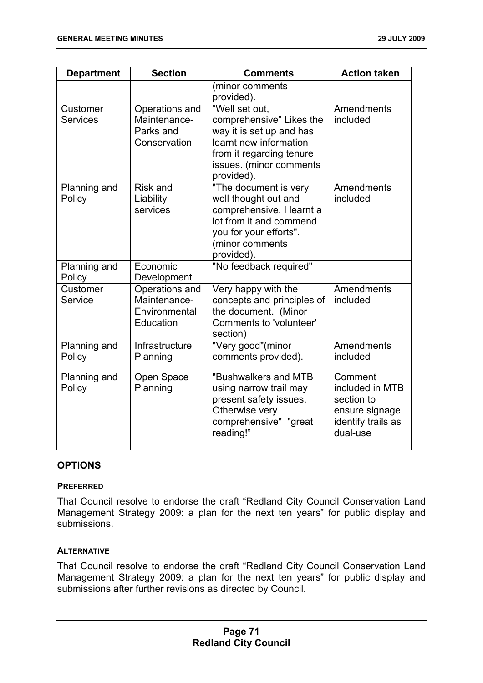| <b>Department</b>           | <b>Section</b>                                               | <b>Comments</b>                                                                                                                                                       | <b>Action taken</b>                                                                          |
|-----------------------------|--------------------------------------------------------------|-----------------------------------------------------------------------------------------------------------------------------------------------------------------------|----------------------------------------------------------------------------------------------|
|                             |                                                              | (minor comments<br>provided).                                                                                                                                         |                                                                                              |
| Customer<br><b>Services</b> | Operations and<br>Maintenance-<br>Parks and<br>Conservation  | "Well set out,<br>comprehensive" Likes the<br>way it is set up and has<br>learnt new information<br>from it regarding tenure<br>issues. (minor comments<br>provided). | Amendments<br>included                                                                       |
| Planning and<br>Policy      | <b>Risk and</b><br>Liability<br>services                     | "The document is very<br>well thought out and<br>comprehensive. I learnt a<br>lot from it and commend<br>you for your efforts".<br>(minor comments<br>provided).      | Amendments<br>included                                                                       |
| Planning and<br>Policy      | Economic<br>Development                                      | "No feedback required"                                                                                                                                                |                                                                                              |
| Customer<br>Service         | Operations and<br>Maintenance-<br>Environmental<br>Education | Very happy with the<br>concepts and principles of<br>the document. (Minor<br>Comments to 'volunteer'<br>section)                                                      | Amendments<br>included                                                                       |
| Planning and<br>Policy      | Infrastructure<br>Planning                                   | "Very good"(minor<br>comments provided).                                                                                                                              | Amendments<br>included                                                                       |
| Planning and<br>Policy      | Open Space<br>Planning                                       | "Bushwalkers and MTB<br>using narrow trail may<br>present safety issues.<br>Otherwise very<br>comprehensive" "great<br>reading!"                                      | Comment<br>included in MTB<br>section to<br>ensure signage<br>identify trails as<br>dual-use |

### **OPTIONS**

### **PREFERRED**

That Council resolve to endorse the draft "Redland City Council Conservation Land Management Strategy 2009: a plan for the next ten years" for public display and submissions.

### **ALTERNATIVE**

That Council resolve to endorse the draft "Redland City Council Conservation Land Management Strategy 2009: a plan for the next ten years" for public display and submissions after further revisions as directed by Council.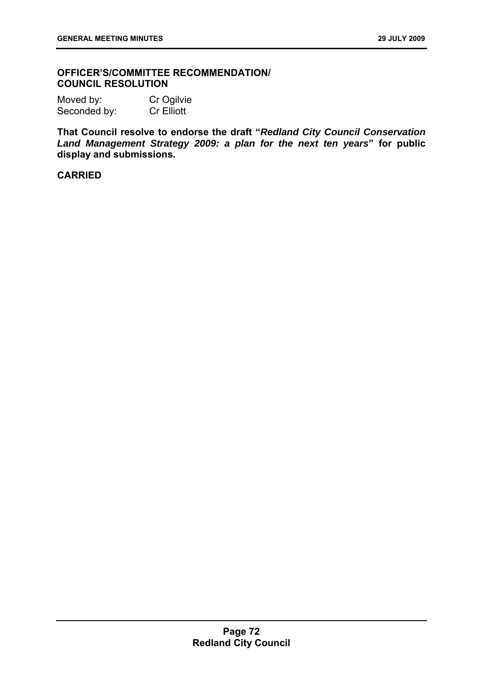### **OFFICER'S/COMMITTEE RECOMMENDATION/ COUNCIL RESOLUTION**

| Moved by:    | Cr Ogilvie        |
|--------------|-------------------|
| Seconded by: | <b>Cr Elliott</b> |

**That Council resolve to endorse the draft "***Redland City Council Conservation Land Management Strategy 2009: a plan for the next ten years***" for public display and submissions.** 

# **CARRIED**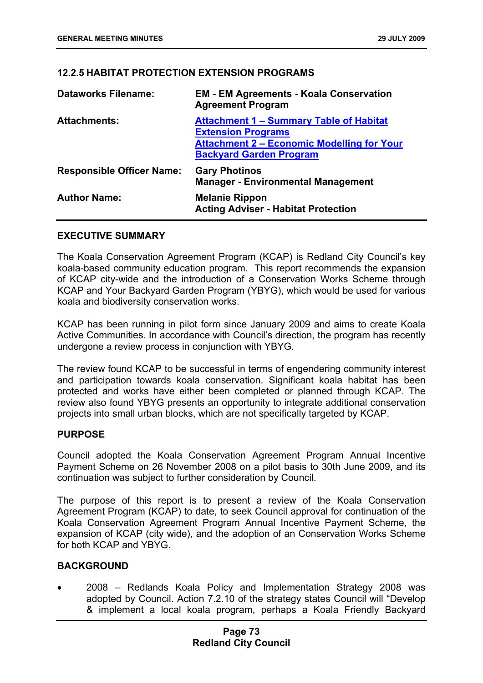# **12.2.5 HABITAT PROTECTION EXTENSION PROGRAMS**

| <b>Dataworks Filename:</b>       | <b>EM - EM Agreements - Koala Conservation</b><br><b>Agreement Program</b>                                                                                         |
|----------------------------------|--------------------------------------------------------------------------------------------------------------------------------------------------------------------|
| <b>Attachments:</b>              | <b>Attachment 1 - Summary Table of Habitat</b><br><b>Extension Programs</b><br><b>Attachment 2 - Economic Modelling for Your</b><br><b>Backyard Garden Program</b> |
| <b>Responsible Officer Name:</b> | <b>Gary Photinos</b><br><b>Manager - Environmental Management</b>                                                                                                  |
| <b>Author Name:</b>              | <b>Melanie Rippon</b><br><b>Acting Adviser - Habitat Protection</b>                                                                                                |

# **EXECUTIVE SUMMARY**

The Koala Conservation Agreement Program (KCAP) is Redland City Council's key koala-based community education program. This report recommends the expansion of KCAP city-wide and the introduction of a Conservation Works Scheme through KCAP and Your Backyard Garden Program (YBYG), which would be used for various koala and biodiversity conservation works.

KCAP has been running in pilot form since January 2009 and aims to create Koala Active Communities. In accordance with Council's direction, the program has recently undergone a review process in conjunction with YBYG.

The review found KCAP to be successful in terms of engendering community interest and participation towards koala conservation. Significant koala habitat has been protected and works have either been completed or planned through KCAP. The review also found YBYG presents an opportunity to integrate additional conservation projects into small urban blocks, which are not specifically targeted by KCAP.

### **PURPOSE**

Council adopted the Koala Conservation Agreement Program Annual Incentive Payment Scheme on 26 November 2008 on a pilot basis to 30th June 2009, and its continuation was subject to further consideration by Council.

The purpose of this report is to present a review of the Koala Conservation Agreement Program (KCAP) to date, to seek Council approval for continuation of the Koala Conservation Agreement Program Annual Incentive Payment Scheme, the expansion of KCAP (city wide), and the adoption of an Conservation Works Scheme for both KCAP and YBYG.

# **BACKGROUND**

• 2008 – Redlands Koala Policy and Implementation Strategy 2008 was adopted by Council. Action 7.2.10 of the strategy states Council will "Develop & implement a local koala program, perhaps a Koala Friendly Backyard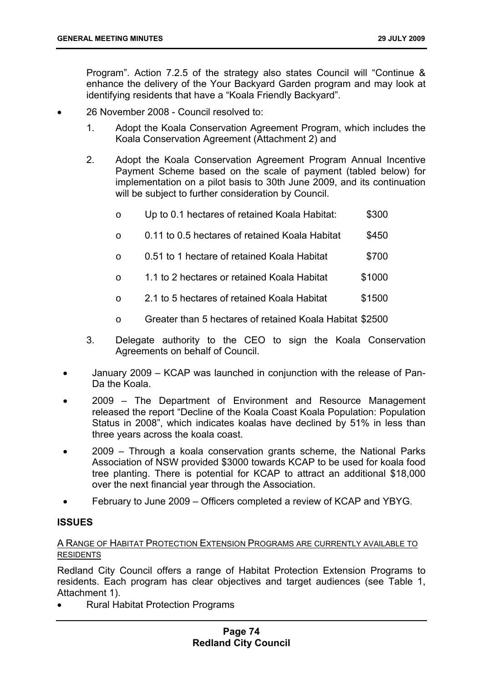Program". Action 7.2.5 of the strategy also states Council will "Continue & enhance the delivery of the Your Backyard Garden program and may look at identifying residents that have a "Koala Friendly Backyard".

- 26 November 2008 Council resolved to:
	- 1. Adopt the Koala Conservation Agreement Program, which includes the Koala Conservation Agreement (Attachment 2) and
	- 2. Adopt the Koala Conservation Agreement Program Annual Incentive Payment Scheme based on the scale of payment (tabled below) for implementation on a pilot basis to 30th June 2009, and its continuation will be subject to further consideration by Council.
		- o Up to 0.1 hectares of retained Koala Habitat: \$300
		- o 0.11 to 0.5 hectares of retained Koala Habitat \$450
		- $\circ$  0.51 to 1 hectare of retained Koala Habitat  $\sim$  \$700
		- o 1.1 to 2 hectares or retained Koala Habitat \$1000
		- $\circ$  2.1 to 5 hectares of retained Koala Habitat  $\sim$  \$1500
		- o Greater than 5 hectares of retained Koala Habitat \$2500
	- 3. Delegate authority to the CEO to sign the Koala Conservation Agreements on behalf of Council.
	- January 2009 KCAP was launched in conjunction with the release of Pan-Da the Koala.
	- 2009 The Department of Environment and Resource Management released the report "Decline of the Koala Coast Koala Population: Population Status in 2008", which indicates koalas have declined by 51% in less than three years across the koala coast.
	- 2009 Through a koala conservation grants scheme, the National Parks Association of NSW provided \$3000 towards KCAP to be used for koala food tree planting. There is potential for KCAP to attract an additional \$18,000 over the next financial year through the Association.
	- February to June 2009 Officers completed a review of KCAP and YBYG.

### **ISSUES**

# A RANGE OF HABITAT PROTECTION EXTENSION PROGRAMS ARE CURRENTLY AVAILABLE TO RESIDENTS

Redland City Council offers a range of Habitat Protection Extension Programs to residents. Each program has clear objectives and target audiences (see Table 1, Attachment 1).

• Rural Habitat Protection Programs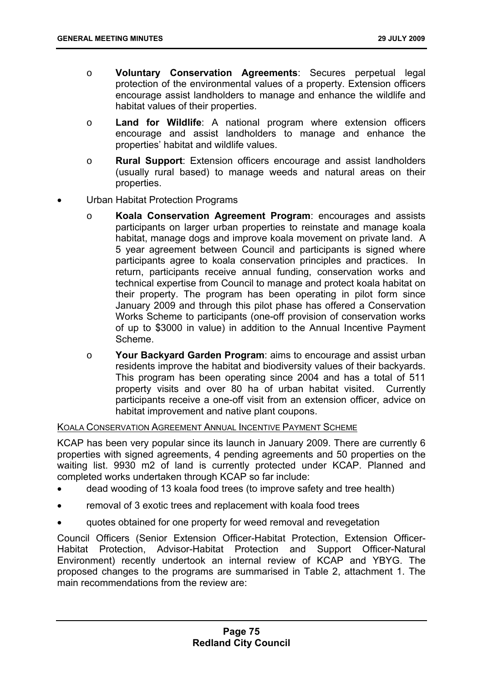- o **Voluntary Conservation Agreements**: Secures perpetual legal protection of the environmental values of a property. Extension officers encourage assist landholders to manage and enhance the wildlife and habitat values of their properties.
- o **Land for Wildlife**: A national program where extension officers encourage and assist landholders to manage and enhance the properties' habitat and wildlife values.
- o **Rural Support**: Extension officers encourage and assist landholders (usually rural based) to manage weeds and natural areas on their properties.
- Urban Habitat Protection Programs
	- o **Koala Conservation Agreement Program**: encourages and assists participants on larger urban properties to reinstate and manage koala habitat, manage dogs and improve koala movement on private land. A 5 year agreement between Council and participants is signed where participants agree to koala conservation principles and practices. In return, participants receive annual funding, conservation works and technical expertise from Council to manage and protect koala habitat on their property. The program has been operating in pilot form since January 2009 and through this pilot phase has offered a Conservation Works Scheme to participants (one-off provision of conservation works of up to \$3000 in value) in addition to the Annual Incentive Payment Scheme.
	- o **Your Backyard Garden Program**: aims to encourage and assist urban residents improve the habitat and biodiversity values of their backyards. This program has been operating since 2004 and has a total of 511 property visits and over 80 ha of urban habitat visited. Currently participants receive a one-off visit from an extension officer, advice on habitat improvement and native plant coupons.

### KOALA CONSERVATION AGREEMENT ANNUAL INCENTIVE PAYMENT SCHEME

KCAP has been very popular since its launch in January 2009. There are currently 6 properties with signed agreements, 4 pending agreements and 50 properties on the waiting list. 9930 m2 of land is currently protected under KCAP. Planned and completed works undertaken through KCAP so far include:

- dead wooding of 13 koala food trees (to improve safety and tree health)
- removal of 3 exotic trees and replacement with koala food trees
- quotes obtained for one property for weed removal and revegetation

Council Officers (Senior Extension Officer-Habitat Protection, Extension Officer-Habitat Protection, Advisor-Habitat Protection and Support Officer-Natural Environment) recently undertook an internal review of KCAP and YBYG. The proposed changes to the programs are summarised in Table 2, attachment 1. The main recommendations from the review are: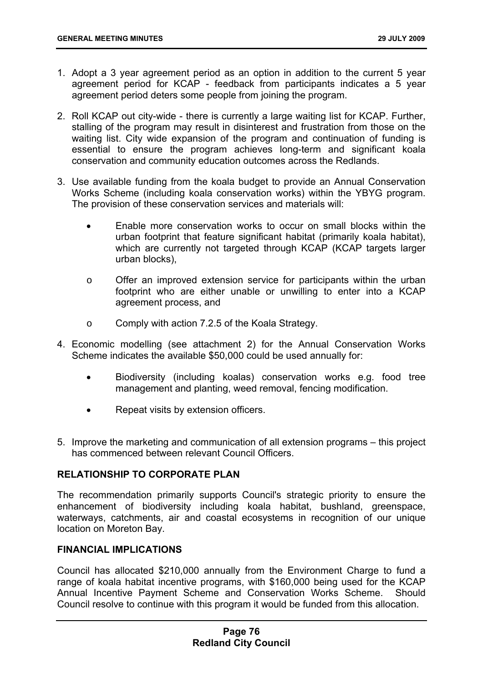- 1. Adopt a 3 year agreement period as an option in addition to the current 5 year agreement period for KCAP - feedback from participants indicates a 5 year agreement period deters some people from joining the program.
- 2. Roll KCAP out city-wide there is currently a large waiting list for KCAP. Further, stalling of the program may result in disinterest and frustration from those on the waiting list. City wide expansion of the program and continuation of funding is essential to ensure the program achieves long-term and significant koala conservation and community education outcomes across the Redlands.
- 3. Use available funding from the koala budget to provide an Annual Conservation Works Scheme (including koala conservation works) within the YBYG program. The provision of these conservation services and materials will:
	- Enable more conservation works to occur on small blocks within the urban footprint that feature significant habitat (primarily koala habitat), which are currently not targeted through KCAP (KCAP targets larger urban blocks),
	- o Offer an improved extension service for participants within the urban footprint who are either unable or unwilling to enter into a KCAP agreement process, and
	- o Comply with action 7.2.5 of the Koala Strategy.
- 4. Economic modelling (see attachment 2) for the Annual Conservation Works Scheme indicates the available \$50,000 could be used annually for:
	- Biodiversity (including koalas) conservation works e.g. food tree management and planting, weed removal, fencing modification.
	- Repeat visits by extension officers.
- 5. Improve the marketing and communication of all extension programs this project has commenced between relevant Council Officers.

# **RELATIONSHIP TO CORPORATE PLAN**

The recommendation primarily supports Council's strategic priority to ensure the enhancement of biodiversity including koala habitat, bushland, greenspace, waterways, catchments, air and coastal ecosystems in recognition of our unique location on Moreton Bay.

### **FINANCIAL IMPLICATIONS**

Council has allocated \$210,000 annually from the Environment Charge to fund a range of koala habitat incentive programs, with \$160,000 being used for the KCAP Annual Incentive Payment Scheme and Conservation Works Scheme. Should Council resolve to continue with this program it would be funded from this allocation.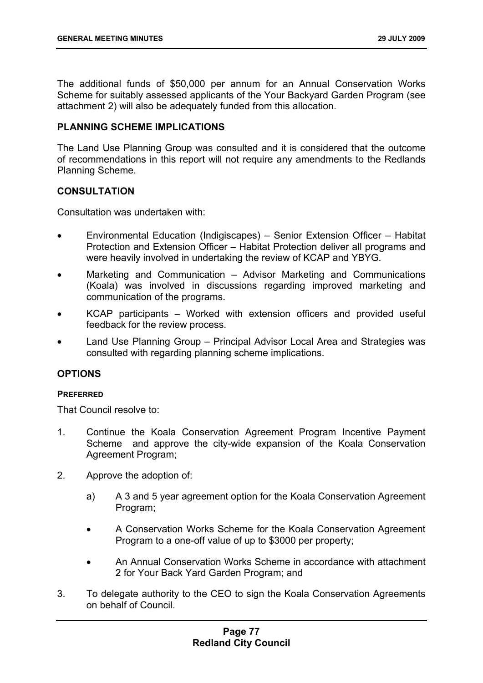The additional funds of \$50,000 per annum for an Annual Conservation Works Scheme for suitably assessed applicants of the Your Backyard Garden Program (see attachment 2) will also be adequately funded from this allocation.

### **PLANNING SCHEME IMPLICATIONS**

The Land Use Planning Group was consulted and it is considered that the outcome of recommendations in this report will not require any amendments to the Redlands Planning Scheme.

# **CONSULTATION**

Consultation was undertaken with:

- Environmental Education (Indigiscapes) Senior Extension Officer Habitat Protection and Extension Officer – Habitat Protection deliver all programs and were heavily involved in undertaking the review of KCAP and YBYG.
- Marketing and Communication Advisor Marketing and Communications (Koala) was involved in discussions regarding improved marketing and communication of the programs.
- KCAP participants Worked with extension officers and provided useful feedback for the review process.
- Land Use Planning Group Principal Advisor Local Area and Strategies was consulted with regarding planning scheme implications.

### **OPTIONS**

### **PREFERRED**

That Council resolve to:

- 1. Continue the Koala Conservation Agreement Program Incentive Payment Scheme and approve the city-wide expansion of the Koala Conservation Agreement Program;
- 2. Approve the adoption of:
	- a) A 3 and 5 year agreement option for the Koala Conservation Agreement Program;
	- A Conservation Works Scheme for the Koala Conservation Agreement Program to a one-off value of up to \$3000 per property;
	- An Annual Conservation Works Scheme in accordance with attachment 2 for Your Back Yard Garden Program; and
- 3. To delegate authority to the CEO to sign the Koala Conservation Agreements on behalf of Council.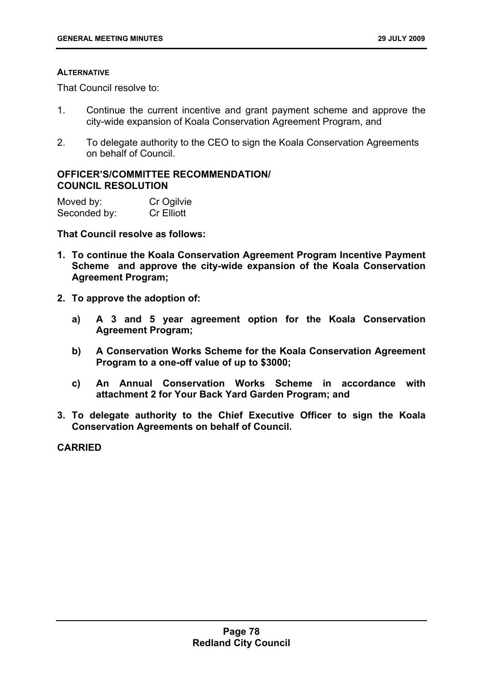#### **ALTERNATIVE**

That Council resolve to:

- 1. Continue the current incentive and grant payment scheme and approve the city-wide expansion of Koala Conservation Agreement Program, and
- 2. To delegate authority to the CEO to sign the Koala Conservation Agreements on behalf of Council.

# **OFFICER'S/COMMITTEE RECOMMENDATION/ COUNCIL RESOLUTION**

| Moved by:    | Cr Ogilvie        |
|--------------|-------------------|
| Seconded by: | <b>Cr Elliott</b> |

**That Council resolve as follows:** 

- **1. To continue the Koala Conservation Agreement Program Incentive Payment Scheme and approve the city-wide expansion of the Koala Conservation Agreement Program;**
- **2. To approve the adoption of:** 
	- **a) A 3 and 5 year agreement option for the Koala Conservation Agreement Program;**
	- **b) A Conservation Works Scheme for the Koala Conservation Agreement Program to a one-off value of up to \$3000;**
	- **c) An Annual Conservation Works Scheme in accordance with attachment 2 for Your Back Yard Garden Program; and**
- **3. To delegate authority to the Chief Executive Officer to sign the Koala Conservation Agreements on behalf of Council.**

**CARRIED**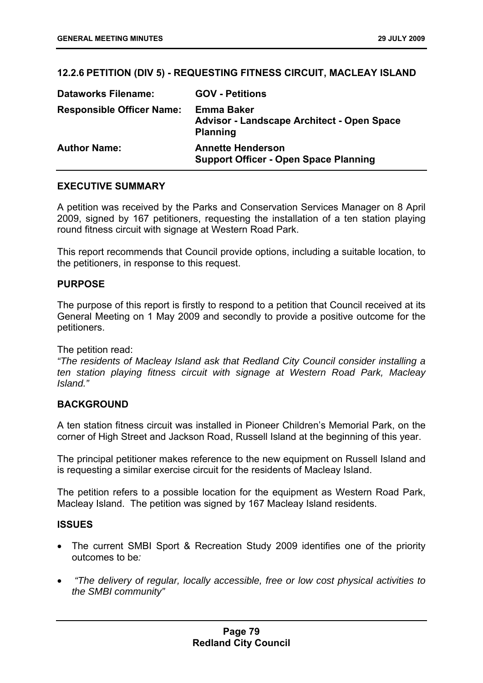# **12.2.6 PETITION (DIV 5) - REQUESTING FITNESS CIRCUIT, MACLEAY ISLAND**

| <b>Dataworks Filename:</b>       | <b>GOV - Petitions</b>                                                                    |
|----------------------------------|-------------------------------------------------------------------------------------------|
| <b>Responsible Officer Name:</b> | <b>Emma Baker</b><br><b>Advisor - Landscape Architect - Open Space</b><br><b>Planning</b> |
| <b>Author Name:</b>              | <b>Annette Henderson</b><br><b>Support Officer - Open Space Planning</b>                  |

### **EXECUTIVE SUMMARY**

A petition was received by the Parks and Conservation Services Manager on 8 April 2009, signed by 167 petitioners, requesting the installation of a ten station playing round fitness circuit with signage at Western Road Park.

This report recommends that Council provide options, including a suitable location, to the petitioners, in response to this request.

### **PURPOSE**

The purpose of this report is firstly to respond to a petition that Council received at its General Meeting on 1 May 2009 and secondly to provide a positive outcome for the petitioners.

The petition read:

*"The residents of Macleay Island ask that Redland City Council consider installing a ten station playing fitness circuit with signage at Western Road Park, Macleay Island."* 

### **BACKGROUND**

A ten station fitness circuit was installed in Pioneer Children's Memorial Park, on the corner of High Street and Jackson Road, Russell Island at the beginning of this year.

The principal petitioner makes reference to the new equipment on Russell Island and is requesting a similar exercise circuit for the residents of Macleay Island.

The petition refers to a possible location for the equipment as Western Road Park, Macleay Island. The petition was signed by 167 Macleay Island residents.

### **ISSUES**

- The current SMBI Sport & Recreation Study 2009 identifies one of the priority outcomes to be*:*
- • *"The delivery of regular, locally accessible, free or low cost physical activities to the SMBI community"*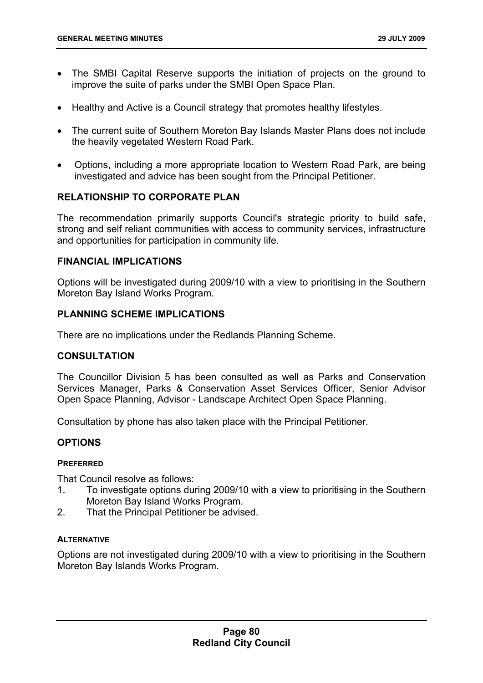- The SMBI Capital Reserve supports the initiation of projects on the ground to improve the suite of parks under the SMBI Open Space Plan.
- Healthy and Active is a Council strategy that promotes healthy lifestyles.
- The current suite of Southern Moreton Bay Islands Master Plans does not include the heavily vegetated Western Road Park.
- Options, including a more appropriate location to Western Road Park, are being investigated and advice has been sought from the Principal Petitioner.

# **RELATIONSHIP TO CORPORATE PLAN**

The recommendation primarily supports Council's strategic priority to build safe, strong and self reliant communities with access to community services, infrastructure and opportunities for participation in community life.

### **FINANCIAL IMPLICATIONS**

Options will be investigated during 2009/10 with a view to prioritising in the Southern Moreton Bay Island Works Program.

### **PLANNING SCHEME IMPLICATIONS**

There are no implications under the Redlands Planning Scheme.

#### **CONSULTATION**

The Councillor Division 5 has been consulted as well as Parks and Conservation Services Manager, Parks & Conservation Asset Services Officer, Senior Advisor Open Space Planning, Advisor - Landscape Architect Open Space Planning.

Consultation by phone has also taken place with the Principal Petitioner.

### **OPTIONS**

#### **PREFERRED**

That Council resolve as follows:

- 1. To investigate options during 2009/10 with a view to prioritising in the Southern Moreton Bay Island Works Program.
- 2. That the Principal Petitioner be advised.

#### **ALTERNATIVE**

Options are not investigated during 2009/10 with a view to prioritising in the Southern Moreton Bay Islands Works Program.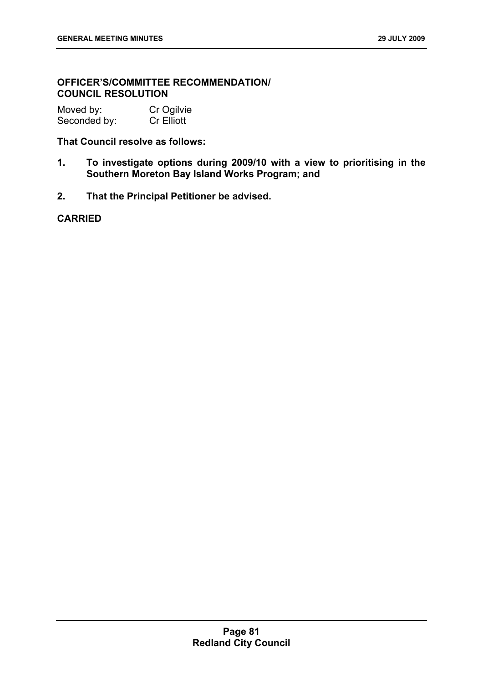# **OFFICER'S/COMMITTEE RECOMMENDATION/ COUNCIL RESOLUTION**

| Moved by:    | Cr Ogilvie        |
|--------------|-------------------|
| Seconded by: | <b>Cr Elliott</b> |

# **That Council resolve as follows:**

- **1. To investigate options during 2009/10 with a view to prioritising in the Southern Moreton Bay Island Works Program; and**
- **2. That the Principal Petitioner be advised.**

# **CARRIED**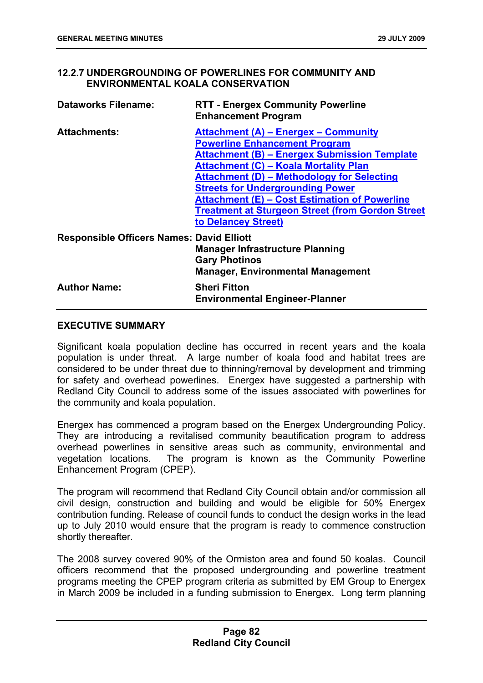# **12.2.7 UNDERGROUNDING OF POWERLINES FOR COMMUNITY AND ENVIRONMENTAL KOALA CONSERVATION**

| <b>Dataworks Filename:</b>                       | <b>RTT - Energex Community Powerline</b><br><b>Enhancement Program</b>                                                                                                                                                                                                                                                                                                                                                        |
|--------------------------------------------------|-------------------------------------------------------------------------------------------------------------------------------------------------------------------------------------------------------------------------------------------------------------------------------------------------------------------------------------------------------------------------------------------------------------------------------|
| <b>Attachments:</b>                              | Attachment (A) – Energex – Community<br><b>Powerline Enhancement Program</b><br><b>Attachment (B) – Energex Submission Template</b><br><b>Attachment (C) – Koala Mortality Plan</b><br><b>Attachment (D) - Methodology for Selecting</b><br><b>Streets for Undergrounding Power</b><br><b>Attachment (E) - Cost Estimation of Powerline</b><br><b>Treatment at Sturgeon Street (from Gordon Street</b><br>to Delancey Street) |
| <b>Responsible Officers Names: David Elliott</b> | <b>Manager Infrastructure Planning</b><br><b>Gary Photinos</b><br><b>Manager, Environmental Management</b>                                                                                                                                                                                                                                                                                                                    |
| <b>Author Name:</b>                              | <b>Sheri Fitton</b><br><b>Environmental Engineer-Planner</b>                                                                                                                                                                                                                                                                                                                                                                  |

# **EXECUTIVE SUMMARY**

Significant koala population decline has occurred in recent years and the koala population is under threat. A large number of koala food and habitat trees are considered to be under threat due to thinning/removal by development and trimming for safety and overhead powerlines. Energex have suggested a partnership with Redland City Council to address some of the issues associated with powerlines for the community and koala population.

Energex has commenced a program based on the Energex Undergrounding Policy. They are introducing a revitalised community beautification program to address overhead powerlines in sensitive areas such as community, environmental and vegetation locations. The program is known as the Community Powerline Enhancement Program (CPEP).

The program will recommend that Redland City Council obtain and/or commission all civil design, construction and building and would be eligible for 50% Energex contribution funding. Release of council funds to conduct the design works in the lead up to July 2010 would ensure that the program is ready to commence construction shortly thereafter.

The 2008 survey covered 90% of the Ormiston area and found 50 koalas. Council officers recommend that the proposed undergrounding and powerline treatment programs meeting the CPEP program criteria as submitted by EM Group to Energex in March 2009 be included in a funding submission to Energex. Long term planning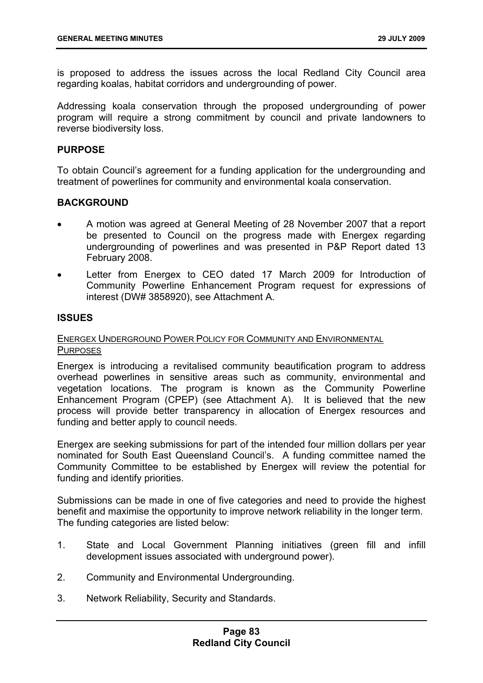is proposed to address the issues across the local Redland City Council area regarding koalas, habitat corridors and undergrounding of power.

Addressing koala conservation through the proposed undergrounding of power program will require a strong commitment by council and private landowners to reverse biodiversity loss.

### **PURPOSE**

To obtain Council's agreement for a funding application for the undergrounding and treatment of powerlines for community and environmental koala conservation.

### **BACKGROUND**

- A motion was agreed at General Meeting of 28 November 2007 that a report be presented to Council on the progress made with Energex regarding undergrounding of powerlines and was presented in P&P Report dated 13 February 2008.
- Letter from Energex to CEO dated 17 March 2009 for Introduction of Community Powerline Enhancement Program request for expressions of interest (DW# 3858920), see Attachment A.

### **ISSUES**

### ENERGEX UNDERGROUND POWER POLICY FOR COMMUNITY AND ENVIRONMENTAL **PURPOSES**

Energex is introducing a revitalised community beautification program to address overhead powerlines in sensitive areas such as community, environmental and vegetation locations. The program is known as the Community Powerline Enhancement Program (CPEP) (see Attachment A). It is believed that the new process will provide better transparency in allocation of Energex resources and funding and better apply to council needs.

Energex are seeking submissions for part of the intended four million dollars per year nominated for South East Queensland Council's. A funding committee named the Community Committee to be established by Energex will review the potential for funding and identify priorities.

Submissions can be made in one of five categories and need to provide the highest benefit and maximise the opportunity to improve network reliability in the longer term. The funding categories are listed below:

- 1. State and Local Government Planning initiatives (green fill and infill development issues associated with underground power).
- 2. Community and Environmental Undergrounding.
- 3. Network Reliability, Security and Standards.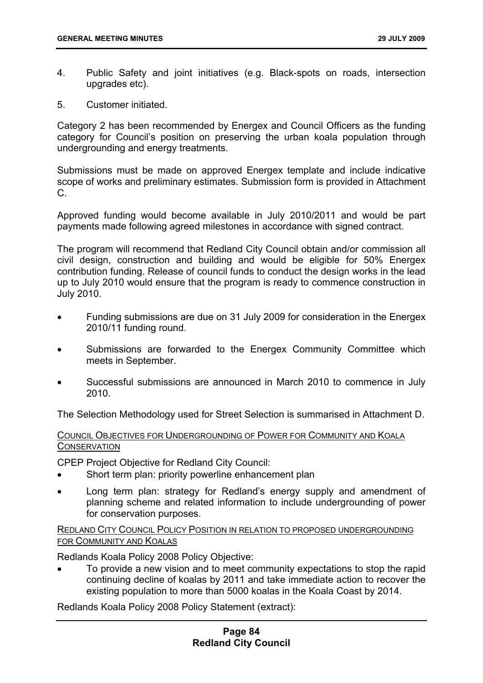- 4. Public Safety and joint initiatives (e.g. Black-spots on roads, intersection upgrades etc).
- 5. Customer initiated.

Category 2 has been recommended by Energex and Council Officers as the funding category for Council's position on preserving the urban koala population through undergrounding and energy treatments.

Submissions must be made on approved Energex template and include indicative scope of works and preliminary estimates. Submission form is provided in Attachment C.

Approved funding would become available in July 2010/2011 and would be part payments made following agreed milestones in accordance with signed contract.

The program will recommend that Redland City Council obtain and/or commission all civil design, construction and building and would be eligible for 50% Energex contribution funding. Release of council funds to conduct the design works in the lead up to July 2010 would ensure that the program is ready to commence construction in July 2010.

- Funding submissions are due on 31 July 2009 for consideration in the Energex 2010/11 funding round.
- Submissions are forwarded to the Energex Community Committee which meets in September.
- Successful submissions are announced in March 2010 to commence in July 2010.

The Selection Methodology used for Street Selection is summarised in Attachment D.

# COUNCIL OBJECTIVES FOR UNDERGROUNDING OF POWER FOR COMMUNITY AND KOALA **CONSERVATION**

CPEP Project Objective for Redland City Council:

- Short term plan: priority powerline enhancement plan
- Long term plan: strategy for Redland's energy supply and amendment of planning scheme and related information to include undergrounding of power for conservation purposes.

REDLAND CITY COUNCIL POLICY POSITION IN RELATION TO PROPOSED UNDERGROUNDING FOR COMMUNITY AND KOALAS

Redlands Koala Policy 2008 Policy Objective:

• To provide a new vision and to meet community expectations to stop the rapid continuing decline of koalas by 2011 and take immediate action to recover the existing population to more than 5000 koalas in the Koala Coast by 2014.

Redlands Koala Policy 2008 Policy Statement (extract):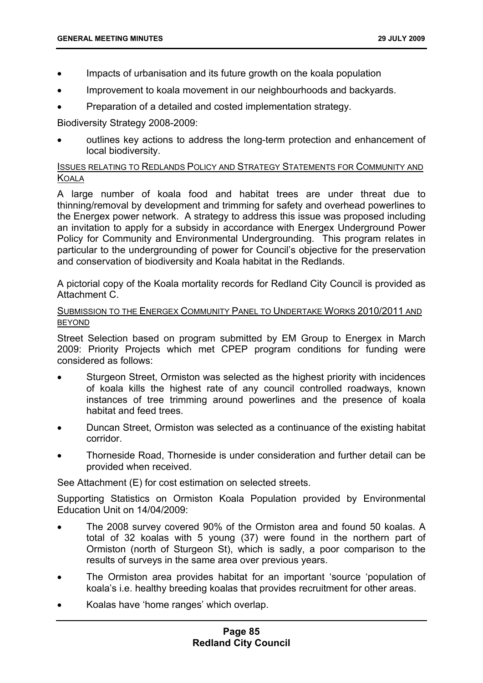- Impacts of urbanisation and its future growth on the koala population
- Improvement to koala movement in our neighbourhoods and backyards.
- Preparation of a detailed and costed implementation strategy.

Biodiversity Strategy 2008-2009:

• outlines key actions to address the long-term protection and enhancement of local biodiversity.

# ISSUES RELATING TO REDLANDS POLICY AND STRATEGY STATEMENTS FOR COMMUNITY AND **KOALA**

A large number of koala food and habitat trees are under threat due to thinning/removal by development and trimming for safety and overhead powerlines to the Energex power network. A strategy to address this issue was proposed including an invitation to apply for a subsidy in accordance with Energex Underground Power Policy for Community and Environmental Undergrounding. This program relates in particular to the undergrounding of power for Council's objective for the preservation and conservation of biodiversity and Koala habitat in the Redlands.

A pictorial copy of the Koala mortality records for Redland City Council is provided as Attachment C.

### SUBMISSION TO THE ENERGEX COMMUNITY PANEL TO UNDERTAKE WORKS 2010/2011 AND BEYOND

Street Selection based on program submitted by EM Group to Energex in March 2009: Priority Projects which met CPEP program conditions for funding were considered as follows:

- Sturgeon Street, Ormiston was selected as the highest priority with incidences of koala kills the highest rate of any council controlled roadways, known instances of tree trimming around powerlines and the presence of koala habitat and feed trees.
- Duncan Street, Ormiston was selected as a continuance of the existing habitat corridor.
- Thorneside Road, Thorneside is under consideration and further detail can be provided when received.

See Attachment (E) for cost estimation on selected streets.

Supporting Statistics on Ormiston Koala Population provided by Environmental Education Unit on 14/04/2009:

- The 2008 survey covered 90% of the Ormiston area and found 50 koalas. A total of 32 koalas with 5 young (37) were found in the northern part of Ormiston (north of Sturgeon St), which is sadly, a poor comparison to the results of surveys in the same area over previous years.
- The Ormiston area provides habitat for an important 'source 'population of koala's i.e. healthy breeding koalas that provides recruitment for other areas.
- Koalas have 'home ranges' which overlap.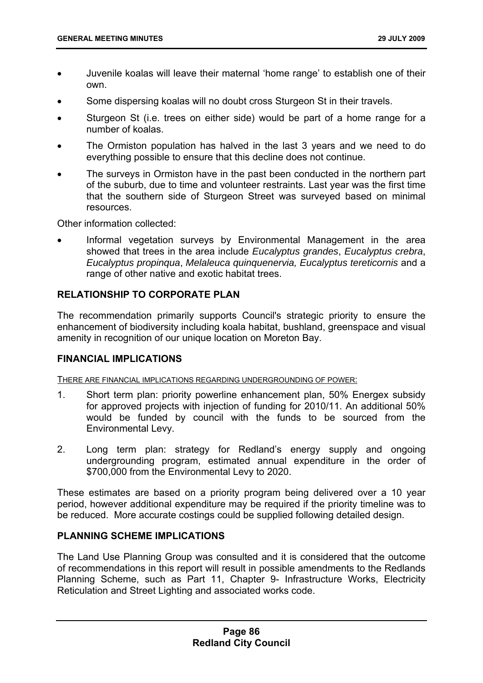- Juvenile koalas will leave their maternal 'home range' to establish one of their own.
- Some dispersing koalas will no doubt cross Sturgeon St in their travels.
- Sturgeon St (i.e. trees on either side) would be part of a home range for a number of koalas.
- The Ormiston population has halved in the last 3 years and we need to do everything possible to ensure that this decline does not continue.
- The surveys in Ormiston have in the past been conducted in the northern part of the suburb, due to time and volunteer restraints. Last year was the first time that the southern side of Sturgeon Street was surveyed based on minimal resources.

Other information collected:

Informal vegetation surveys by Environmental Management in the area showed that trees in the area include *Eucalyptus grandes*, *Eucalyptus crebra*, *Eucalyptus propinqua*, *Melaleuca quinquenervia, Eucalyptus tereticornis* and a range of other native and exotic habitat trees.

# **RELATIONSHIP TO CORPORATE PLAN**

The recommendation primarily supports Council's strategic priority to ensure the enhancement of biodiversity including koala habitat, bushland, greenspace and visual amenity in recognition of our unique location on Moreton Bay.

### **FINANCIAL IMPLICATIONS**

THERE ARE FINANCIAL IMPLICATIONS REGARDING UNDERGROUNDING OF POWER:

- 1. Short term plan: priority powerline enhancement plan, 50% Energex subsidy for approved projects with injection of funding for 2010/11. An additional 50% would be funded by council with the funds to be sourced from the Environmental Levy.
- 2. Long term plan: strategy for Redland's energy supply and ongoing undergrounding program, estimated annual expenditure in the order of \$700,000 from the Environmental Levy to 2020.

These estimates are based on a priority program being delivered over a 10 year period, however additional expenditure may be required if the priority timeline was to be reduced. More accurate costings could be supplied following detailed design.

### **PLANNING SCHEME IMPLICATIONS**

The Land Use Planning Group was consulted and it is considered that the outcome of recommendations in this report will result in possible amendments to the Redlands Planning Scheme, such as Part 11, Chapter 9- Infrastructure Works, Electricity Reticulation and Street Lighting and associated works code.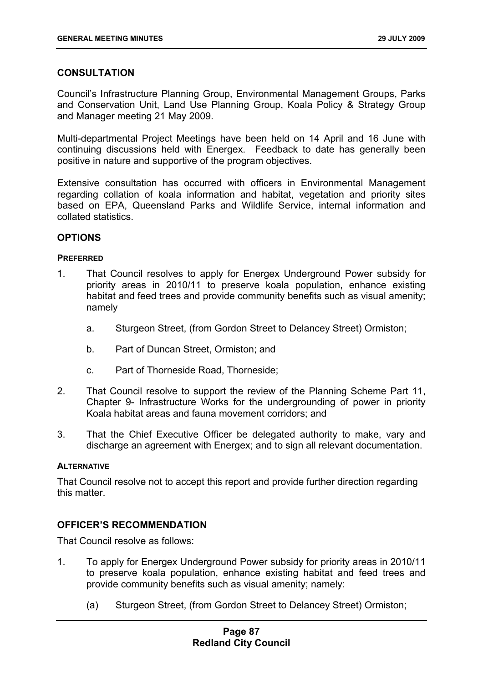# **CONSULTATION**

Council's Infrastructure Planning Group, Environmental Management Groups, Parks and Conservation Unit, Land Use Planning Group, Koala Policy & Strategy Group and Manager meeting 21 May 2009.

Multi-departmental Project Meetings have been held on 14 April and 16 June with continuing discussions held with Energex. Feedback to date has generally been positive in nature and supportive of the program objectives.

Extensive consultation has occurred with officers in Environmental Management regarding collation of koala information and habitat, vegetation and priority sites based on EPA, Queensland Parks and Wildlife Service, internal information and collated statistics.

# **OPTIONS**

#### **PREFERRED**

- 1. That Council resolves to apply for Energex Underground Power subsidy for priority areas in 2010/11 to preserve koala population, enhance existing habitat and feed trees and provide community benefits such as visual amenity; namely
	- a. Sturgeon Street, (from Gordon Street to Delancey Street) Ormiston;
	- b. Part of Duncan Street, Ormiston; and
	- c. Part of Thorneside Road, Thorneside;
- 2. That Council resolve to support the review of the Planning Scheme Part 11, Chapter 9- Infrastructure Works for the undergrounding of power in priority Koala habitat areas and fauna movement corridors; and
- 3. That the Chief Executive Officer be delegated authority to make, vary and discharge an agreement with Energex; and to sign all relevant documentation.

#### **ALTERNATIVE**

That Council resolve not to accept this report and provide further direction regarding this matter.

# **OFFICER'S RECOMMENDATION**

That Council resolve as follows:

- 1. To apply for Energex Underground Power subsidy for priority areas in 2010/11 to preserve koala population, enhance existing habitat and feed trees and provide community benefits such as visual amenity; namely:
	- (a) Sturgeon Street, (from Gordon Street to Delancey Street) Ormiston;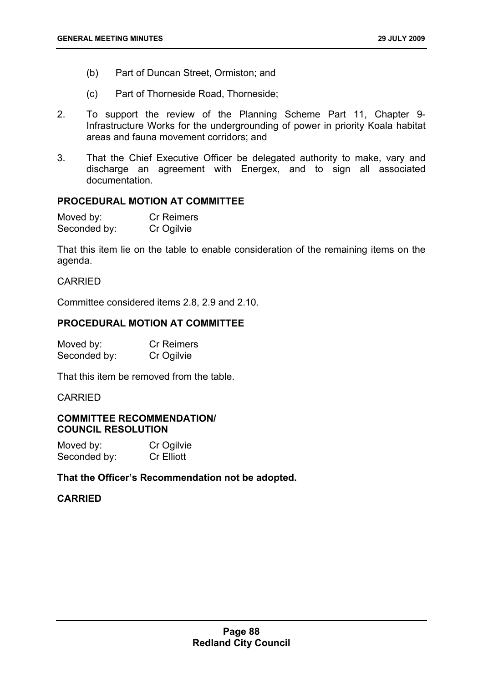- (b) Part of Duncan Street, Ormiston; and
- (c) Part of Thorneside Road, Thorneside;
- 2. To support the review of the Planning Scheme Part 11, Chapter 9- Infrastructure Works for the undergrounding of power in priority Koala habitat areas and fauna movement corridors; and
- 3. That the Chief Executive Officer be delegated authority to make, vary and discharge an agreement with Energex, and to sign all associated documentation.

# **PROCEDURAL MOTION AT COMMITTEE**

| Moved by:    | <b>Cr Reimers</b> |
|--------------|-------------------|
| Seconded by: | Cr Ogilvie        |

That this item lie on the table to enable consideration of the remaining items on the agenda.

# **CARRIED**

Committee considered items 2.8, 2.9 and 2.10.

#### **PROCEDURAL MOTION AT COMMITTEE**

| Moved by:    | <b>Cr Reimers</b> |
|--------------|-------------------|
| Seconded by: | Cr Ogilvie        |

That this item be removed from the table.

#### CARRIED

### **COMMITTEE RECOMMENDATION/ COUNCIL RESOLUTION**

| Moved by:    | Cr Ogilvie        |
|--------------|-------------------|
| Seconded by: | <b>Cr Elliott</b> |

### **That the Officer's Recommendation not be adopted.**

### **CARRIED**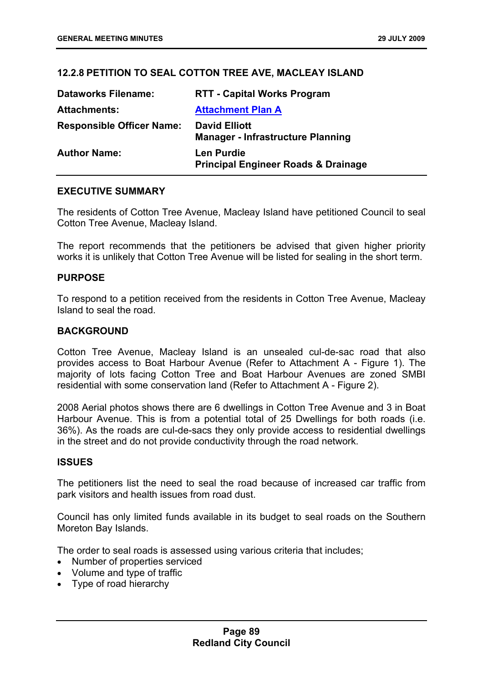# **12.2.8 PETITION TO SEAL COTTON TREE AVE, MACLEAY ISLAND**

| <b>Dataworks Filename:</b>       | <b>RTT - Capital Works Program</b>                                  |
|----------------------------------|---------------------------------------------------------------------|
| <b>Attachments:</b>              | <b>Attachment Plan A</b>                                            |
| <b>Responsible Officer Name:</b> | <b>David Elliott</b><br><b>Manager - Infrastructure Planning</b>    |
| <b>Author Name:</b>              | <b>Len Purdie</b><br><b>Principal Engineer Roads &amp; Drainage</b> |

# **EXECUTIVE SUMMARY**

The residents of Cotton Tree Avenue, Macleay Island have petitioned Council to seal Cotton Tree Avenue, Macleay Island.

The report recommends that the petitioners be advised that given higher priority works it is unlikely that Cotton Tree Avenue will be listed for sealing in the short term.

### **PURPOSE**

To respond to a petition received from the residents in Cotton Tree Avenue, Macleay Island to seal the road.

### **BACKGROUND**

Cotton Tree Avenue, Macleay Island is an unsealed cul-de-sac road that also provides access to Boat Harbour Avenue (Refer to Attachment A - Figure 1). The majority of lots facing Cotton Tree and Boat Harbour Avenues are zoned SMBI residential with some conservation land (Refer to Attachment A - Figure 2).

2008 Aerial photos shows there are 6 dwellings in Cotton Tree Avenue and 3 in Boat Harbour Avenue. This is from a potential total of 25 Dwellings for both roads (i.e. 36%). As the roads are cul-de-sacs they only provide access to residential dwellings in the street and do not provide conductivity through the road network.

#### **ISSUES**

The petitioners list the need to seal the road because of increased car traffic from park visitors and health issues from road dust.

Council has only limited funds available in its budget to seal roads on the Southern Moreton Bay Islands.

The order to seal roads is assessed using various criteria that includes;

- Number of properties serviced
- Volume and type of traffic
- Type of road hierarchy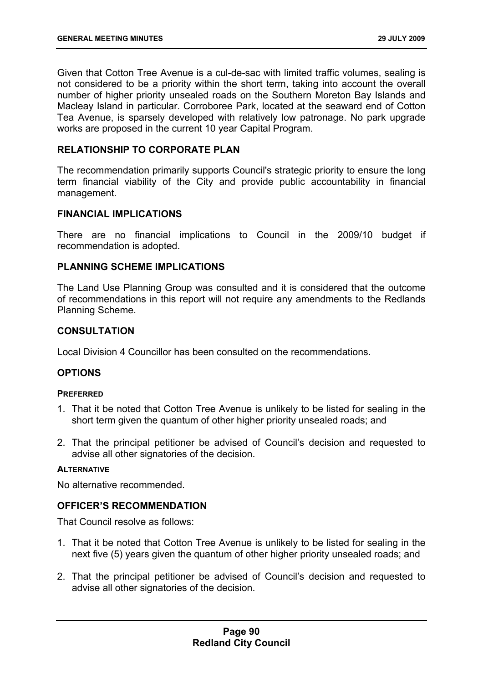Given that Cotton Tree Avenue is a cul-de-sac with limited traffic volumes, sealing is not considered to be a priority within the short term, taking into account the overall number of higher priority unsealed roads on the Southern Moreton Bay Islands and Macleay Island in particular. Corroboree Park, located at the seaward end of Cotton Tea Avenue, is sparsely developed with relatively low patronage. No park upgrade works are proposed in the current 10 year Capital Program.

# **RELATIONSHIP TO CORPORATE PLAN**

The recommendation primarily supports Council's strategic priority to ensure the long term financial viability of the City and provide public accountability in financial management.

### **FINANCIAL IMPLICATIONS**

There are no financial implications to Council in the 2009/10 budget if recommendation is adopted.

### **PLANNING SCHEME IMPLICATIONS**

The Land Use Planning Group was consulted and it is considered that the outcome of recommendations in this report will not require any amendments to the Redlands Planning Scheme.

### **CONSULTATION**

Local Division 4 Councillor has been consulted on the recommendations.

### **OPTIONS**

#### **PREFERRED**

- 1. That it be noted that Cotton Tree Avenue is unlikely to be listed for sealing in the short term given the quantum of other higher priority unsealed roads; and
- 2. That the principal petitioner be advised of Council's decision and requested to advise all other signatories of the decision.

#### **ALTERNATIVE**

No alternative recommended.

### **OFFICER'S RECOMMENDATION**

That Council resolve as follows:

- 1. That it be noted that Cotton Tree Avenue is unlikely to be listed for sealing in the next five (5) years given the quantum of other higher priority unsealed roads; and
- 2. That the principal petitioner be advised of Council's decision and requested to advise all other signatories of the decision.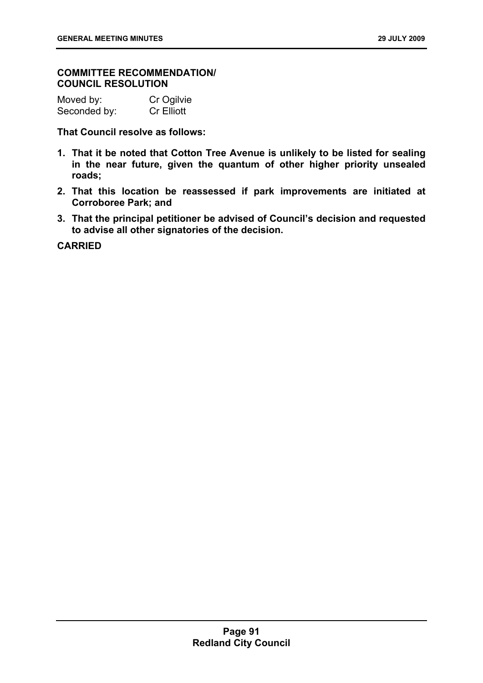### **COMMITTEE RECOMMENDATION/ COUNCIL RESOLUTION**

| Moved by:    | Cr Ogilvie        |
|--------------|-------------------|
| Seconded by: | <b>Cr Elliott</b> |

**That Council resolve as follows:** 

- **1. That it be noted that Cotton Tree Avenue is unlikely to be listed for sealing in the near future, given the quantum of other higher priority unsealed roads;**
- **2. That this location be reassessed if park improvements are initiated at Corroboree Park; and**
- **3. That the principal petitioner be advised of Council's decision and requested to advise all other signatories of the decision.**

**CARRIED**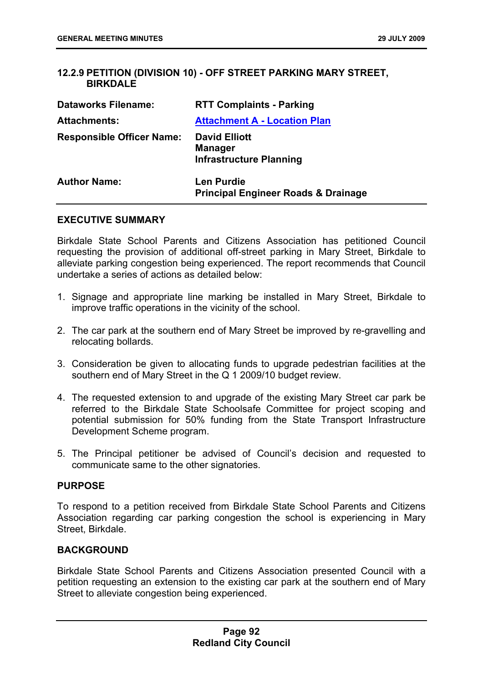# **12.2.9 PETITION (DIVISION 10) - OFF STREET PARKING MARY STREET, BIRKDALE**

| <b>Dataworks Filename:</b>       | <b>RTT Complaints - Parking</b>                                          |
|----------------------------------|--------------------------------------------------------------------------|
| <b>Attachments:</b>              | <b>Attachment A - Location Plan</b>                                      |
| <b>Responsible Officer Name:</b> | <b>David Elliott</b><br><b>Manager</b><br><b>Infrastructure Planning</b> |
| <b>Author Name:</b>              | <b>Len Purdie</b><br><b>Principal Engineer Roads &amp; Drainage</b>      |

### **EXECUTIVE SUMMARY**

Birkdale State School Parents and Citizens Association has petitioned Council requesting the provision of additional off-street parking in Mary Street, Birkdale to alleviate parking congestion being experienced. The report recommends that Council undertake a series of actions as detailed below:

- 1. Signage and appropriate line marking be installed in Mary Street, Birkdale to improve traffic operations in the vicinity of the school.
- 2. The car park at the southern end of Mary Street be improved by re-gravelling and relocating bollards.
- 3. Consideration be given to allocating funds to upgrade pedestrian facilities at the southern end of Mary Street in the Q 1 2009/10 budget review.
- 4. The requested extension to and upgrade of the existing Mary Street car park be referred to the Birkdale State Schoolsafe Committee for project scoping and potential submission for 50% funding from the State Transport Infrastructure Development Scheme program.
- 5. The Principal petitioner be advised of Council's decision and requested to communicate same to the other signatories.

#### **PURPOSE**

To respond to a petition received from Birkdale State School Parents and Citizens Association regarding car parking congestion the school is experiencing in Mary Street, Birkdale.

### **BACKGROUND**

Birkdale State School Parents and Citizens Association presented Council with a petition requesting an extension to the existing car park at the southern end of Mary Street to alleviate congestion being experienced.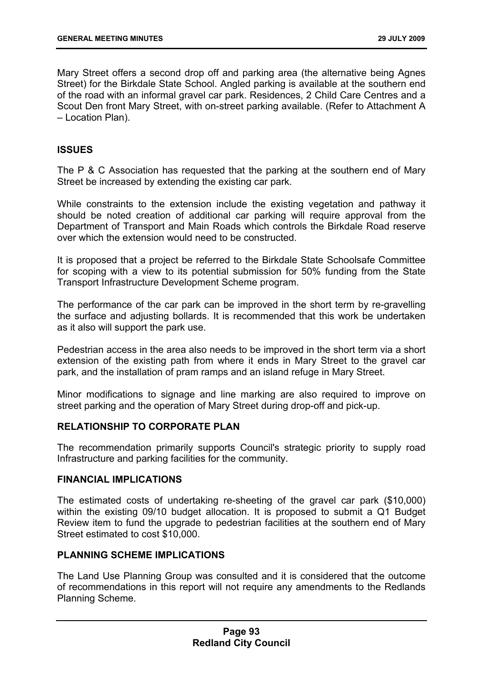Mary Street offers a second drop off and parking area (the alternative being Agnes Street) for the Birkdale State School. Angled parking is available at the southern end of the road with an informal gravel car park. Residences, 2 Child Care Centres and a Scout Den front Mary Street, with on-street parking available. (Refer to Attachment A – Location Plan).

### **ISSUES**

The P & C Association has requested that the parking at the southern end of Mary Street be increased by extending the existing car park.

While constraints to the extension include the existing vegetation and pathway it should be noted creation of additional car parking will require approval from the Department of Transport and Main Roads which controls the Birkdale Road reserve over which the extension would need to be constructed.

It is proposed that a project be referred to the Birkdale State Schoolsafe Committee for scoping with a view to its potential submission for 50% funding from the State Transport Infrastructure Development Scheme program.

The performance of the car park can be improved in the short term by re-gravelling the surface and adjusting bollards. It is recommended that this work be undertaken as it also will support the park use.

Pedestrian access in the area also needs to be improved in the short term via a short extension of the existing path from where it ends in Mary Street to the gravel car park, and the installation of pram ramps and an island refuge in Mary Street.

Minor modifications to signage and line marking are also required to improve on street parking and the operation of Mary Street during drop-off and pick-up.

### **RELATIONSHIP TO CORPORATE PLAN**

The recommendation primarily supports Council's strategic priority to supply road Infrastructure and parking facilities for the community.

### **FINANCIAL IMPLICATIONS**

The estimated costs of undertaking re-sheeting of the gravel car park (\$10,000) within the existing 09/10 budget allocation. It is proposed to submit a Q1 Budget Review item to fund the upgrade to pedestrian facilities at the southern end of Mary Street estimated to cost \$10,000.

# **PLANNING SCHEME IMPLICATIONS**

The Land Use Planning Group was consulted and it is considered that the outcome of recommendations in this report will not require any amendments to the Redlands Planning Scheme.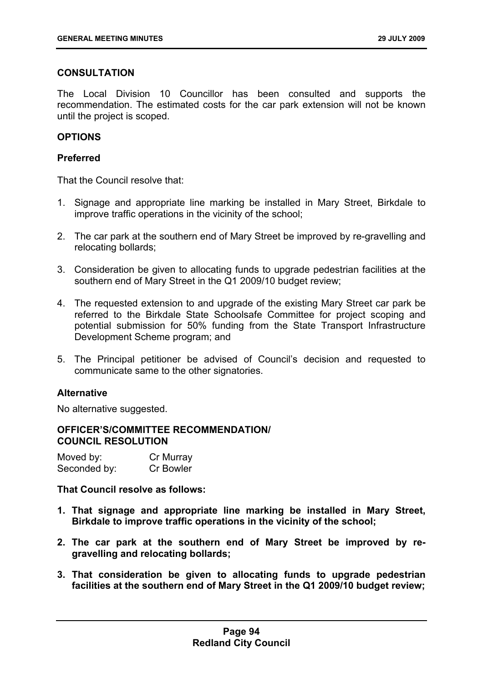# **CONSULTATION**

The Local Division 10 Councillor has been consulted and supports the recommendation. The estimated costs for the car park extension will not be known until the project is scoped.

# **OPTIONS**

### **Preferred**

That the Council resolve that:

- 1. Signage and appropriate line marking be installed in Mary Street, Birkdale to improve traffic operations in the vicinity of the school;
- 2. The car park at the southern end of Mary Street be improved by re-gravelling and relocating bollards;
- 3. Consideration be given to allocating funds to upgrade pedestrian facilities at the southern end of Mary Street in the Q1 2009/10 budget review;
- 4. The requested extension to and upgrade of the existing Mary Street car park be referred to the Birkdale State Schoolsafe Committee for project scoping and potential submission for 50% funding from the State Transport Infrastructure Development Scheme program; and
- 5. The Principal petitioner be advised of Council's decision and requested to communicate same to the other signatories.

### **Alternative**

No alternative suggested.

### **OFFICER'S/COMMITTEE RECOMMENDATION/ COUNCIL RESOLUTION**

| Moved by:    | Cr Murray        |
|--------------|------------------|
| Seconded by: | <b>Cr Bowler</b> |

**That Council resolve as follows:** 

- **1. That signage and appropriate line marking be installed in Mary Street, Birkdale to improve traffic operations in the vicinity of the school;**
- **2. The car park at the southern end of Mary Street be improved by regravelling and relocating bollards;**
- **3. That consideration be given to allocating funds to upgrade pedestrian facilities at the southern end of Mary Street in the Q1 2009/10 budget review;**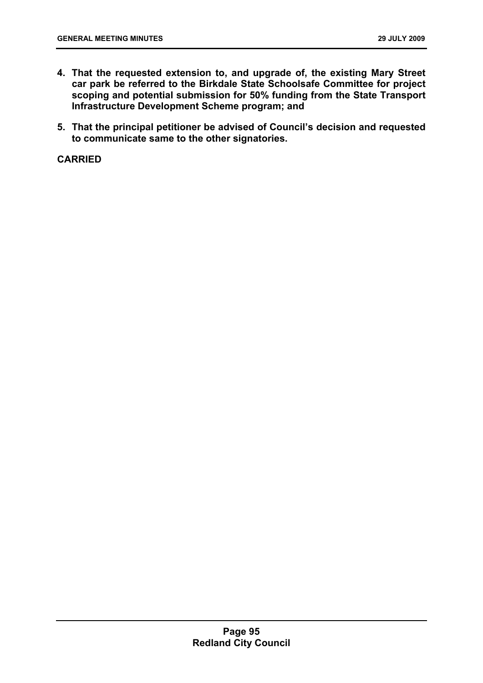- **4. That the requested extension to, and upgrade of, the existing Mary Street car park be referred to the Birkdale State Schoolsafe Committee for project scoping and potential submission for 50% funding from the State Transport Infrastructure Development Scheme program; and**
- **5. That the principal petitioner be advised of Council's decision and requested to communicate same to the other signatories.**

**CARRIED**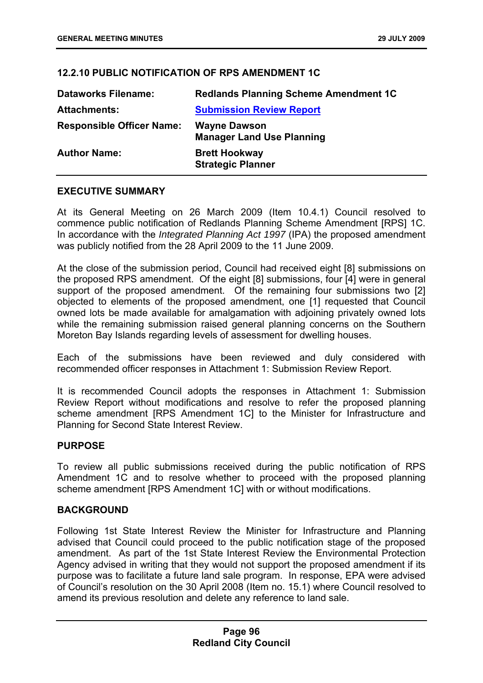# **12.2.10 PUBLIC NOTIFICATION OF RPS AMENDMENT 1C**

| <b>Dataworks Filename:</b>       | <b>Redlands Planning Scheme Amendment 1C</b>            |
|----------------------------------|---------------------------------------------------------|
| <b>Attachments:</b>              | <b>Submission Review Report</b>                         |
| <b>Responsible Officer Name:</b> | <b>Wayne Dawson</b><br><b>Manager Land Use Planning</b> |
| <b>Author Name:</b>              | <b>Brett Hookway</b><br><b>Strategic Planner</b>        |

# **EXECUTIVE SUMMARY**

At its General Meeting on 26 March 2009 (Item 10.4.1) Council resolved to commence public notification of Redlands Planning Scheme Amendment [RPS] 1C. In accordance with the *Integrated Planning Act 1997* (IPA) the proposed amendment was publicly notified from the 28 April 2009 to the 11 June 2009.

At the close of the submission period, Council had received eight [8] submissions on the proposed RPS amendment. Of the eight [8] submissions, four [4] were in general support of the proposed amendment. Of the remaining four submissions two [2] objected to elements of the proposed amendment, one [1] requested that Council owned lots be made available for amalgamation with adjoining privately owned lots while the remaining submission raised general planning concerns on the Southern Moreton Bay Islands regarding levels of assessment for dwelling houses.

Each of the submissions have been reviewed and duly considered with recommended officer responses in Attachment 1: Submission Review Report.

It is recommended Council adopts the responses in Attachment 1: Submission Review Report without modifications and resolve to refer the proposed planning scheme amendment [RPS Amendment 1C] to the Minister for Infrastructure and Planning for Second State Interest Review.

### **PURPOSE**

To review all public submissions received during the public notification of RPS Amendment 1C and to resolve whether to proceed with the proposed planning scheme amendment [RPS Amendment 1C] with or without modifications.

### **BACKGROUND**

Following 1st State Interest Review the Minister for Infrastructure and Planning advised that Council could proceed to the public notification stage of the proposed amendment. As part of the 1st State Interest Review the Environmental Protection Agency advised in writing that they would not support the proposed amendment if its purpose was to facilitate a future land sale program. In response, EPA were advised of Council's resolution on the 30 April 2008 (Item no. 15.1) where Council resolved to amend its previous resolution and delete any reference to land sale.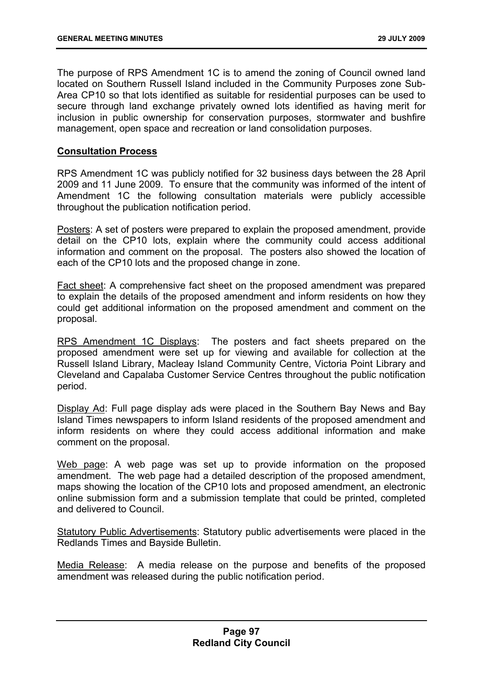The purpose of RPS Amendment 1C is to amend the zoning of Council owned land located on Southern Russell Island included in the Community Purposes zone Sub-Area CP10 so that lots identified as suitable for residential purposes can be used to secure through land exchange privately owned lots identified as having merit for inclusion in public ownership for conservation purposes, stormwater and bushfire management, open space and recreation or land consolidation purposes.

### **Consultation Process**

RPS Amendment 1C was publicly notified for 32 business days between the 28 April 2009 and 11 June 2009. To ensure that the community was informed of the intent of Amendment 1C the following consultation materials were publicly accessible throughout the publication notification period.

Posters: A set of posters were prepared to explain the proposed amendment, provide detail on the CP10 lots, explain where the community could access additional information and comment on the proposal. The posters also showed the location of each of the CP10 lots and the proposed change in zone.

Fact sheet: A comprehensive fact sheet on the proposed amendment was prepared to explain the details of the proposed amendment and inform residents on how they could get additional information on the proposed amendment and comment on the proposal.

RPS Amendment 1C Displays: The posters and fact sheets prepared on the proposed amendment were set up for viewing and available for collection at the Russell Island Library, Macleay Island Community Centre, Victoria Point Library and Cleveland and Capalaba Customer Service Centres throughout the public notification period.

Display Ad: Full page display ads were placed in the Southern Bay News and Bay Island Times newspapers to inform Island residents of the proposed amendment and inform residents on where they could access additional information and make comment on the proposal.

Web page: A web page was set up to provide information on the proposed amendment. The web page had a detailed description of the proposed amendment, maps showing the location of the CP10 lots and proposed amendment, an electronic online submission form and a submission template that could be printed, completed and delivered to Council.

Statutory Public Advertisements: Statutory public advertisements were placed in the Redlands Times and Bayside Bulletin.

Media Release: A media release on the purpose and benefits of the proposed amendment was released during the public notification period.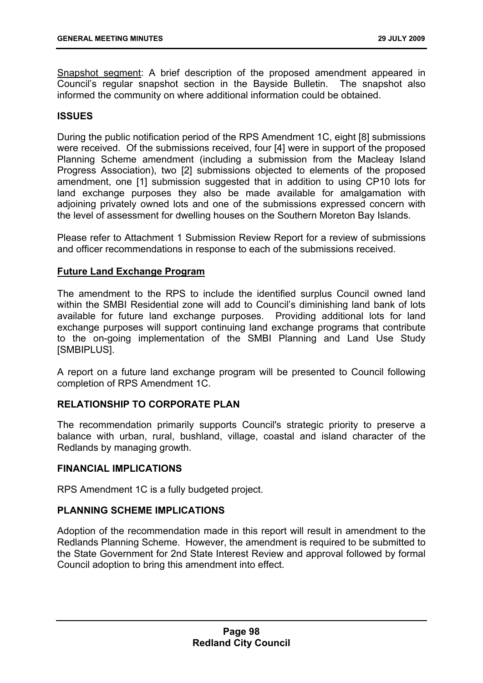Snapshot segment: A brief description of the proposed amendment appeared in Council's regular snapshot section in the Bayside Bulletin. The snapshot also informed the community on where additional information could be obtained.

# **ISSUES**

During the public notification period of the RPS Amendment 1C, eight [8] submissions were received. Of the submissions received, four [4] were in support of the proposed Planning Scheme amendment (including a submission from the Macleay Island Progress Association), two [2] submissions objected to elements of the proposed amendment, one [1] submission suggested that in addition to using CP10 lots for land exchange purposes they also be made available for amalgamation with adjoining privately owned lots and one of the submissions expressed concern with the level of assessment for dwelling houses on the Southern Moreton Bay Islands.

Please refer to Attachment 1 Submission Review Report for a review of submissions and officer recommendations in response to each of the submissions received.

### **Future Land Exchange Program**

The amendment to the RPS to include the identified surplus Council owned land within the SMBI Residential zone will add to Council's diminishing land bank of lots available for future land exchange purposes. Providing additional lots for land exchange purposes will support continuing land exchange programs that contribute to the on-going implementation of the SMBI Planning and Land Use Study [SMBIPLUS].

A report on a future land exchange program will be presented to Council following completion of RPS Amendment 1C.

# **RELATIONSHIP TO CORPORATE PLAN**

The recommendation primarily supports Council's strategic priority to preserve a balance with urban, rural, bushland, village, coastal and island character of the Redlands by managing growth.

### **FINANCIAL IMPLICATIONS**

RPS Amendment 1C is a fully budgeted project.

# **PLANNING SCHEME IMPLICATIONS**

Adoption of the recommendation made in this report will result in amendment to the Redlands Planning Scheme. However, the amendment is required to be submitted to the State Government for 2nd State Interest Review and approval followed by formal Council adoption to bring this amendment into effect.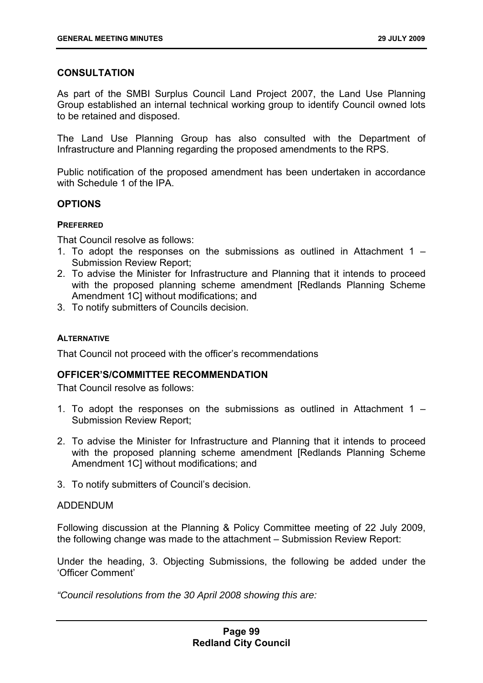# **CONSULTATION**

As part of the SMBI Surplus Council Land Project 2007, the Land Use Planning Group established an internal technical working group to identify Council owned lots to be retained and disposed.

The Land Use Planning Group has also consulted with the Department of Infrastructure and Planning regarding the proposed amendments to the RPS.

Public notification of the proposed amendment has been undertaken in accordance with Schedule 1 of the IPA.

### **OPTIONS**

#### **PREFERRED**

That Council resolve as follows:

- 1. To adopt the responses on the submissions as outlined in Attachment 1 Submission Review Report;
- 2. To advise the Minister for Infrastructure and Planning that it intends to proceed with the proposed planning scheme amendment [Redlands Planning Scheme Amendment 1C] without modifications; and
- 3. To notify submitters of Councils decision.

#### **ALTERNATIVE**

That Council not proceed with the officer's recommendations

### **OFFICER'S/COMMITTEE RECOMMENDATION**

That Council resolve as follows:

- 1. To adopt the responses on the submissions as outlined in Attachment 1 Submission Review Report;
- 2. To advise the Minister for Infrastructure and Planning that it intends to proceed with the proposed planning scheme amendment [Redlands Planning Scheme] Amendment 1C] without modifications; and
- 3. To notify submitters of Council's decision.

### ADDENDUM

Following discussion at the Planning & Policy Committee meeting of 22 July 2009, the following change was made to the attachment – Submission Review Report:

Under the heading, 3. Objecting Submissions, the following be added under the 'Officer Comment'

*"Council resolutions from the 30 April 2008 showing this are:*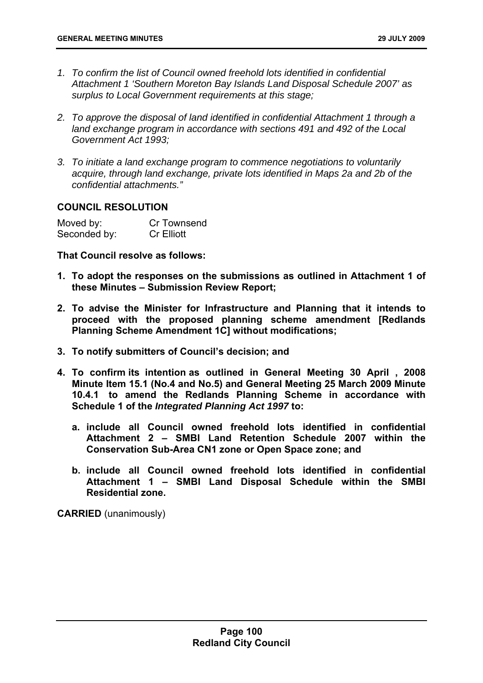- *1. To confirm the list of Council owned freehold lots identified in confidential Attachment 1 'Southern Moreton Bay Islands Land Disposal Schedule 2007' as surplus to Local Government requirements at this stage;*
- *2. To approve the disposal of land identified in confidential Attachment 1 through a land exchange program in accordance with sections 491 and 492 of the Local Government Act 1993;*
- *3. To initiate a land exchange program to commence negotiations to voluntarily acquire, through land exchange, private lots identified in Maps 2a and 2b of the confidential attachments."*

# **COUNCIL RESOLUTION**

| Moved by:    | Cr Townsend       |
|--------------|-------------------|
| Seconded by: | <b>Cr Elliott</b> |

**That Council resolve as follows:** 

- **1. To adopt the responses on the submissions as outlined in Attachment 1 of these Minutes – Submission Review Report;**
- **2. To advise the Minister for Infrastructure and Planning that it intends to proceed with the proposed planning scheme amendment [Redlands Planning Scheme Amendment 1C] without modifications;**
- **3. To notify submitters of Council's decision; and**
- **4. To confirm its intention as outlined in General Meeting 30 April , 2008 Minute Item 15.1 (No.4 and No.5) and General Meeting 25 March 2009 Minute 10.4.1 to amend the Redlands Planning Scheme in accordance with Schedule 1 of the** *Integrated Planning Act 1997* **to:** 
	- **a. include all Council owned freehold lots identified in confidential Attachment 2 – SMBI Land Retention Schedule 2007 within the Conservation Sub-Area CN1 zone or Open Space zone; and**
	- **b. include all Council owned freehold lots identified in confidential Attachment 1 – SMBI Land Disposal Schedule within the SMBI Residential zone.**

**CARRIED** (unanimously)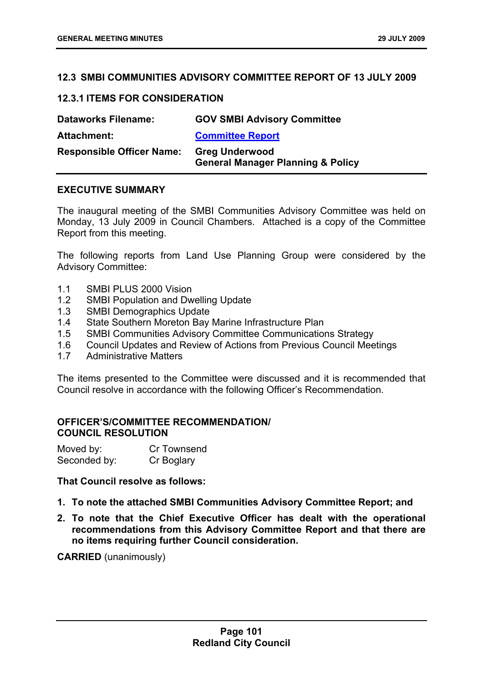### **12.3 SMBI COMMUNITIES ADVISORY COMMITTEE REPORT OF 13 JULY 2009**

### **12.3.1 ITEMS FOR CONSIDERATION**

| <b>Dataworks Filename:</b>       | <b>GOV SMBI Advisory Committee</b>                                    |
|----------------------------------|-----------------------------------------------------------------------|
| <b>Attachment:</b>               | <b>Committee Report</b>                                               |
| <b>Responsible Officer Name:</b> | <b>Greg Underwood</b><br><b>General Manager Planning &amp; Policy</b> |

### **EXECUTIVE SUMMARY**

The inaugural meeting of the SMBI Communities Advisory Committee was held on Monday, 13 July 2009 in Council Chambers. Attached is a copy of the Committee Report from this meeting.

The following reports from Land Use Planning Group were considered by the Advisory Committee:

- 1.1 SMBI PLUS 2000 Vision
- 1.2 SMBI Population and Dwelling Update
- 1.3 SMBI Demographics Update
- 1.4 State Southern Moreton Bay Marine Infrastructure Plan
- 1.5 SMBI Communities Advisory Committee Communications Strategy
- 1.6 Council Updates and Review of Actions from Previous Council Meetings
- 1.7 Administrative Matters

The items presented to the Committee were discussed and it is recommended that Council resolve in accordance with the following Officer's Recommendation.

# **OFFICER'S/COMMITTEE RECOMMENDATION/ COUNCIL RESOLUTION**

| Moved by:    | Cr Townsend |
|--------------|-------------|
| Seconded by: | Cr Boglary  |

### **That Council resolve as follows:**

- **1. To note the attached SMBI Communities Advisory Committee Report; and**
- **2. To note that the Chief Executive Officer has dealt with the operational recommendations from this Advisory Committee Report and that there are no items requiring further Council consideration.**

**CARRIED** (unanimously)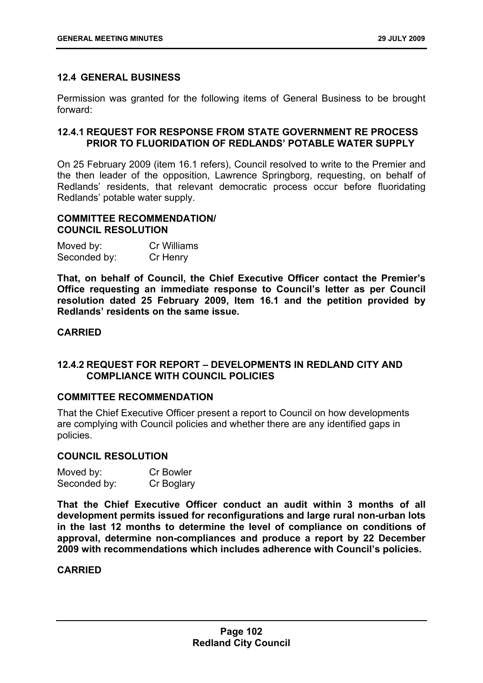# **12.4 GENERAL BUSINESS**

Permission was granted for the following items of General Business to be brought forward:

### **12.4.1 REQUEST FOR RESPONSE FROM STATE GOVERNMENT RE PROCESS PRIOR TO FLUORIDATION OF REDLANDS' POTABLE WATER SUPPLY**

On 25 February 2009 (item 16.1 refers), Council resolved to write to the Premier and the then leader of the opposition, Lawrence Springborg, requesting, on behalf of Redlands' residents, that relevant democratic process occur before fluoridating Redlands' potable water supply.

# **COMMITTEE RECOMMENDATION/ COUNCIL RESOLUTION**

| Moved by:    | <b>Cr Williams</b> |
|--------------|--------------------|
| Seconded by: | Cr Henry           |

**That, on behalf of Council, the Chief Executive Officer contact the Premier's Office requesting an immediate response to Council's letter as per Council resolution dated 25 February 2009, Item 16.1 and the petition provided by Redlands' residents on the same issue.** 

# **CARRIED**

# **12.4.2 REQUEST FOR REPORT – DEVELOPMENTS IN REDLAND CITY AND COMPLIANCE WITH COUNCIL POLICIES**

### **COMMITTEE RECOMMENDATION**

That the Chief Executive Officer present a report to Council on how developments are complying with Council policies and whether there are any identified gaps in policies.

### **COUNCIL RESOLUTION**

| Moved by:    | <b>Cr Bowler</b> |
|--------------|------------------|
| Seconded by: | Cr Boglary       |

**That the Chief Executive Officer conduct an audit within 3 months of all development permits issued for reconfigurations and large rural non-urban lots in the last 12 months to determine the level of compliance on conditions of approval, determine non-compliances and produce a report by 22 December 2009 with recommendations which includes adherence with Council's policies.** 

# **CARRIED**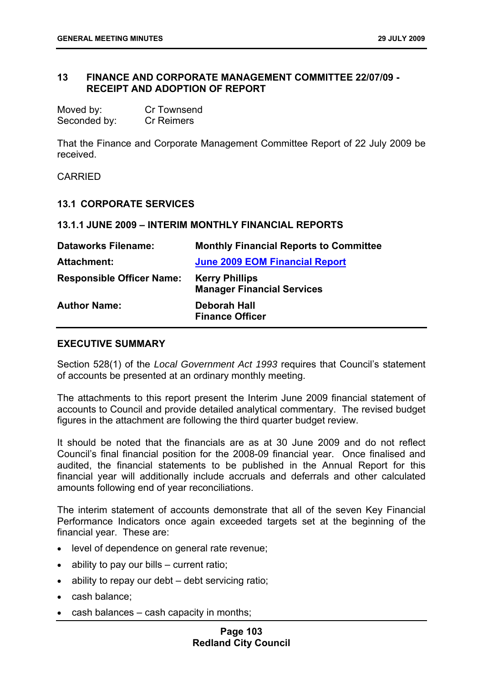## **13 FINANCE AND CORPORATE MANAGEMENT COMMITTEE 22/07/09 - RECEIPT AND ADOPTION OF REPORT**

| Moved by:    | <b>Cr Townsend</b> |
|--------------|--------------------|
| Seconded by: | <b>Cr Reimers</b>  |

That the Finance and Corporate Management Committee Report of 22 July 2009 be received.

CARRIED

#### **13.1 CORPORATE SERVICES**

#### **13.1.1 JUNE 2009 – INTERIM MONTHLY FINANCIAL REPORTS**

| <b>Dataworks Filename:</b>       | <b>Monthly Financial Reports to Committee</b>              |
|----------------------------------|------------------------------------------------------------|
| <b>Attachment:</b>               | <b>June 2009 EOM Financial Report</b>                      |
| <b>Responsible Officer Name:</b> | <b>Kerry Phillips</b><br><b>Manager Financial Services</b> |
| <b>Author Name:</b>              | Deborah Hall<br><b>Finance Officer</b>                     |

### **EXECUTIVE SUMMARY**

Section 528(1) of the *Local Government Act 1993* requires that Council's statement of accounts be presented at an ordinary monthly meeting.

The attachments to this report present the Interim June 2009 financial statement of accounts to Council and provide detailed analytical commentary. The revised budget figures in the attachment are following the third quarter budget review.

It should be noted that the financials are as at 30 June 2009 and do not reflect Council's final financial position for the 2008-09 financial year. Once finalised and audited, the financial statements to be published in the Annual Report for this financial year will additionally include accruals and deferrals and other calculated amounts following end of year reconciliations.

The interim statement of accounts demonstrate that all of the seven Key Financial Performance Indicators once again exceeded targets set at the beginning of the financial year. These are:

- level of dependence on general rate revenue;
- ability to pay our bills current ratio;
- ability to repay our debt debt servicing ratio;
- cash balance;
- cash balances cash capacity in months;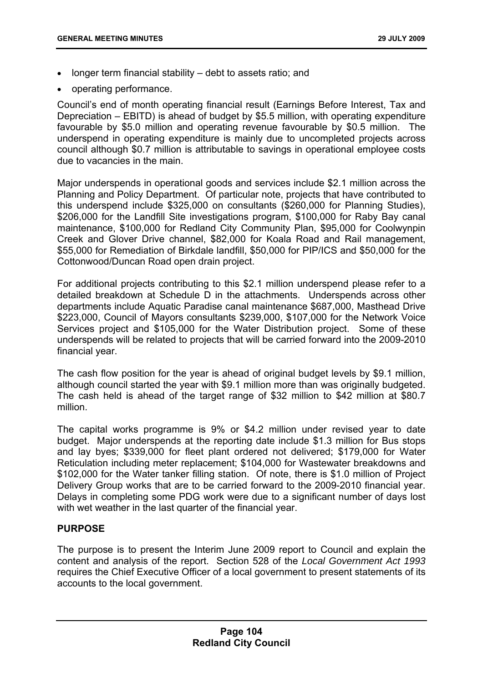- longer term financial stability debt to assets ratio; and
- operating performance.

Council's end of month operating financial result (Earnings Before Interest, Tax and Depreciation – EBITD) is ahead of budget by \$5.5 million, with operating expenditure favourable by \$5.0 million and operating revenue favourable by \$0.5 million. The underspend in operating expenditure is mainly due to uncompleted projects across council although \$0.7 million is attributable to savings in operational employee costs due to vacancies in the main.

Major underspends in operational goods and services include \$2.1 million across the Planning and Policy Department. Of particular note, projects that have contributed to this underspend include \$325,000 on consultants (\$260,000 for Planning Studies), \$206,000 for the Landfill Site investigations program, \$100,000 for Raby Bay canal maintenance, \$100,000 for Redland City Community Plan, \$95,000 for Coolwynpin Creek and Glover Drive channel, \$82,000 for Koala Road and Rail management, \$55,000 for Remediation of Birkdale landfill, \$50,000 for PIP/ICS and \$50,000 for the Cottonwood/Duncan Road open drain project.

For additional projects contributing to this \$2.1 million underspend please refer to a detailed breakdown at Schedule D in the attachments. Underspends across other departments include Aquatic Paradise canal maintenance \$687,000, Masthead Drive \$223,000, Council of Mayors consultants \$239,000, \$107,000 for the Network Voice Services project and \$105,000 for the Water Distribution project. Some of these underspends will be related to projects that will be carried forward into the 2009-2010 financial year.

The cash flow position for the year is ahead of original budget levels by \$9.1 million, although council started the year with \$9.1 million more than was originally budgeted. The cash held is ahead of the target range of \$32 million to \$42 million at \$80.7 million.

The capital works programme is 9% or \$4.2 million under revised year to date budget. Major underspends at the reporting date include \$1.3 million for Bus stops and lay byes; \$339,000 for fleet plant ordered not delivered; \$179,000 for Water Reticulation including meter replacement; \$104,000 for Wastewater breakdowns and \$102,000 for the Water tanker filling station. Of note, there is \$1.0 million of Project Delivery Group works that are to be carried forward to the 2009-2010 financial year. Delays in completing some PDG work were due to a significant number of days lost with wet weather in the last quarter of the financial year.

# **PURPOSE**

The purpose is to present the Interim June 2009 report to Council and explain the content and analysis of the report. Section 528 of the *Local Government Act 1993* requires the Chief Executive Officer of a local government to present statements of its accounts to the local government.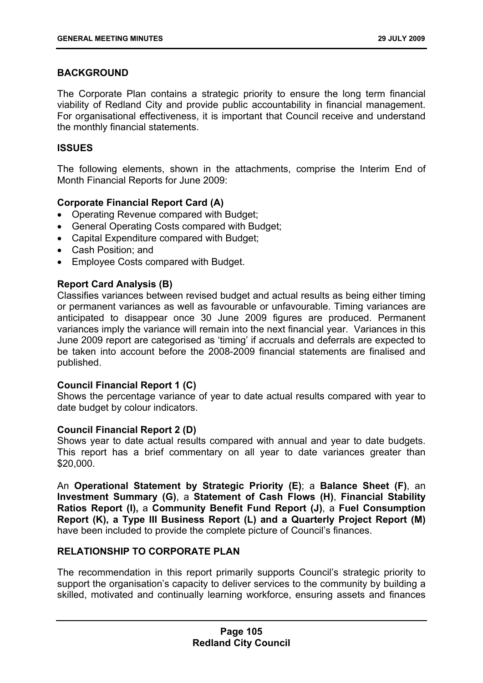# **BACKGROUND**

The Corporate Plan contains a strategic priority to ensure the long term financial viability of Redland City and provide public accountability in financial management. For organisational effectiveness, it is important that Council receive and understand the monthly financial statements.

### **ISSUES**

The following elements, shown in the attachments, comprise the Interim End of Month Financial Reports for June 2009:

# **Corporate Financial Report Card (A)**

- Operating Revenue compared with Budget;
- General Operating Costs compared with Budget;
- Capital Expenditure compared with Budget;
- Cash Position; and
- Employee Costs compared with Budget.

# **Report Card Analysis (B)**

Classifies variances between revised budget and actual results as being either timing or permanent variances as well as favourable or unfavourable. Timing variances are anticipated to disappear once 30 June 2009 figures are produced. Permanent variances imply the variance will remain into the next financial year. Variances in this June 2009 report are categorised as 'timing' if accruals and deferrals are expected to be taken into account before the 2008-2009 financial statements are finalised and published.

### **Council Financial Report 1 (C)**

Shows the percentage variance of year to date actual results compared with year to date budget by colour indicators.

### **Council Financial Report 2 (D)**

Shows year to date actual results compared with annual and year to date budgets. This report has a brief commentary on all year to date variances greater than \$20,000.

An **Operational Statement by Strategic Priority (E)**; a **Balance Sheet (F)**, an **Investment Summary (G)**, a **Statement of Cash Flows (H)**, **Financial Stability Ratios Report (I),** a **Community Benefit Fund Report (J)**, a **Fuel Consumption Report (K), a Type III Business Report (L) and a Quarterly Project Report (M)** have been included to provide the complete picture of Council's finances.

# **RELATIONSHIP TO CORPORATE PLAN**

The recommendation in this report primarily supports Council's strategic priority to support the organisation's capacity to deliver services to the community by building a skilled, motivated and continually learning workforce, ensuring assets and finances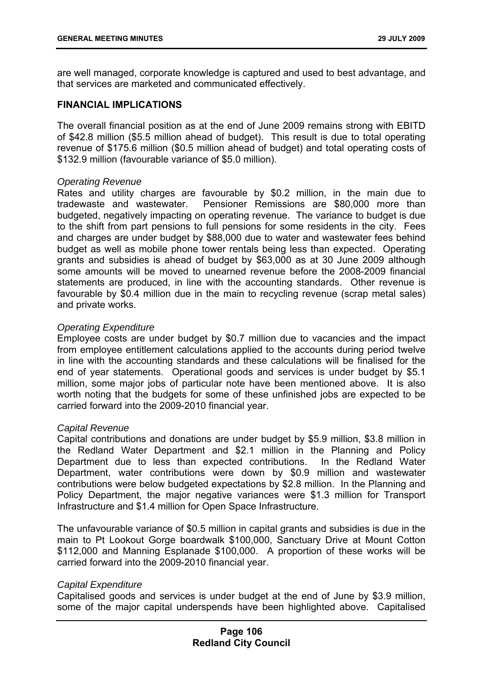are well managed, corporate knowledge is captured and used to best advantage, and that services are marketed and communicated effectively.

# **FINANCIAL IMPLICATIONS**

The overall financial position as at the end of June 2009 remains strong with EBITD of \$42.8 million (\$5.5 million ahead of budget). This result is due to total operating revenue of \$175.6 million (\$0.5 million ahead of budget) and total operating costs of \$132.9 million (favourable variance of \$5.0 million).

# *Operating Revenue*

Rates and utility charges are favourable by \$0.2 million, in the main due to tradewaste and wastewater. Pensioner Remissions are \$80,000 more than budgeted, negatively impacting on operating revenue. The variance to budget is due to the shift from part pensions to full pensions for some residents in the city. Fees and charges are under budget by \$88,000 due to water and wastewater fees behind budget as well as mobile phone tower rentals being less than expected. Operating grants and subsidies is ahead of budget by \$63,000 as at 30 June 2009 although some amounts will be moved to unearned revenue before the 2008-2009 financial statements are produced, in line with the accounting standards. Other revenue is favourable by \$0.4 million due in the main to recycling revenue (scrap metal sales) and private works.

# *Operating Expenditure*

Employee costs are under budget by \$0.7 million due to vacancies and the impact from employee entitlement calculations applied to the accounts during period twelve in line with the accounting standards and these calculations will be finalised for the end of year statements. Operational goods and services is under budget by \$5.1 million, some major jobs of particular note have been mentioned above. It is also worth noting that the budgets for some of these unfinished jobs are expected to be carried forward into the 2009-2010 financial year.

### *Capital Revenue*

Capital contributions and donations are under budget by \$5.9 million, \$3.8 million in the Redland Water Department and \$2.1 million in the Planning and Policy Department due to less than expected contributions. In the Redland Water Department, water contributions were down by \$0.9 million and wastewater contributions were below budgeted expectations by \$2.8 million. In the Planning and Policy Department, the major negative variances were \$1.3 million for Transport Infrastructure and \$1.4 million for Open Space Infrastructure.

The unfavourable variance of \$0.5 million in capital grants and subsidies is due in the main to Pt Lookout Gorge boardwalk \$100,000, Sanctuary Drive at Mount Cotton \$112,000 and Manning Esplanade \$100,000. A proportion of these works will be carried forward into the 2009-2010 financial year.

### *Capital Expenditure*

Capitalised goods and services is under budget at the end of June by \$3.9 million, some of the major capital underspends have been highlighted above. Capitalised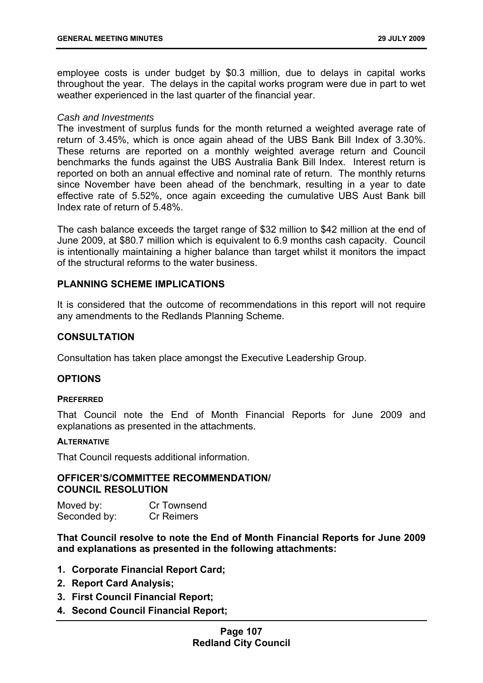employee costs is under budget by \$0.3 million, due to delays in capital works throughout the year. The delays in the capital works program were due in part to wet weather experienced in the last quarter of the financial year.

### *Cash and Investments*

The investment of surplus funds for the month returned a weighted average rate of return of 3.45%, which is once again ahead of the UBS Bank Bill Index of 3.30%. These returns are reported on a monthly weighted average return and Council benchmarks the funds against the UBS Australia Bank Bill Index. Interest return is reported on both an annual effective and nominal rate of return. The monthly returns since November have been ahead of the benchmark, resulting in a year to date effective rate of 5.52%, once again exceeding the cumulative UBS Aust Bank bill Index rate of return of 5.48%.

The cash balance exceeds the target range of \$32 million to \$42 million at the end of June 2009, at \$80.7 million which is equivalent to 6.9 months cash capacity. Council is intentionally maintaining a higher balance than target whilst it monitors the impact of the structural reforms to the water business.

# **PLANNING SCHEME IMPLICATIONS**

It is considered that the outcome of recommendations in this report will not require any amendments to the Redlands Planning Scheme.

### **CONSULTATION**

Consultation has taken place amongst the Executive Leadership Group.

### **OPTIONS**

#### **PREFERRED**

That Council note the End of Month Financial Reports for June 2009 and explanations as presented in the attachments.

#### **ALTERNATIVE**

That Council requests additional information.

### **OFFICER'S/COMMITTEE RECOMMENDATION/ COUNCIL RESOLUTION**

Moved by: Cr Townsend Seconded by: Cr Reimers

**That Council resolve to note the End of Month Financial Reports for June 2009 and explanations as presented in the following attachments:** 

- **1. Corporate Financial Report Card;**
- **2. Report Card Analysis;**
- **3. First Council Financial Report;**
- **4. Second Council Financial Report;**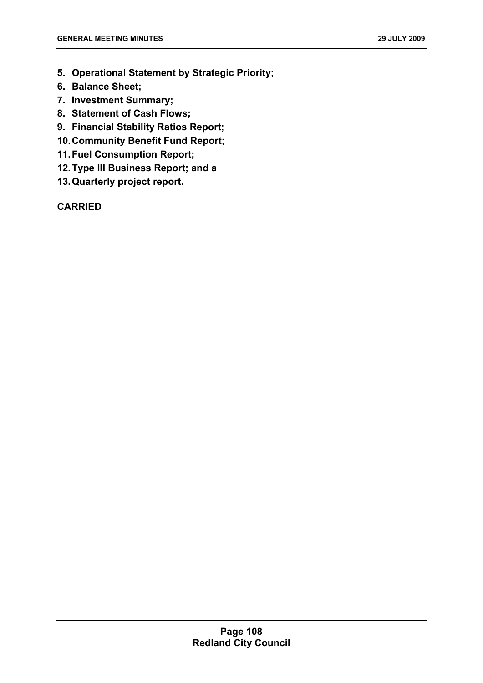- **5. Operational Statement by Strategic Priority;**
- **6. Balance Sheet;**
- **7. Investment Summary;**
- **8. Statement of Cash Flows;**
- **9. Financial Stability Ratios Report;**
- **10. Community Benefit Fund Report;**
- **11. Fuel Consumption Report;**
- **12. Type III Business Report; and a**
- **13. Quarterly project report.**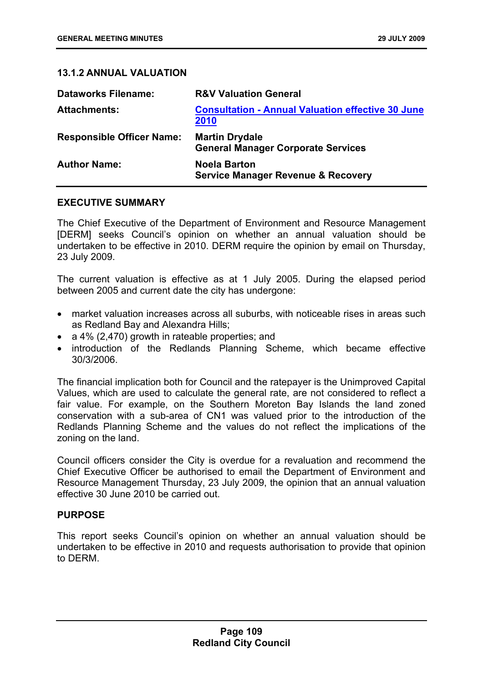# **13.1.2 ANNUAL VALUATION**

| <b>Dataworks Filename:</b>       | <b>R&amp;V Valuation General</b>                                     |
|----------------------------------|----------------------------------------------------------------------|
| <b>Attachments:</b>              | <b>Consultation - Annual Valuation effective 30 June</b><br>2010     |
| <b>Responsible Officer Name:</b> | <b>Martin Drydale</b><br><b>General Manager Corporate Services</b>   |
| <b>Author Name:</b>              | <b>Noela Barton</b><br><b>Service Manager Revenue &amp; Recovery</b> |

### **EXECUTIVE SUMMARY**

The Chief Executive of the Department of Environment and Resource Management [DERM] seeks Council's opinion on whether an annual valuation should be undertaken to be effective in 2010. DERM require the opinion by email on Thursday, 23 July 2009.

The current valuation is effective as at 1 July 2005. During the elapsed period between 2005 and current date the city has undergone:

- market valuation increases across all suburbs, with noticeable rises in areas such as Redland Bay and Alexandra Hills;
- a 4% (2,470) growth in rateable properties; and
- introduction of the Redlands Planning Scheme, which became effective 30/3/2006.

The financial implication both for Council and the ratepayer is the Unimproved Capital Values, which are used to calculate the general rate, are not considered to reflect a fair value. For example, on the Southern Moreton Bay Islands the land zoned conservation with a sub-area of CN1 was valued prior to the introduction of the Redlands Planning Scheme and the values do not reflect the implications of the zoning on the land.

Council officers consider the City is overdue for a revaluation and recommend the Chief Executive Officer be authorised to email the Department of Environment and Resource Management Thursday, 23 July 2009, the opinion that an annual valuation effective 30 June 2010 be carried out.

### **PURPOSE**

This report seeks Council's opinion on whether an annual valuation should be undertaken to be effective in 2010 and requests authorisation to provide that opinion to DERM.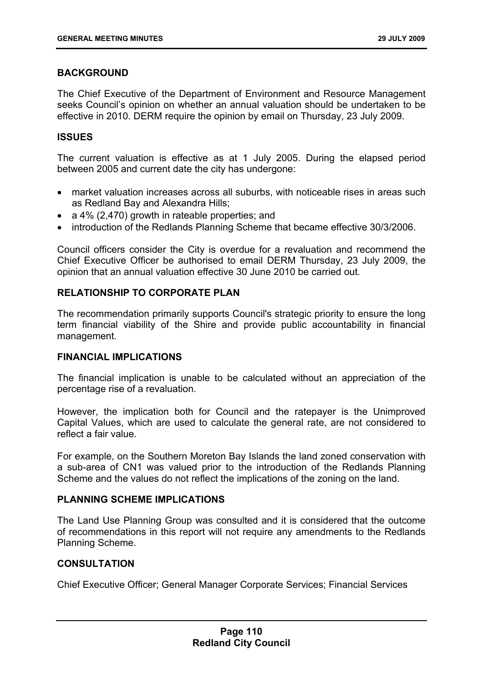# **BACKGROUND**

The Chief Executive of the Department of Environment and Resource Management seeks Council's opinion on whether an annual valuation should be undertaken to be effective in 2010. DERM require the opinion by email on Thursday, 23 July 2009.

### **ISSUES**

The current valuation is effective as at 1 July 2005. During the elapsed period between 2005 and current date the city has undergone:

- market valuation increases across all suburbs, with noticeable rises in areas such as Redland Bay and Alexandra Hills;
- a 4% (2,470) growth in rateable properties; and
- introduction of the Redlands Planning Scheme that became effective 30/3/2006.

Council officers consider the City is overdue for a revaluation and recommend the Chief Executive Officer be authorised to email DERM Thursday, 23 July 2009, the opinion that an annual valuation effective 30 June 2010 be carried out.

# **RELATIONSHIP TO CORPORATE PLAN**

The recommendation primarily supports Council's strategic priority to ensure the long term financial viability of the Shire and provide public accountability in financial management.

### **FINANCIAL IMPLICATIONS**

The financial implication is unable to be calculated without an appreciation of the percentage rise of a revaluation.

However, the implication both for Council and the ratepayer is the Unimproved Capital Values, which are used to calculate the general rate, are not considered to reflect a fair value.

For example, on the Southern Moreton Bay Islands the land zoned conservation with a sub-area of CN1 was valued prior to the introduction of the Redlands Planning Scheme and the values do not reflect the implications of the zoning on the land.

### **PLANNING SCHEME IMPLICATIONS**

The Land Use Planning Group was consulted and it is considered that the outcome of recommendations in this report will not require any amendments to the Redlands Planning Scheme.

### **CONSULTATION**

Chief Executive Officer; General Manager Corporate Services; Financial Services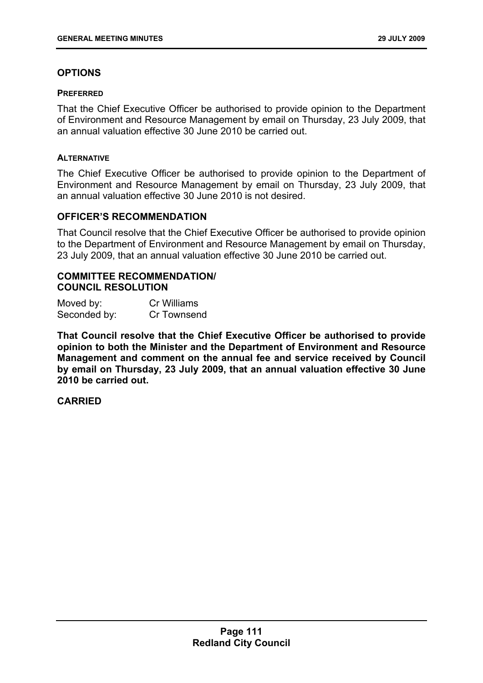# **OPTIONS**

### **PREFERRED**

That the Chief Executive Officer be authorised to provide opinion to the Department of Environment and Resource Management by email on Thursday, 23 July 2009, that an annual valuation effective 30 June 2010 be carried out.

#### **ALTERNATIVE**

The Chief Executive Officer be authorised to provide opinion to the Department of Environment and Resource Management by email on Thursday, 23 July 2009, that an annual valuation effective 30 June 2010 is not desired.

### **OFFICER'S RECOMMENDATION**

That Council resolve that the Chief Executive Officer be authorised to provide opinion to the Department of Environment and Resource Management by email on Thursday, 23 July 2009, that an annual valuation effective 30 June 2010 be carried out.

### **COMMITTEE RECOMMENDATION/ COUNCIL RESOLUTION**

| Moved by:    | Cr Williams |
|--------------|-------------|
| Seconded by: | Cr Townsend |

**That Council resolve that the Chief Executive Officer be authorised to provide opinion to both the Minister and the Department of Environment and Resource Management and comment on the annual fee and service received by Council by email on Thursday, 23 July 2009, that an annual valuation effective 30 June 2010 be carried out.**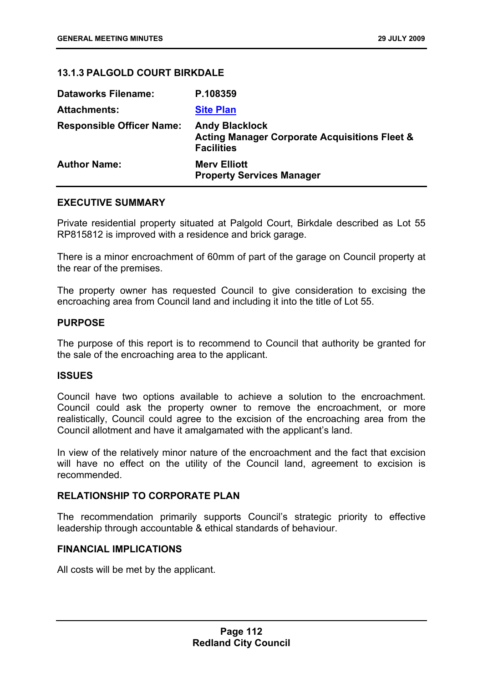# **13.1.3 PALGOLD COURT BIRKDALE**

| <b>Dataworks Filename:</b>       | P.108359                                                                                               |
|----------------------------------|--------------------------------------------------------------------------------------------------------|
| <b>Attachments:</b>              | <b>Site Plan</b>                                                                                       |
| <b>Responsible Officer Name:</b> | <b>Andy Blacklock</b><br><b>Acting Manager Corporate Acquisitions Fleet &amp;</b><br><b>Facilities</b> |
| <b>Author Name:</b>              | <b>Mery Elliott</b><br><b>Property Services Manager</b>                                                |

### **EXECUTIVE SUMMARY**

Private residential property situated at Palgold Court, Birkdale described as Lot 55 RP815812 is improved with a residence and brick garage.

There is a minor encroachment of 60mm of part of the garage on Council property at the rear of the premises.

The property owner has requested Council to give consideration to excising the encroaching area from Council land and including it into the title of Lot 55.

### **PURPOSE**

The purpose of this report is to recommend to Council that authority be granted for the sale of the encroaching area to the applicant.

### **ISSUES**

Council have two options available to achieve a solution to the encroachment. Council could ask the property owner to remove the encroachment, or more realistically, Council could agree to the excision of the encroaching area from the Council allotment and have it amalgamated with the applicant's land.

In view of the relatively minor nature of the encroachment and the fact that excision will have no effect on the utility of the Council land, agreement to excision is recommended.

# **RELATIONSHIP TO CORPORATE PLAN**

The recommendation primarily supports Council's strategic priority to effective leadership through accountable & ethical standards of behaviour.

### **FINANCIAL IMPLICATIONS**

All costs will be met by the applicant.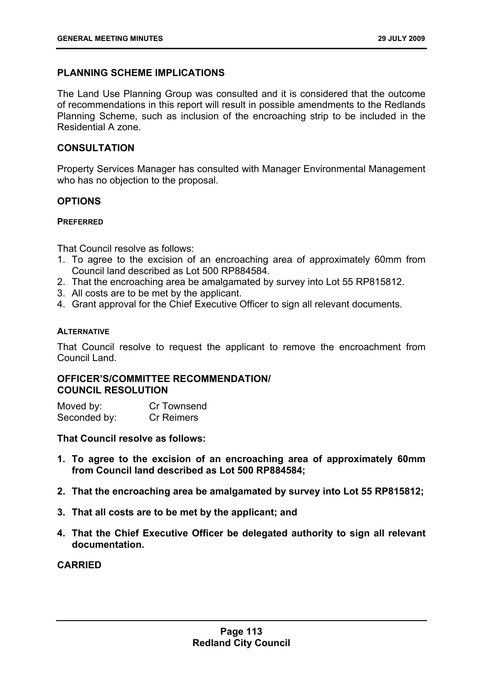# **PLANNING SCHEME IMPLICATIONS**

The Land Use Planning Group was consulted and it is considered that the outcome of recommendations in this report will result in possible amendments to the Redlands Planning Scheme, such as inclusion of the encroaching strip to be included in the Residential A zone.

# **CONSULTATION**

Property Services Manager has consulted with Manager Environmental Management who has no objection to the proposal.

# **OPTIONS**

### **PREFERRED**

That Council resolve as follows:

- 1. To agree to the excision of an encroaching area of approximately 60mm from Council land described as Lot 500 RP884584.
- 2. That the encroaching area be amalgamated by survey into Lot 55 RP815812.
- 3. All costs are to be met by the applicant.
- 4. Grant approval for the Chief Executive Officer to sign all relevant documents.

### **ALTERNATIVE**

That Council resolve to request the applicant to remove the encroachment from Council Land.

# **OFFICER'S/COMMITTEE RECOMMENDATION/ COUNCIL RESOLUTION**

Moved by: Cr Townsend Seconded by: Cr Reimers

**That Council resolve as follows:** 

- **1. To agree to the excision of an encroaching area of approximately 60mm from Council land described as Lot 500 RP884584;**
- **2. That the encroaching area be amalgamated by survey into Lot 55 RP815812;**
- **3. That all costs are to be met by the applicant; and**
- **4. That the Chief Executive Officer be delegated authority to sign all relevant documentation.**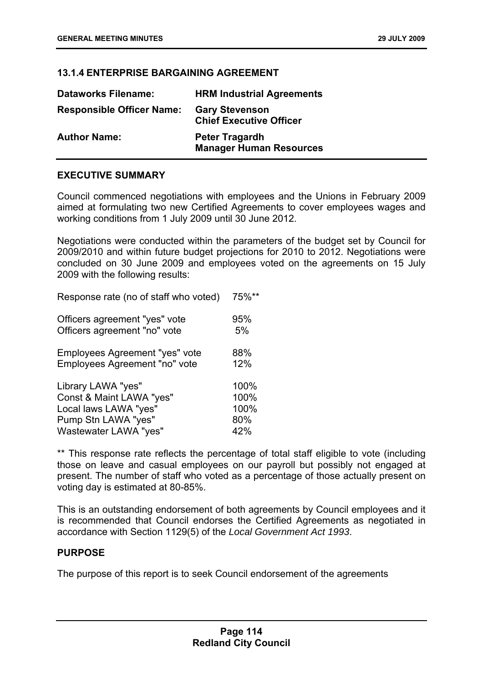# **13.1.4 ENTERPRISE BARGAINING AGREEMENT**

| <b>Dataworks Filename:</b>       | <b>HRM Industrial Agreements</b>                        |
|----------------------------------|---------------------------------------------------------|
| <b>Responsible Officer Name:</b> | <b>Gary Stevenson</b><br><b>Chief Executive Officer</b> |
| <b>Author Name:</b>              | <b>Peter Tragardh</b><br><b>Manager Human Resources</b> |

# **EXECUTIVE SUMMARY**

Council commenced negotiations with employees and the Unions in February 2009 aimed at formulating two new Certified Agreements to cover employees wages and working conditions from 1 July 2009 until 30 June 2012.

Negotiations were conducted within the parameters of the budget set by Council for 2009/2010 and within future budget projections for 2010 to 2012. Negotiations were concluded on 30 June 2009 and employees voted on the agreements on 15 July 2009 with the following results:

Response rate (no of staff who voted) 75%\*\*

| Officers agreement "yes" vote  | 95%  |
|--------------------------------|------|
| Officers agreement "no" vote   | 5%   |
| Employees Agreement "yes" vote | 88%  |
| Employees Agreement "no" vote  | 12%  |
| Library LAWA "yes"             | 100% |
| Const & Maint LAWA "yes"       | 100% |
| Local laws LAWA "yes"          | 100% |
| Pump Stn LAWA "yes"            | 80%  |
| Wastewater LAWA "yes"          | 42%  |

\*\* This response rate reflects the percentage of total staff eligible to vote (including those on leave and casual employees on our payroll but possibly not engaged at present. The number of staff who voted as a percentage of those actually present on voting day is estimated at 80-85%.

This is an outstanding endorsement of both agreements by Council employees and it is recommended that Council endorses the Certified Agreements as negotiated in accordance with Section 1129(5) of the *Local Government Act 1993*.

### **PURPOSE**

The purpose of this report is to seek Council endorsement of the agreements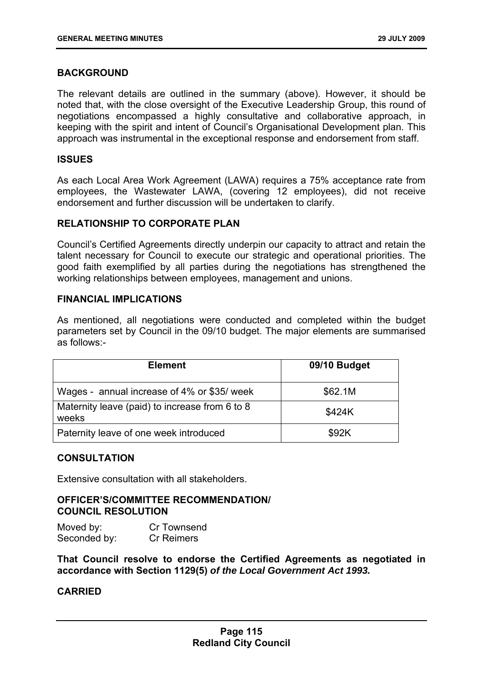# **BACKGROUND**

The relevant details are outlined in the summary (above). However, it should be noted that, with the close oversight of the Executive Leadership Group, this round of negotiations encompassed a highly consultative and collaborative approach, in keeping with the spirit and intent of Council's Organisational Development plan. This approach was instrumental in the exceptional response and endorsement from staff.

### **ISSUES**

As each Local Area Work Agreement (LAWA) requires a 75% acceptance rate from employees, the Wastewater LAWA, (covering 12 employees), did not receive endorsement and further discussion will be undertaken to clarify.

# **RELATIONSHIP TO CORPORATE PLAN**

Council's Certified Agreements directly underpin our capacity to attract and retain the talent necessary for Council to execute our strategic and operational priorities. The good faith exemplified by all parties during the negotiations has strengthened the working relationships between employees, management and unions.

# **FINANCIAL IMPLICATIONS**

As mentioned, all negotiations were conducted and completed within the budget parameters set by Council in the 09/10 budget. The major elements are summarised as follows:-

| <b>Element</b>                                          | 09/10 Budget |
|---------------------------------------------------------|--------------|
| Wages - annual increase of 4% or \$35/ week             | \$62.1M      |
| Maternity leave (paid) to increase from 6 to 8<br>weeks | \$424K       |
| Paternity leave of one week introduced                  | \$92K        |

### **CONSULTATION**

Extensive consultation with all stakeholders.

# **OFFICER'S/COMMITTEE RECOMMENDATION/ COUNCIL RESOLUTION**

Moved by: Cr Townsend Seconded by: Cr Reimers

**That Council resolve to endorse the Certified Agreements as negotiated in accordance with Section 1129(5)** *of the Local Government Act 1993.*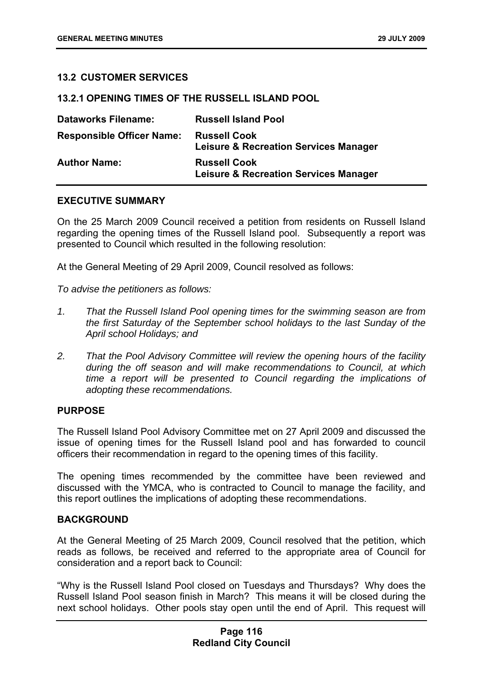### **13.2 CUSTOMER SERVICES**

### **13.2.1 OPENING TIMES OF THE RUSSELL ISLAND POOL**

| <b>Dataworks Filename:</b>       | <b>Russell Island Pool</b>                                              |
|----------------------------------|-------------------------------------------------------------------------|
| <b>Responsible Officer Name:</b> | <b>Russell Cook</b><br><b>Leisure &amp; Recreation Services Manager</b> |
| <b>Author Name:</b>              | <b>Russell Cook</b><br><b>Leisure &amp; Recreation Services Manager</b> |

## **EXECUTIVE SUMMARY**

On the 25 March 2009 Council received a petition from residents on Russell Island regarding the opening times of the Russell Island pool. Subsequently a report was presented to Council which resulted in the following resolution:

At the General Meeting of 29 April 2009, Council resolved as follows:

*To advise the petitioners as follows:* 

- *1. That the Russell Island Pool opening times for the swimming season are from the first Saturday of the September school holidays to the last Sunday of the April school Holidays; and*
- *2. That the Pool Advisory Committee will review the opening hours of the facility during the off season and will make recommendations to Council, at which time a report will be presented to Council regarding the implications of adopting these recommendations.*

### **PURPOSE**

The Russell Island Pool Advisory Committee met on 27 April 2009 and discussed the issue of opening times for the Russell Island pool and has forwarded to council officers their recommendation in regard to the opening times of this facility.

The opening times recommended by the committee have been reviewed and discussed with the YMCA, who is contracted to Council to manage the facility, and this report outlines the implications of adopting these recommendations.

### **BACKGROUND**

At the General Meeting of 25 March 2009, Council resolved that the petition, which reads as follows, be received and referred to the appropriate area of Council for consideration and a report back to Council:

"Why is the Russell Island Pool closed on Tuesdays and Thursdays? Why does the Russell Island Pool season finish in March? This means it will be closed during the next school holidays. Other pools stay open until the end of April. This request will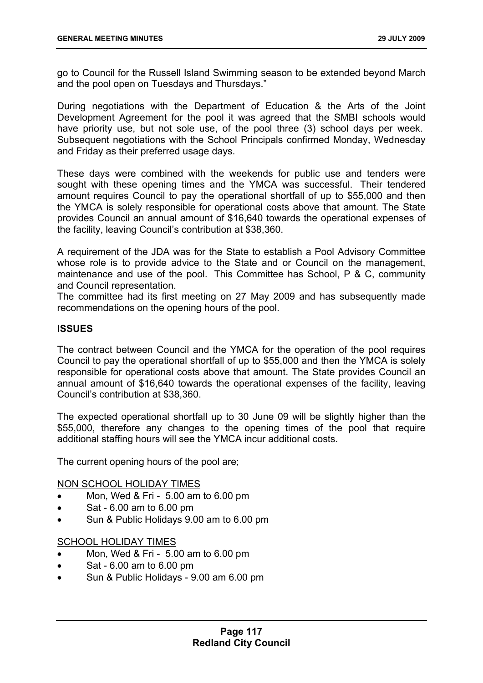go to Council for the Russell Island Swimming season to be extended beyond March and the pool open on Tuesdays and Thursdays."

During negotiations with the Department of Education & the Arts of the Joint Development Agreement for the pool it was agreed that the SMBI schools would have priority use, but not sole use, of the pool three (3) school days per week. Subsequent negotiations with the School Principals confirmed Monday, Wednesday and Friday as their preferred usage days.

These days were combined with the weekends for public use and tenders were sought with these opening times and the YMCA was successful. Their tendered amount requires Council to pay the operational shortfall of up to \$55,000 and then the YMCA is solely responsible for operational costs above that amount. The State provides Council an annual amount of \$16,640 towards the operational expenses of the facility, leaving Council's contribution at \$38,360.

A requirement of the JDA was for the State to establish a Pool Advisory Committee whose role is to provide advice to the State and or Council on the management, maintenance and use of the pool. This Committee has School, P & C, community and Council representation.

The committee had its first meeting on 27 May 2009 and has subsequently made recommendations on the opening hours of the pool.

# **ISSUES**

The contract between Council and the YMCA for the operation of the pool requires Council to pay the operational shortfall of up to \$55,000 and then the YMCA is solely responsible for operational costs above that amount. The State provides Council an annual amount of \$16,640 towards the operational expenses of the facility, leaving Council's contribution at \$38,360.

The expected operational shortfall up to 30 June 09 will be slightly higher than the \$55,000, therefore any changes to the opening times of the pool that require additional staffing hours will see the YMCA incur additional costs.

The current opening hours of the pool are;

### NON SCHOOL HOLIDAY TIMES

- Mon, Wed & Fri 5.00 am to 6.00 pm
- Sat 6.00 am to 6.00 pm
- Sun & Public Holidays 9.00 am to 6.00 pm

## SCHOOL HOLIDAY TIMES

- Mon, Wed & Fri 5.00 am to 6.00 pm
- Sat 6.00 am to 6.00 pm
- Sun & Public Holidays 9.00 am 6.00 pm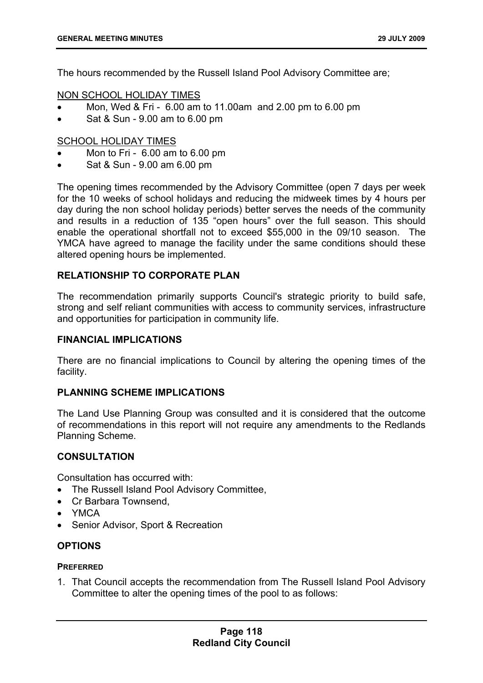The hours recommended by the Russell Island Pool Advisory Committee are;

# NON SCHOOL HOLIDAY TIMES

- Mon, Wed & Fri 6.00 am to 11.00am and 2.00 pm to 6.00 pm
- Sat & Sun 9.00 am to 6.00 pm

# SCHOOL HOLIDAY TIMES

- Mon to Fri 6.00 am to 6.00 pm
- Sat & Sun 9.00 am 6.00 pm

The opening times recommended by the Advisory Committee (open 7 days per week for the 10 weeks of school holidays and reducing the midweek times by 4 hours per day during the non school holiday periods) better serves the needs of the community and results in a reduction of 135 "open hours" over the full season. This should enable the operational shortfall not to exceed \$55,000 in the 09/10 season. The YMCA have agreed to manage the facility under the same conditions should these altered opening hours be implemented.

# **RELATIONSHIP TO CORPORATE PLAN**

The recommendation primarily supports Council's strategic priority to build safe, strong and self reliant communities with access to community services, infrastructure and opportunities for participation in community life.

### **FINANCIAL IMPLICATIONS**

There are no financial implications to Council by altering the opening times of the facility.

### **PLANNING SCHEME IMPLICATIONS**

The Land Use Planning Group was consulted and it is considered that the outcome of recommendations in this report will not require any amendments to the Redlands Planning Scheme.

## **CONSULTATION**

Consultation has occurred with:

- The Russell Island Pool Advisory Committee,
- Cr Barbara Townsend,
- YMCA
- Senior Advisor, Sport & Recreation

### **OPTIONS**

### **PREFERRED**

1. That Council accepts the recommendation from The Russell Island Pool Advisory Committee to alter the opening times of the pool to as follows: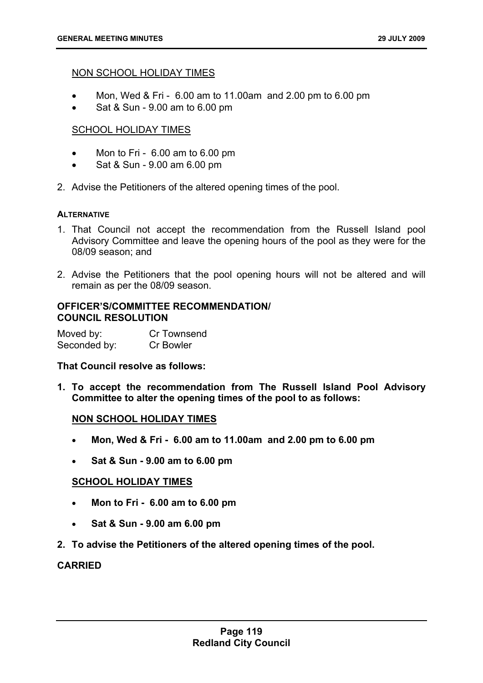## NON SCHOOL HOLIDAY TIMES

- Mon, Wed & Fri  $6.00$  am to 11.00am and 2.00 pm to 6.00 pm
- Sat & Sun 9.00 am to 6.00 pm

# SCHOOL HOLIDAY TIMES

- Mon to Fri 6.00 am to 6.00 pm
- Sat & Sun 9.00 am 6.00 pm
- 2. Advise the Petitioners of the altered opening times of the pool.

#### **ALTERNATIVE**

- 1. That Council not accept the recommendation from the Russell Island pool Advisory Committee and leave the opening hours of the pool as they were for the 08/09 season; and
- 2. Advise the Petitioners that the pool opening hours will not be altered and will remain as per the 08/09 season.

#### **OFFICER'S/COMMITTEE RECOMMENDATION/ COUNCIL RESOLUTION**

Moved by: Cr Townsend Seconded by: Cr Bowler

### **That Council resolve as follows:**

**1. To accept the recommendation from The Russell Island Pool Advisory Committee to alter the opening times of the pool to as follows:** 

### **NON SCHOOL HOLIDAY TIMES**

- **Mon, Wed & Fri 6.00 am to 11.00am and 2.00 pm to 6.00 pm**
- **Sat & Sun 9.00 am to 6.00 pm**

### **SCHOOL HOLIDAY TIMES**

- **Mon to Fri 6.00 am to 6.00 pm**
- **Sat & Sun 9.00 am 6.00 pm**
- **2. To advise the Petitioners of the altered opening times of the pool.**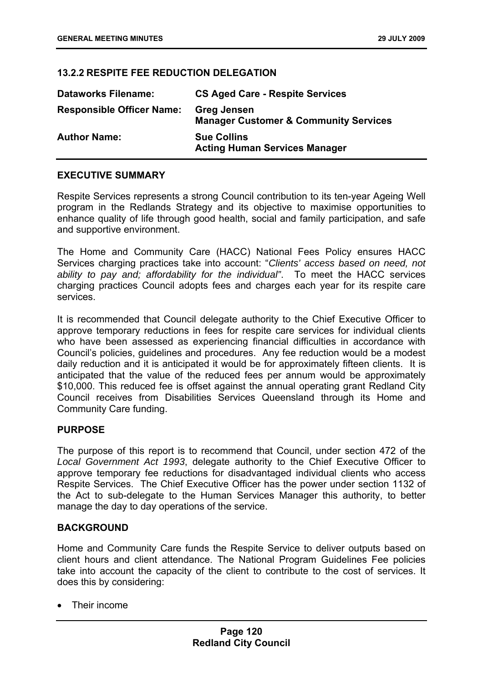# **13.2.2 RESPITE FEE REDUCTION DELEGATION**

| <b>Dataworks Filename:</b>       | <b>CS Aged Care - Respite Services</b>                                 |
|----------------------------------|------------------------------------------------------------------------|
| <b>Responsible Officer Name:</b> | <b>Greg Jensen</b><br><b>Manager Customer &amp; Community Services</b> |
| <b>Author Name:</b>              | <b>Sue Collins</b><br><b>Acting Human Services Manager</b>             |

# **EXECUTIVE SUMMARY**

Respite Services represents a strong Council contribution to its ten-year Ageing Well program in the Redlands Strategy and its objective to maximise opportunities to enhance quality of life through good health, social and family participation, and safe and supportive environment.

The Home and Community Care (HACC) National Fees Policy ensures HACC Services charging practices take into account: "*Clients' access based on need, not ability to pay and; affordability for the individual"*. To meet the HACC services charging practices Council adopts fees and charges each year for its respite care services.

It is recommended that Council delegate authority to the Chief Executive Officer to approve temporary reductions in fees for respite care services for individual clients who have been assessed as experiencing financial difficulties in accordance with Council's policies, guidelines and procedures. Any fee reduction would be a modest daily reduction and it is anticipated it would be for approximately fifteen clients. It is anticipated that the value of the reduced fees per annum would be approximately \$10,000. This reduced fee is offset against the annual operating grant Redland City Council receives from Disabilities Services Queensland through its Home and Community Care funding.

### **PURPOSE**

The purpose of this report is to recommend that Council, under section 472 of the *Local Government Act 1993*, delegate authority to the Chief Executive Officer to approve temporary fee reductions for disadvantaged individual clients who access Respite Services. The Chief Executive Officer has the power under section 1132 of the Act to sub-delegate to the Human Services Manager this authority, to better manage the day to day operations of the service.

### **BACKGROUND**

Home and Community Care funds the Respite Service to deliver outputs based on client hours and client attendance. The National Program Guidelines Fee policies take into account the capacity of the client to contribute to the cost of services. It does this by considering:

• Their income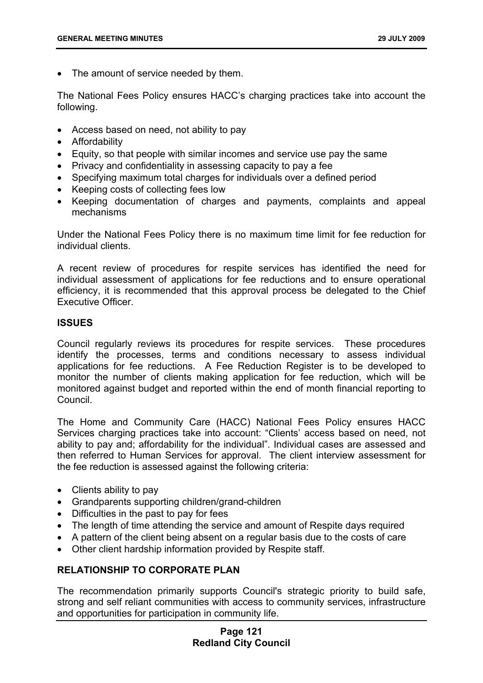• The amount of service needed by them.

The National Fees Policy ensures HACC's charging practices take into account the following.

- Access based on need, not ability to pay
- Affordability
- Equity, so that people with similar incomes and service use pay the same
- Privacy and confidentiality in assessing capacity to pay a fee
- Specifying maximum total charges for individuals over a defined period
- Keeping costs of collecting fees low
- Keeping documentation of charges and payments, complaints and appeal mechanisms

Under the National Fees Policy there is no maximum time limit for fee reduction for individual clients.

A recent review of procedures for respite services has identified the need for individual assessment of applications for fee reductions and to ensure operational efficiency, it is recommended that this approval process be delegated to the Chief Executive Officer.

### **ISSUES**

Council regularly reviews its procedures for respite services. These procedures identify the processes, terms and conditions necessary to assess individual applications for fee reductions. A Fee Reduction Register is to be developed to monitor the number of clients making application for fee reduction, which will be monitored against budget and reported within the end of month financial reporting to Council.

The Home and Community Care (HACC) National Fees Policy ensures HACC Services charging practices take into account: "Clients' access based on need, not ability to pay and; affordability for the individual". Individual cases are assessed and then referred to Human Services for approval. The client interview assessment for the fee reduction is assessed against the following criteria:

- Clients ability to pay
- Grandparents supporting children/grand-children
- Difficulties in the past to pay for fees
- The length of time attending the service and amount of Respite days required
- A pattern of the client being absent on a regular basis due to the costs of care
- Other client hardship information provided by Respite staff.

# **RELATIONSHIP TO CORPORATE PLAN**

The recommendation primarily supports Council's strategic priority to build safe, strong and self reliant communities with access to community services, infrastructure and opportunities for participation in community life.

# **Page 121 Redland City Council**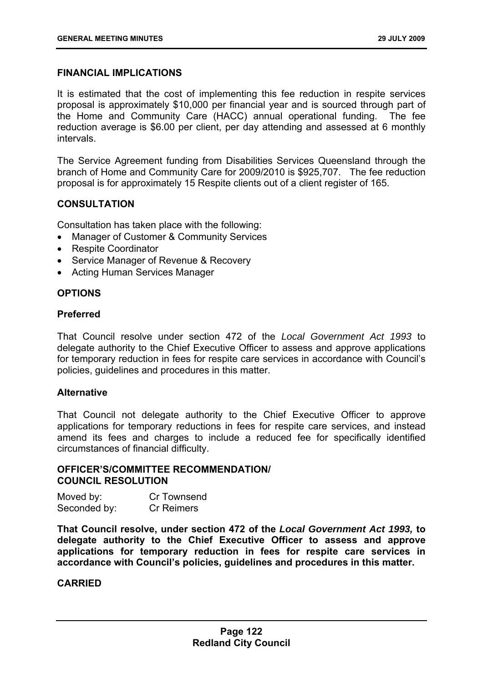# **FINANCIAL IMPLICATIONS**

It is estimated that the cost of implementing this fee reduction in respite services proposal is approximately \$10,000 per financial year and is sourced through part of the Home and Community Care (HACC) annual operational funding. The fee reduction average is \$6.00 per client, per day attending and assessed at 6 monthly intervals.

The Service Agreement funding from Disabilities Services Queensland through the branch of Home and Community Care for 2009/2010 is \$925,707. The fee reduction proposal is for approximately 15 Respite clients out of a client register of 165.

# **CONSULTATION**

Consultation has taken place with the following:

- Manager of Customer & Community Services
- Respite Coordinator
- Service Manager of Revenue & Recovery
- Acting Human Services Manager

# **OPTIONS**

### **Preferred**

That Council resolve under section 472 of the *Local Government Act 1993* to delegate authority to the Chief Executive Officer to assess and approve applications for temporary reduction in fees for respite care services in accordance with Council's policies, guidelines and procedures in this matter.

### **Alternative**

That Council not delegate authority to the Chief Executive Officer to approve applications for temporary reductions in fees for respite care services, and instead amend its fees and charges to include a reduced fee for specifically identified circumstances of financial difficulty.

### **OFFICER'S/COMMITTEE RECOMMENDATION/ COUNCIL RESOLUTION**

| Moved by:    | Cr Townsend       |
|--------------|-------------------|
| Seconded by: | <b>Cr Reimers</b> |

**That Council resolve, under section 472 of the** *Local Government Act 1993,* **to delegate authority to the Chief Executive Officer to assess and approve applications for temporary reduction in fees for respite care services in accordance with Council's policies, guidelines and procedures in this matter.**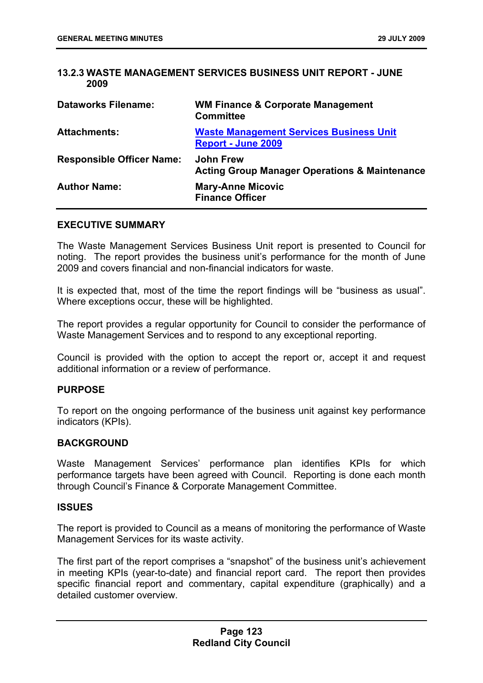# **13.2.3 WASTE MANAGEMENT SERVICES BUSINESS UNIT REPORT - JUNE 2009**

| <b>Dataworks Filename:</b>       | <b>WM Finance &amp; Corporate Management</b><br><b>Committee</b>             |
|----------------------------------|------------------------------------------------------------------------------|
| <b>Attachments:</b>              | <b>Waste Management Services Business Unit</b><br><b>Report - June 2009</b>  |
| <b>Responsible Officer Name:</b> | <b>John Frew</b><br><b>Acting Group Manager Operations &amp; Maintenance</b> |
| <b>Author Name:</b>              | <b>Mary-Anne Micovic</b><br><b>Finance Officer</b>                           |

#### **EXECUTIVE SUMMARY**

The Waste Management Services Business Unit report is presented to Council for noting. The report provides the business unit's performance for the month of June 2009 and covers financial and non-financial indicators for waste.

It is expected that, most of the time the report findings will be "business as usual". Where exceptions occur, these will be highlighted.

The report provides a regular opportunity for Council to consider the performance of Waste Management Services and to respond to any exceptional reporting.

Council is provided with the option to accept the report or, accept it and request additional information or a review of performance.

### **PURPOSE**

To report on the ongoing performance of the business unit against key performance indicators (KPIs).

### **BACKGROUND**

Waste Management Services' performance plan identifies KPIs for which performance targets have been agreed with Council. Reporting is done each month through Council's Finance & Corporate Management Committee.

#### **ISSUES**

The report is provided to Council as a means of monitoring the performance of Waste Management Services for its waste activity.

The first part of the report comprises a "snapshot" of the business unit's achievement in meeting KPIs (year-to-date) and financial report card. The report then provides specific financial report and commentary, capital expenditure (graphically) and a detailed customer overview.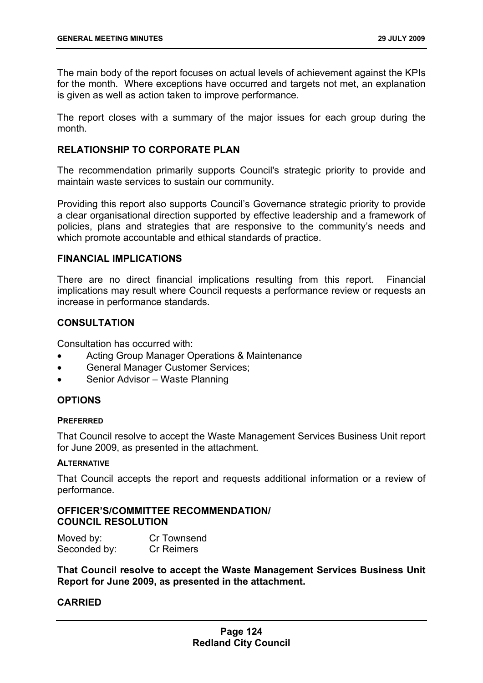The main body of the report focuses on actual levels of achievement against the KPIs for the month. Where exceptions have occurred and targets not met, an explanation is given as well as action taken to improve performance.

The report closes with a summary of the major issues for each group during the month.

# **RELATIONSHIP TO CORPORATE PLAN**

The recommendation primarily supports Council's strategic priority to provide and maintain waste services to sustain our community.

Providing this report also supports Council's Governance strategic priority to provide a clear organisational direction supported by effective leadership and a framework of policies, plans and strategies that are responsive to the community's needs and which promote accountable and ethical standards of practice.

### **FINANCIAL IMPLICATIONS**

There are no direct financial implications resulting from this report. Financial implications may result where Council requests a performance review or requests an increase in performance standards.

# **CONSULTATION**

Consultation has occurred with:

- Acting Group Manager Operations & Maintenance
- General Manager Customer Services;
- Senior Advisor Waste Planning

### **OPTIONS**

### **PREFERRED**

That Council resolve to accept the Waste Management Services Business Unit report for June 2009, as presented in the attachment.

#### **ALTERNATIVE**

That Council accepts the report and requests additional information or a review of performance.

# **OFFICER'S/COMMITTEE RECOMMENDATION/ COUNCIL RESOLUTION**

| Moved by:    | Cr Townsend       |
|--------------|-------------------|
| Seconded by: | <b>Cr Reimers</b> |

**That Council resolve to accept the Waste Management Services Business Unit Report for June 2009, as presented in the attachment.**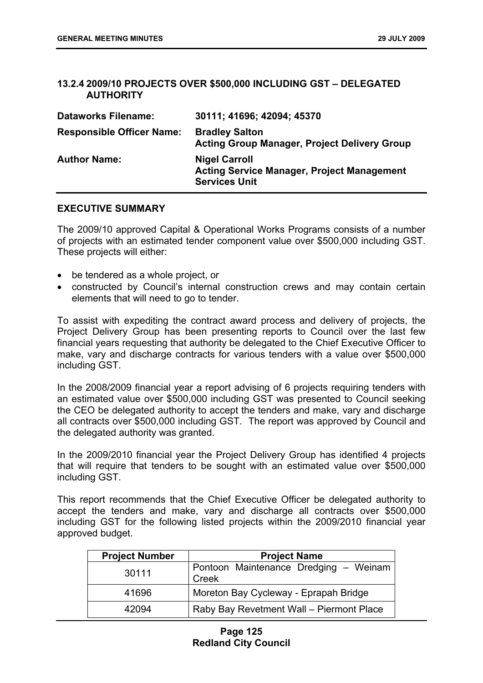# **13.2.4 2009/10 PROJECTS OVER \$500,000 INCLUDING GST – DELEGATED AUTHORITY**

| <b>Dataworks Filename:</b>       | 30111; 41696; 42094; 45370                                                                        |
|----------------------------------|---------------------------------------------------------------------------------------------------|
| <b>Responsible Officer Name:</b> | <b>Bradley Salton</b><br><b>Acting Group Manager, Project Delivery Group</b>                      |
| <b>Author Name:</b>              | <b>Nigel Carroll</b><br><b>Acting Service Manager, Project Management</b><br><b>Services Unit</b> |

# **EXECUTIVE SUMMARY**

The 2009/10 approved Capital & Operational Works Programs consists of a number of projects with an estimated tender component value over \$500,000 including GST. These projects will either:

- be tendered as a whole project, or
- constructed by Council's internal construction crews and may contain certain elements that will need to go to tender.

To assist with expediting the contract award process and delivery of projects, the Project Delivery Group has been presenting reports to Council over the last few financial years requesting that authority be delegated to the Chief Executive Officer to make, vary and discharge contracts for various tenders with a value over \$500,000 including GST.

In the 2008/2009 financial year a report advising of 6 projects requiring tenders with an estimated value over \$500,000 including GST was presented to Council seeking the CEO be delegated authority to accept the tenders and make, vary and discharge all contracts over \$500,000 including GST. The report was approved by Council and the delegated authority was granted.

In the 2009/2010 financial year the Project Delivery Group has identified 4 projects that will require that tenders to be sought with an estimated value over \$500,000 including GST.

This report recommends that the Chief Executive Officer be delegated authority to accept the tenders and make, vary and discharge all contracts over \$500,000 including GST for the following listed projects within the 2009/2010 financial year approved budget.

| <b>Project Number</b> | <b>Project Name</b>                                   |
|-----------------------|-------------------------------------------------------|
| 30111                 | Pontoon Maintenance Dredging - Weinam<br><b>Creek</b> |
| 41696                 | Moreton Bay Cycleway - Eprapah Bridge                 |
| 42094                 | Raby Bay Revetment Wall - Piermont Place              |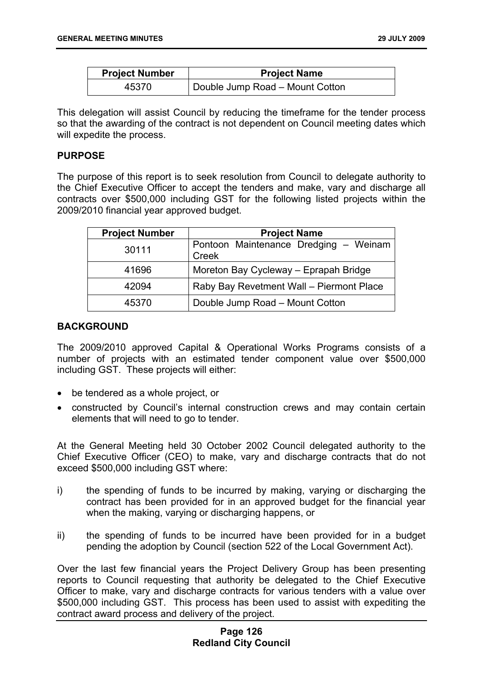| <b>Project Number</b> | <b>Project Name</b>                          |
|-----------------------|----------------------------------------------|
| 45370                 | <sup>1</sup> Double Jump Road - Mount Cotton |

This delegation will assist Council by reducing the timeframe for the tender process so that the awarding of the contract is not dependent on Council meeting dates which will expedite the process.

## **PURPOSE**

The purpose of this report is to seek resolution from Council to delegate authority to the Chief Executive Officer to accept the tenders and make, vary and discharge all contracts over \$500,000 including GST for the following listed projects within the 2009/2010 financial year approved budget.

| <b>Project Number</b> | <b>Project Name</b>                            |
|-----------------------|------------------------------------------------|
| 30111                 | Pontoon Maintenance Dredging - Weinam<br>Creek |
| 41696                 | Moreton Bay Cycleway - Eprapah Bridge          |
| 42094                 | Raby Bay Revetment Wall - Piermont Place       |
| 45370                 | Double Jump Road - Mount Cotton                |

### **BACKGROUND**

The 2009/2010 approved Capital & Operational Works Programs consists of a number of projects with an estimated tender component value over \$500,000 including GST. These projects will either:

- be tendered as a whole project, or
- constructed by Council's internal construction crews and may contain certain elements that will need to go to tender.

At the General Meeting held 30 October 2002 Council delegated authority to the Chief Executive Officer (CEO) to make, vary and discharge contracts that do not exceed \$500,000 including GST where:

- i) the spending of funds to be incurred by making, varying or discharging the contract has been provided for in an approved budget for the financial year when the making, varying or discharging happens, or
- ii) the spending of funds to be incurred have been provided for in a budget pending the adoption by Council (section 522 of the Local Government Act).

Over the last few financial years the Project Delivery Group has been presenting reports to Council requesting that authority be delegated to the Chief Executive Officer to make, vary and discharge contracts for various tenders with a value over \$500,000 including GST. This process has been used to assist with expediting the contract award process and delivery of the project.

# **Page 126 Redland City Council**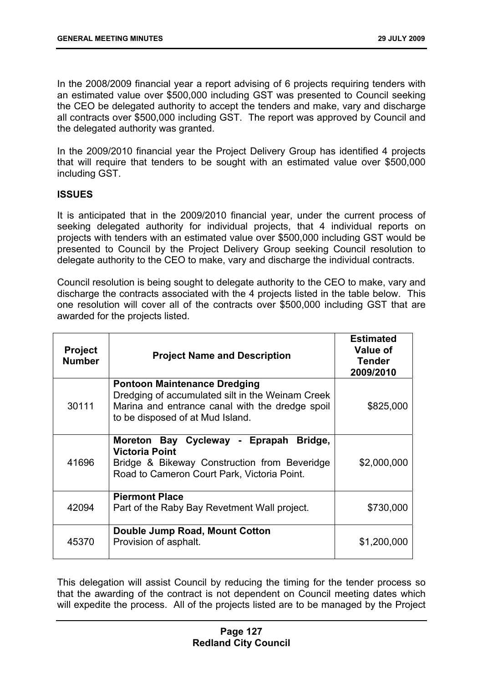In the 2008/2009 financial year a report advising of 6 projects requiring tenders with an estimated value over \$500,000 including GST was presented to Council seeking the CEO be delegated authority to accept the tenders and make, vary and discharge all contracts over \$500,000 including GST. The report was approved by Council and the delegated authority was granted.

In the 2009/2010 financial year the Project Delivery Group has identified 4 projects that will require that tenders to be sought with an estimated value over \$500,000 including GST.

# **ISSUES**

It is anticipated that in the 2009/2010 financial year, under the current process of seeking delegated authority for individual projects, that 4 individual reports on projects with tenders with an estimated value over \$500,000 including GST would be presented to Council by the Project Delivery Group seeking Council resolution to delegate authority to the CEO to make, vary and discharge the individual contracts.

Council resolution is being sought to delegate authority to the CEO to make, vary and discharge the contracts associated with the 4 projects listed in the table below. This one resolution will cover all of the contracts over \$500,000 including GST that are awarded for the projects listed.

| <b>Project</b><br><b>Number</b> | <b>Project Name and Description</b>                                                                                                                                            | <b>Estimated</b><br>Value of<br><b>Tender</b><br>2009/2010 |
|---------------------------------|--------------------------------------------------------------------------------------------------------------------------------------------------------------------------------|------------------------------------------------------------|
| 30111                           | <b>Pontoon Maintenance Dredging</b><br>Dredging of accumulated silt in the Weinam Creek<br>Marina and entrance canal with the dredge spoil<br>to be disposed of at Mud Island. | \$825,000                                                  |
| 41696                           | Moreton Bay Cycleway - Eprapah<br>Bridge,<br><b>Victoria Point</b><br>Bridge & Bikeway Construction from Beveridge<br>Road to Cameron Court Park, Victoria Point.              | \$2,000,000                                                |
| 42094                           | <b>Piermont Place</b><br>Part of the Raby Bay Revetment Wall project.                                                                                                          | \$730,000                                                  |
| 45370                           | Double Jump Road, Mount Cotton<br>Provision of asphalt.                                                                                                                        | \$1,200,000                                                |

This delegation will assist Council by reducing the timing for the tender process so that the awarding of the contract is not dependent on Council meeting dates which will expedite the process. All of the projects listed are to be managed by the Project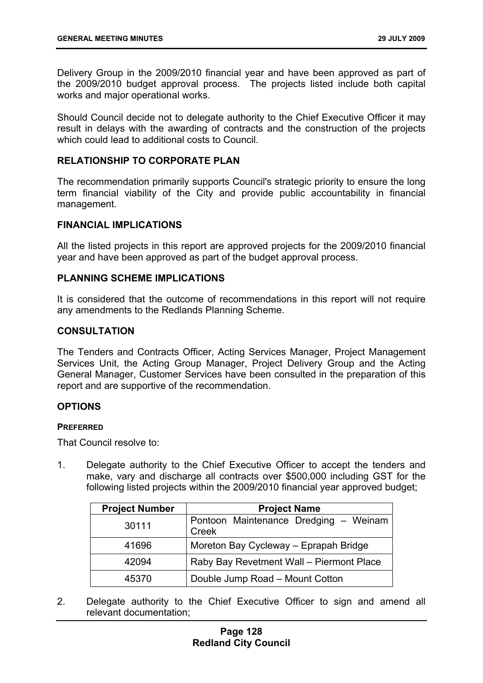Delivery Group in the 2009/2010 financial year and have been approved as part of the 2009/2010 budget approval process. The projects listed include both capital works and major operational works.

Should Council decide not to delegate authority to the Chief Executive Officer it may result in delays with the awarding of contracts and the construction of the projects which could lead to additional costs to Council.

### **RELATIONSHIP TO CORPORATE PLAN**

The recommendation primarily supports Council's strategic priority to ensure the long term financial viability of the City and provide public accountability in financial management.

#### **FINANCIAL IMPLICATIONS**

All the listed projects in this report are approved projects for the 2009/2010 financial year and have been approved as part of the budget approval process.

### **PLANNING SCHEME IMPLICATIONS**

It is considered that the outcome of recommendations in this report will not require any amendments to the Redlands Planning Scheme.

#### **CONSULTATION**

The Tenders and Contracts Officer, Acting Services Manager, Project Management Services Unit, the Acting Group Manager, Project Delivery Group and the Acting General Manager, Customer Services have been consulted in the preparation of this report and are supportive of the recommendation.

# **OPTIONS**

#### **PREFERRED**

That Council resolve to:

1. Delegate authority to the Chief Executive Officer to accept the tenders and make, vary and discharge all contracts over \$500,000 including GST for the following listed projects within the 2009/2010 financial year approved budget;

| <b>Project Number</b> | <b>Project Name</b>                                   |
|-----------------------|-------------------------------------------------------|
| 30111                 | Pontoon Maintenance Dredging - Weinam<br><b>Creek</b> |
| 41696                 | Moreton Bay Cycleway - Eprapah Bridge                 |
| 42094                 | Raby Bay Revetment Wall - Piermont Place              |
| 45370                 | Double Jump Road - Mount Cotton                       |

2. Delegate authority to the Chief Executive Officer to sign and amend all relevant documentation;

# **Page 128 Redland City Council**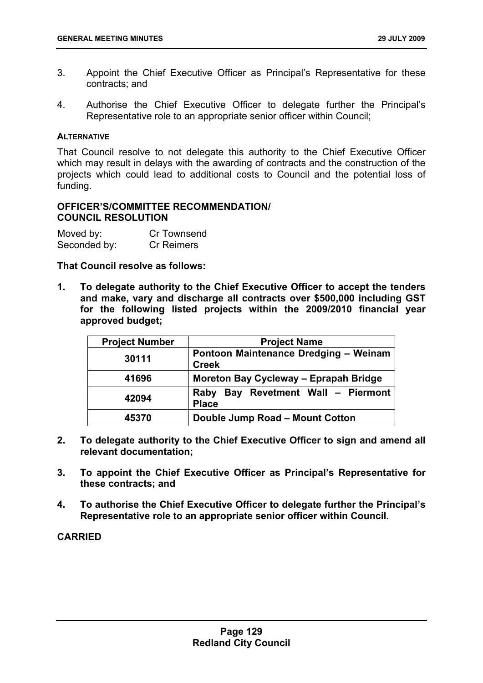- 3. Appoint the Chief Executive Officer as Principal's Representative for these contracts; and
- 4. Authorise the Chief Executive Officer to delegate further the Principal's Representative role to an appropriate senior officer within Council;

#### **ALTERNATIVE**

That Council resolve to not delegate this authority to the Chief Executive Officer which may result in delays with the awarding of contracts and the construction of the projects which could lead to additional costs to Council and the potential loss of funding.

# **OFFICER'S/COMMITTEE RECOMMENDATION/ COUNCIL RESOLUTION**

| Moved by:    | Cr Townsend       |
|--------------|-------------------|
| Seconded by: | <b>Cr Reimers</b> |

### **That Council resolve as follows:**

**1. To delegate authority to the Chief Executive Officer to accept the tenders and make, vary and discharge all contracts over \$500,000 including GST for the following listed projects within the 2009/2010 financial year approved budget;** 

| <b>Project Number</b> | <b>Project Name</b>                                          |
|-----------------------|--------------------------------------------------------------|
| 30111                 | Pontoon Maintenance Dredging - Weinam<br><b>Creek</b>        |
| 41696                 | Moreton Bay Cycleway - Eprapah Bridge                        |
| 42094                 | Bay Revetment Wall - Piermont<br><b>Raby</b><br><b>Place</b> |
| 45370                 | Double Jump Road - Mount Cotton                              |

- **2. To delegate authority to the Chief Executive Officer to sign and amend all relevant documentation;**
- **3. To appoint the Chief Executive Officer as Principal's Representative for these contracts; and**
- **4. To authorise the Chief Executive Officer to delegate further the Principal's Representative role to an appropriate senior officer within Council.**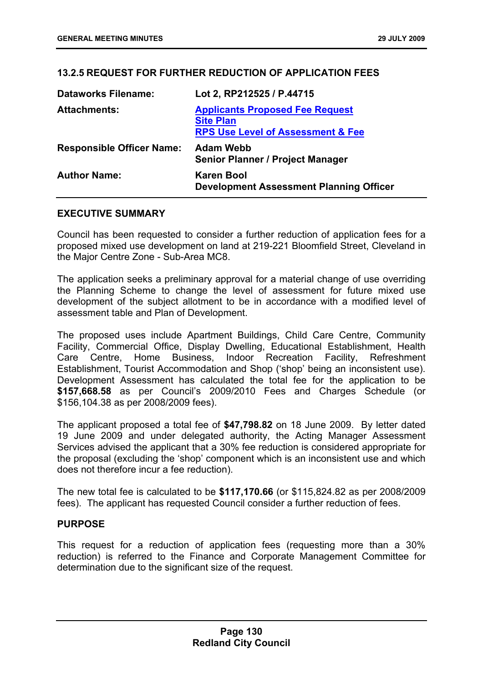# **13.2.5 REQUEST FOR FURTHER REDUCTION OF APPLICATION FEES**

| <b>Dataworks Filename:</b>       | Lot 2, RP212525 / P.44715                                                                                  |
|----------------------------------|------------------------------------------------------------------------------------------------------------|
| <b>Attachments:</b>              | <b>Applicants Proposed Fee Request</b><br><b>Site Plan</b><br><b>RPS Use Level of Assessment &amp; Fee</b> |
| <b>Responsible Officer Name:</b> | <b>Adam Webb</b><br><b>Senior Planner / Project Manager</b>                                                |
| <b>Author Name:</b>              | <b>Karen Bool</b><br><b>Development Assessment Planning Officer</b>                                        |

### **EXECUTIVE SUMMARY**

Council has been requested to consider a further reduction of application fees for a proposed mixed use development on land at 219-221 Bloomfield Street, Cleveland in the Major Centre Zone - Sub-Area MC8.

The application seeks a preliminary approval for a material change of use overriding the Planning Scheme to change the level of assessment for future mixed use development of the subject allotment to be in accordance with a modified level of assessment table and Plan of Development.

The proposed uses include Apartment Buildings, Child Care Centre, Community Facility, Commercial Office, Display Dwelling, Educational Establishment, Health Care Centre, Home Business, Indoor Recreation Facility, Refreshment Establishment, Tourist Accommodation and Shop ('shop' being an inconsistent use). Development Assessment has calculated the total fee for the application to be **\$157,668.58** as per Council's 2009/2010 Fees and Charges Schedule (or \$156,104.38 as per 2008/2009 fees).

The applicant proposed a total fee of **\$47,798.82** on 18 June 2009. By letter dated 19 June 2009 and under delegated authority, the Acting Manager Assessment Services advised the applicant that a 30% fee reduction is considered appropriate for the proposal (excluding the 'shop' component which is an inconsistent use and which does not therefore incur a fee reduction).

The new total fee is calculated to be **\$117,170.66** (or \$115,824.82 as per 2008/2009 fees). The applicant has requested Council consider a further reduction of fees.

# **PURPOSE**

This request for a reduction of application fees (requesting more than a 30% reduction) is referred to the Finance and Corporate Management Committee for determination due to the significant size of the request.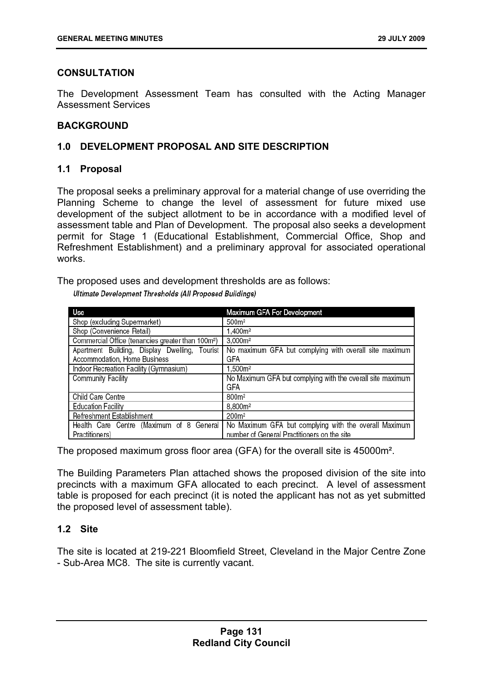# **CONSULTATION**

The Development Assessment Team has consulted with the Acting Manager Assessment Services

# **BACKGROUND**

# **1.0 DEVELOPMENT PROPOSAL AND SITE DESCRIPTION**

## **1.1 Proposal**

The proposal seeks a preliminary approval for a material change of use overriding the Planning Scheme to change the level of assessment for future mixed use development of the subject allotment to be in accordance with a modified level of assessment table and Plan of Development. The proposal also seeks a development permit for Stage 1 (Educational Establishment, Commercial Office, Shop and Refreshment Establishment) and a preliminary approval for associated operational works.

The proposed uses and development thresholds are as follows:

Ultimate Development Thresholds (All Proposed Buildings)

| Use                                                           | Maximum GFA For Development                                |
|---------------------------------------------------------------|------------------------------------------------------------|
| Shop (excluding Supermarket)                                  | 500m <sup>2</sup>                                          |
| Shop (Convenience Retail)                                     | 1,400m <sup>2</sup>                                        |
| Commercial Office (tenancies greater than 100m <sup>2</sup> ) | 3,000m <sup>2</sup>                                        |
| Apartment Building, Display Dwelling, Tourist                 | No maximum GFA but complying with overall site maximum     |
| Accommodation, Home Business                                  | GFA                                                        |
| Indoor Recreation Facility (Gymnasium)                        | 1.500m <sup>2</sup>                                        |
| <b>Community Facility</b>                                     | No Maximum GFA but complying with the overall site maximum |
|                                                               | GFA                                                        |
| Child Care Centre                                             | 800m <sup>2</sup>                                          |
| <b>Education Facility</b>                                     | 8,800m <sup>2</sup>                                        |
| Refreshment Establishment                                     | 200m <sup>2</sup>                                          |
| Health Care Centre (Maximum of 8 General                      | No Maximum GFA but complying with the overall Maximum      |
| Practitioners)                                                | number of General Practitioners on the site                |

The proposed maximum gross floor area (GFA) for the overall site is 45000m².

The Building Parameters Plan attached shows the proposed division of the site into precincts with a maximum GFA allocated to each precinct. A level of assessment table is proposed for each precinct (it is noted the applicant has not as yet submitted the proposed level of assessment table).

# **1.2 Site**

The site is located at 219-221 Bloomfield Street, Cleveland in the Major Centre Zone - Sub-Area MC8. The site is currently vacant.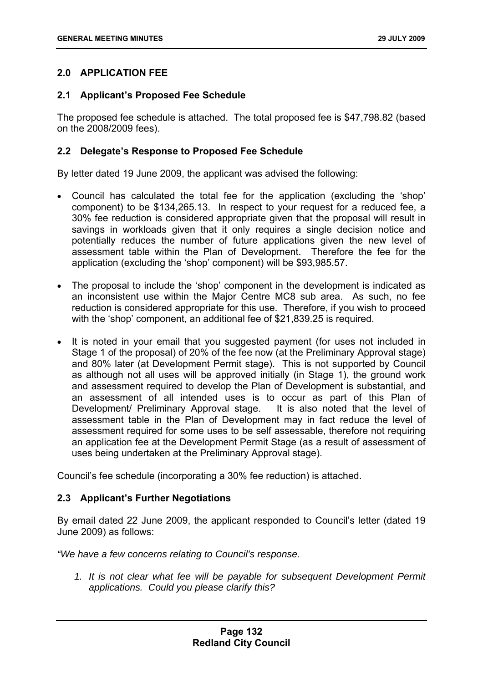# **2.0 APPLICATION FEE**

# **2.1 Applicant's Proposed Fee Schedule**

The proposed fee schedule is attached. The total proposed fee is \$47,798.82 (based on the 2008/2009 fees).

# **2.2 Delegate's Response to Proposed Fee Schedule**

By letter dated 19 June 2009, the applicant was advised the following:

- Council has calculated the total fee for the application (excluding the 'shop' component) to be \$134,265.13. In respect to your request for a reduced fee, a 30% fee reduction is considered appropriate given that the proposal will result in savings in workloads given that it only requires a single decision notice and potentially reduces the number of future applications given the new level of assessment table within the Plan of Development. Therefore the fee for the application (excluding the 'shop' component) will be \$93,985.57.
- The proposal to include the 'shop' component in the development is indicated as an inconsistent use within the Major Centre MC8 sub area. As such, no fee reduction is considered appropriate for this use. Therefore, if you wish to proceed with the 'shop' component, an additional fee of \$21,839.25 is required.
- It is noted in your email that you suggested payment (for uses not included in Stage 1 of the proposal) of 20% of the fee now (at the Preliminary Approval stage) and 80% later (at Development Permit stage). This is not supported by Council as although not all uses will be approved initially (in Stage 1), the ground work and assessment required to develop the Plan of Development is substantial, and an assessment of all intended uses is to occur as part of this Plan of Development/ Preliminary Approval stage. It is also noted that the level of assessment table in the Plan of Development may in fact reduce the level of assessment required for some uses to be self assessable, therefore not requiring an application fee at the Development Permit Stage (as a result of assessment of uses being undertaken at the Preliminary Approval stage).

Council's fee schedule (incorporating a 30% fee reduction) is attached.

### **2.3 Applicant's Further Negotiations**

By email dated 22 June 2009, the applicant responded to Council's letter (dated 19 June 2009) as follows:

*"We have a few concerns relating to Council's response.* 

1. It is not clear what fee will be payable for subsequent Development Permit *applications. Could you please clarify this?*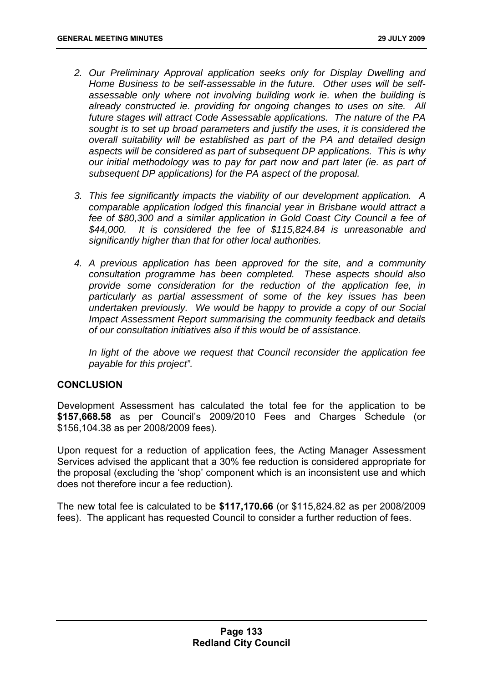- *2. Our Preliminary Approval application seeks only for Display Dwelling and Home Business to be self-assessable in the future. Other uses will be selfassessable only where not involving building work ie. when the building is already constructed ie. providing for ongoing changes to uses on site. All future stages will attract Code Assessable applications. The nature of the PA sought is to set up broad parameters and justify the uses, it is considered the overall suitability will be established as part of the PA and detailed design aspects will be considered as part of subsequent DP applications. This is why our initial methodology was to pay for part now and part later (ie. as part of subsequent DP applications) for the PA aspect of the proposal.*
- *3. This fee significantly impacts the viability of our development application. A comparable application lodged this financial year in Brisbane would attract a fee of \$80,300 and a similar application in Gold Coast City Council a fee of \$44,000. It is considered the fee of \$115,824.84 is unreasonable and significantly higher than that for other local authorities.*
- *4. A previous application has been approved for the site, and a community consultation programme has been completed. These aspects should also provide some consideration for the reduction of the application fee, in particularly as partial assessment of some of the key issues has been undertaken previously. We would be happy to provide a copy of our Social Impact Assessment Report summarising the community feedback and details of our consultation initiatives also if this would be of assistance.*

*In light of the above we request that Council reconsider the application fee payable for this project".* 

### **CONCLUSION**

Development Assessment has calculated the total fee for the application to be **\$157,668.58** as per Council's 2009/2010 Fees and Charges Schedule (or \$156,104.38 as per 2008/2009 fees).

Upon request for a reduction of application fees, the Acting Manager Assessment Services advised the applicant that a 30% fee reduction is considered appropriate for the proposal (excluding the 'shop' component which is an inconsistent use and which does not therefore incur a fee reduction).

The new total fee is calculated to be **\$117,170.66** (or \$115,824.82 as per 2008/2009 fees). The applicant has requested Council to consider a further reduction of fees.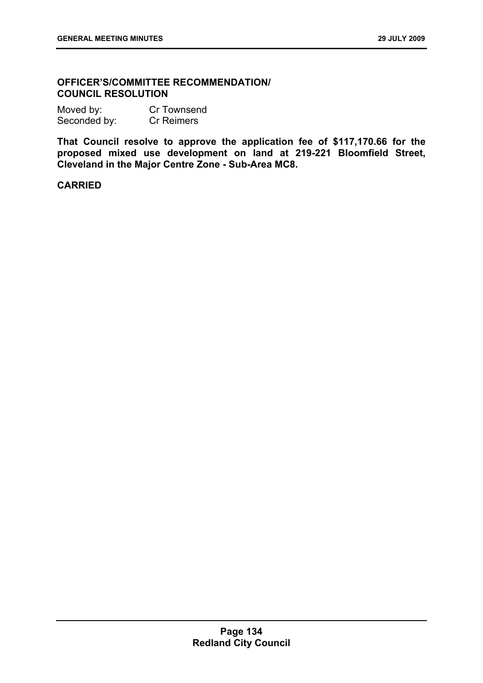# **OFFICER'S/COMMITTEE RECOMMENDATION/ COUNCIL RESOLUTION**

| Moved by:    | Cr Townsend       |
|--------------|-------------------|
| Seconded by: | <b>Cr Reimers</b> |

**That Council resolve to approve the application fee of \$117,170.66 for the proposed mixed use development on land at 219-221 Bloomfield Street, Cleveland in the Major Centre Zone - Sub-Area MC8.**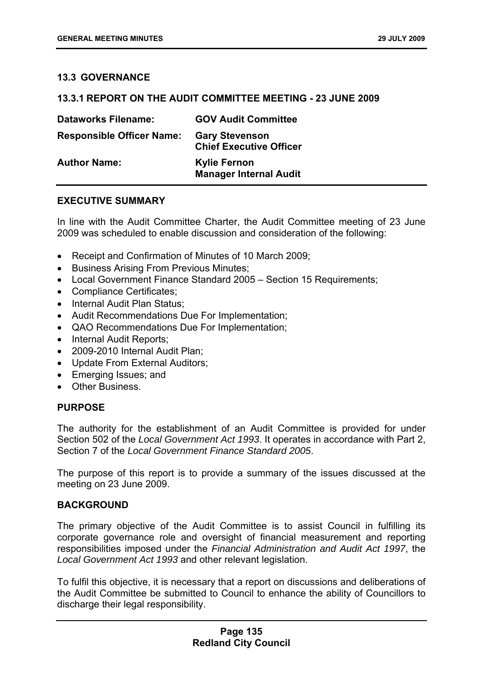# **13.3 GOVERNANCE**

### **13.3.1 REPORT ON THE AUDIT COMMITTEE MEETING - 23 JUNE 2009**

| <b>Dataworks Filename:</b>       | <b>GOV Audit Committee</b>                              |
|----------------------------------|---------------------------------------------------------|
| <b>Responsible Officer Name:</b> | <b>Gary Stevenson</b><br><b>Chief Executive Officer</b> |
| <b>Author Name:</b>              | <b>Kylie Fernon</b><br><b>Manager Internal Audit</b>    |

## **EXECUTIVE SUMMARY**

In line with the Audit Committee Charter, the Audit Committee meeting of 23 June 2009 was scheduled to enable discussion and consideration of the following:

- Receipt and Confirmation of Minutes of 10 March 2009;
- Business Arising From Previous Minutes;
- Local Government Finance Standard 2005 Section 15 Requirements:
- Compliance Certificates;
- Internal Audit Plan Status;
- Audit Recommendations Due For Implementation;
- QAO Recommendations Due For Implementation;
- Internal Audit Reports;
- 2009-2010 Internal Audit Plan;
- Update From External Auditors;
- Emerging Issues; and
- Other Business.

### **PURPOSE**

The authority for the establishment of an Audit Committee is provided for under Section 502 of the *Local Government Act 1993*. It operates in accordance with Part 2, Section 7 of the *Local Government Finance Standard 2005*.

The purpose of this report is to provide a summary of the issues discussed at the meeting on 23 June 2009.

### **BACKGROUND**

The primary objective of the Audit Committee is to assist Council in fulfilling its corporate governance role and oversight of financial measurement and reporting responsibilities imposed under the *Financial Administration and Audit Act 1997*, the *Local Government Act 1993* and other relevant legislation.

To fulfil this objective, it is necessary that a report on discussions and deliberations of the Audit Committee be submitted to Council to enhance the ability of Councillors to discharge their legal responsibility.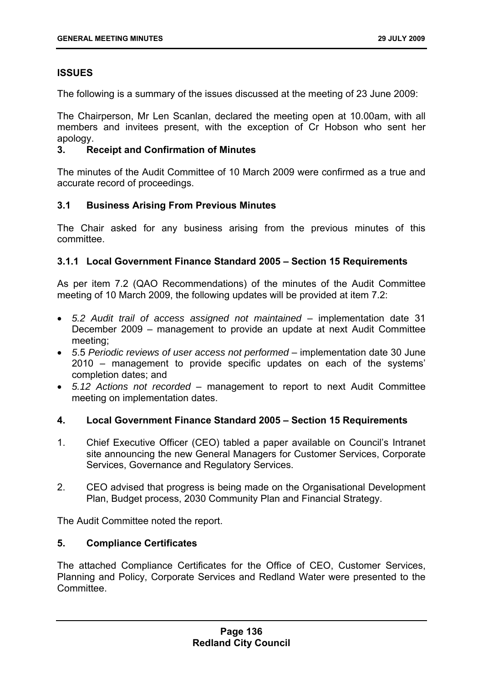# **ISSUES**

The following is a summary of the issues discussed at the meeting of 23 June 2009:

The Chairperson, Mr Len Scanlan, declared the meeting open at 10.00am, with all members and invitees present, with the exception of Cr Hobson who sent her apology.

# **3. Receipt and Confirmation of Minutes**

The minutes of the Audit Committee of 10 March 2009 were confirmed as a true and accurate record of proceedings.

# **3.1 Business Arising From Previous Minutes**

The Chair asked for any business arising from the previous minutes of this committee.

# **3.1.1 Local Government Finance Standard 2005 – Section 15 Requirements**

As per item 7.2 (QAO Recommendations) of the minutes of the Audit Committee meeting of 10 March 2009, the following updates will be provided at item 7.2:

- 5.2 Audit trail of access assigned not maintained implementation date 31 December 2009 – management to provide an update at next Audit Committee meeting;
- *5*.5 *Periodic reviews of user access not performed* implementation date 30 June 2010 – management to provide specific updates on each of the systems' completion dates; and
- *5.12 Actions not recorded* management to report to next Audit Committee meeting on implementation dates.

# **4. Local Government Finance Standard 2005 – Section 15 Requirements**

- 1. Chief Executive Officer (CEO) tabled a paper available on Council's Intranet site announcing the new General Managers for Customer Services, Corporate Services, Governance and Regulatory Services.
- 2. CEO advised that progress is being made on the Organisational Development Plan, Budget process, 2030 Community Plan and Financial Strategy.

The Audit Committee noted the report.

### **5. Compliance Certificates**

The attached Compliance Certificates for the Office of CEO, Customer Services, Planning and Policy, Corporate Services and Redland Water were presented to the Committee.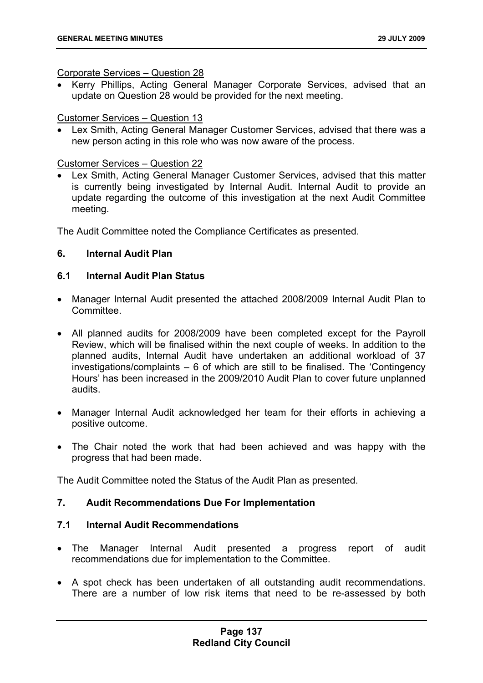#### Corporate Services – Question 28

• Kerry Phillips, Acting General Manager Corporate Services, advised that an update on Question 28 would be provided for the next meeting.

### Customer Services – Question 13

• Lex Smith, Acting General Manager Customer Services, advised that there was a new person acting in this role who was now aware of the process.

### Customer Services – Question 22

• Lex Smith, Acting General Manager Customer Services, advised that this matter is currently being investigated by Internal Audit. Internal Audit to provide an update regarding the outcome of this investigation at the next Audit Committee meeting.

The Audit Committee noted the Compliance Certificates as presented.

# **6. Internal Audit Plan**

# **6.1 Internal Audit Plan Status**

- Manager Internal Audit presented the attached 2008/2009 Internal Audit Plan to **Committee.**
- All planned audits for 2008/2009 have been completed except for the Payroll Review, which will be finalised within the next couple of weeks. In addition to the planned audits, Internal Audit have undertaken an additional workload of 37 investigations/complaints – 6 of which are still to be finalised. The 'Contingency Hours' has been increased in the 2009/2010 Audit Plan to cover future unplanned audits.
- Manager Internal Audit acknowledged her team for their efforts in achieving a positive outcome.
- The Chair noted the work that had been achieved and was happy with the progress that had been made.

The Audit Committee noted the Status of the Audit Plan as presented.

### **7. Audit Recommendations Due For Implementation**

### **7.1 Internal Audit Recommendations**

- The Manager Internal Audit presented a progress report of audit recommendations due for implementation to the Committee.
- A spot check has been undertaken of all outstanding audit recommendations. There are a number of low risk items that need to be re-assessed by both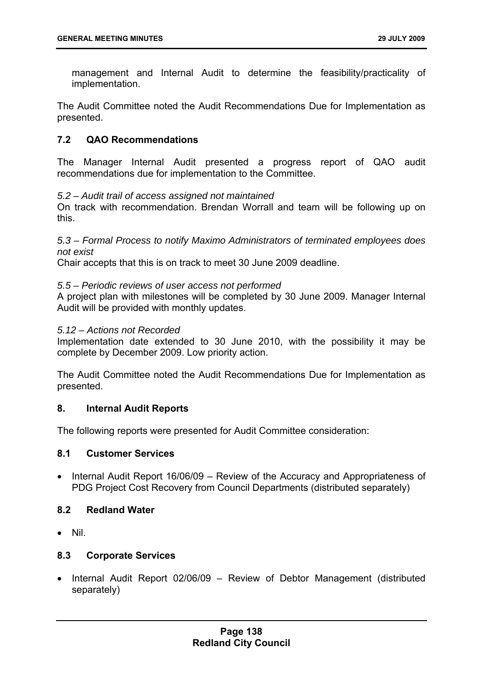management and Internal Audit to determine the feasibility/practicality of implementation.

The Audit Committee noted the Audit Recommendations Due for Implementation as presented.

# **7.2 QAO Recommendations**

The Manager Internal Audit presented a progress report of QAO audit recommendations due for implementation to the Committee.

#### *5.2 – Audit trail of access assigned not maintained*

On track with recommendation. Brendan Worrall and team will be following up on this.

*5.3 – Formal Process to notify Maximo Administrators of terminated employees does not exist*

Chair accepts that this is on track to meet 30 June 2009 deadline.

#### *5.5 – Periodic reviews of user access not performed*

A project plan with milestones will be completed by 30 June 2009. Manager Internal Audit will be provided with monthly updates.

#### *5.12 – Actions not Recorded*

Implementation date extended to 30 June 2010, with the possibility it may be complete by December 2009. Low priority action.

The Audit Committee noted the Audit Recommendations Due for Implementation as presented.

### **8. Internal Audit Reports**

The following reports were presented for Audit Committee consideration:

### **8.1 Customer Services**

• Internal Audit Report 16/06/09 – Review of the Accuracy and Appropriateness of PDG Project Cost Recovery from Council Departments (distributed separately)

### **8.2 Redland Water**

• Nil.

### **8.3 Corporate Services**

• Internal Audit Report 02/06/09 – Review of Debtor Management (distributed separately)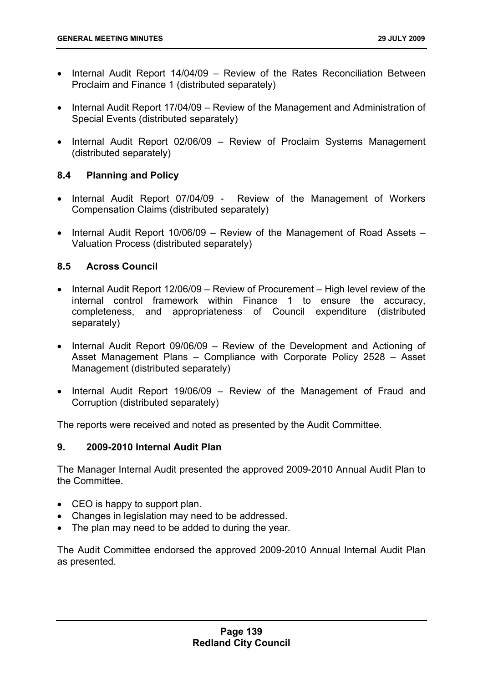- Internal Audit Report 14/04/09 Review of the Rates Reconciliation Between Proclaim and Finance 1 (distributed separately)
- Internal Audit Report 17/04/09 Review of the Management and Administration of Special Events (distributed separately)
- Internal Audit Report 02/06/09 Review of Proclaim Systems Management (distributed separately)

# **8.4 Planning and Policy**

- Internal Audit Report 07/04/09 Review of the Management of Workers Compensation Claims (distributed separately)
- Internal Audit Report 10/06/09 Review of the Management of Road Assets Valuation Process (distributed separately)

# **8.5 Across Council**

- Internal Audit Report 12/06/09 Review of Procurement High level review of the internal control framework within Finance 1 to ensure the accuracy, completeness, and appropriateness of Council expenditure (distributed separately)
- Internal Audit Report 09/06/09 Review of the Development and Actioning of Asset Management Plans – Compliance with Corporate Policy 2528 – Asset Management (distributed separately)
- Internal Audit Report 19/06/09 Review of the Management of Fraud and Corruption (distributed separately)

The reports were received and noted as presented by the Audit Committee.

# **9. 2009-2010 Internal Audit Plan**

The Manager Internal Audit presented the approved 2009-2010 Annual Audit Plan to the Committee.

- CEO is happy to support plan.
- Changes in legislation may need to be addressed.
- The plan may need to be added to during the year.

The Audit Committee endorsed the approved 2009-2010 Annual Internal Audit Plan as presented.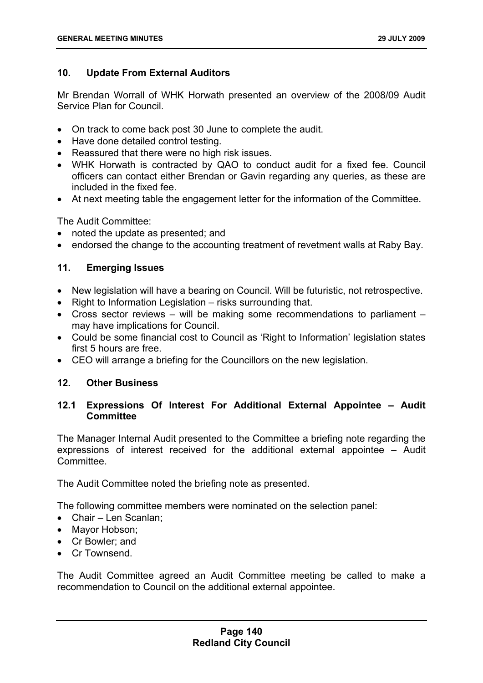# **10. Update From External Auditors**

Mr Brendan Worrall of WHK Horwath presented an overview of the 2008/09 Audit Service Plan for Council.

- On track to come back post 30 June to complete the audit.
- Have done detailed control testing.
- Reassured that there were no high risk issues.
- WHK Horwath is contracted by QAO to conduct audit for a fixed fee. Council officers can contact either Brendan or Gavin regarding any queries, as these are included in the fixed fee.
- At next meeting table the engagement letter for the information of the Committee.

The Audit Committee:

- noted the update as presented; and
- endorsed the change to the accounting treatment of revetment walls at Raby Bay.

# **11. Emerging Issues**

- New legislation will have a bearing on Council. Will be futuristic, not retrospective.
- Right to Information Legislation risks surrounding that.
- Cross sector reviews will be making some recommendations to parliament may have implications for Council.
- Could be some financial cost to Council as 'Right to Information' legislation states first 5 hours are free.
- CEO will arrange a briefing for the Councillors on the new legislation.

### **12. Other Business**

# **12.1 Expressions Of Interest For Additional External Appointee – Audit Committee**

The Manager Internal Audit presented to the Committee a briefing note regarding the expressions of interest received for the additional external appointee – Audit Committee.

The Audit Committee noted the briefing note as presented.

The following committee members were nominated on the selection panel:

- Chair Len Scanlan;
- Mayor Hobson;
- Cr Bowler; and
- Cr Townsend.

The Audit Committee agreed an Audit Committee meeting be called to make a recommendation to Council on the additional external appointee.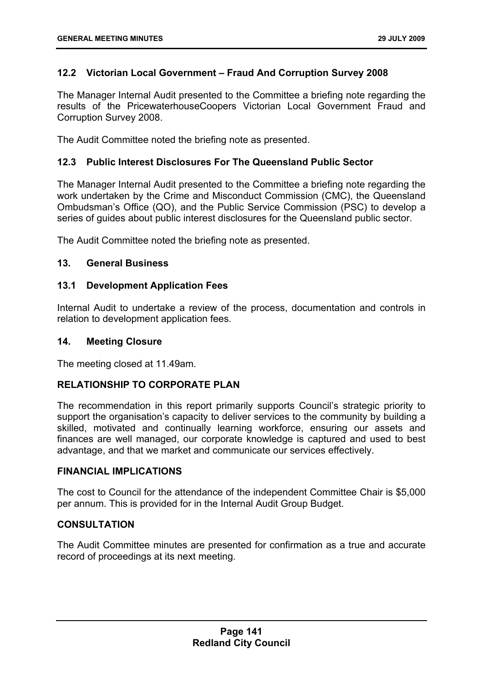# **12.2 Victorian Local Government – Fraud And Corruption Survey 2008**

The Manager Internal Audit presented to the Committee a briefing note regarding the results of the PricewaterhouseCoopers Victorian Local Government Fraud and Corruption Survey 2008.

The Audit Committee noted the briefing note as presented.

# **12.3 Public Interest Disclosures For The Queensland Public Sector**

The Manager Internal Audit presented to the Committee a briefing note regarding the work undertaken by the Crime and Misconduct Commission (CMC), the Queensland Ombudsman's Office (QO), and the Public Service Commission (PSC) to develop a series of guides about public interest disclosures for the Queensland public sector.

The Audit Committee noted the briefing note as presented.

# **13. General Business**

### **13.1 Development Application Fees**

Internal Audit to undertake a review of the process, documentation and controls in relation to development application fees.

#### **14. Meeting Closure**

The meeting closed at 11.49am.

### **RELATIONSHIP TO CORPORATE PLAN**

The recommendation in this report primarily supports Council's strategic priority to support the organisation's capacity to deliver services to the community by building a skilled, motivated and continually learning workforce, ensuring our assets and finances are well managed, our corporate knowledge is captured and used to best advantage, and that we market and communicate our services effectively.

### **FINANCIAL IMPLICATIONS**

The cost to Council for the attendance of the independent Committee Chair is \$5,000 per annum. This is provided for in the Internal Audit Group Budget.

### **CONSULTATION**

The Audit Committee minutes are presented for confirmation as a true and accurate record of proceedings at its next meeting.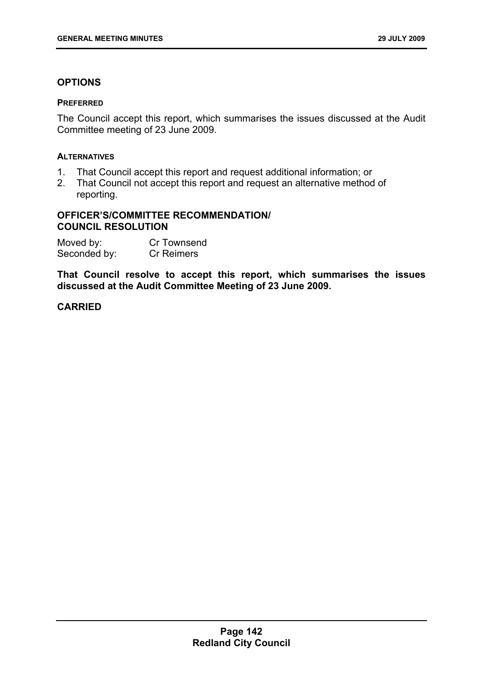# **OPTIONS**

#### **PREFERRED**

The Council accept this report, which summarises the issues discussed at the Audit Committee meeting of 23 June 2009.

### **ALTERNATIVES**

- 1. That Council accept this report and request additional information; or
- 2. That Council not accept this report and request an alternative method of reporting.

### **OFFICER'S/COMMITTEE RECOMMENDATION/ COUNCIL RESOLUTION**

| Moved by:    | Cr Townsend       |
|--------------|-------------------|
| Seconded by: | <b>Cr Reimers</b> |

**That Council resolve to accept this report, which summarises the issues discussed at the Audit Committee Meeting of 23 June 2009.**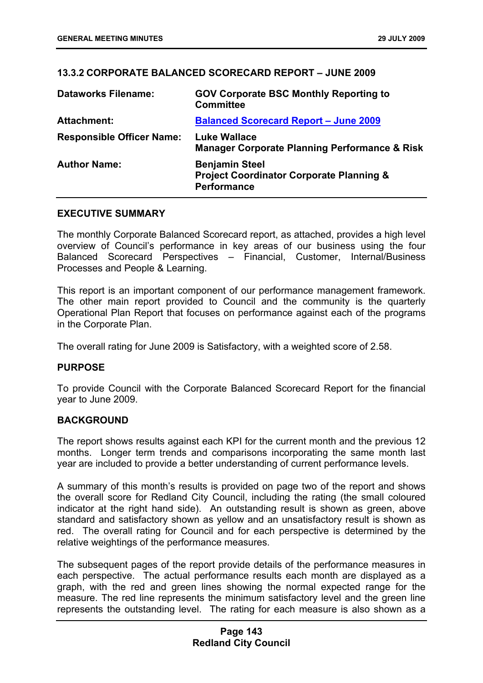# **13.3.2 CORPORATE BALANCED SCORECARD REPORT – JUNE 2009**

| <b>Dataworks Filename:</b>       | <b>GOV Corporate BSC Monthly Reporting to</b><br><b>Committee</b>                                  |
|----------------------------------|----------------------------------------------------------------------------------------------------|
| <b>Attachment:</b>               | <b>Balanced Scorecard Report - June 2009</b>                                                       |
| <b>Responsible Officer Name:</b> | <b>Luke Wallace</b><br><b>Manager Corporate Planning Performance &amp; Risk</b>                    |
| <b>Author Name:</b>              | <b>Benjamin Steel</b><br><b>Project Coordinator Corporate Planning &amp;</b><br><b>Performance</b> |

### **EXECUTIVE SUMMARY**

The monthly Corporate Balanced Scorecard report, as attached, provides a high level overview of Council's performance in key areas of our business using the four Balanced Scorecard Perspectives – Financial, Customer, Internal/Business Processes and People & Learning.

This report is an important component of our performance management framework. The other main report provided to Council and the community is the quarterly Operational Plan Report that focuses on performance against each of the programs in the Corporate Plan.

The overall rating for June 2009 is Satisfactory, with a weighted score of 2.58.

### **PURPOSE**

To provide Council with the Corporate Balanced Scorecard Report for the financial year to June 2009.

### **BACKGROUND**

The report shows results against each KPI for the current month and the previous 12 months. Longer term trends and comparisons incorporating the same month last year are included to provide a better understanding of current performance levels.

A summary of this month's results is provided on page two of the report and shows the overall score for Redland City Council, including the rating (the small coloured indicator at the right hand side). An outstanding result is shown as green, above standard and satisfactory shown as yellow and an unsatisfactory result is shown as red. The overall rating for Council and for each perspective is determined by the relative weightings of the performance measures.

The subsequent pages of the report provide details of the performance measures in each perspective. The actual performance results each month are displayed as a graph, with the red and green lines showing the normal expected range for the measure. The red line represents the minimum satisfactory level and the green line represents the outstanding level. The rating for each measure is also shown as a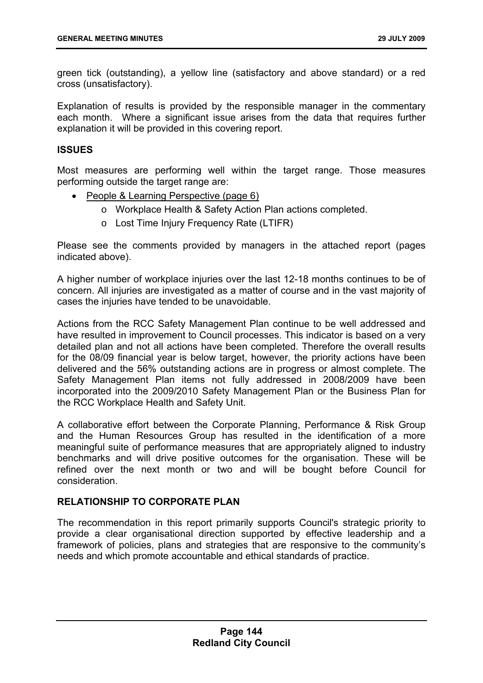green tick (outstanding), a yellow line (satisfactory and above standard) or a red cross (unsatisfactory).

Explanation of results is provided by the responsible manager in the commentary each month. Where a significant issue arises from the data that requires further explanation it will be provided in this covering report.

## **ISSUES**

Most measures are performing well within the target range. Those measures performing outside the target range are:

- People & Learning Perspective (page 6)
	- o Workplace Health & Safety Action Plan actions completed.
	- o Lost Time Injury Frequency Rate (LTIFR)

Please see the comments provided by managers in the attached report (pages indicated above).

A higher number of workplace injuries over the last 12-18 months continues to be of concern. All injuries are investigated as a matter of course and in the vast majority of cases the injuries have tended to be unavoidable.

Actions from the RCC Safety Management Plan continue to be well addressed and have resulted in improvement to Council processes. This indicator is based on a very detailed plan and not all actions have been completed. Therefore the overall results for the 08/09 financial year is below target, however, the priority actions have been delivered and the 56% outstanding actions are in progress or almost complete. The Safety Management Plan items not fully addressed in 2008/2009 have been incorporated into the 2009/2010 Safety Management Plan or the Business Plan for the RCC Workplace Health and Safety Unit.

A collaborative effort between the Corporate Planning, Performance & Risk Group and the Human Resources Group has resulted in the identification of a more meaningful suite of performance measures that are appropriately aligned to industry benchmarks and will drive positive outcomes for the organisation. These will be refined over the next month or two and will be bought before Council for consideration.

## **RELATIONSHIP TO CORPORATE PLAN**

The recommendation in this report primarily supports Council's strategic priority to provide a clear organisational direction supported by effective leadership and a framework of policies, plans and strategies that are responsive to the community's needs and which promote accountable and ethical standards of practice.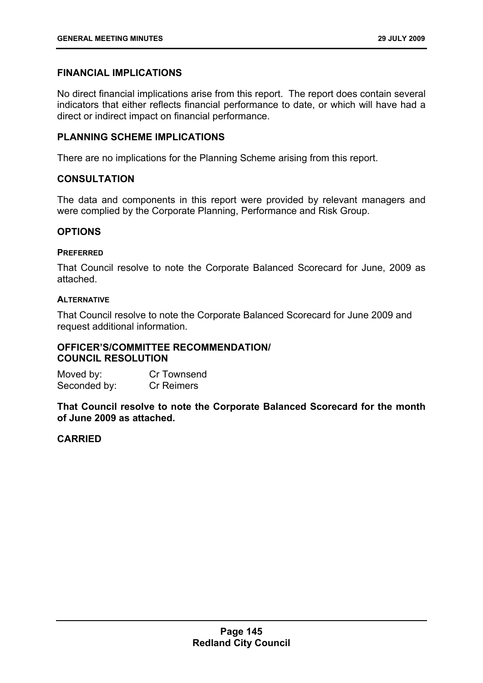# **FINANCIAL IMPLICATIONS**

No direct financial implications arise from this report. The report does contain several indicators that either reflects financial performance to date, or which will have had a direct or indirect impact on financial performance.

## **PLANNING SCHEME IMPLICATIONS**

There are no implications for the Planning Scheme arising from this report.

## **CONSULTATION**

The data and components in this report were provided by relevant managers and were complied by the Corporate Planning, Performance and Risk Group.

## **OPTIONS**

## **PREFERRED**

That Council resolve to note the Corporate Balanced Scorecard for June, 2009 as attached.

## **ALTERNATIVE**

That Council resolve to note the Corporate Balanced Scorecard for June 2009 and request additional information.

## **OFFICER'S/COMMITTEE RECOMMENDATION/ COUNCIL RESOLUTION**

Moved by: Cr Townsend Seconded by: Cr Reimers

**That Council resolve to note the Corporate Balanced Scorecard for the month of June 2009 as attached.**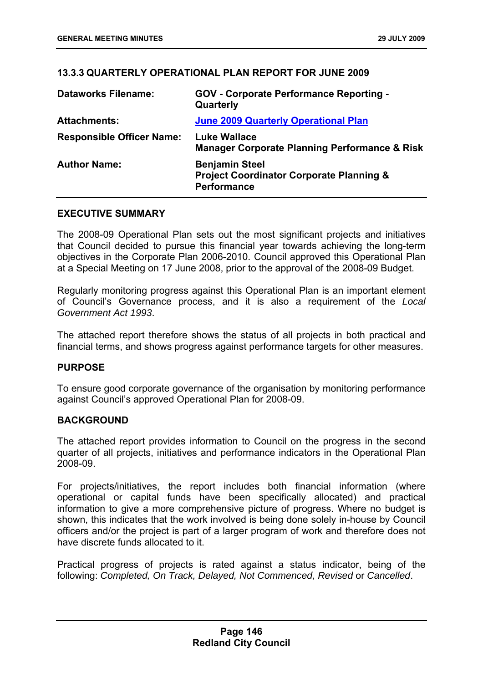# **13.3.3 QUARTERLY OPERATIONAL PLAN REPORT FOR JUNE 2009**

| <b>Dataworks Filename:</b>       | <b>GOV</b> - Corporate Performance Reporting -<br>Quarterly                                        |
|----------------------------------|----------------------------------------------------------------------------------------------------|
| <b>Attachments:</b>              | <b>June 2009 Quarterly Operational Plan</b>                                                        |
| <b>Responsible Officer Name:</b> | <b>Luke Wallace</b><br><b>Manager Corporate Planning Performance &amp; Risk</b>                    |
| <b>Author Name:</b>              | <b>Benjamin Steel</b><br><b>Project Coordinator Corporate Planning &amp;</b><br><b>Performance</b> |

## **EXECUTIVE SUMMARY**

The 2008-09 Operational Plan sets out the most significant projects and initiatives that Council decided to pursue this financial year towards achieving the long-term objectives in the Corporate Plan 2006-2010. Council approved this Operational Plan at a Special Meeting on 17 June 2008, prior to the approval of the 2008-09 Budget.

Regularly monitoring progress against this Operational Plan is an important element of Council's Governance process, and it is also a requirement of the *Local Government Act 1993*.

The attached report therefore shows the status of all projects in both practical and financial terms, and shows progress against performance targets for other measures.

## **PURPOSE**

To ensure good corporate governance of the organisation by monitoring performance against Council's approved Operational Plan for 2008-09.

## **BACKGROUND**

The attached report provides information to Council on the progress in the second quarter of all projects, initiatives and performance indicators in the Operational Plan 2008-09.

For projects/initiatives, the report includes both financial information (where operational or capital funds have been specifically allocated) and practical information to give a more comprehensive picture of progress. Where no budget is shown, this indicates that the work involved is being done solely in-house by Council officers and/or the project is part of a larger program of work and therefore does not have discrete funds allocated to it.

Practical progress of projects is rated against a status indicator, being of the following: *Completed, On Track, Delayed, Not Commenced, Revised* or *Cancelled*.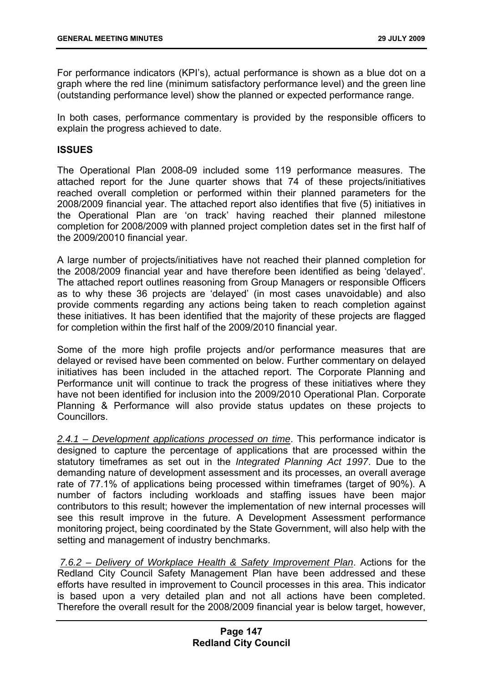For performance indicators (KPI's), actual performance is shown as a blue dot on a graph where the red line (minimum satisfactory performance level) and the green line (outstanding performance level) show the planned or expected performance range.

In both cases, performance commentary is provided by the responsible officers to explain the progress achieved to date.

#### **ISSUES**

The Operational Plan 2008-09 included some 119 performance measures. The attached report for the June quarter shows that 74 of these projects/initiatives reached overall completion or performed within their planned parameters for the 2008/2009 financial year. The attached report also identifies that five (5) initiatives in the Operational Plan are 'on track' having reached their planned milestone completion for 2008/2009 with planned project completion dates set in the first half of the 2009/20010 financial year.

A large number of projects/initiatives have not reached their planned completion for the 2008/2009 financial year and have therefore been identified as being 'delayed'. The attached report outlines reasoning from Group Managers or responsible Officers as to why these 36 projects are 'delayed' (in most cases unavoidable) and also provide comments regarding any actions being taken to reach completion against these initiatives. It has been identified that the majority of these projects are flagged for completion within the first half of the 2009/2010 financial year.

Some of the more high profile projects and/or performance measures that are delayed or revised have been commented on below. Further commentary on delayed initiatives has been included in the attached report. The Corporate Planning and Performance unit will continue to track the progress of these initiatives where they have not been identified for inclusion into the 2009/2010 Operational Plan. Corporate Planning & Performance will also provide status updates on these projects to Councillors.

*2.4.1 – Development applications processed on time*. This performance indicator is designed to capture the percentage of applications that are processed within the statutory timeframes as set out in the *Integrated Planning Act 1997*. Due to the demanding nature of development assessment and its processes, an overall average rate of 77.1% of applications being processed within timeframes (target of 90%). A number of factors including workloads and staffing issues have been major contributors to this result; however the implementation of new internal processes will see this result improve in the future. A Development Assessment performance monitoring project, being coordinated by the State Government, will also help with the setting and management of industry benchmarks.

*7.6.2 – Delivery of Workplace Health & Safety Improvement Plan*. Actions for the Redland City Council Safety Management Plan have been addressed and these efforts have resulted in improvement to Council processes in this area. This indicator is based upon a very detailed plan and not all actions have been completed. Therefore the overall result for the 2008/2009 financial year is below target, however,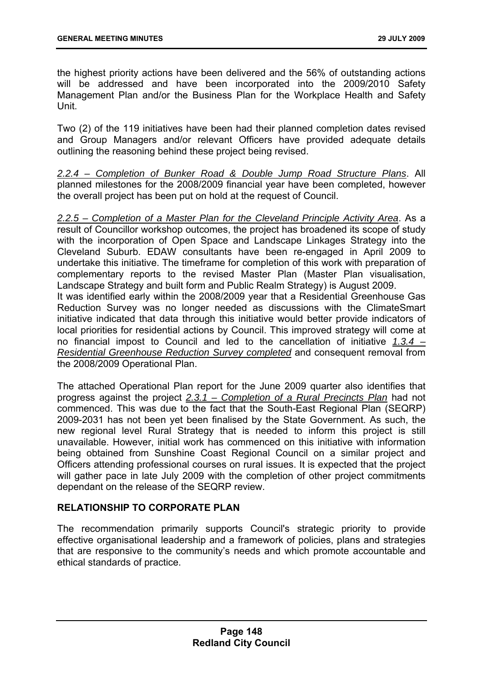the highest priority actions have been delivered and the 56% of outstanding actions will be addressed and have been incorporated into the 2009/2010 Safety Management Plan and/or the Business Plan for the Workplace Health and Safety Unit.

Two (2) of the 119 initiatives have been had their planned completion dates revised and Group Managers and/or relevant Officers have provided adequate details outlining the reasoning behind these project being revised.

*2.2.4 – Completion of Bunker Road & Double Jump Road Structure Plans*. All planned milestones for the 2008/2009 financial year have been completed, however the overall project has been put on hold at the request of Council.

*2.2.5 – Completion of a Master Plan for the Cleveland Principle Activity Area*. As a result of Councillor workshop outcomes, the project has broadened its scope of study with the incorporation of Open Space and Landscape Linkages Strategy into the Cleveland Suburb. EDAW consultants have been re-engaged in April 2009 to undertake this initiative. The timeframe for completion of this work with preparation of complementary reports to the revised Master Plan (Master Plan visualisation, Landscape Strategy and built form and Public Realm Strategy) is August 2009. It was identified early within the 2008/2009 year that a Residential Greenhouse Gas Reduction Survey was no longer needed as discussions with the ClimateSmart initiative indicated that data through this initiative would better provide indicators of local priorities for residential actions by Council. This improved strategy will come at no financial impost to Council and led to the cancellation of initiative *1.3.4 –*

*Residential Greenhouse Reduction Survey completed* and consequent removal from the 2008/2009 Operational Plan.

The attached Operational Plan report for the June 2009 quarter also identifies that progress against the project *2.3.1 – Completion of a Rural Precincts Plan* had not commenced. This was due to the fact that the South-East Regional Plan (SEQRP) 2009-2031 has not been yet been finalised by the State Government. As such, the new regional level Rural Strategy that is needed to inform this project is still unavailable. However, initial work has commenced on this initiative with information being obtained from Sunshine Coast Regional Council on a similar project and Officers attending professional courses on rural issues. It is expected that the project will gather pace in late July 2009 with the completion of other project commitments dependant on the release of the SEQRP review.

# **RELATIONSHIP TO CORPORATE PLAN**

The recommendation primarily supports Council's strategic priority to provide effective organisational leadership and a framework of policies, plans and strategies that are responsive to the community's needs and which promote accountable and ethical standards of practice.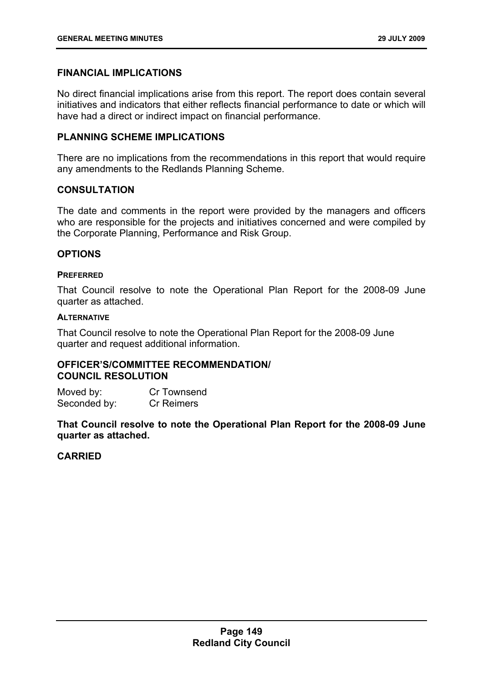# **FINANCIAL IMPLICATIONS**

No direct financial implications arise from this report. The report does contain several initiatives and indicators that either reflects financial performance to date or which will have had a direct or indirect impact on financial performance.

## **PLANNING SCHEME IMPLICATIONS**

There are no implications from the recommendations in this report that would require any amendments to the Redlands Planning Scheme.

## **CONSULTATION**

The date and comments in the report were provided by the managers and officers who are responsible for the projects and initiatives concerned and were compiled by the Corporate Planning, Performance and Risk Group.

## **OPTIONS**

## **PREFERRED**

That Council resolve to note the Operational Plan Report for the 2008-09 June quarter as attached.

#### **ALTERNATIVE**

That Council resolve to note the Operational Plan Report for the 2008-09 June quarter and request additional information.

# **OFFICER'S/COMMITTEE RECOMMENDATION/ COUNCIL RESOLUTION**

Moved by: Cr Townsend Seconded by: Cr Reimers

**That Council resolve to note the Operational Plan Report for the 2008-09 June quarter as attached.**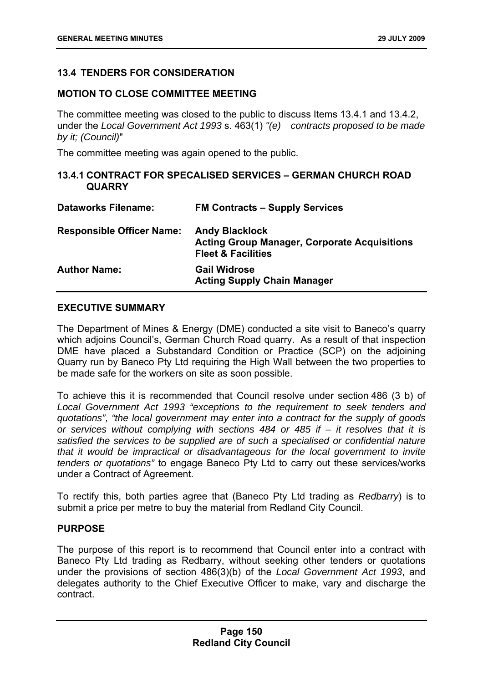# **13.4 TENDERS FOR CONSIDERATION**

## **MOTION TO CLOSE COMMITTEE MEETING**

The committee meeting was closed to the public to discuss Items 13.4.1 and 13.4.2, under the *Local Government Act 1993* s. 463(1) *"(e) contracts proposed to be made by it; (Council)*"

The committee meeting was again opened to the public.

## **13.4.1 CONTRACT FOR SPECALISED SERVICES – GERMAN CHURCH ROAD QUARRY**

| <b>Dataworks Filename:</b>       | <b>FM Contracts – Supply Services</b>                                                                         |
|----------------------------------|---------------------------------------------------------------------------------------------------------------|
| <b>Responsible Officer Name:</b> | <b>Andy Blacklock</b><br><b>Acting Group Manager, Corporate Acquisitions</b><br><b>Fleet &amp; Facilities</b> |
| <b>Author Name:</b>              | <b>Gail Widrose</b><br><b>Acting Supply Chain Manager</b>                                                     |

## **EXECUTIVE SUMMARY**

The Department of Mines & Energy (DME) conducted a site visit to Baneco's quarry which adjoins Council's, German Church Road quarry. As a result of that inspection DME have placed a Substandard Condition or Practice (SCP) on the adjoining Quarry run by Baneco Pty Ltd requiring the High Wall between the two properties to be made safe for the workers on site as soon possible.

To achieve this it is recommended that Council resolve under section 486 (3 b) of *Local Government Act 1993 "exceptions to the requirement to seek tenders and quotations", "the local government may enter into a contract for the supply of goods or services without complying with sections 484 or 485 if – it resolves that it is satisfied the services to be supplied are of such a specialised or confidential nature that it would be impractical or disadvantageous for the local government to invite tenders or quotations"* to engage Baneco Pty Ltd to carry out these services/works under a Contract of Agreement.

To rectify this, both parties agree that (Baneco Pty Ltd trading as *Redbarry*) is to submit a price per metre to buy the material from Redland City Council.

## **PURPOSE**

The purpose of this report is to recommend that Council enter into a contract with Baneco Pty Ltd trading as Redbarry, without seeking other tenders or quotations under the provisions of section 486(3)(b) of the *Local Government Act 1993*, and delegates authority to the Chief Executive Officer to make, vary and discharge the contract.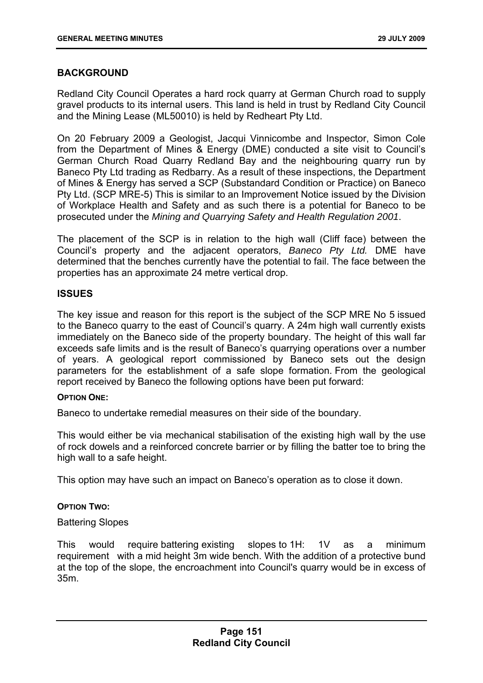# **BACKGROUND**

Redland City Council Operates a hard rock quarry at German Church road to supply gravel products to its internal users. This land is held in trust by Redland City Council and the Mining Lease (ML50010) is held by Redheart Pty Ltd.

On 20 February 2009 a Geologist, Jacqui Vinnicombe and Inspector, Simon Cole from the Department of Mines & Energy (DME) conducted a site visit to Council's German Church Road Quarry Redland Bay and the neighbouring quarry run by Baneco Pty Ltd trading as Redbarry. As a result of these inspections, the Department of Mines & Energy has served a SCP (Substandard Condition or Practice) on Baneco Pty Ltd. (SCP MRE-5) This is similar to an Improvement Notice issued by the Division of Workplace Health and Safety and as such there is a potential for Baneco to be prosecuted under the *Mining and Quarrying Safety and Health Regulation 2001*.

The placement of the SCP is in relation to the high wall (Cliff face) between the Council's property and the adjacent operators, *Baneco Pty Ltd.* DME have determined that the benches currently have the potential to fail. The face between the properties has an approximate 24 metre vertical drop.

## **ISSUES**

The key issue and reason for this report is the subject of the SCP MRE No 5 issued to the Baneco quarry to the east of Council's quarry. A 24m high wall currently exists immediately on the Baneco side of the property boundary. The height of this wall far exceeds safe limits and is the result of Baneco's quarrying operations over a number of years. A geological report commissioned by Baneco sets out the design parameters for the establishment of a safe slope formation. From the geological report received by Baneco the following options have been put forward:

## **OPTION ONE:**

Baneco to undertake remedial measures on their side of the boundary.

This would either be via mechanical stabilisation of the existing high wall by the use of rock dowels and a reinforced concrete barrier or by filling the batter toe to bring the high wall to a safe height.

This option may have such an impact on Baneco's operation as to close it down.

## **OPTION TWO:**

## Battering Slopes

This would require battering existing slopes to 1H: 1V as a minimum requirement with a mid height 3m wide bench. With the addition of a protective bund at the top of the slope, the encroachment into Council's quarry would be in excess of 35m.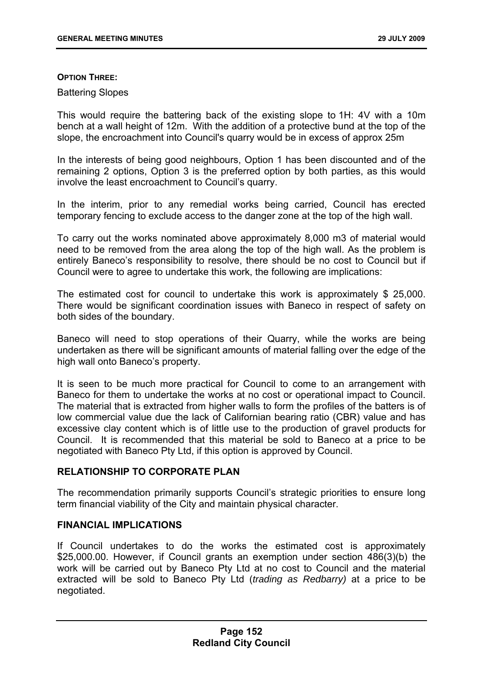#### **OPTION THREE:**

#### Battering Slopes

This would require the battering back of the existing slope to 1H: 4V with a 10m bench at a wall height of 12m. With the addition of a protective bund at the top of the slope, the encroachment into Council's quarry would be in excess of approx 25m

In the interests of being good neighbours, Option 1 has been discounted and of the remaining 2 options, Option 3 is the preferred option by both parties, as this would involve the least encroachment to Council's quarry.

In the interim, prior to any remedial works being carried, Council has erected temporary fencing to exclude access to the danger zone at the top of the high wall.

To carry out the works nominated above approximately 8,000 m3 of material would need to be removed from the area along the top of the high wall. As the problem is entirely Baneco's responsibility to resolve, there should be no cost to Council but if Council were to agree to undertake this work, the following are implications:

The estimated cost for council to undertake this work is approximately \$ 25,000. There would be significant coordination issues with Baneco in respect of safety on both sides of the boundary.

Baneco will need to stop operations of their Quarry, while the works are being undertaken as there will be significant amounts of material falling over the edge of the high wall onto Baneco's property.

It is seen to be much more practical for Council to come to an arrangement with Baneco for them to undertake the works at no cost or operational impact to Council. The material that is extracted from higher walls to form the profiles of the batters is of low commercial value due the lack of Californian bearing ratio (CBR) value and has excessive clay content which is of little use to the production of gravel products for Council. It is recommended that this material be sold to Baneco at a price to be negotiated with Baneco Pty Ltd, if this option is approved by Council.

## **RELATIONSHIP TO CORPORATE PLAN**

The recommendation primarily supports Council's strategic priorities to ensure long term financial viability of the City and maintain physical character.

## **FINANCIAL IMPLICATIONS**

If Council undertakes to do the works the estimated cost is approximately \$25,000.00. However, if Council grants an exemption under section 486(3)(b) the work will be carried out by Baneco Pty Ltd at no cost to Council and the material extracted will be sold to Baneco Pty Ltd (*trading as Redbarry)* at a price to be negotiated.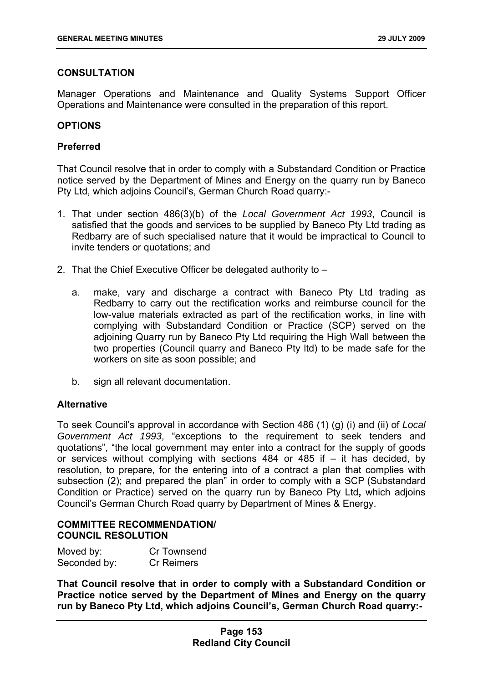# **CONSULTATION**

Manager Operations and Maintenance and Quality Systems Support Officer Operations and Maintenance were consulted in the preparation of this report.

## **OPTIONS**

## **Preferred**

That Council resolve that in order to comply with a Substandard Condition or Practice notice served by the Department of Mines and Energy on the quarry run by Baneco Pty Ltd, which adjoins Council's, German Church Road quarry:-

- 1. That under section 486(3)(b) of the *Local Government Act 1993*, Council is satisfied that the goods and services to be supplied by Baneco Pty Ltd trading as Redbarry are of such specialised nature that it would be impractical to Council to invite tenders or quotations; and
- 2. That the Chief Executive Officer be delegated authority to
	- a. make, vary and discharge a contract with Baneco Pty Ltd trading as Redbarry to carry out the rectification works and reimburse council for the low-value materials extracted as part of the rectification works, in line with complying with Substandard Condition or Practice (SCP) served on the adjoining Quarry run by Baneco Pty Ltd requiring the High Wall between the two properties (Council quarry and Baneco Pty ltd) to be made safe for the workers on site as soon possible; and
	- b. sign all relevant documentation.

# **Alternative**

To seek Council's approval in accordance with Section 486 (1) (g) (i) and (ii) of *Local Government Act 1993*, "exceptions to the requirement to seek tenders and quotations", "the local government may enter into a contract for the supply of goods or services without complying with sections 484 or 485 if – it has decided, by resolution, to prepare, for the entering into of a contract a plan that complies with subsection (2); and prepared the plan" in order to comply with a SCP (Substandard Condition or Practice) served on the quarry run by Baneco Pty Ltd**,** which adjoins Council's German Church Road quarry by Department of Mines & Energy.

# **COMMITTEE RECOMMENDATION/ COUNCIL RESOLUTION**

| Moved by:    | Cr Townsend       |
|--------------|-------------------|
| Seconded by: | <b>Cr Reimers</b> |

**That Council resolve that in order to comply with a Substandard Condition or Practice notice served by the Department of Mines and Energy on the quarry run by Baneco Pty Ltd, which adjoins Council's, German Church Road quarry:-**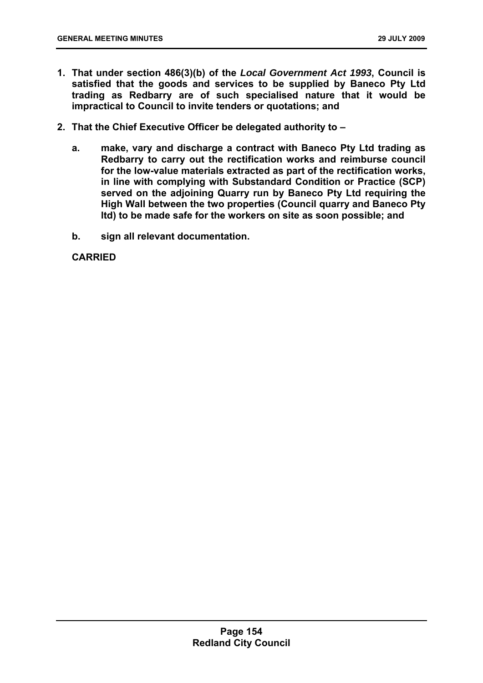- **1. That under section 486(3)(b) of the** *Local Government Act 1993***, Council is satisfied that the goods and services to be supplied by Baneco Pty Ltd trading as Redbarry are of such specialised nature that it would be impractical to Council to invite tenders or quotations; and**
- **2. That the Chief Executive Officer be delegated authority to** 
	- **a. make, vary and discharge a contract with Baneco Pty Ltd trading as Redbarry to carry out the rectification works and reimburse council for the low-value materials extracted as part of the rectification works, in line with complying with Substandard Condition or Practice (SCP) served on the adjoining Quarry run by Baneco Pty Ltd requiring the High Wall between the two properties (Council quarry and Baneco Pty ltd) to be made safe for the workers on site as soon possible; and**
	- **b. sign all relevant documentation.**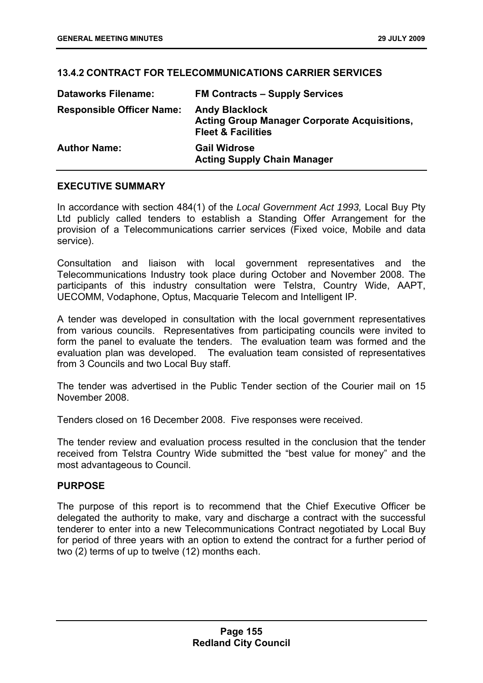# **13.4.2 CONTRACT FOR TELECOMMUNICATIONS CARRIER SERVICES**

| <b>Dataworks Filename:</b>       | <b>FM Contracts – Supply Services</b>                                                                         |
|----------------------------------|---------------------------------------------------------------------------------------------------------------|
| <b>Responsible Officer Name:</b> | <b>Andy Blacklock</b><br><b>Acting Group Manager Corporate Acquisitions,</b><br><b>Fleet &amp; Facilities</b> |
| <b>Author Name:</b>              | <b>Gail Widrose</b><br><b>Acting Supply Chain Manager</b>                                                     |

## **EXECUTIVE SUMMARY**

In accordance with section 484(1) of the *Local Government Act 1993,* Local Buy Pty Ltd publicly called tenders to establish a Standing Offer Arrangement for the provision of a Telecommunications carrier services (Fixed voice, Mobile and data service).

Consultation and liaison with local government representatives and the Telecommunications Industry took place during October and November 2008. The participants of this industry consultation were Telstra, Country Wide, AAPT, UECOMM, Vodaphone, Optus, Macquarie Telecom and Intelligent IP.

A tender was developed in consultation with the local government representatives from various councils. Representatives from participating councils were invited to form the panel to evaluate the tenders. The evaluation team was formed and the evaluation plan was developed. The evaluation team consisted of representatives from 3 Councils and two Local Buy staff.

The tender was advertised in the Public Tender section of the Courier mail on 15 November 2008.

Tenders closed on 16 December 2008. Five responses were received.

The tender review and evaluation process resulted in the conclusion that the tender received from Telstra Country Wide submitted the "best value for money" and the most advantageous to Council.

## **PURPOSE**

The purpose of this report is to recommend that the Chief Executive Officer be delegated the authority to make, vary and discharge a contract with the successful tenderer to enter into a new Telecommunications Contract negotiated by Local Buy for period of three years with an option to extend the contract for a further period of two (2) terms of up to twelve (12) months each.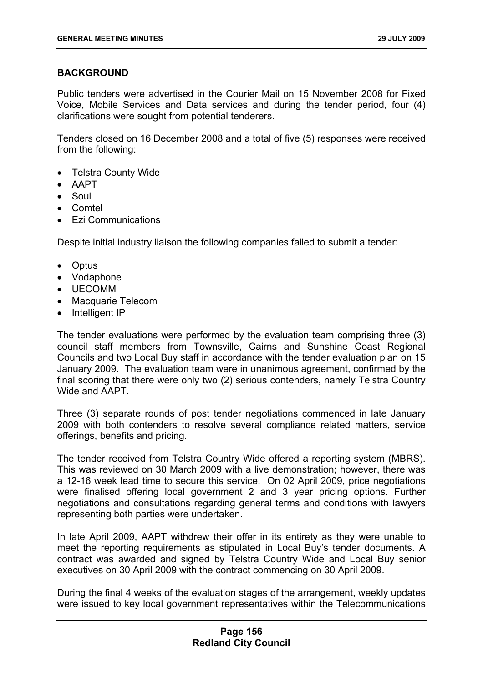# **BACKGROUND**

Public tenders were advertised in the Courier Mail on 15 November 2008 for Fixed Voice, Mobile Services and Data services and during the tender period, four (4) clarifications were sought from potential tenderers.

Tenders closed on 16 December 2008 and a total of five (5) responses were received from the following:

- Telstra County Wide
- AAPT
- Soul
- Comtel
- Ezi Communications

Despite initial industry liaison the following companies failed to submit a tender:

- Optus
- Vodaphone
- UECOMM
- Macquarie Telecom
- Intelligent IP

The tender evaluations were performed by the evaluation team comprising three (3) council staff members from Townsville, Cairns and Sunshine Coast Regional Councils and two Local Buy staff in accordance with the tender evaluation plan on 15 January 2009. The evaluation team were in unanimous agreement, confirmed by the final scoring that there were only two (2) serious contenders, namely Telstra Country Wide and AAPT

Three (3) separate rounds of post tender negotiations commenced in late January 2009 with both contenders to resolve several compliance related matters, service offerings, benefits and pricing.

The tender received from Telstra Country Wide offered a reporting system (MBRS). This was reviewed on 30 March 2009 with a live demonstration; however, there was a 12-16 week lead time to secure this service. On 02 April 2009, price negotiations were finalised offering local government 2 and 3 year pricing options. Further negotiations and consultations regarding general terms and conditions with lawyers representing both parties were undertaken.

In late April 2009, AAPT withdrew their offer in its entirety as they were unable to meet the reporting requirements as stipulated in Local Buy's tender documents. A contract was awarded and signed by Telstra Country Wide and Local Buy senior executives on 30 April 2009 with the contract commencing on 30 April 2009.

During the final 4 weeks of the evaluation stages of the arrangement, weekly updates were issued to key local government representatives within the Telecommunications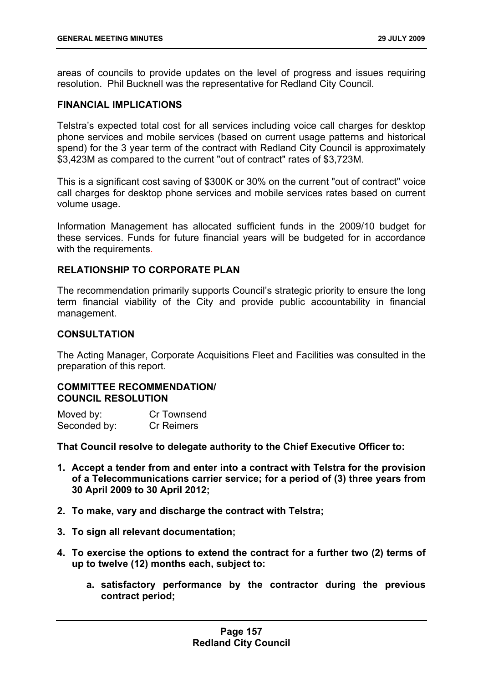areas of councils to provide updates on the level of progress and issues requiring resolution. Phil Bucknell was the representative for Redland City Council.

## **FINANCIAL IMPLICATIONS**

Telstra's expected total cost for all services including voice call charges for desktop phone services and mobile services (based on current usage patterns and historical spend) for the 3 year term of the contract with Redland City Council is approximately \$3,423M as compared to the current "out of contract" rates of \$3,723M.

This is a significant cost saving of \$300K or 30% on the current "out of contract" voice call charges for desktop phone services and mobile services rates based on current volume usage.

Information Management has allocated sufficient funds in the 2009/10 budget for these services. Funds for future financial years will be budgeted for in accordance with the requirements.

## **RELATIONSHIP TO CORPORATE PLAN**

The recommendation primarily supports Council's strategic priority to ensure the long term financial viability of the City and provide public accountability in financial management.

# **CONSULTATION**

The Acting Manager, Corporate Acquisitions Fleet and Facilities was consulted in the preparation of this report.

## **COMMITTEE RECOMMENDATION/ COUNCIL RESOLUTION**

| Moved by:    | Cr Townsend       |
|--------------|-------------------|
| Seconded by: | <b>Cr Reimers</b> |

**That Council resolve to delegate authority to the Chief Executive Officer to:** 

- **1. Accept a tender from and enter into a contract with Telstra for the provision of a Telecommunications carrier service; for a period of (3) three years from 30 April 2009 to 30 April 2012;**
- **2. To make, vary and discharge the contract with Telstra;**
- **3. To sign all relevant documentation;**
- **4. To exercise the options to extend the contract for a further two (2) terms of up to twelve (12) months each, subject to:** 
	- **a. satisfactory performance by the contractor during the previous contract period;**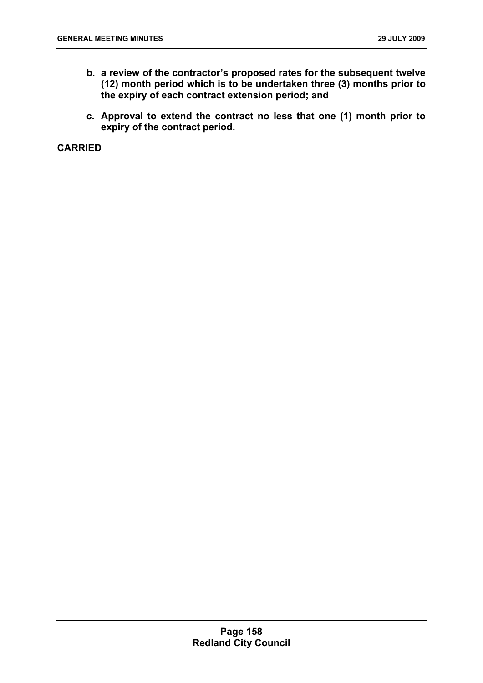- **b. a review of the contractor's proposed rates for the subsequent twelve (12) month period which is to be undertaken three (3) months prior to the expiry of each contract extension period; and**
- **c. Approval to extend the contract no less that one (1) month prior to expiry of the contract period.**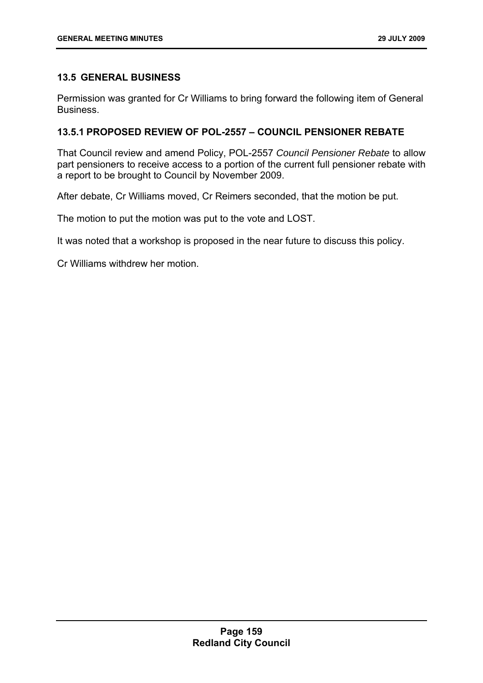# **13.5 GENERAL BUSINESS**

Permission was granted for Cr Williams to bring forward the following item of General Business.

# **13.5.1 PROPOSED REVIEW OF POL-2557 – COUNCIL PENSIONER REBATE**

That Council review and amend Policy, POL-2557 *Council Pensioner Rebate* to allow part pensioners to receive access to a portion of the current full pensioner rebate with a report to be brought to Council by November 2009.

After debate, Cr Williams moved, Cr Reimers seconded, that the motion be put.

The motion to put the motion was put to the vote and LOST.

It was noted that a workshop is proposed in the near future to discuss this policy.

Cr Williams withdrew her motion.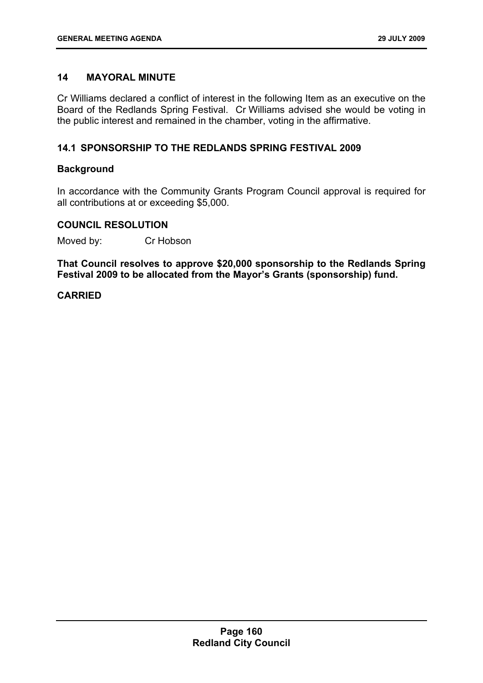# **14 MAYORAL MINUTE**

Cr Williams declared a conflict of interest in the following Item as an executive on the Board of the Redlands Spring Festival. Cr Williams advised she would be voting in the public interest and remained in the chamber, voting in the affirmative.

# **14.1 SPONSORSHIP TO THE REDLANDS SPRING FESTIVAL 2009**

## **Background**

In accordance with the Community Grants Program Council approval is required for all contributions at or exceeding \$5,000.

## **COUNCIL RESOLUTION**

Moved by: Cr Hobson

**That Council resolves to approve \$20,000 sponsorship to the Redlands Spring Festival 2009 to be allocated from the Mayor's Grants (sponsorship) fund.**